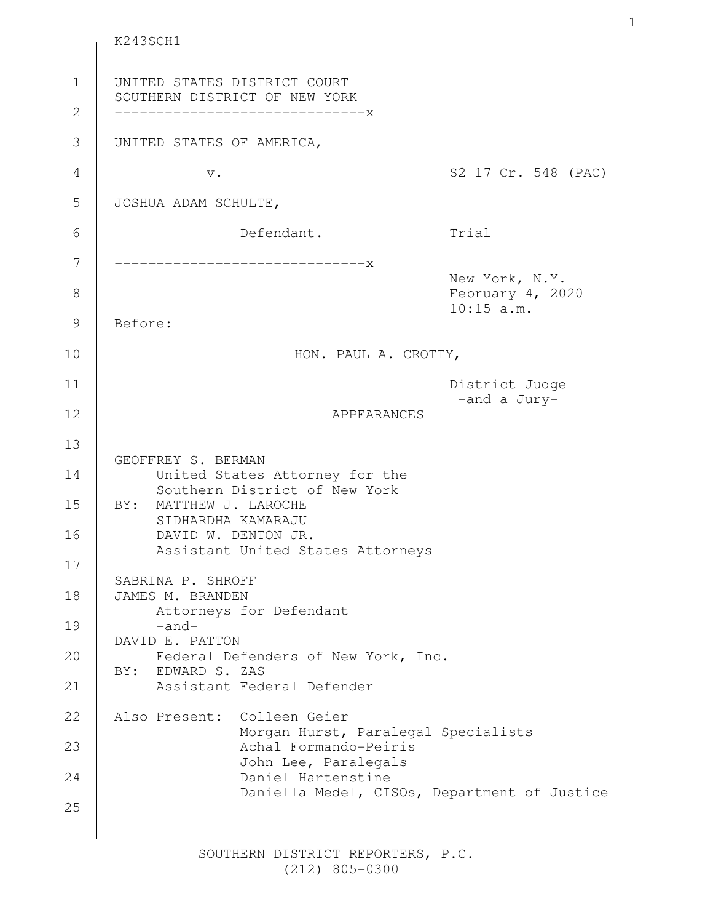UNITED STATES DISTRICT COURT SOUTHERN DISTRICT OF NEW YORK ------------------------------x UNITED STATES OF AMERICA, v. S2 17 Cr. 548 (PAC) JOSHUA ADAM SCHULTE, Defendant. Trial ------------------------------x New York, N.Y. February 4, 2020 10:15 a.m. Before: HON. PAUL A. CROTTY, District Judge -and a Jury-APPEARANCES GEOFFREY S. BERMAN United States Attorney for the Southern District of New York BY: MATTHEW J. LAROCHE SIDHARDHA KAMARAJU DAVID W. DENTON JR. Assistant United States Attorneys SABRINA P. SHROFF JAMES M. BRANDEN Attorneys for Defendant -and-DAVID E. PATTON Federal Defenders of New York, Inc. BY: EDWARD S. ZAS Assistant Federal Defender Also Present: Colleen Geier Morgan Hurst, Paralegal Specialists Achal Formando-Peiris John Lee, Paralegals Daniel Hartenstine Daniella Medel, CISOs, Department of Justice 1 2 3 4 5 6 7 8 9 10 11 12 13 14 15 16 17 18 19 20 21 22 23 24 25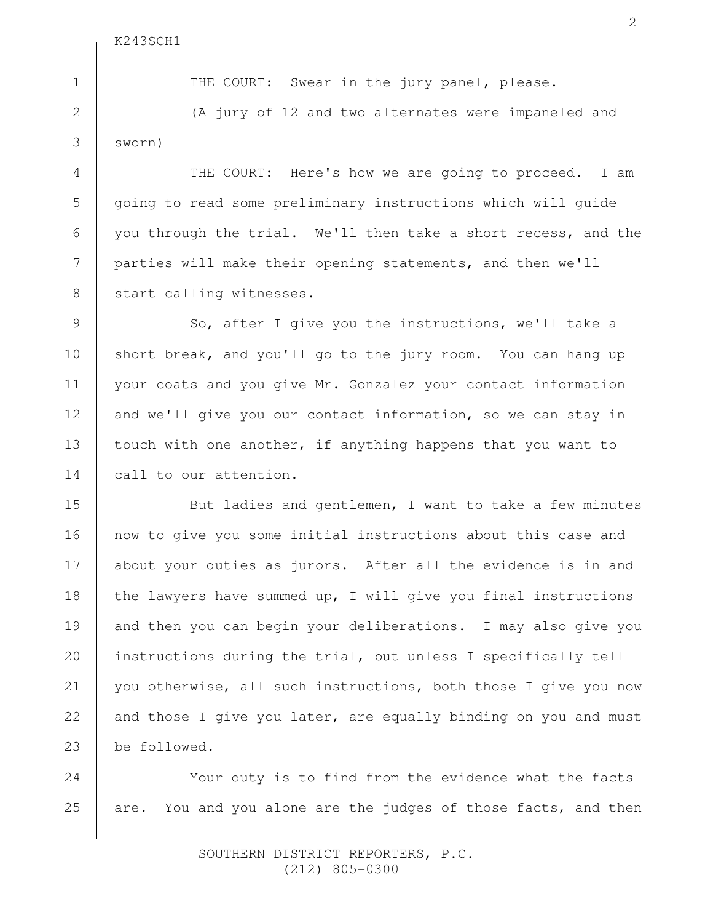1

2

3

4

5

6

7

8

9

10

11

12

13

14

15

16

17

18

19

20

21

22

23

24

25

THE COURT: Swear in the jury panel, please.

(A jury of 12 and two alternates were impaneled and sworn)

THE COURT: Here's how we are going to proceed. I am going to read some preliminary instructions which will guide you through the trial. We'll then take a short recess, and the parties will make their opening statements, and then we'll start calling witnesses.

So, after I give you the instructions, we'll take a short break, and you'll go to the jury room. You can hang up your coats and you give Mr. Gonzalez your contact information and we'll give you our contact information, so we can stay in touch with one another, if anything happens that you want to call to our attention.

But ladies and gentlemen, I want to take a few minutes now to give you some initial instructions about this case and about your duties as jurors. After all the evidence is in and the lawyers have summed up, I will give you final instructions and then you can begin your deliberations. I may also give you instructions during the trial, but unless I specifically tell you otherwise, all such instructions, both those I give you now and those I give you later, are equally binding on you and must be followed.

Your duty is to find from the evidence what the facts are. You and you alone are the judges of those facts, and then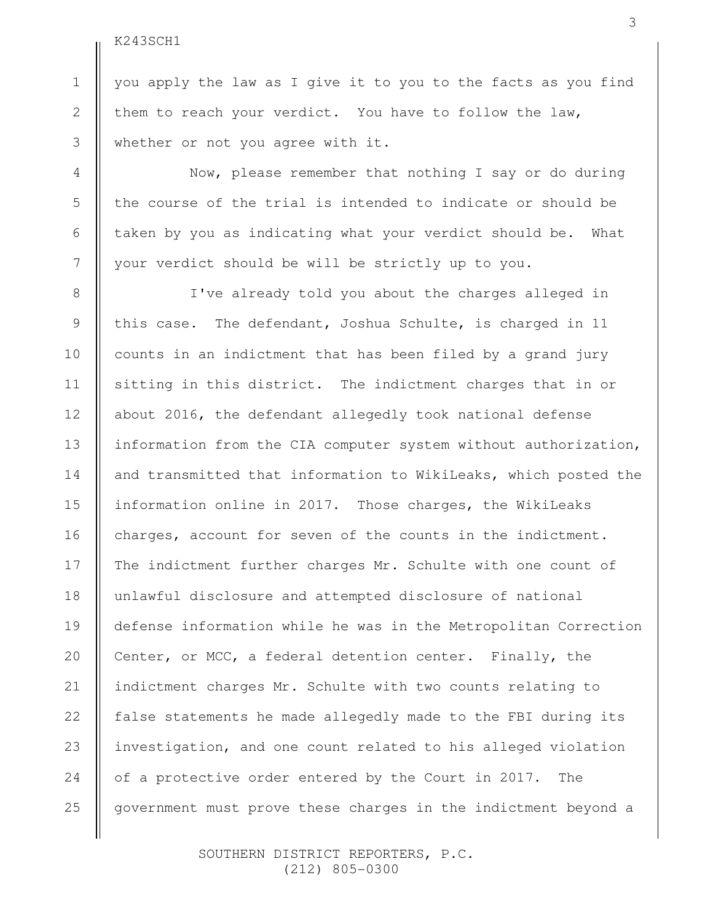1

2

3

4

5

6

7

8

9

10

11

12

13

14

15

16

17

18

19

20

21

22

23

24

25

you apply the law as I give it to you to the facts as you find them to reach your verdict. You have to follow the law, whether or not you agree with it.

Now, please remember that nothing I say or do during the course of the trial is intended to indicate or should be taken by you as indicating what your verdict should be. What your verdict should be will be strictly up to you.

I've already told you about the charges alleged in this case. The defendant, Joshua Schulte, is charged in 11 counts in an indictment that has been filed by a grand jury sitting in this district. The indictment charges that in or about 2016, the defendant allegedly took national defense information from the CIA computer system without authorization, and transmitted that information to WikiLeaks, which posted the information online in 2017. Those charges, the WikiLeaks charges, account for seven of the counts in the indictment. The indictment further charges Mr. Schulte with one count of unlawful disclosure and attempted disclosure of national defense information while he was in the Metropolitan Correction Center, or MCC, a federal detention center. Finally, the indictment charges Mr. Schulte with two counts relating to false statements he made allegedly made to the FBI during its investigation, and one count related to his alleged violation of a protective order entered by the Court in 2017. The government must prove these charges in the indictment beyond a

> SOUTHERN DISTRICT REPORTERS, P.C. (212) 805-0300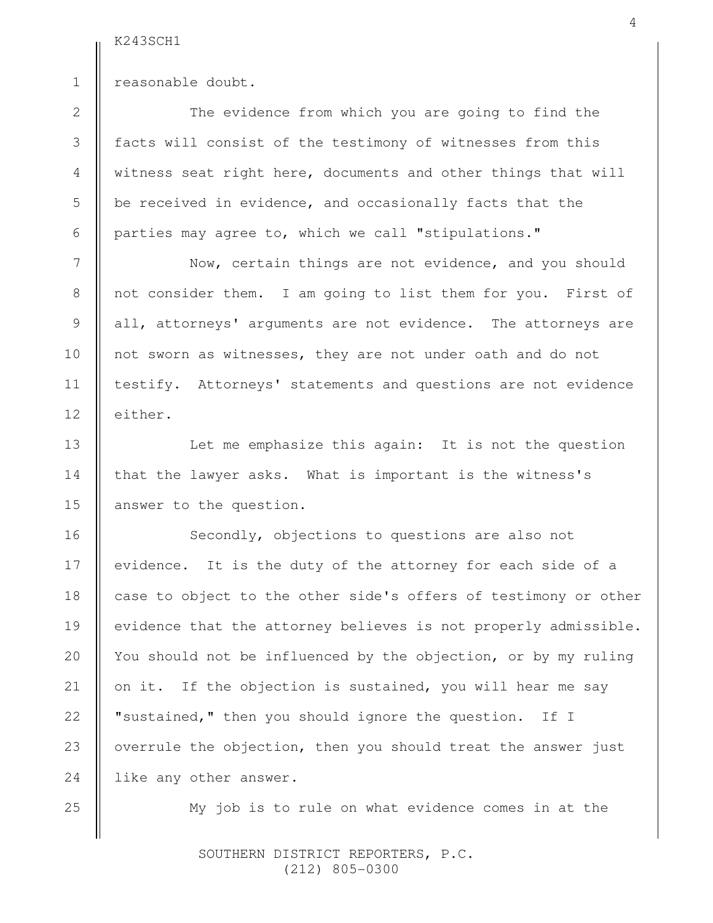2

3

4

5

6

7

8

9

10

11

12

13

14

15

16

17

18

19

20

21

22

23

24

1

reasonable doubt.

The evidence from which you are going to find the facts will consist of the testimony of witnesses from this witness seat right here, documents and other things that will be received in evidence, and occasionally facts that the parties may agree to, which we call "stipulations."

Now, certain things are not evidence, and you should not consider them. I am going to list them for you. First of all, attorneys' arguments are not evidence. The attorneys are not sworn as witnesses, they are not under oath and do not testify. Attorneys' statements and questions are not evidence either.

Let me emphasize this again: It is not the question that the lawyer asks. What is important is the witness's answer to the question.

Secondly, objections to questions are also not evidence. It is the duty of the attorney for each side of a case to object to the other side's offers of testimony or other evidence that the attorney believes is not properly admissible. You should not be influenced by the objection, or by my ruling on it. If the objection is sustained, you will hear me say "sustained," then you should ignore the question. If I overrule the objection, then you should treat the answer just like any other answer.

25

My job is to rule on what evidence comes in at the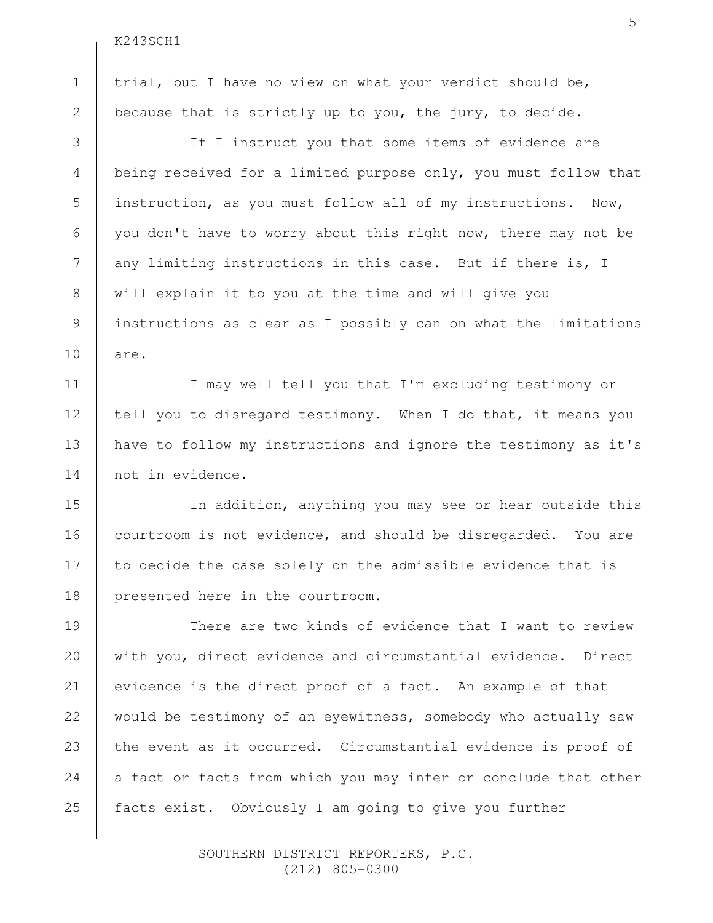trial, but I have no view on what your verdict should be, because that is strictly up to you, the jury, to decide. If I instruct you that some items of evidence are being received for a limited purpose only, you must follow that instruction, as you must follow all of my instructions. Now, you don't have to worry about this right now, there may not be any limiting instructions in this case. But if there is, I will explain it to you at the time and will give you instructions as clear as I possibly can on what the limitations are. I may well tell you that I'm excluding testimony or tell you to disregard testimony. When I do that, it means you have to follow my instructions and ignore the testimony as it's not in evidence. In addition, anything you may see or hear outside this courtroom is not evidence, and should be disregarded. You are to decide the case solely on the admissible evidence that is presented here in the courtroom. There are two kinds of evidence that I want to review with you, direct evidence and circumstantial evidence. Direct evidence is the direct proof of a fact. An example of that would be testimony of an eyewitness, somebody who actually saw the event as it occurred. Circumstantial evidence is proof of a fact or facts from which you may infer or conclude that other facts exist. Obviously I am going to give you further 1 2 3 4 5 6 7 8 9 10 11 12 13 14 15 16 17 18 19 20 21 22 23 24 25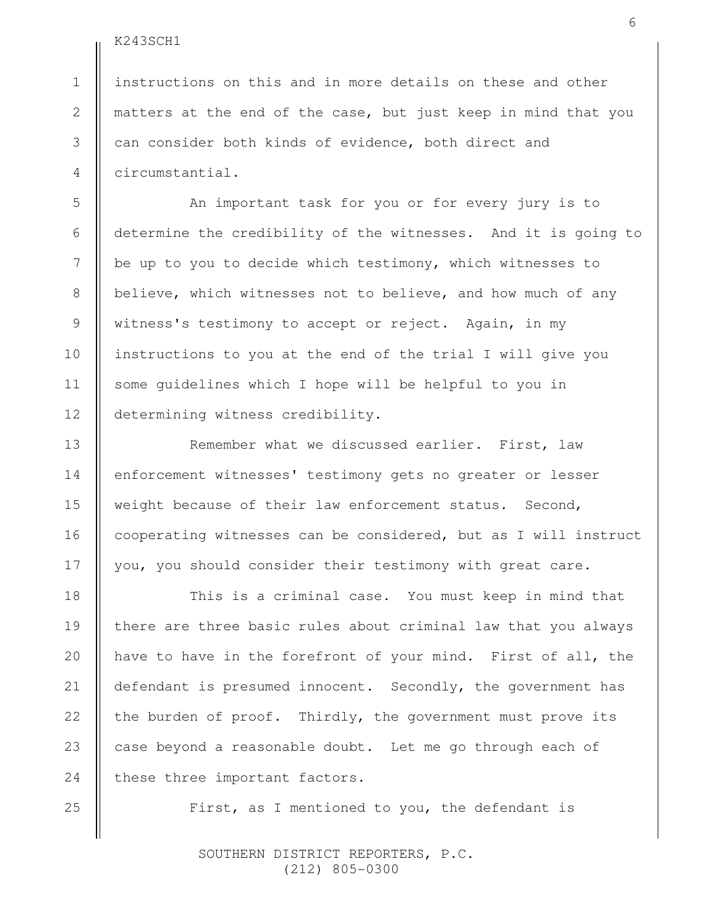1

2

3

instructions on this and in more details on these and other matters at the end of the case, but just keep in mind that you can consider both kinds of evidence, both direct and circumstantial.

An important task for you or for every jury is to determine the credibility of the witnesses. And it is going to be up to you to decide which testimony, which witnesses to believe, which witnesses not to believe, and how much of any witness's testimony to accept or reject. Again, in my instructions to you at the end of the trial I will give you some guidelines which I hope will be helpful to you in determining witness credibility.

Remember what we discussed earlier. First, law enforcement witnesses' testimony gets no greater or lesser weight because of their law enforcement status. Second, cooperating witnesses can be considered, but as I will instruct you, you should consider their testimony with great care.

This is a criminal case. You must keep in mind that there are three basic rules about criminal law that you always have to have in the forefront of your mind. First of all, the defendant is presumed innocent. Secondly, the government has the burden of proof. Thirdly, the government must prove its case beyond a reasonable doubt. Let me go through each of these three important factors.

First, as I mentioned to you, the defendant is

 SOUTHERN DISTRICT REPORTERS, P.C. (212) 805-0300

25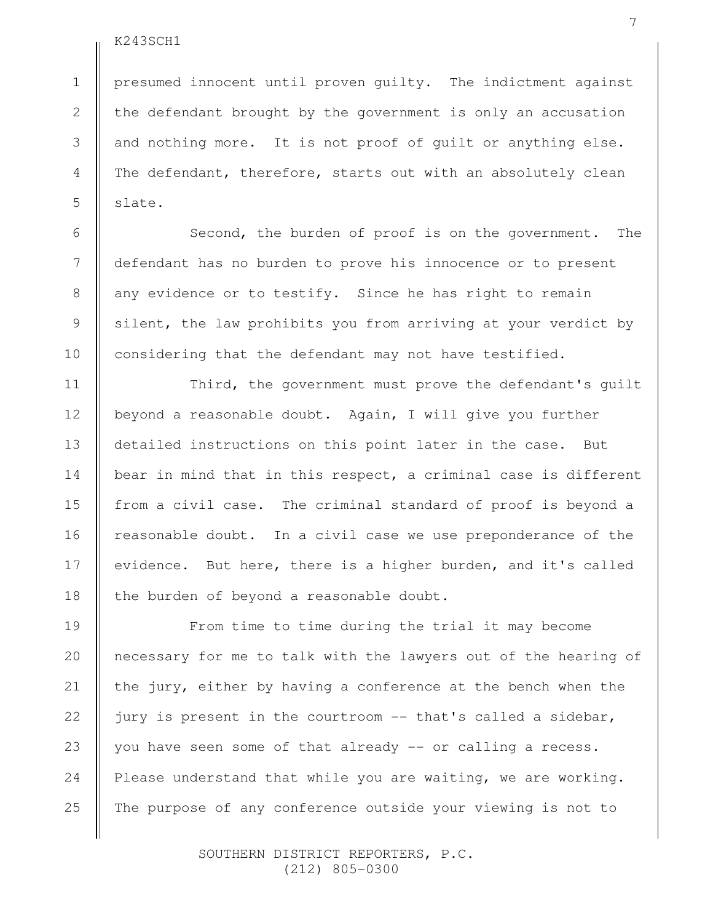presumed innocent until proven guilty. The indictment against the defendant brought by the government is only an accusation and nothing more. It is not proof of guilt or anything else. The defendant, therefore, starts out with an absolutely clean slate.

Second, the burden of proof is on the government. The defendant has no burden to prove his innocence or to present any evidence or to testify. Since he has right to remain silent, the law prohibits you from arriving at your verdict by considering that the defendant may not have testified.

Third, the government must prove the defendant's guilt beyond a reasonable doubt. Again, I will give you further detailed instructions on this point later in the case. But bear in mind that in this respect, a criminal case is different from a civil case. The criminal standard of proof is beyond a reasonable doubt. In a civil case we use preponderance of the evidence. But here, there is a higher burden, and it's called the burden of beyond a reasonable doubt.

From time to time during the trial it may become necessary for me to talk with the lawyers out of the hearing of the jury, either by having a conference at the bench when the jury is present in the courtroom -- that's called a sidebar, you have seen some of that already -- or calling a recess. Please understand that while you are waiting, we are working. The purpose of any conference outside your viewing is not to

> SOUTHERN DISTRICT REPORTERS, P.C. (212) 805-0300

25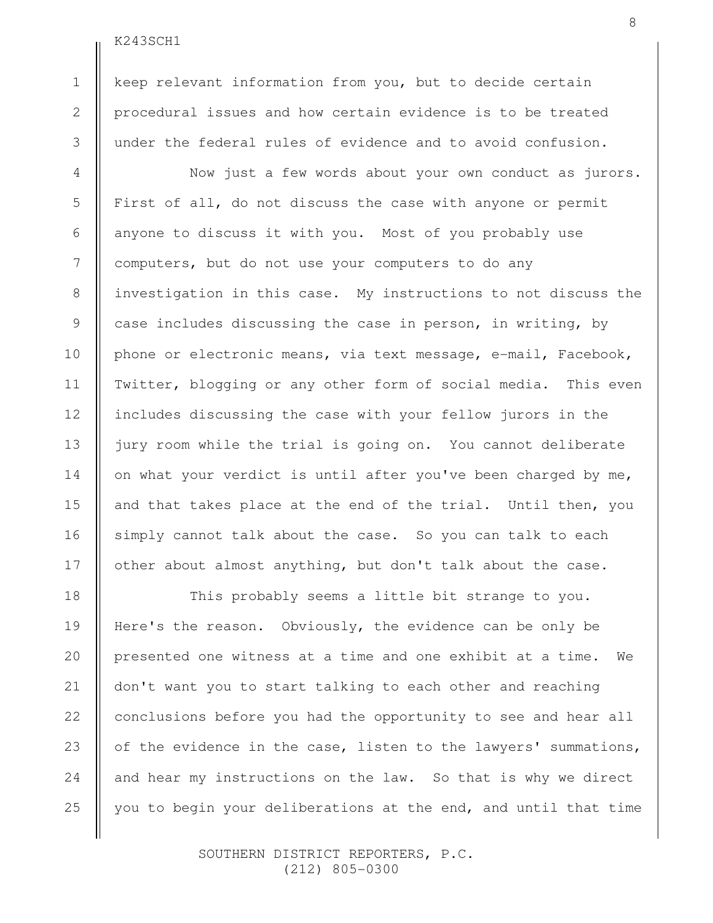1

2

3

4

5

6

7

8

9

10

11

12

13

14

15

16

17

18

19

20

21

22

23

24

25

keep relevant information from you, but to decide certain procedural issues and how certain evidence is to be treated under the federal rules of evidence and to avoid confusion.

Now just a few words about your own conduct as jurors. First of all, do not discuss the case with anyone or permit anyone to discuss it with you. Most of you probably use computers, but do not use your computers to do any investigation in this case. My instructions to not discuss the case includes discussing the case in person, in writing, by phone or electronic means, via text message, e-mail, Facebook, Twitter, blogging or any other form of social media. This even includes discussing the case with your fellow jurors in the jury room while the trial is going on. You cannot deliberate on what your verdict is until after you've been charged by me, and that takes place at the end of the trial. Until then, you simply cannot talk about the case. So you can talk to each other about almost anything, but don't talk about the case.

This probably seems a little bit strange to you. Here's the reason. Obviously, the evidence can be only be presented one witness at a time and one exhibit at a time. We don't want you to start talking to each other and reaching conclusions before you had the opportunity to see and hear all of the evidence in the case, listen to the lawyers' summations, and hear my instructions on the law. So that is why we direct you to begin your deliberations at the end, and until that time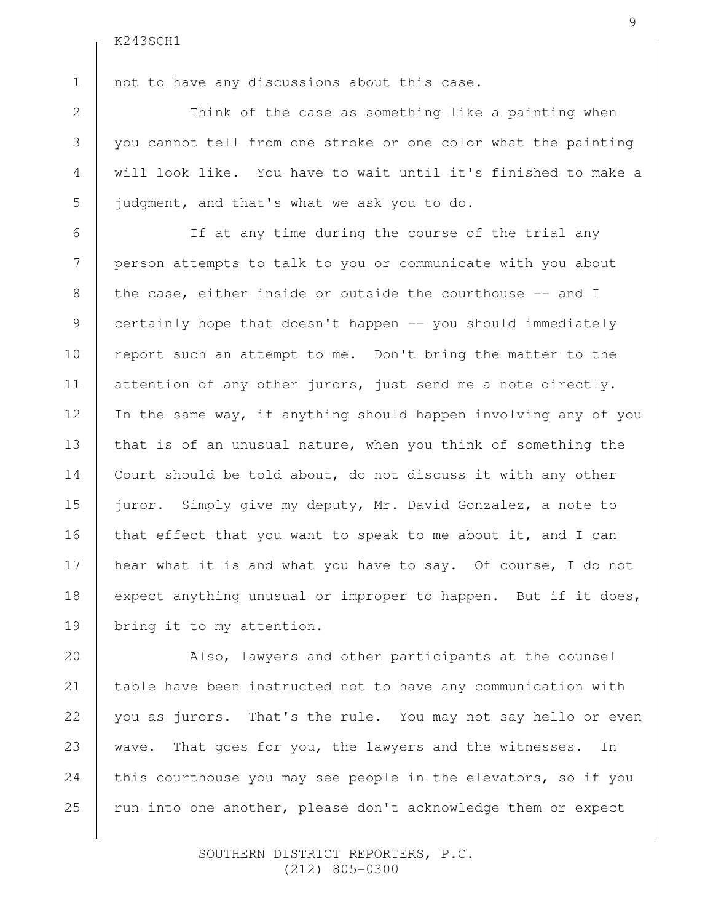2 3

4

5

6

7

8

9

10

11

12

13

14

15

16

17

18

19

20

21

22

23

24

25

1

not to have any discussions about this case.

Think of the case as something like a painting when you cannot tell from one stroke or one color what the painting will look like. You have to wait until it's finished to make a judgment, and that's what we ask you to do.

If at any time during the course of the trial any person attempts to talk to you or communicate with you about the case, either inside or outside the courthouse -- and I certainly hope that doesn't happen -- you should immediately report such an attempt to me. Don't bring the matter to the attention of any other jurors, just send me a note directly. In the same way, if anything should happen involving any of you that is of an unusual nature, when you think of something the Court should be told about, do not discuss it with any other juror. Simply give my deputy, Mr. David Gonzalez, a note to that effect that you want to speak to me about it, and I can hear what it is and what you have to say. Of course, I do not expect anything unusual or improper to happen. But if it does, bring it to my attention.

Also, lawyers and other participants at the counsel table have been instructed not to have any communication with you as jurors. That's the rule. You may not say hello or even wave. That goes for you, the lawyers and the witnesses. In this courthouse you may see people in the elevators, so if you run into one another, please don't acknowledge them or expect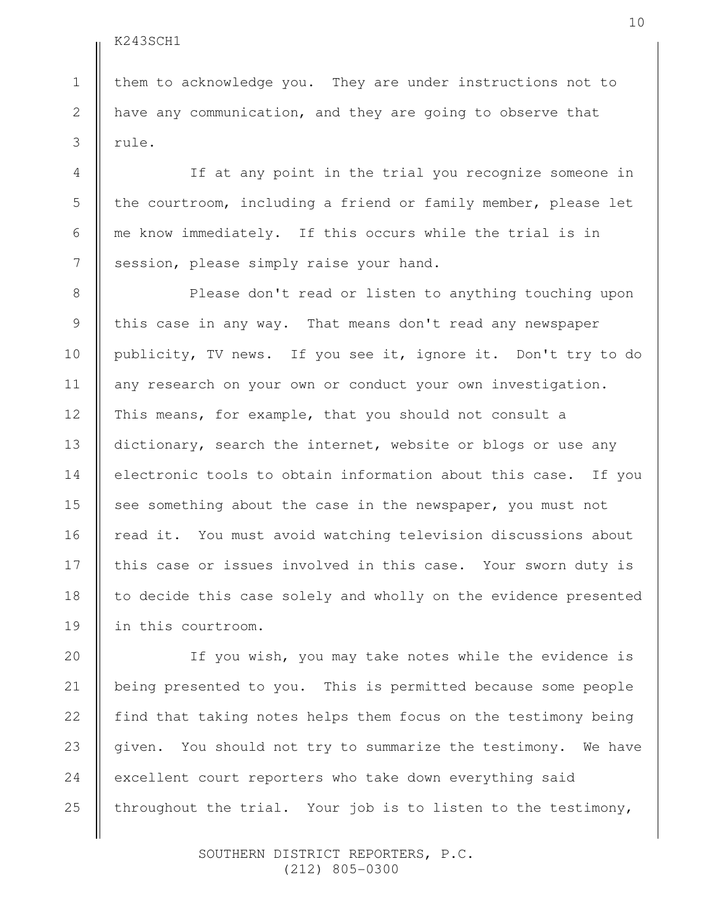1

2

3

4

5

6

7

8

9

10

11

12

13

14

15

16

17

18

19

20

21

22

23

24

25

them to acknowledge you. They are under instructions not to have any communication, and they are going to observe that rule.

If at any point in the trial you recognize someone in the courtroom, including a friend or family member, please let me know immediately. If this occurs while the trial is in session, please simply raise your hand.

Please don't read or listen to anything touching upon this case in any way. That means don't read any newspaper publicity, TV news. If you see it, ignore it. Don't try to do any research on your own or conduct your own investigation. This means, for example, that you should not consult a dictionary, search the internet, website or blogs or use any electronic tools to obtain information about this case. If you see something about the case in the newspaper, you must not read it. You must avoid watching television discussions about this case or issues involved in this case. Your sworn duty is to decide this case solely and wholly on the evidence presented in this courtroom.

If you wish, you may take notes while the evidence is being presented to you. This is permitted because some people find that taking notes helps them focus on the testimony being given. You should not try to summarize the testimony. We have excellent court reporters who take down everything said throughout the trial. Your job is to listen to the testimony,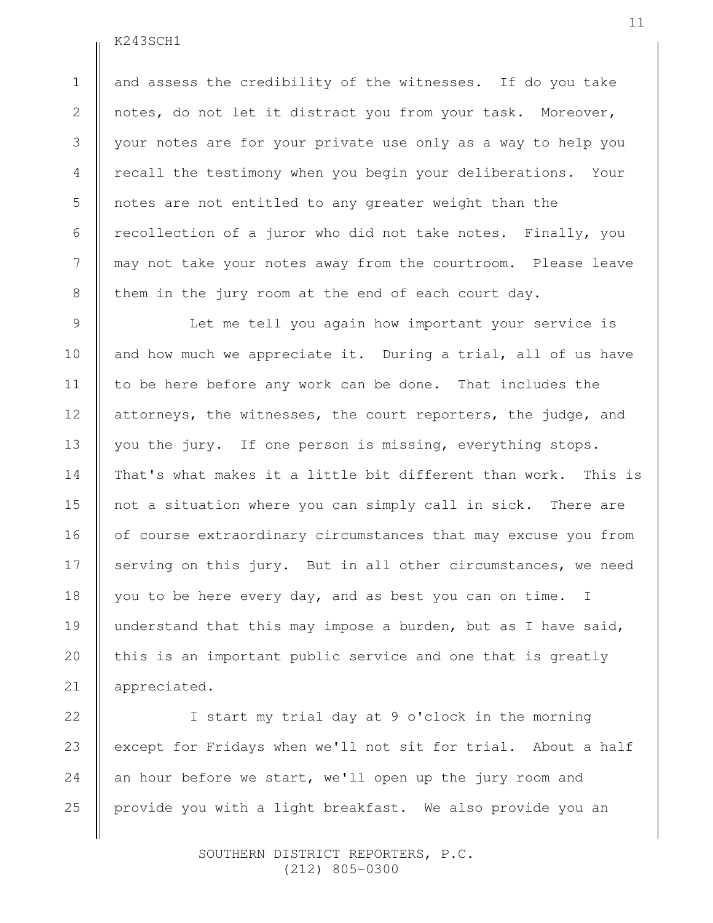1

2

3

4

5

6

7

8

9

10

11

12

13

14

15

16

17

18

19

20

21

and assess the credibility of the witnesses. If do you take notes, do not let it distract you from your task. Moreover, your notes are for your private use only as a way to help you recall the testimony when you begin your deliberations. Your notes are not entitled to any greater weight than the recollection of a juror who did not take notes. Finally, you may not take your notes away from the courtroom. Please leave them in the jury room at the end of each court day.

Let me tell you again how important your service is and how much we appreciate it. During a trial, all of us have to be here before any work can be done. That includes the attorneys, the witnesses, the court reporters, the judge, and you the jury. If one person is missing, everything stops. That's what makes it a little bit different than work. This is not a situation where you can simply call in sick. There are of course extraordinary circumstances that may excuse you from serving on this jury. But in all other circumstances, we need you to be here every day, and as best you can on time. I understand that this may impose a burden, but as I have said, this is an important public service and one that is greatly appreciated.

I start my trial day at 9 o'clock in the morning except for Fridays when we'll not sit for trial. About a half an hour before we start, we'll open up the jury room and provide you with a light breakfast. We also provide you an 22 23 24 25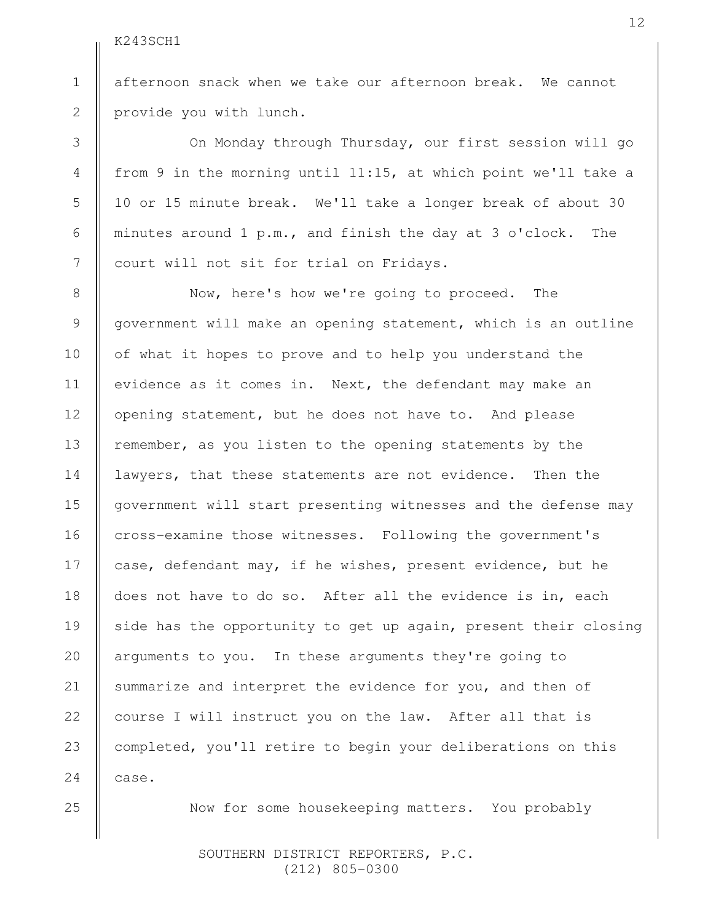1

2

3

4

5

6

7

8

9

10

11

12

13

14

15

16

17

18

19

20

21

22

23

24

afternoon snack when we take our afternoon break. We cannot provide you with lunch.

On Monday through Thursday, our first session will go from 9 in the morning until 11:15, at which point we'll take a 10 or 15 minute break. We'll take a longer break of about 30 minutes around 1 p.m., and finish the day at 3 o'clock. The court will not sit for trial on Fridays.

Now, here's how we're going to proceed. The government will make an opening statement, which is an outline of what it hopes to prove and to help you understand the evidence as it comes in. Next, the defendant may make an opening statement, but he does not have to. And please remember, as you listen to the opening statements by the lawyers, that these statements are not evidence. Then the government will start presenting witnesses and the defense may cross-examine those witnesses. Following the government's case, defendant may, if he wishes, present evidence, but he does not have to do so. After all the evidence is in, each side has the opportunity to get up again, present their closing arguments to you. In these arguments they're going to summarize and interpret the evidence for you, and then of course I will instruct you on the law. After all that is completed, you'll retire to begin your deliberations on this case.

25

Now for some housekeeping matters. You probably

 SOUTHERN DISTRICT REPORTERS, P.C. (212) 805-0300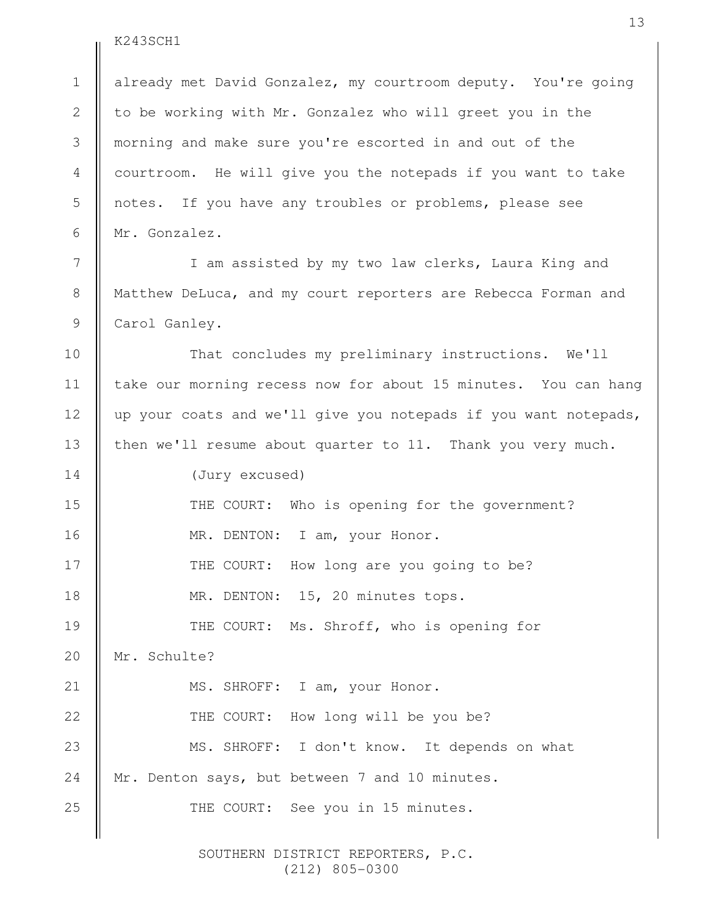1

2

3

4

5

6

7

8

9

10

11

12

13

already met David Gonzalez, my courtroom deputy. You're going to be working with Mr. Gonzalez who will greet you in the morning and make sure you're escorted in and out of the courtroom. He will give you the notepads if you want to take notes. If you have any troubles or problems, please see Mr. Gonzalez.

I am assisted by my two law clerks, Laura King and Matthew DeLuca, and my court reporters are Rebecca Forman and Carol Ganley.

That concludes my preliminary instructions. We'll take our morning recess now for about 15 minutes. You can hang up your coats and we'll give you notepads if you want notepads, then we'll resume about quarter to 11. Thank you very much.

(Jury excused) THE COURT: Who is opening for the government? MR. DENTON: I am, your Honor. THE COURT: How long are you going to be? MR. DENTON: 15, 20 minutes tops. THE COURT: Ms. Shroff, who is opening for Mr. Schulte? MS. SHROFF: I am, your Honor. THE COURT: How long will be you be? MS. SHROFF: I don't know. It depends on what Mr. Denton says, but between 7 and 10 minutes. THE COURT: See you in 15 minutes. 14 15 16 17 18 19 20 21 22 23 24 25

> SOUTHERN DISTRICT REPORTERS, P.C. (212) 805-0300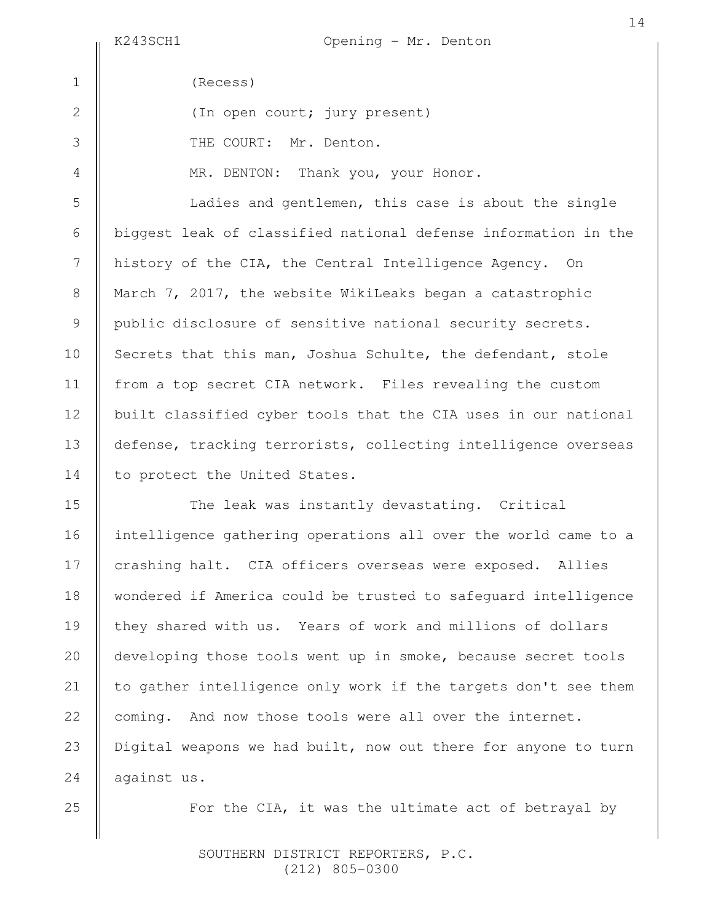5

6

7

8

9

10

11

12

13

14

15

16

18

20

21

22

jury present)

|                | (Recess)        |
|----------------|-----------------|
| $\overline{2}$ | (In open court; |
| 3              | THE COURT: Mr.  |

MR. DENTON: Thank you, your Honor.

Denton.

Ladies and gentlemen, this case is about the single biggest leak of classified national defense information in the history of the CIA, the Central Intelligence Agency. On March 7, 2017, the website WikiLeaks began a catastrophic public disclosure of sensitive national security secrets. Secrets that this man, Joshua Schulte, the defendant, stole from a top secret CIA network. Files revealing the custom built classified cyber tools that the CIA uses in our national defense, tracking terrorists, collecting intelligence overseas to protect the United States.

The leak was instantly devastating. Critical intelligence gathering operations all over the world came to a crashing halt. CIA officers overseas were exposed. Allies wondered if America could be trusted to safeguard intelligence they shared with us. Years of work and millions of dollars developing those tools went up in smoke, because secret tools to gather intelligence only work if the targets don't see them coming. And now those tools were all over the internet. Digital weapons we had built, now out there for anyone to turn against us. 17 19 23 24

25

For the CIA, it was the ultimate act of betrayal by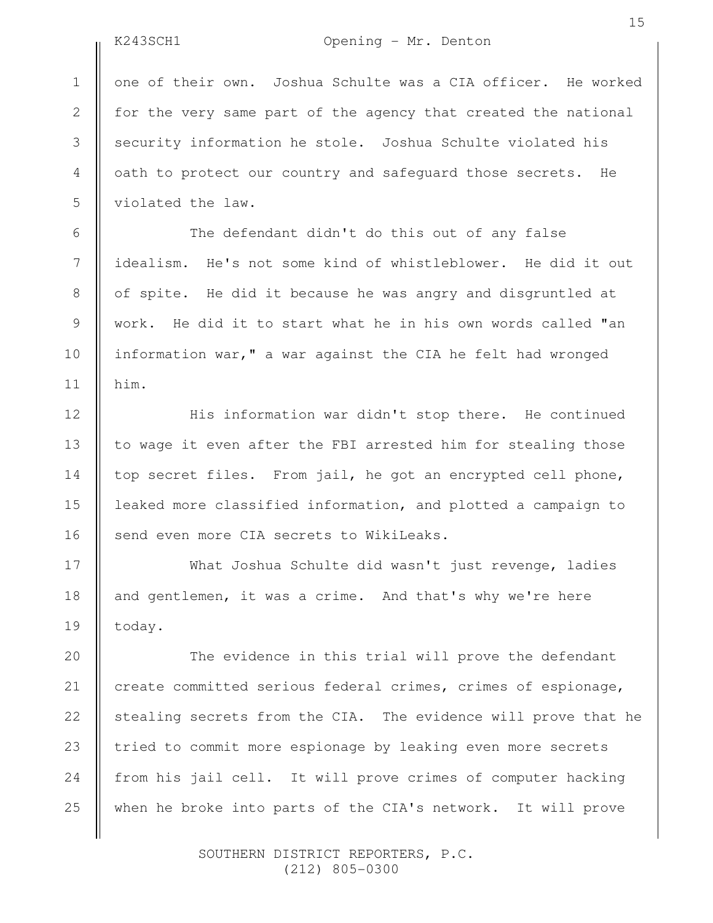2

3

4

5

6

7

8

9

10

11

12

13

14

15

16

17

18

19

# K243SCH1 Opening - Mr. Denton

one of their own. Joshua Schulte was a CIA officer. He worked for the very same part of the agency that created the national security information he stole. Joshua Schulte violated his oath to protect our country and safeguard those secrets. He violated the law.

The defendant didn't do this out of any false idealism. He's not some kind of whistleblower. He did it out of spite. He did it because he was angry and disgruntled at work. He did it to start what he in his own words called "an information war," a war against the CIA he felt had wronged him.

His information war didn't stop there. He continued to wage it even after the FBI arrested him for stealing those top secret files. From jail, he got an encrypted cell phone, leaked more classified information, and plotted a campaign to send even more CIA secrets to WikiLeaks.

What Joshua Schulte did wasn't just revenge, ladies and gentlemen, it was a crime. And that's why we're here today.

The evidence in this trial will prove the defendant create committed serious federal crimes, crimes of espionage, stealing secrets from the CIA. The evidence will prove that he tried to commit more espionage by leaking even more secrets from his jail cell. It will prove crimes of computer hacking when he broke into parts of the CIA's network. It will prove 20 21 22 23 24 25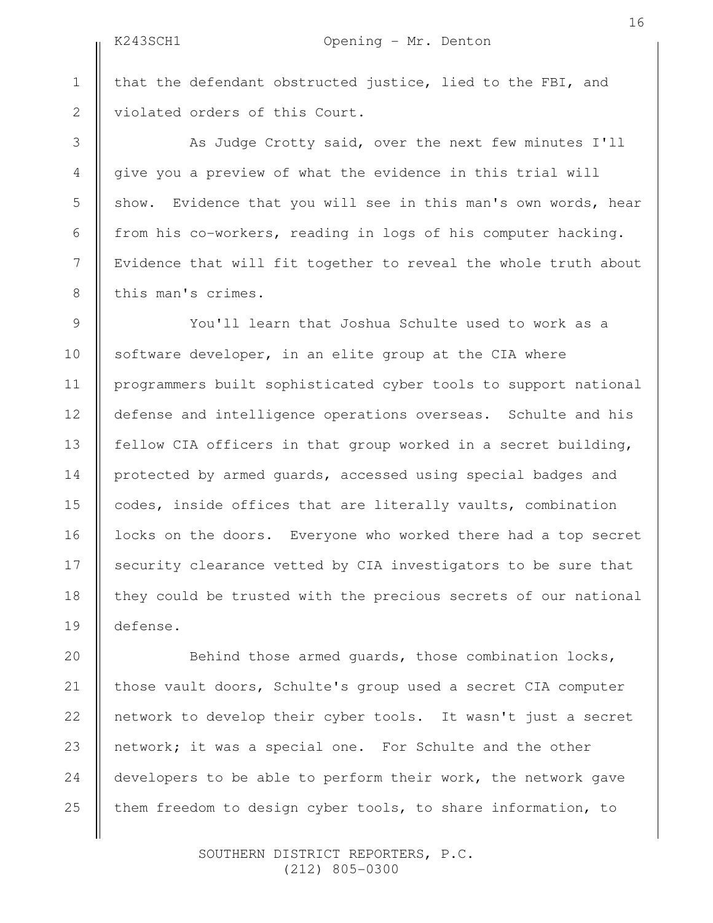2

3

4

5

6

7

8

9

10

11

12

13

14

15

16

17

18

19

that the defendant obstructed justice, lied to the FBI, and violated orders of this Court.

As Judge Crotty said, over the next few minutes I'll give you a preview of what the evidence in this trial will show. Evidence that you will see in this man's own words, hear from his co-workers, reading in logs of his computer hacking. Evidence that will fit together to reveal the whole truth about this man's crimes.

You'll learn that Joshua Schulte used to work as a software developer, in an elite group at the CIA where programmers built sophisticated cyber tools to support national defense and intelligence operations overseas. Schulte and his fellow CIA officers in that group worked in a secret building, protected by armed guards, accessed using special badges and codes, inside offices that are literally vaults, combination locks on the doors. Everyone who worked there had a top secret security clearance vetted by CIA investigators to be sure that they could be trusted with the precious secrets of our national defense.

Behind those armed guards, those combination locks, those vault doors, Schulte's group used a secret CIA computer network to develop their cyber tools. It wasn't just a secret network; it was a special one. For Schulte and the other developers to be able to perform their work, the network gave them freedom to design cyber tools, to share information, to 20 21 22 23 24 25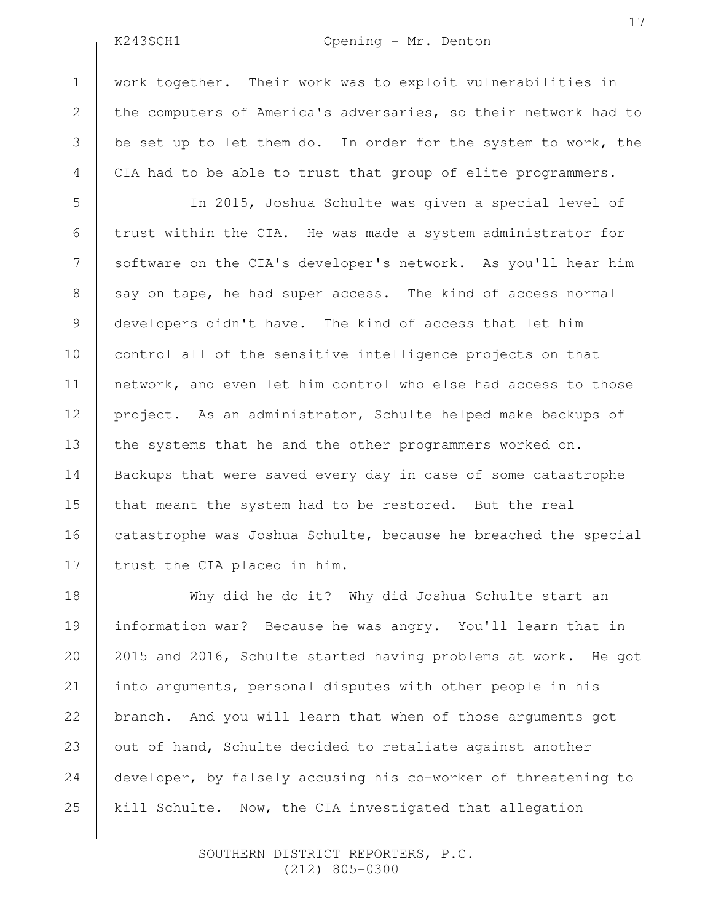2

3

4

5

6

7

8

9

10

11

12

13

14

15

16

17

## K243SCH1 Opening - Mr. Denton

work together. Their work was to exploit vulnerabilities in the computers of America's adversaries, so their network had to be set up to let them do. In order for the system to work, the CIA had to be able to trust that group of elite programmers.

In 2015, Joshua Schulte was given a special level of trust within the CIA. He was made a system administrator for software on the CIA's developer's network. As you'll hear him say on tape, he had super access. The kind of access normal developers didn't have. The kind of access that let him control all of the sensitive intelligence projects on that network, and even let him control who else had access to those project. As an administrator, Schulte helped make backups of the systems that he and the other programmers worked on. Backups that were saved every day in case of some catastrophe that meant the system had to be restored. But the real catastrophe was Joshua Schulte, because he breached the special trust the CIA placed in him.

Why did he do it? Why did Joshua Schulte start an information war? Because he was angry. You'll learn that in 2015 and 2016, Schulte started having problems at work. He got into arguments, personal disputes with other people in his branch. And you will learn that when of those arguments got out of hand, Schulte decided to retaliate against another developer, by falsely accusing his co-worker of threatening to kill Schulte. Now, the CIA investigated that allegation 18 19 20 21 22 23 24 25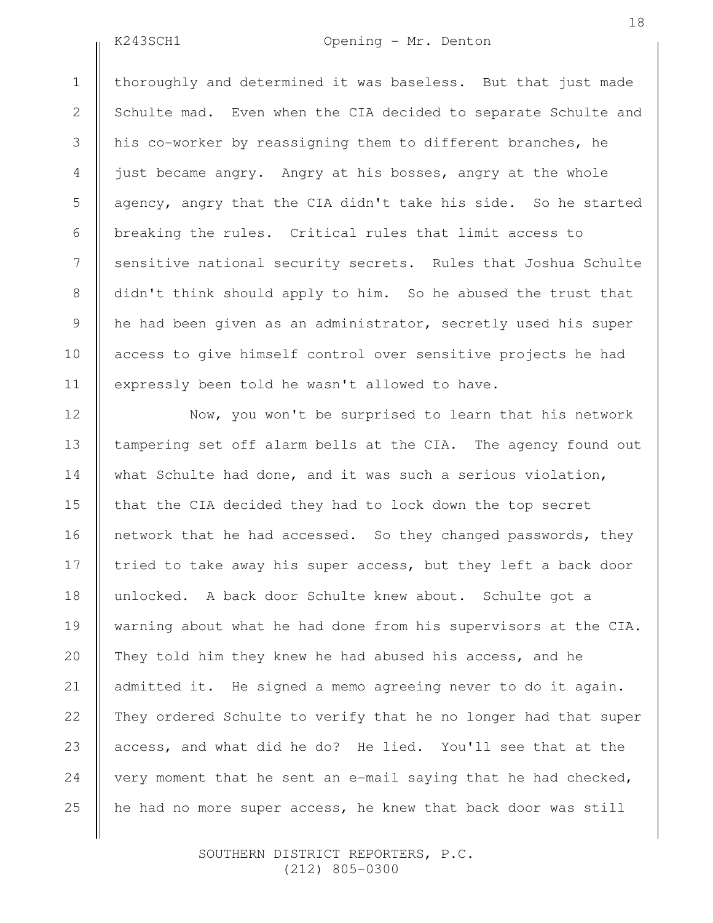2

3

4

5

6

7

8

9

10

11

12

13

14

15

16

17

18

19

20

21

22

23

24

25

# K243SCH1 Opening - Mr. Denton

thoroughly and determined it was baseless. But that just made Schulte mad. Even when the CIA decided to separate Schulte and his co-worker by reassigning them to different branches, he just became angry. Angry at his bosses, angry at the whole agency, angry that the CIA didn't take his side. So he started breaking the rules. Critical rules that limit access to sensitive national security secrets. Rules that Joshua Schulte didn't think should apply to him. So he abused the trust that he had been given as an administrator, secretly used his super access to give himself control over sensitive projects he had expressly been told he wasn't allowed to have.

Now, you won't be surprised to learn that his network tampering set off alarm bells at the CIA. The agency found out what Schulte had done, and it was such a serious violation, that the CIA decided they had to lock down the top secret network that he had accessed. So they changed passwords, they tried to take away his super access, but they left a back door unlocked. A back door Schulte knew about. Schulte got a warning about what he had done from his supervisors at the CIA. They told him they knew he had abused his access, and he admitted it. He signed a memo agreeing never to do it again. They ordered Schulte to verify that he no longer had that super access, and what did he do? He lied. You'll see that at the very moment that he sent an e-mail saying that he had checked, he had no more super access, he knew that back door was still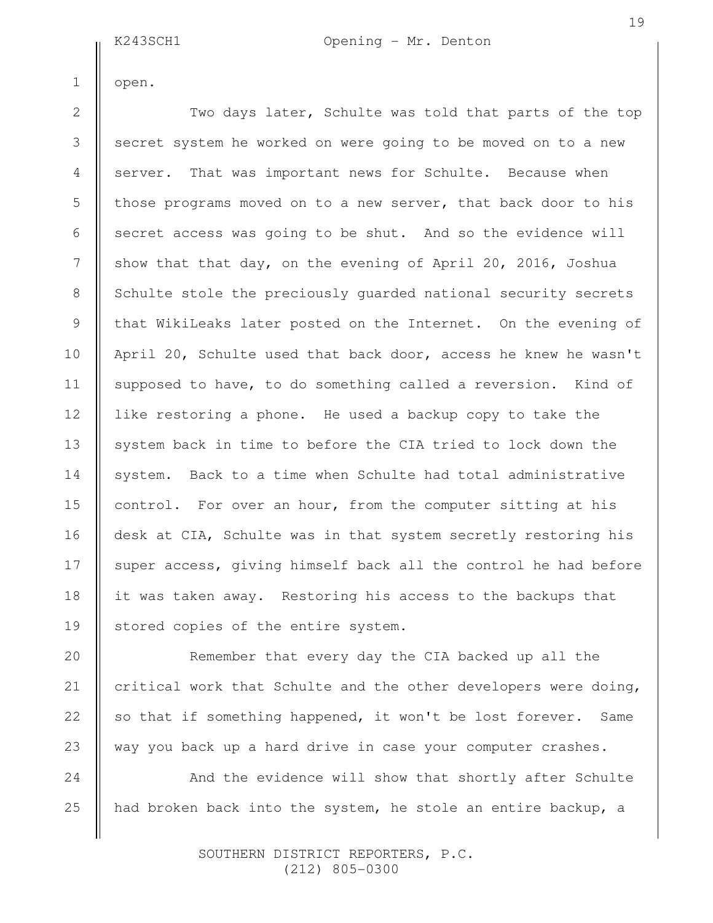K243SCH1 Opening - Mr. Denton

open.

1

2

3

4

5

6

8

9

10

11

12

13

14

15

16

18

20

21

22

23

24

25

Two days later, Schulte was told that parts of the top secret system he worked on were going to be moved on to a new server. That was important news for Schulte. Because when those programs moved on to a new server, that back door to his secret access was going to be shut. And so the evidence will show that that day, on the evening of April 20, 2016, Joshua Schulte stole the preciously guarded national security secrets that WikiLeaks later posted on the Internet. On the evening of April 20, Schulte used that back door, access he knew he wasn't supposed to have, to do something called a reversion. Kind of like restoring a phone. He used a backup copy to take the system back in time to before the CIA tried to lock down the system. Back to a time when Schulte had total administrative control. For over an hour, from the computer sitting at his desk at CIA, Schulte was in that system secretly restoring his super access, giving himself back all the control he had before it was taken away. Restoring his access to the backups that stored copies of the entire system. 7 17 19

Remember that every day the CIA backed up all the critical work that Schulte and the other developers were doing, so that if something happened, it won't be lost forever. Same way you back up a hard drive in case your computer crashes.

And the evidence will show that shortly after Schulte had broken back into the system, he stole an entire backup, a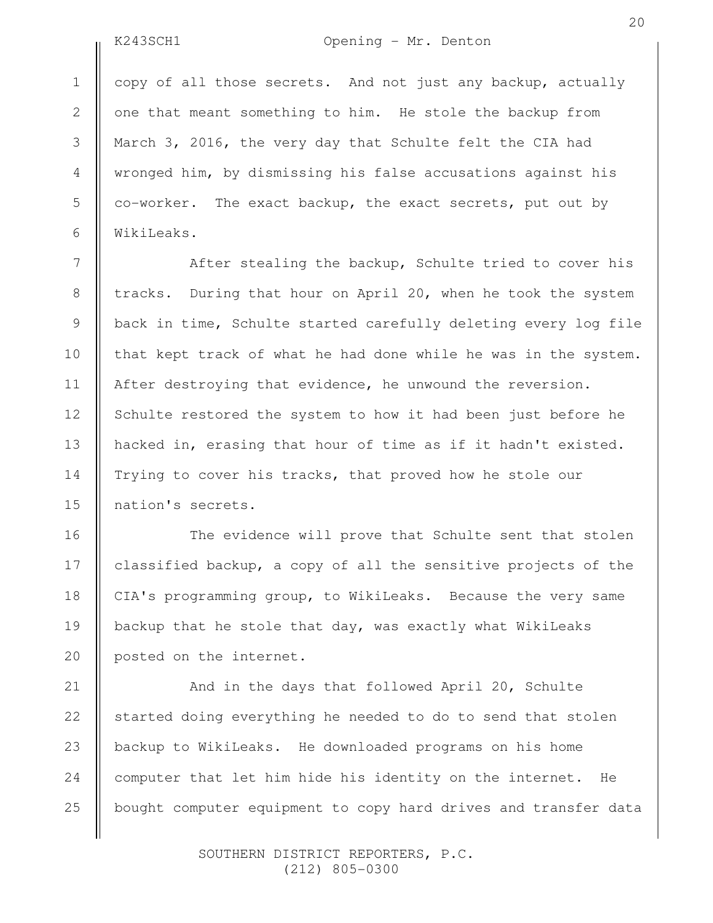2

3

4

5

6

7

8

9

10

11

12

13

14

15

16

17

18

19

20

# K243SCH1 Opening - Mr. Denton

20

copy of all those secrets. And not just any backup, actually one that meant something to him. He stole the backup from March 3, 2016, the very day that Schulte felt the CIA had wronged him, by dismissing his false accusations against his co-worker. The exact backup, the exact secrets, put out by WikiLeaks.

After stealing the backup, Schulte tried to cover his tracks. During that hour on April 20, when he took the system back in time, Schulte started carefully deleting every log file that kept track of what he had done while he was in the system. After destroying that evidence, he unwound the reversion. Schulte restored the system to how it had been just before he hacked in, erasing that hour of time as if it hadn't existed. Trying to cover his tracks, that proved how he stole our nation's secrets.

The evidence will prove that Schulte sent that stolen classified backup, a copy of all the sensitive projects of the CIA's programming group, to WikiLeaks. Because the very same backup that he stole that day, was exactly what WikiLeaks posted on the internet.

And in the days that followed April 20, Schulte started doing everything he needed to do to send that stolen backup to WikiLeaks. He downloaded programs on his home computer that let him hide his identity on the internet. He bought computer equipment to copy hard drives and transfer data 21 22 23 24 25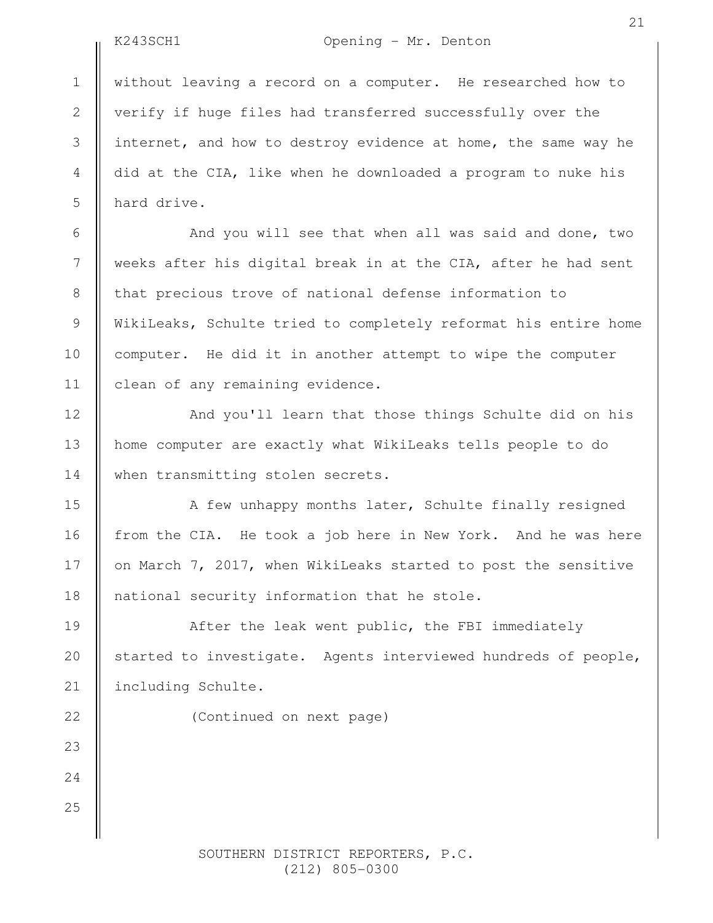2

# K243SCH1 Opening - Mr. Denton

without leaving a record on a computer. He researched how to verify if huge files had transferred successfully over the internet, and how to destroy evidence at home, the same way he did at the CIA, like when he downloaded a program to nuke his hard drive.

And you will see that when all was said and done, two weeks after his digital break in at the CIA, after he had sent that precious trove of national defense information to WikiLeaks, Schulte tried to completely reformat his entire home computer. He did it in another attempt to wipe the computer clean of any remaining evidence.

And you'll learn that those things Schulte did on his home computer are exactly what WikiLeaks tells people to do when transmitting stolen secrets.

A few unhappy months later, Schulte finally resigned from the CIA. He took a job here in New York. And he was here on March 7, 2017, when WikiLeaks started to post the sensitive national security information that he stole.

After the leak went public, the FBI immediately started to investigate. Agents interviewed hundreds of people, including Schulte.

(Continued on next page)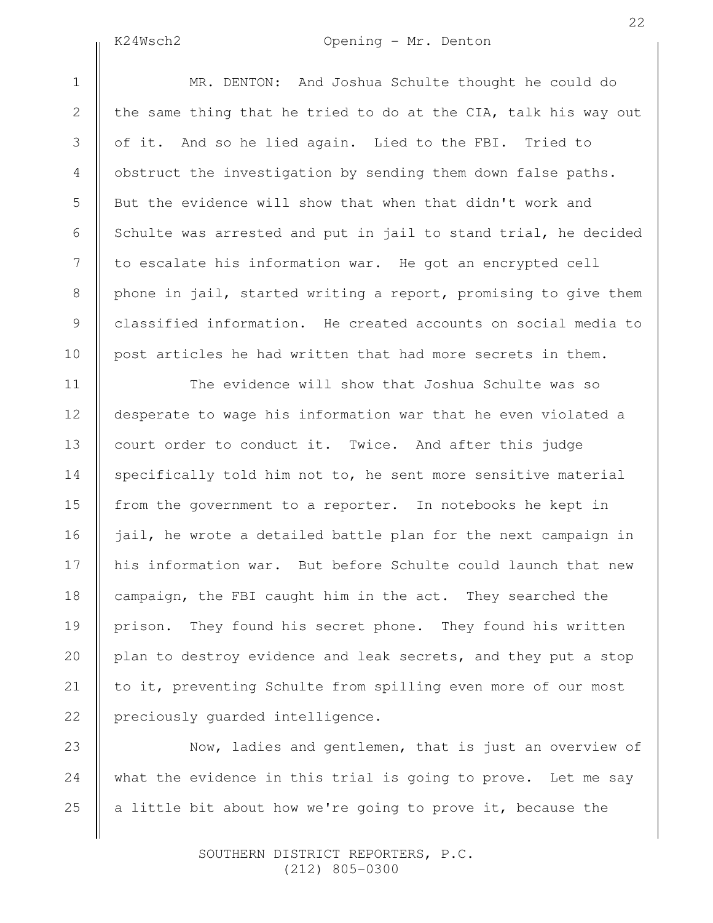# K24Wsch2 Opening - Mr. Denton

21

22

MR. DENTON: And Joshua Schulte thought he could do the same thing that he tried to do at the CIA, talk his way out of it. And so he lied again. Lied to the FBI. Tried to obstruct the investigation by sending them down false paths. But the evidence will show that when that didn't work and Schulte was arrested and put in jail to stand trial, he decided to escalate his information war. He got an encrypted cell phone in jail, started writing a report, promising to give them classified information. He created accounts on social media to post articles he had written that had more secrets in them.

The evidence will show that Joshua Schulte was so desperate to wage his information war that he even violated a court order to conduct it. Twice. And after this judge specifically told him not to, he sent more sensitive material from the government to a reporter. In notebooks he kept in jail, he wrote a detailed battle plan for the next campaign in his information war. But before Schulte could launch that new campaign, the FBI caught him in the act. They searched the prison. They found his secret phone. They found his written plan to destroy evidence and leak secrets, and they put a stop to it, preventing Schulte from spilling even more of our most preciously guarded intelligence.

Now, ladies and gentlemen, that is just an overview of what the evidence in this trial is going to prove. Let me say a little bit about how we're going to prove it, because the 23 24 25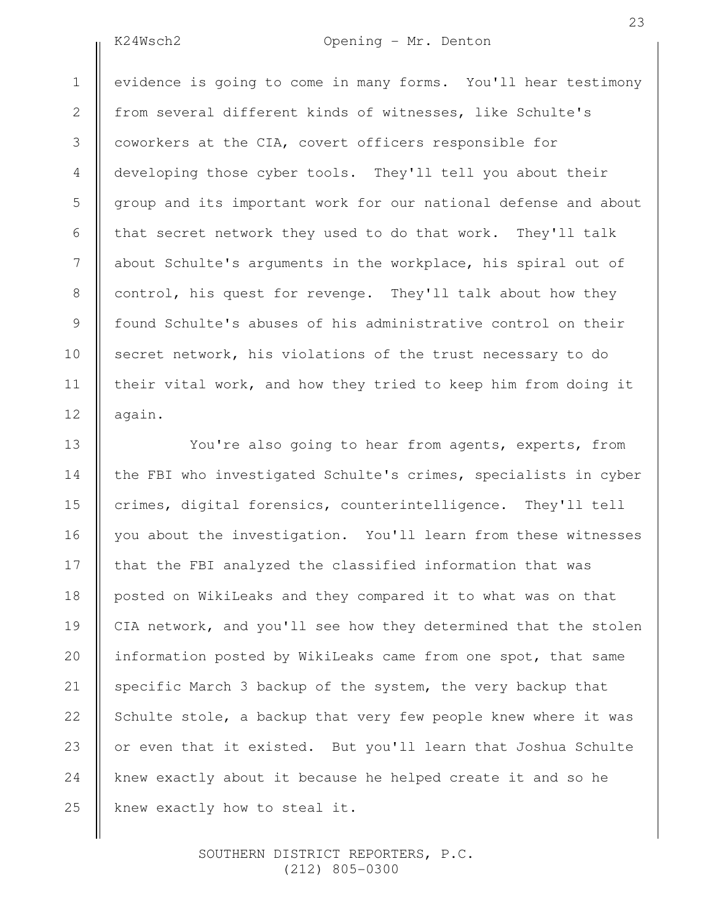2

3

4

5

6

7

8

9

10

11

12

16

18

21

### K24Wsch2 Opening - Mr. Denton

evidence is going to come in many forms. You'll hear testimony from several different kinds of witnesses, like Schulte's coworkers at the CIA, covert officers responsible for developing those cyber tools. They'll tell you about their group and its important work for our national defense and about that secret network they used to do that work. They'll talk about Schulte's arguments in the workplace, his spiral out of control, his quest for revenge. They'll talk about how they found Schulte's abuses of his administrative control on their secret network, his violations of the trust necessary to do their vital work, and how they tried to keep him from doing it again.

You're also going to hear from agents, experts, from the FBI who investigated Schulte's crimes, specialists in cyber crimes, digital forensics, counterintelligence. They'll tell you about the investigation. You'll learn from these witnesses that the FBI analyzed the classified information that was posted on WikiLeaks and they compared it to what was on that CIA network, and you'll see how they determined that the stolen information posted by WikiLeaks came from one spot, that same specific March 3 backup of the system, the very backup that Schulte stole, a backup that very few people knew where it was or even that it existed. But you'll learn that Joshua Schulte knew exactly about it because he helped create it and so he knew exactly how to steal it. 13 14 15 17 19 20 22 23 24 25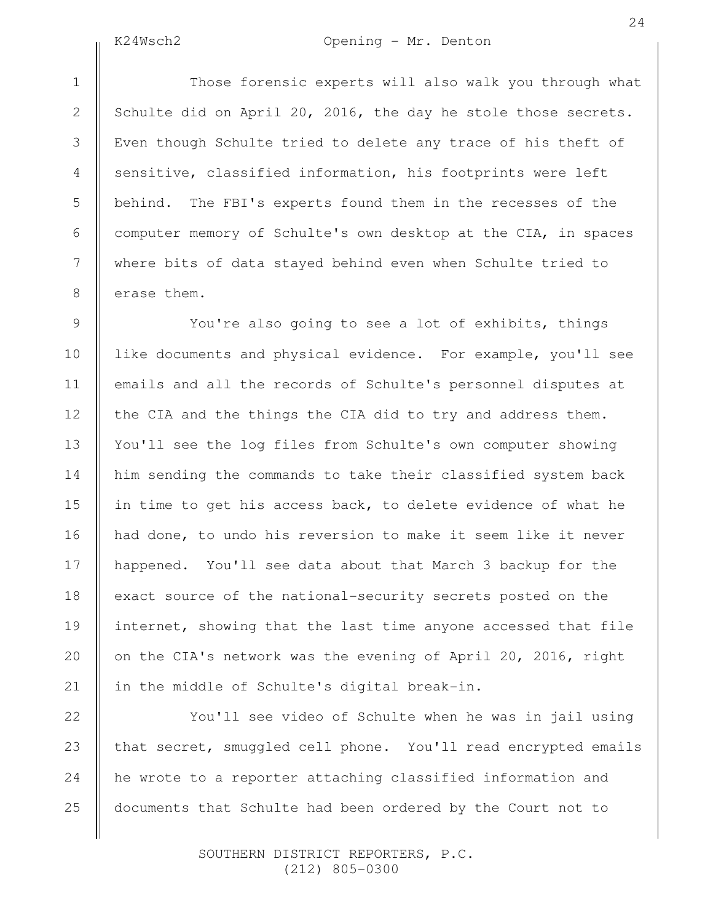# K24Wsch2 Opening - Mr. Denton

Those forensic experts will also walk you through what Schulte did on April 20, 2016, the day he stole those secrets. Even though Schulte tried to delete any trace of his theft of sensitive, classified information, his footprints were left behind. The FBI's experts found them in the recesses of the computer memory of Schulte's own desktop at the CIA, in spaces where bits of data stayed behind even when Schulte tried to erase them.

You're also going to see a lot of exhibits, things like documents and physical evidence. For example, you'll see emails and all the records of Schulte's personnel disputes at the CIA and the things the CIA did to try and address them. You'll see the log files from Schulte's own computer showing him sending the commands to take their classified system back in time to get his access back, to delete evidence of what he had done, to undo his reversion to make it seem like it never happened. You'll see data about that March 3 backup for the exact source of the national-security secrets posted on the internet, showing that the last time anyone accessed that file on the CIA's network was the evening of April 20, 2016, right in the middle of Schulte's digital break-in.

You'll see video of Schulte when he was in jail using that secret, smuggled cell phone. You'll read encrypted emails he wrote to a reporter attaching classified information and documents that Schulte had been ordered by the Court not to 25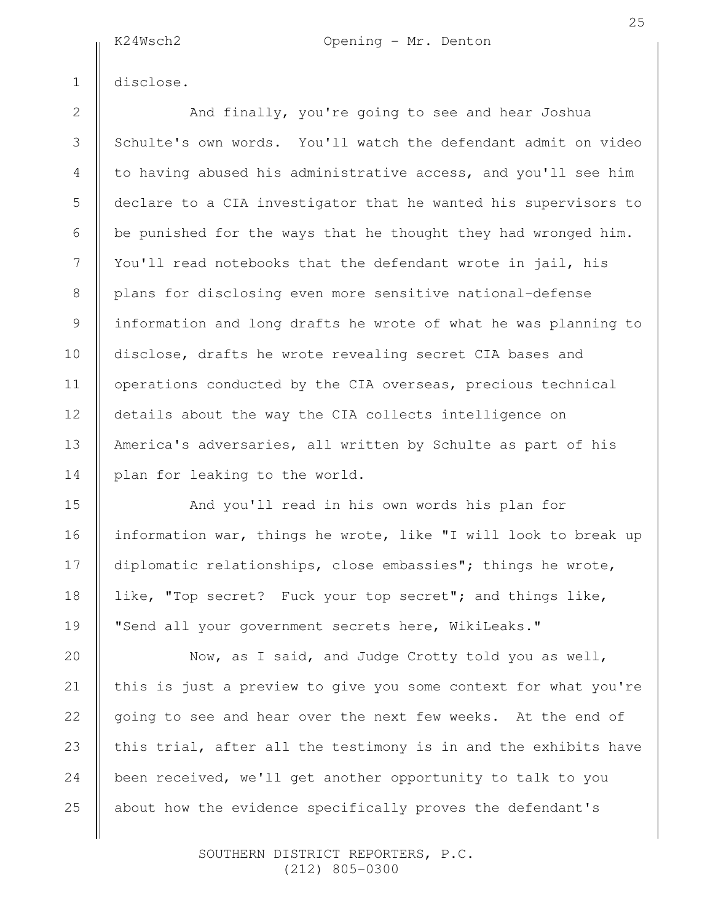K24Wsch2 Opening - Mr. Denton

disclose.

1

2

3

4

5

6

7

8

9

10

11

12

13

14

15

16

17

18

19

20

21

22

23

24

25

And finally, you're going to see and hear Joshua Schulte's own words. You'll watch the defendant admit on video to having abused his administrative access, and you'll see him declare to a CIA investigator that he wanted his supervisors to be punished for the ways that he thought they had wronged him. You'll read notebooks that the defendant wrote in jail, his plans for disclosing even more sensitive national-defense information and long drafts he wrote of what he was planning to disclose, drafts he wrote revealing secret CIA bases and operations conducted by the CIA overseas, precious technical details about the way the CIA collects intelligence on America's adversaries, all written by Schulte as part of his plan for leaking to the world.

And you'll read in his own words his plan for information war, things he wrote, like "I will look to break up diplomatic relationships, close embassies"; things he wrote, like, "Top secret? Fuck your top secret"; and things like, "Send all your government secrets here, WikiLeaks."

Now, as I said, and Judge Crotty told you as well, this is just a preview to give you some context for what you're going to see and hear over the next few weeks. At the end of this trial, after all the testimony is in and the exhibits have been received, we'll get another opportunity to talk to you about how the evidence specifically proves the defendant's

> SOUTHERN DISTRICT REPORTERS, P.C. (212) 805-0300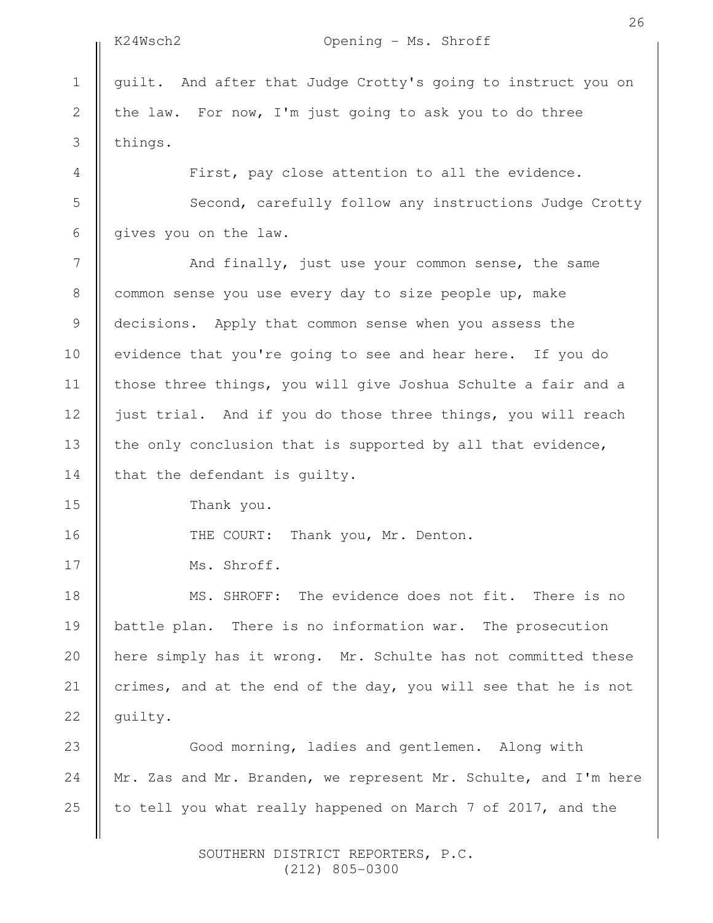2

3

4

5

6

7

8

9

10

11

12

13

14

15

16

17

# K24Wsch2 Opening - Ms. Shroff

guilt. And after that Judge Crotty's going to instruct you on the law. For now, I'm just going to ask you to do three things.

First, pay close attention to all the evidence.

Second, carefully follow any instructions Judge Crotty gives you on the law.

And finally, just use your common sense, the same common sense you use every day to size people up, make decisions. Apply that common sense when you assess the evidence that you're going to see and hear here. If you do those three things, you will give Joshua Schulte a fair and a just trial. And if you do those three things, you will reach the only conclusion that is supported by all that evidence, that the defendant is guilty.

Thank you.

THE COURT: Thank you, Mr. Denton.

Ms. Shroff.

MS. SHROFF: The evidence does not fit. There is no battle plan. There is no information war. The prosecution here simply has it wrong. Mr. Schulte has not committed these crimes, and at the end of the day, you will see that he is not guilty. 18 19 20 21 22

Good morning, ladies and gentlemen. Along with Mr. Zas and Mr. Branden, we represent Mr. Schulte, and I'm here to tell you what really happened on March 7 of 2017, and the 23 24 25

> SOUTHERN DISTRICT REPORTERS, P.C. (212) 805-0300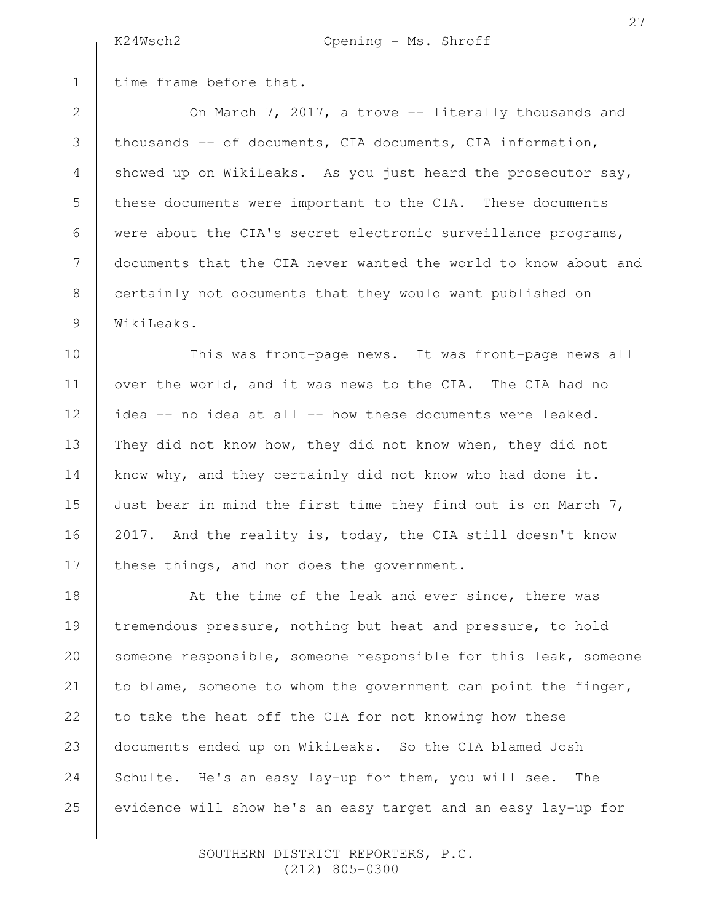time frame before that.

On March 7, 2017, a trove -- literally thousands and thousands -- of documents, CIA documents, CIA information, showed up on WikiLeaks. As you just heard the prosecutor say, these documents were important to the CIA. These documents were about the CIA's secret electronic surveillance programs, documents that the CIA never wanted the world to know about and certainly not documents that they would want published on WikiLeaks.

This was front-page news. It was front-page news all over the world, and it was news to the CIA. The CIA had no idea -- no idea at all -- how these documents were leaked. They did not know how, they did not know when, they did not know why, and they certainly did not know who had done it. Just bear in mind the first time they find out is on March  $7$ , 2017. And the reality is, today, the CIA still doesn't know these things, and nor does the government.

At the time of the leak and ever since, there was tremendous pressure, nothing but heat and pressure, to hold someone responsible, someone responsible for this leak, someone to blame, someone to whom the government can point the finger, to take the heat off the CIA for not knowing how these documents ended up on WikiLeaks. So the CIA blamed Josh Schulte. He's an easy lay-up for them, you will see. The evidence will show he's an easy target and an easy lay-up for 25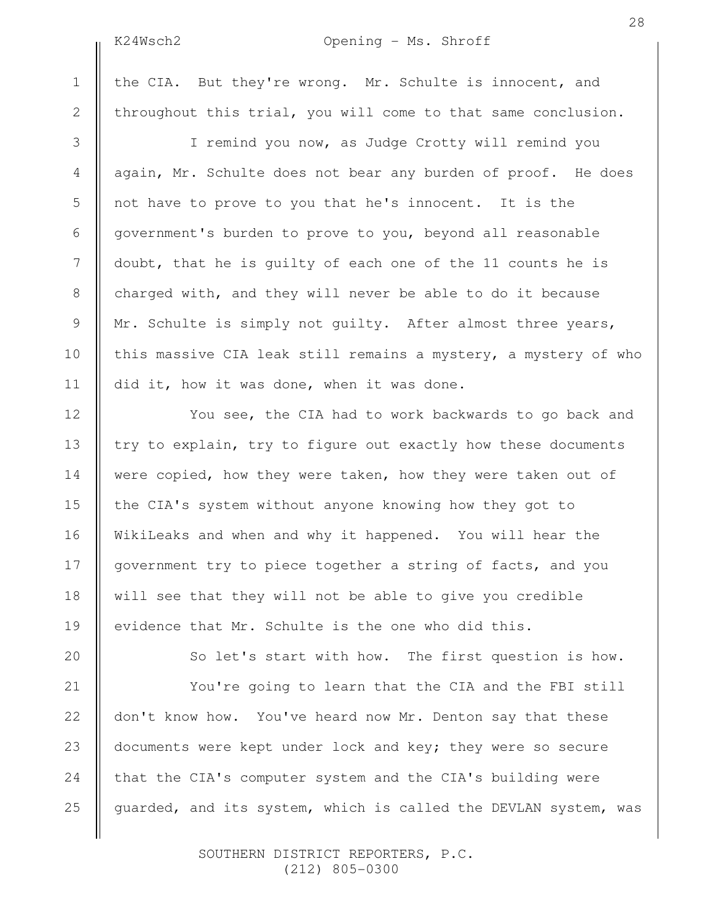2

3

4

5

6

7

8

9

10

11

12

13

14

15

16

17

18

19

20

# K24Wsch2 Opening - Ms. Shroff

the CIA. But they're wrong. Mr. Schulte is innocent, and throughout this trial, you will come to that same conclusion.

I remind you now, as Judge Crotty will remind you again, Mr. Schulte does not bear any burden of proof. He does not have to prove to you that he's innocent. It is the government's burden to prove to you, beyond all reasonable doubt, that he is guilty of each one of the 11 counts he is charged with, and they will never be able to do it because Mr. Schulte is simply not guilty. After almost three years, this massive CIA leak still remains a mystery, a mystery of who did it, how it was done, when it was done.

You see, the CIA had to work backwards to go back and try to explain, try to figure out exactly how these documents were copied, how they were taken, how they were taken out of the CIA's system without anyone knowing how they got to WikiLeaks and when and why it happened. You will hear the government try to piece together a string of facts, and you will see that they will not be able to give you credible evidence that Mr. Schulte is the one who did this.

So let's start with how. The first question is how.

You're going to learn that the CIA and the FBI still don't know how. You've heard now Mr. Denton say that these documents were kept under lock and key; they were so secure that the CIA's computer system and the CIA's building were guarded, and its system, which is called the DEVLAN system, was 21 22 23 24 25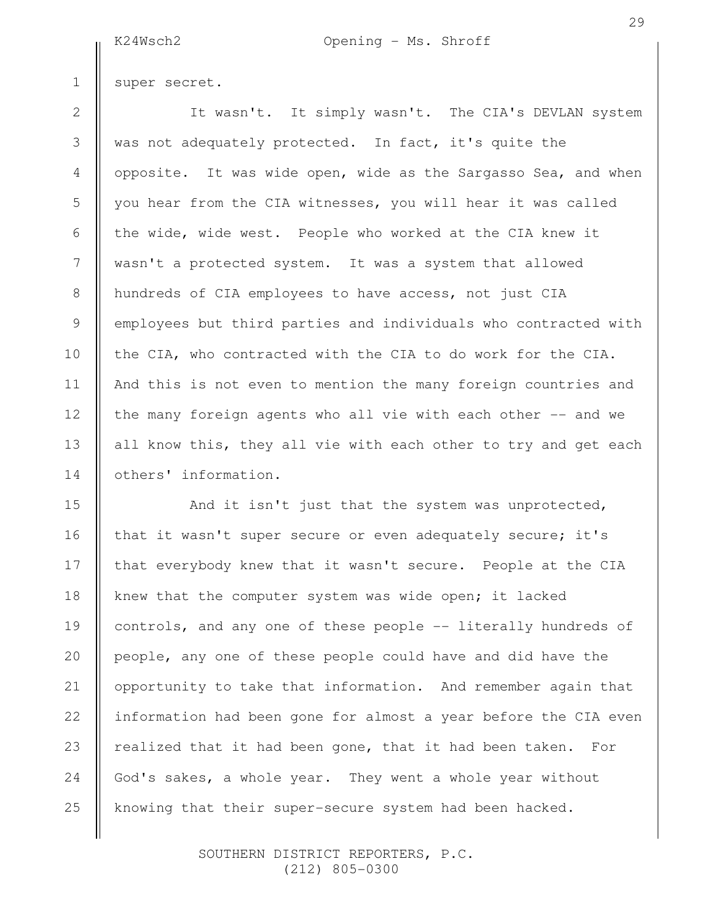super secret.

1

2

3

4

5

6

7

8

9

10

11

12

13

14

It wasn't. It simply wasn't. The CIA's DEVLAN system was not adequately protected. In fact, it's quite the opposite. It was wide open, wide as the Sargasso Sea, and when you hear from the CIA witnesses, you will hear it was called the wide, wide west. People who worked at the CIA knew it wasn't a protected system. It was a system that allowed hundreds of CIA employees to have access, not just CIA employees but third parties and individuals who contracted with the CIA, who contracted with the CIA to do work for the CIA. And this is not even to mention the many foreign countries and the many foreign agents who all vie with each other -- and we all know this, they all vie with each other to try and get each others' information.

And it isn't just that the system was unprotected, that it wasn't super secure or even adequately secure; it's that everybody knew that it wasn't secure. People at the CIA knew that the computer system was wide open; it lacked controls, and any one of these people -- literally hundreds of people, any one of these people could have and did have the opportunity to take that information. And remember again that information had been gone for almost a year before the CIA even realized that it had been gone, that it had been taken. For God's sakes, a whole year. They went a whole year without knowing that their super-secure system had been hacked. 15 16 17 18 19 20 21 22 23 24 25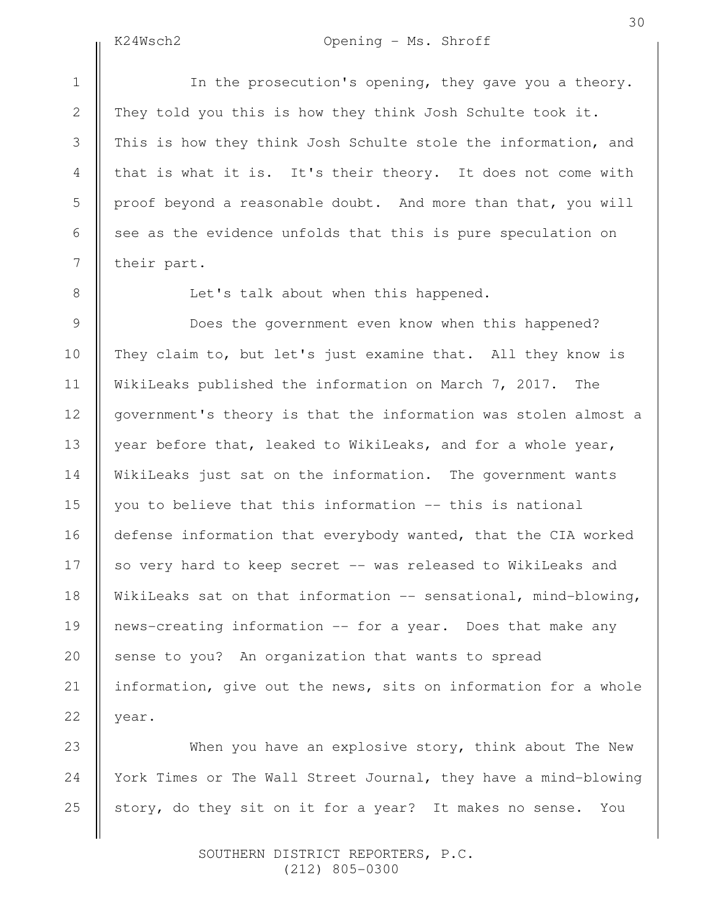22

In the prosecution's opening, they gave you a theory. They told you this is how they think Josh Schulte took it. This is how they think Josh Schulte stole the information, and that is what it is. It's their theory. It does not come with proof beyond a reasonable doubt. And more than that, you will see as the evidence unfolds that this is pure speculation on their part.

Let's talk about when this happened.

Does the government even know when this happened? They claim to, but let's just examine that. All they know is WikiLeaks published the information on March 7, 2017. The government's theory is that the information was stolen almost a year before that, leaked to WikiLeaks, and for a whole year, WikiLeaks just sat on the information. The government wants you to believe that this information -- this is national defense information that everybody wanted, that the CIA worked so very hard to keep secret -- was released to WikiLeaks and WikiLeaks sat on that information -- sensational, mind-blowing, news-creating information -- for a year. Does that make any sense to you? An organization that wants to spread information, give out the news, sits on information for a whole year.

When you have an explosive story, think about The New York Times or The Wall Street Journal, they have a mind-blowing story, do they sit on it for a year? It makes no sense. You 23 24 25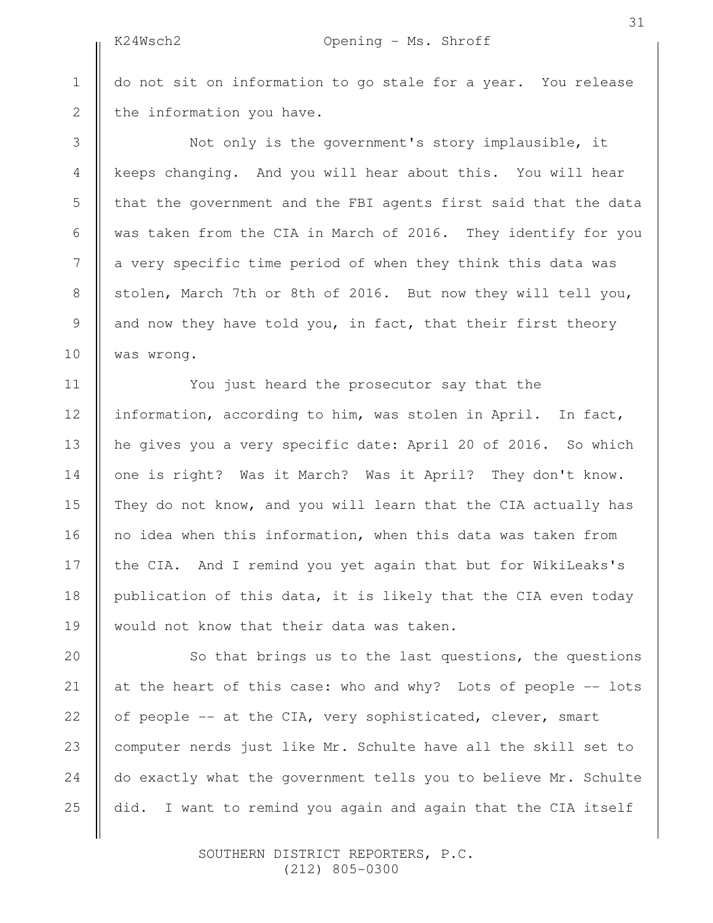do not sit on information to go stale for a year. You release the information you have.

Not only is the government's story implausible, it keeps changing. And you will hear about this. You will hear that the government and the FBI agents first said that the data was taken from the CIA in March of 2016. They identify for you a very specific time period of when they think this data was stolen, March 7th or 8th of 2016. But now they will tell you, and now they have told you, in fact, that their first theory was wrong.

You just heard the prosecutor say that the information, according to him, was stolen in April. In fact, he gives you a very specific date: April 20 of 2016. So which one is right? Was it March? Was it April? They don't know. They do not know, and you will learn that the CIA actually has no idea when this information, when this data was taken from the CIA. And I remind you yet again that but for WikiLeaks's publication of this data, it is likely that the CIA even today would not know that their data was taken.

So that brings us to the last questions, the questions at the heart of this case: who and why? Lots of people -- lots of people -- at the CIA, very sophisticated, clever, smart computer nerds just like Mr. Schulte have all the skill set to do exactly what the government tells you to believe Mr. Schulte did. I want to remind you again and again that the CIA itself

> SOUTHERN DISTRICT REPORTERS, P.C. (212) 805-0300

25

1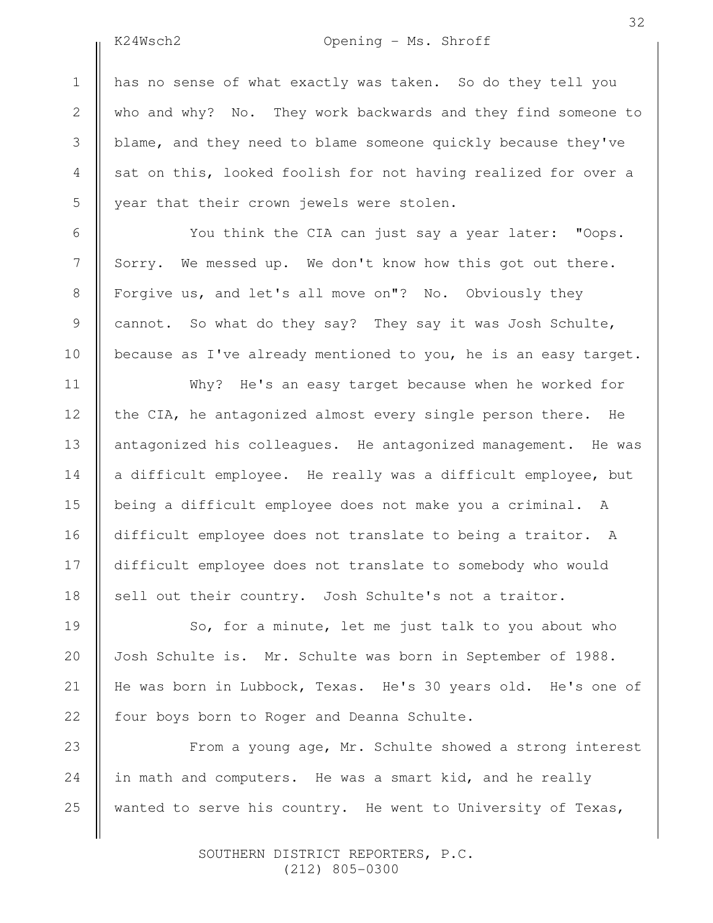2

3

4

5

6

7

8

9

10

11

12

13

14

15

16

17

18

19

20

21

22

# K24Wsch2 Opening - Ms. Shroff

has no sense of what exactly was taken. So do they tell you who and why? No. They work backwards and they find someone to blame, and they need to blame someone quickly because they've sat on this, looked foolish for not having realized for over a year that their crown jewels were stolen.

You think the CIA can just say a year later: "Oops. Sorry. We messed up. We don't know how this got out there. Forgive us, and let's all move on"? No. Obviously they cannot. So what do they say? They say it was Josh Schulte, because as I've already mentioned to you, he is an easy target.

Why? He's an easy target because when he worked for the CIA, he antagonized almost every single person there. He antagonized his colleagues. He antagonized management. He was a difficult employee. He really was a difficult employee, but being a difficult employee does not make you a criminal. A difficult employee does not translate to being a traitor. A difficult employee does not translate to somebody who would sell out their country. Josh Schulte's not a traitor.

So, for a minute, let me just talk to you about who Josh Schulte is. Mr. Schulte was born in September of 1988. He was born in Lubbock, Texas. He's 30 years old. He's one of four boys born to Roger and Deanna Schulte.

From a young age, Mr. Schulte showed a strong interest in math and computers. He was a smart kid, and he really wanted to serve his country. He went to University of Texas, 23 24 25

> SOUTHERN DISTRICT REPORTERS, P.C. (212) 805-0300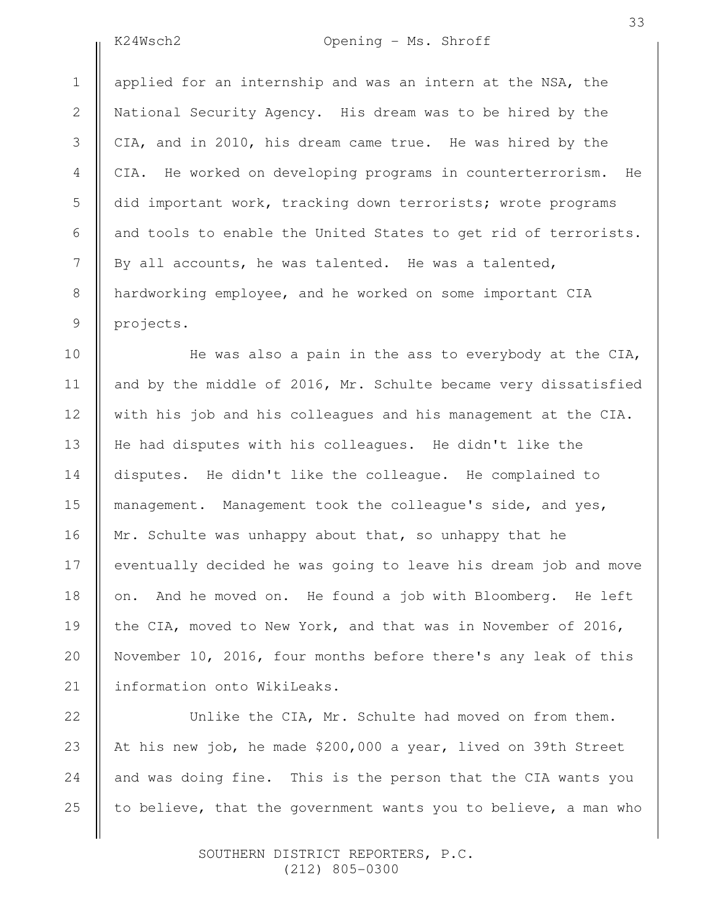2

3

4

5

6

7

8

9

10

11

12

13

14

15

16

17

18

19

20

21

22

23

24

25

# K24Wsch2 Opening - Ms. Shroff

applied for an internship and was an intern at the NSA, the National Security Agency. His dream was to be hired by the CIA, and in 2010, his dream came true. He was hired by the CIA. He worked on developing programs in counterterrorism. He did important work, tracking down terrorists; wrote programs and tools to enable the United States to get rid of terrorists. By all accounts, he was talented. He was a talented, hardworking employee, and he worked on some important CIA projects.

He was also a pain in the ass to everybody at the CIA, and by the middle of 2016, Mr. Schulte became very dissatisfied with his job and his colleagues and his management at the CIA. He had disputes with his colleagues. He didn't like the disputes. He didn't like the colleague. He complained to management. Management took the colleague's side, and yes, Mr. Schulte was unhappy about that, so unhappy that he eventually decided he was going to leave his dream job and move on. And he moved on. He found a job with Bloomberg. He left the CIA, moved to New York, and that was in November of 2016, November 10, 2016, four months before there's any leak of this information onto WikiLeaks.

Unlike the CIA, Mr. Schulte had moved on from them. At his new job, he made \$200,000 a year, lived on 39th Street and was doing fine. This is the person that the CIA wants you to believe, that the government wants you to believe, a man who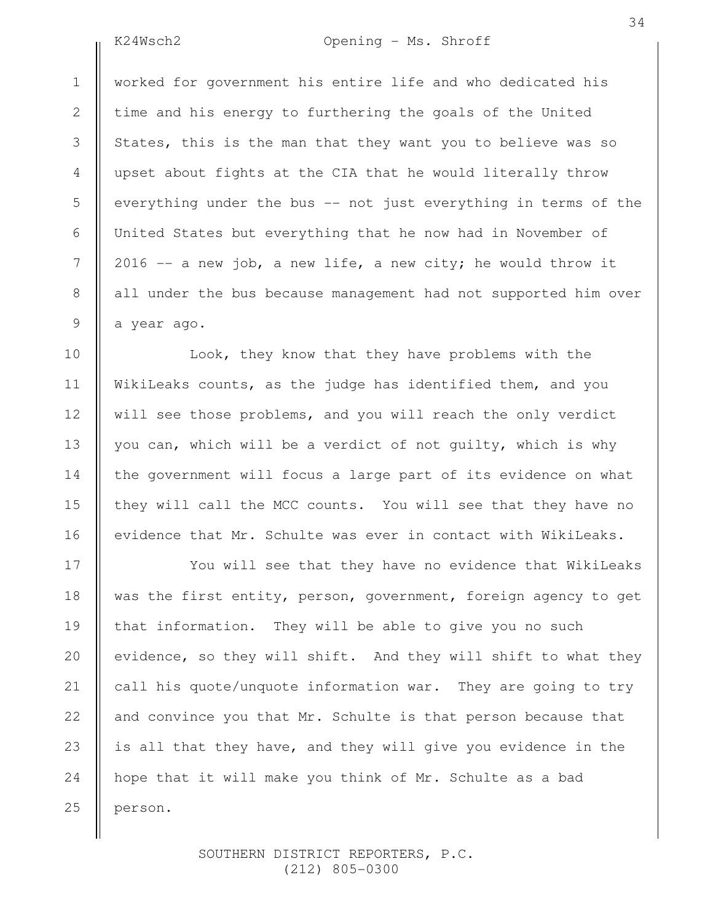2

3

4

5

6

7

8

9

10

11

12

13

14

15

16

17

18

19

20

21

22

23

24

25

K24Wsch2 Opening - Ms. Shroff

34

worked for government his entire life and who dedicated his time and his energy to furthering the goals of the United States, this is the man that they want you to believe was so upset about fights at the CIA that he would literally throw everything under the bus -- not just everything in terms of the United States but everything that he now had in November of 2016  $-$  a new job, a new life, a new city; he would throw it all under the bus because management had not supported him over a year ago.

Look, they know that they have problems with the WikiLeaks counts, as the judge has identified them, and you will see those problems, and you will reach the only verdict you can, which will be a verdict of not guilty, which is why the government will focus a large part of its evidence on what they will call the MCC counts. You will see that they have no evidence that Mr. Schulte was ever in contact with WikiLeaks.

You will see that they have no evidence that WikiLeaks was the first entity, person, government, foreign agency to get that information. They will be able to give you no such evidence, so they will shift. And they will shift to what they call his quote/unquote information war. They are going to try and convince you that Mr. Schulte is that person because that is all that they have, and they will give you evidence in the hope that it will make you think of Mr. Schulte as a bad person.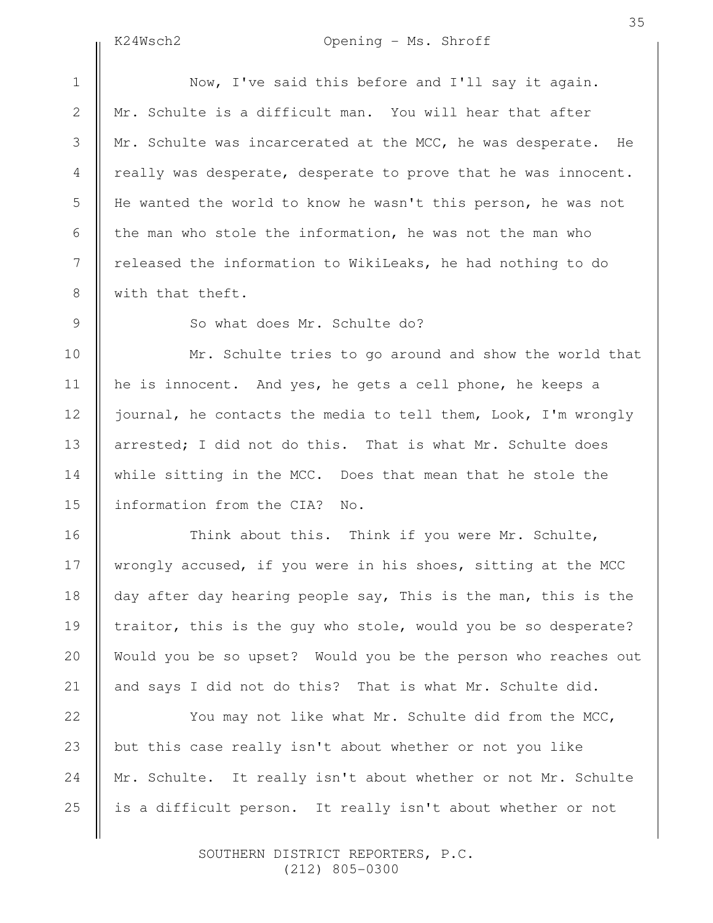2

3

4

5

6

7

8

9

10

11

12

13

14

15

16

17

18

19

20

21

# K24Wsch2 Opening - Ms. Shroff

Now, I've said this before and I'll say it again. Mr. Schulte is a difficult man. You will hear that after Mr. Schulte was incarcerated at the MCC, he was desperate. He really was desperate, desperate to prove that he was innocent. He wanted the world to know he wasn't this person, he was not the man who stole the information, he was not the man who released the information to WikiLeaks, he had nothing to do with that theft.

So what does Mr. Schulte do?

Mr. Schulte tries to go around and show the world that he is innocent. And yes, he gets a cell phone, he keeps a journal, he contacts the media to tell them, Look, I'm wrongly arrested; I did not do this. That is what Mr. Schulte does while sitting in the MCC. Does that mean that he stole the information from the CIA? No.

Think about this. Think if you were Mr. Schulte, wrongly accused, if you were in his shoes, sitting at the MCC day after day hearing people say, This is the man, this is the traitor, this is the guy who stole, would you be so desperate? Would you be so upset? Would you be the person who reaches out and says I did not do this? That is what Mr. Schulte did.

You may not like what Mr. Schulte did from the MCC, but this case really isn't about whether or not you like Mr. Schulte. It really isn't about whether or not Mr. Schulte is a difficult person. It really isn't about whether or not 22 23 24 25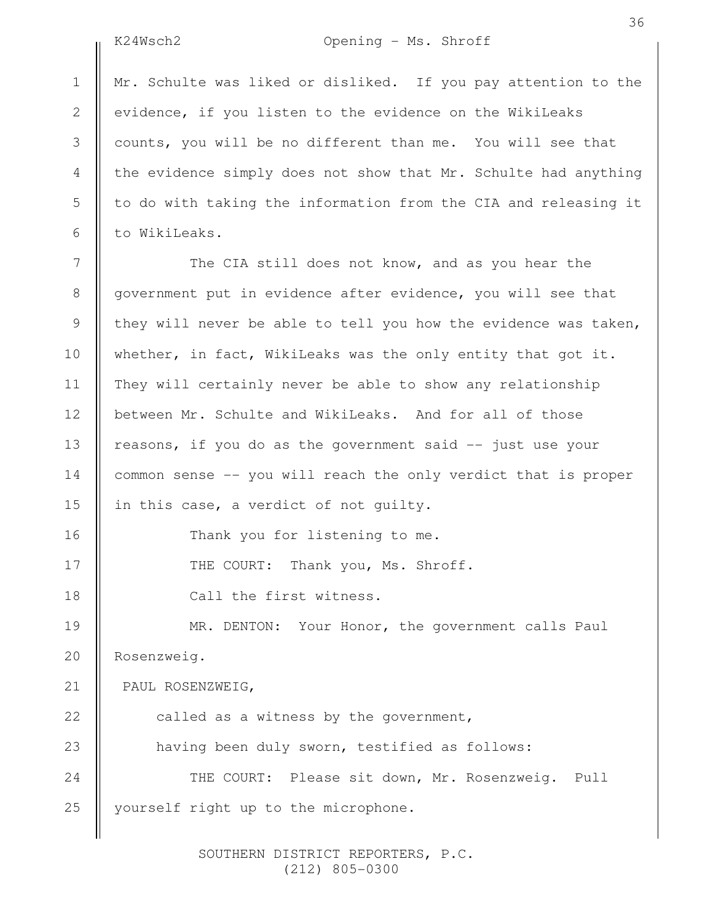2

3

4

5

6

# K24Wsch2 Opening - Ms. Shroff

Mr. Schulte was liked or disliked. If you pay attention to the evidence, if you listen to the evidence on the WikiLeaks counts, you will be no different than me. You will see that the evidence simply does not show that Mr. Schulte had anything to do with taking the information from the CIA and releasing it to WikiLeaks.

The CIA still does not know, and as you hear the government put in evidence after evidence, you will see that they will never be able to tell you how the evidence was taken, whether, in fact, WikiLeaks was the only entity that got it. They will certainly never be able to show any relationship between Mr. Schulte and WikiLeaks. And for all of those reasons, if you do as the government said -- just use your common sense -- you will reach the only verdict that is proper in this case, a verdict of not guilty. Thank you for listening to me. THE COURT: Thank you, Ms. Shroff. Call the first witness. MR. DENTON: Your Honor, the government calls Paul Rosenzweig. PAUL ROSENZWEIG, called as a witness by the government, having been duly sworn, testified as follows: THE COURT: Please sit down, Mr. Rosenzweig. Pull yourself right up to the microphone. 7 8 9 10 11 12 13 14 15 16 17 18 19 20 21 22 23 24 25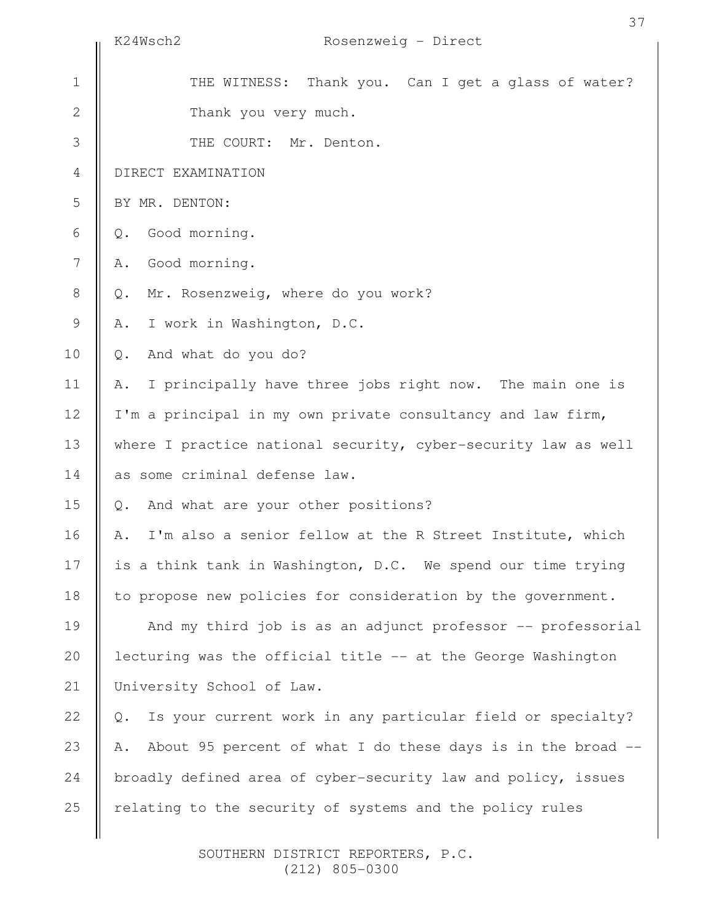|               | Rosenzweig - Direct<br>K24Wsch2                                      |
|---------------|----------------------------------------------------------------------|
| $\mathbf 1$   | THE WITNESS: Thank you. Can I get a glass of water?                  |
| $\mathbf{2}$  | Thank you very much.                                                 |
| 3             | THE COURT: Mr. Denton.                                               |
| 4             | DIRECT EXAMINATION                                                   |
| 5             | BY MR. DENTON:                                                       |
| 6             | Good morning.<br>Q.                                                  |
| 7             | Good morning.<br>Α.                                                  |
| $8\,$         | Mr. Rosenzweig, where do you work?<br>$Q$ .                          |
| $\mathcal{G}$ | I work in Washington, D.C.<br>Α.                                     |
| 10            | And what do you do?<br>$Q_{\bullet}$                                 |
| 11            | I principally have three jobs right now. The main one is<br>Α.       |
| 12            | I'm a principal in my own private consultancy and law firm,          |
| 13            | where I practice national security, cyber-security law as well       |
| 14            | as some criminal defense law.                                        |
| 15            | And what are your other positions?<br>$Q$ .                          |
| 16            | I'm also a senior fellow at the R Street Institute, which<br>Α.      |
| 17            | is a think tank in Washington, D.C. We spend our time trying         |
| 18            | to propose new policies for consideration by the government.         |
| 19            | And my third job is as an adjunct professor -- professorial          |
| 20            | lecturing was the official title -- at the George Washington         |
| 21            | University School of Law.                                            |
| 22            | Is your current work in any particular field or specialty?<br>$Q$ .  |
| 23            | About 95 percent of what I do these days is in the broad $-$ -<br>Α. |
| 24            | broadly defined area of cyber-security law and policy, issues        |
| 25            | relating to the security of systems and the policy rules             |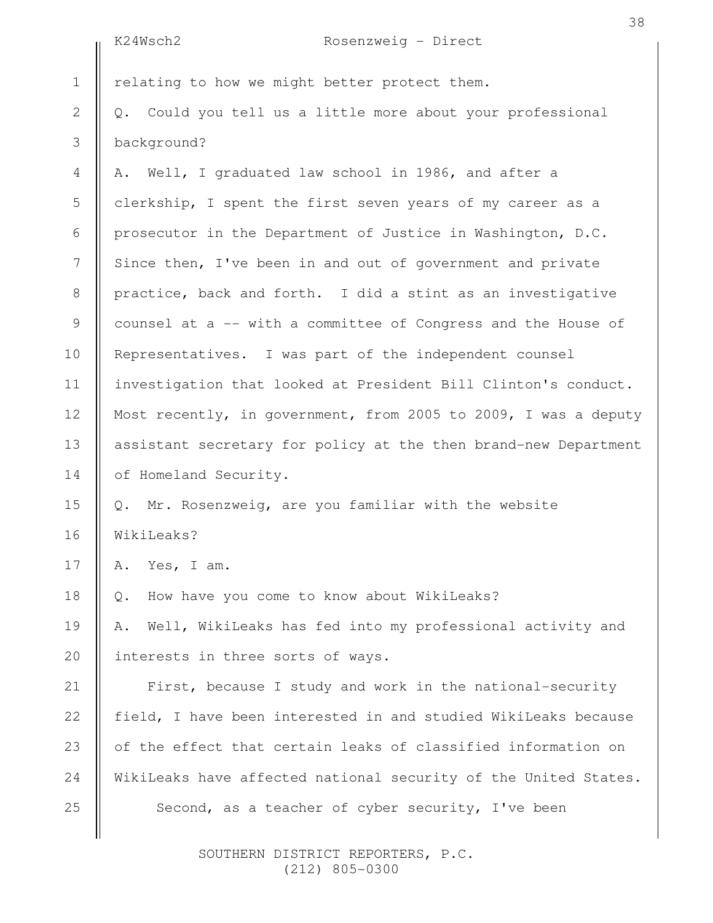|                 | K24Wsch2<br>Rosenzweig - Direct                                 |
|-----------------|-----------------------------------------------------------------|
| $\mathbf 1$     | relating to how we might better protect them.                   |
| $\mathbf{2}$    | Q. Could you tell us a little more about your professional      |
| 3               | background?                                                     |
| 4               | A. Well, I graduated law school in 1986, and after a            |
| 5               | clerkship, I spent the first seven years of my career as a      |
| 6               | prosecutor in the Department of Justice in Washington, D.C.     |
| $7\phantom{.0}$ | Since then, I've been in and out of government and private      |
| 8               | practice, back and forth. I did a stint as an investigative     |
| 9               | counsel at a -- with a committee of Congress and the House of   |
| 10              | Representatives. I was part of the independent counsel          |
| 11              | investigation that looked at President Bill Clinton's conduct.  |
| 12              | Most recently, in government, from 2005 to 2009, I was a deputy |
| 13              | assistant secretary for policy at the then brand-new Department |
| 14              | of Homeland Security.                                           |
| 15              | Q. Mr. Rosenzweig, are you familiar with the website            |
| 16              | WikiLeaks?                                                      |
| 17              | Yes, I am.<br>Α.                                                |
| 18              | How have you come to know about WikiLeaks?<br>$Q$ .             |
| 19              | Well, WikiLeaks has fed into my professional activity and<br>Α. |
| 20              | interests in three sorts of ways.                               |
| 21              | First, because I study and work in the national-security        |
| 22              | field, I have been interested in and studied WikiLeaks because  |
| 23              | of the effect that certain leaks of classified information on   |
| 24              | WikiLeaks have affected national security of the United States. |
| 25              | Second, as a teacher of cyber security, I've been               |
|                 |                                                                 |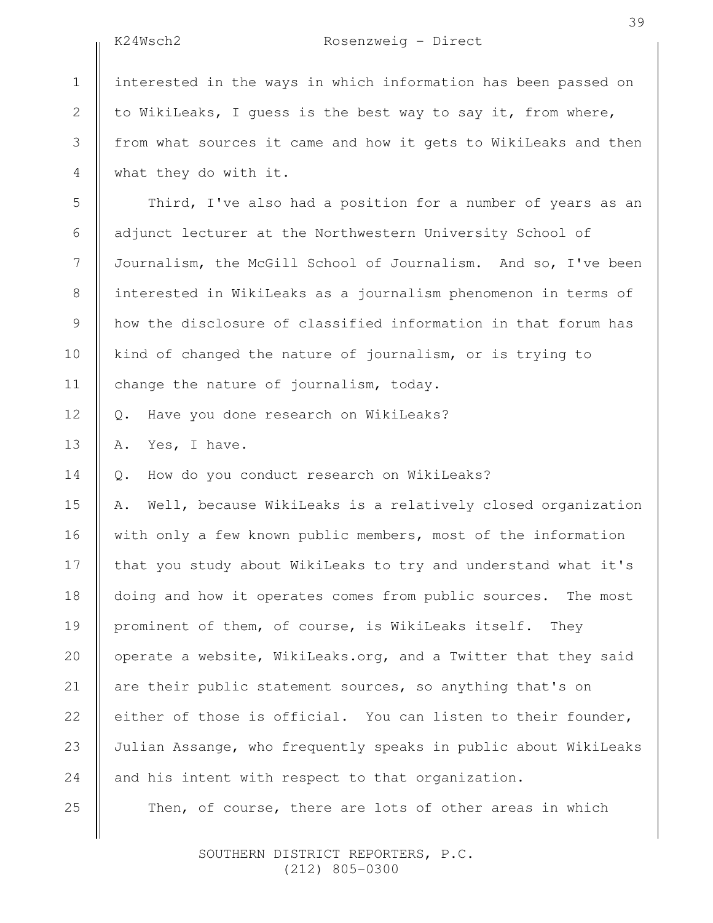2

3

4

5

6

7

8

9

10

11

12

13

14

25

## K24Wsch2 Rosenzweig - Direct

interested in the ways in which information has been passed on to WikiLeaks, I guess is the best way to say it, from where, from what sources it came and how it gets to WikiLeaks and then what they do with it.

Third, I've also had a position for a number of years as an adjunct lecturer at the Northwestern University School of Journalism, the McGill School of Journalism. And so, I've been interested in WikiLeaks as a journalism phenomenon in terms of how the disclosure of classified information in that forum has kind of changed the nature of journalism, or is trying to change the nature of journalism, today.

Q. Have you done research on WikiLeaks?

A. Yes, I have.

Q. How do you conduct research on WikiLeaks?

A. Well, because WikiLeaks is a relatively closed organization with only a few known public members, most of the information that you study about WikiLeaks to try and understand what it's doing and how it operates comes from public sources. The most prominent of them, of course, is WikiLeaks itself. They operate a website, WikiLeaks.org, and a Twitter that they said are their public statement sources, so anything that's on either of those is official. You can listen to their founder, Julian Assange, who frequently speaks in public about WikiLeaks and his intent with respect to that organization. 15 16 17 18 19 20 21 22 23 24

Then, of course, there are lots of other areas in which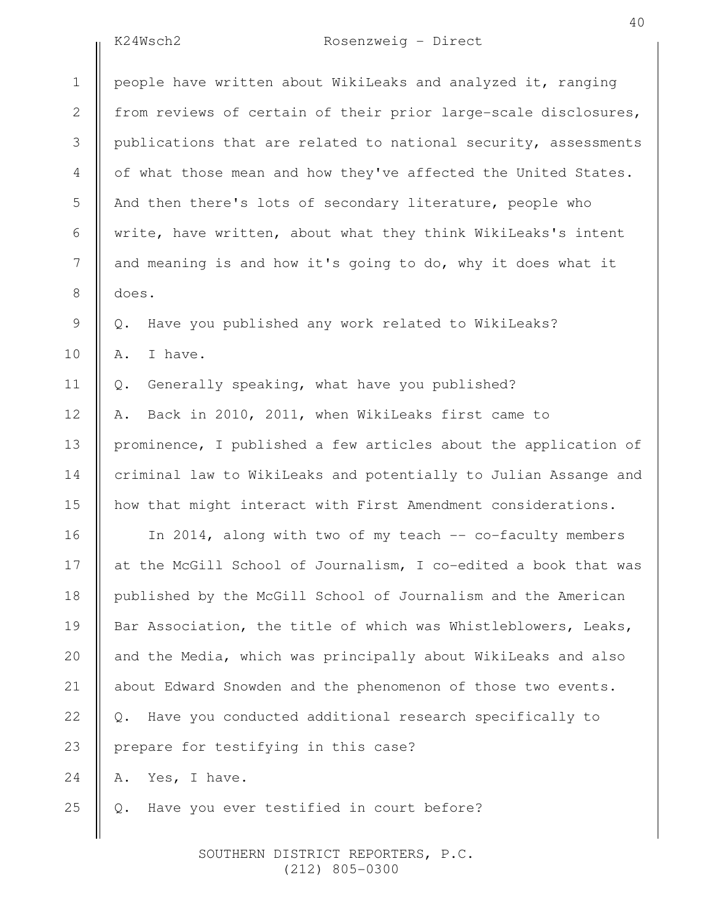# K24Wsch2 Rosenzweig - Direct

40

|                | K24Wsch2<br>Rosenzweig - Direct                                 |
|----------------|-----------------------------------------------------------------|
| $\mathbf 1$    | people have written about WikiLeaks and analyzed it, ranging    |
| $\mathbf{2}$   | from reviews of certain of their prior large-scale disclosures, |
| $\mathfrak{Z}$ | publications that are related to national security, assessments |
| 4              | of what those mean and how they've affected the United States.  |
| 5              | And then there's lots of secondary literature, people who       |
| 6              | write, have written, about what they think WikiLeaks's intent   |
| 7              | and meaning is and how it's going to do, why it does what it    |
| $8\,$          | does.                                                           |
| $\mathsf 9$    | Have you published any work related to WikiLeaks?<br>$Q$ .      |
| 10             | I have.<br>Α.                                                   |
| 11             | Generally speaking, what have you published?<br>Q.              |
| 12             | Back in 2010, 2011, when WikiLeaks first came to<br>Α.          |
| 13             | prominence, I published a few articles about the application of |
| 14             | criminal law to WikiLeaks and potentially to Julian Assange and |
| 15             | how that might interact with First Amendment considerations.    |
| 16             | In 2014, along with two of my teach -- co-faculty members       |
| 17             | at the McGill School of Journalism, I co-edited a book that was |
| 18             | published by the McGill School of Journalism and the American   |
| 19             | Bar Association, the title of which was Whistleblowers, Leaks,  |
| 20             | and the Media, which was principally about WikiLeaks and also   |
| 21             | about Edward Snowden and the phenomenon of those two events.    |
| 22             | Have you conducted additional research specifically to<br>Q.    |
| 23             | prepare for testifying in this case?                            |
| 24             | Yes, I have.<br>Α.                                              |
| 25             | Have you ever testified in court before?<br>Q.                  |
|                |                                                                 |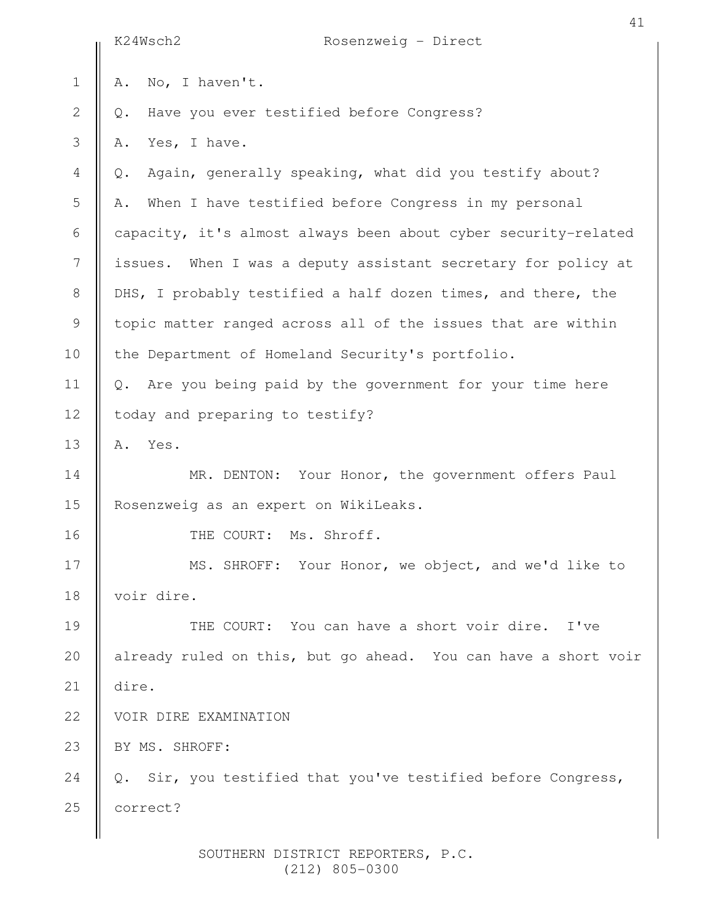|                | K24Wsch2<br>Rosenzweig - Direct                                          |
|----------------|--------------------------------------------------------------------------|
| $\mathbf 1$    | No, I haven't.<br>Α.                                                     |
| $\overline{2}$ | Have you ever testified before Congress?<br>Q.                           |
| 3              | Yes, I have.<br>Α.                                                       |
| $\overline{4}$ | Again, generally speaking, what did you testify about?<br>$Q$ .          |
| 5              | When I have testified before Congress in my personal<br>Α.               |
| $\sqrt{6}$     | capacity, it's almost always been about cyber security-related           |
| 7              | issues. When I was a deputy assistant secretary for policy at            |
| $8\,$          | DHS, I probably testified a half dozen times, and there, the             |
| $\mathcal{G}$  | topic matter ranged across all of the issues that are within             |
| 10             | the Department of Homeland Security's portfolio.                         |
| 11             | Are you being paid by the government for your time here<br>$Q_{\bullet}$ |
| 12             | today and preparing to testify?                                          |
| 13             | Yes.<br>Α.                                                               |
| 14             | MR. DENTON: Your Honor, the government offers Paul                       |
| 15             | Rosenzweig as an expert on WikiLeaks.                                    |
| 16             | THE COURT: Ms. Shroff.                                                   |
| $17$           | MS. SHROFF: Your Honor, we object, and we'd like to                      |
| 18             | voir dire.                                                               |
| 19             | THE COURT: You can have a short voir dire.<br>I've                       |
| 20             | already ruled on this, but go ahead. You can have a short voir           |
| 21             | dire.                                                                    |
| 22             | VOIR DIRE EXAMINATION                                                    |
| 23             | BY MS. SHROFF:                                                           |
| 24             | Sir, you testified that you've testified before Congress,<br>Q.          |
| 25             | correct?                                                                 |
|                |                                                                          |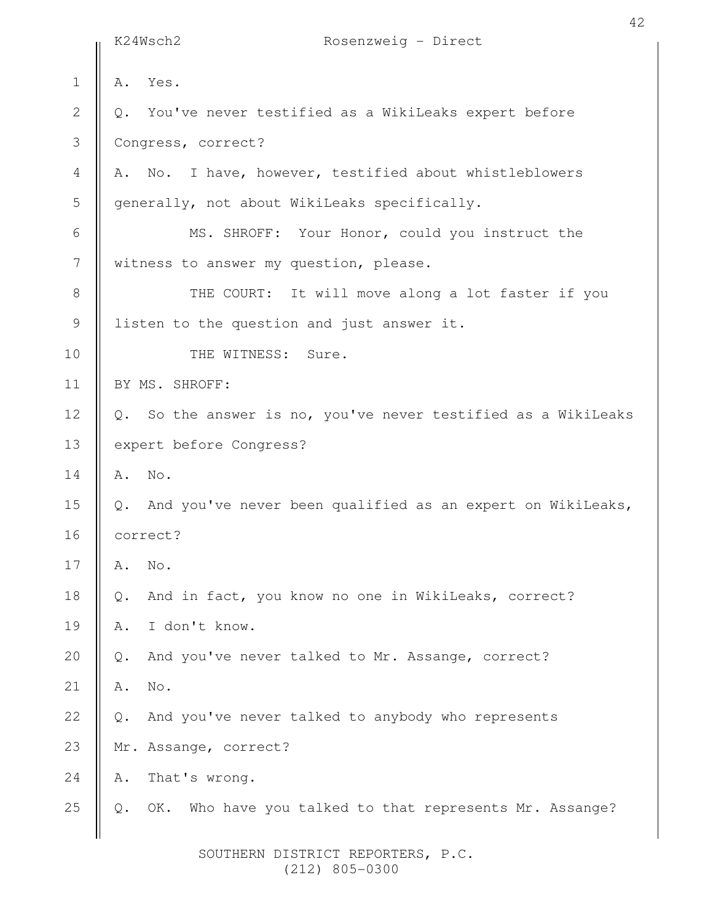|                | K24Wsch2<br>Rosenzweig - Direct                                      |
|----------------|----------------------------------------------------------------------|
| $\mathbf 1$    | Yes.<br>Α.                                                           |
| $\overline{2}$ | You've never testified as a WikiLeaks expert before<br>Q.            |
| 3              | Congress, correct?                                                   |
| 4              | No. I have, however, testified about whistleblowers<br>Α.            |
| 5              | generally, not about WikiLeaks specifically.                         |
| 6              | MS. SHROFF: Your Honor, could you instruct the                       |
| 7              | witness to answer my question, please.                               |
| $8\,$          | THE COURT: It will move along a lot faster if you                    |
| $\mathsf 9$    | listen to the question and just answer it.                           |
| 10             | THE WITNESS: Sure.                                                   |
| 11             | BY MS. SHROFF:                                                       |
| 12             | Q. So the answer is no, you've never testified as a WikiLeaks        |
| 13             | expert before Congress?                                              |
| 14             | A. No.                                                               |
| 15             | Q. And you've never been qualified as an expert on WikiLeaks,        |
| 16             | correct?                                                             |
| 17             | No.<br>Α.                                                            |
| 18             | And in fact, you know no one in WikiLeaks, correct?<br>$\mathbb Q$ . |
| 19             | I don't know.<br>Α.                                                  |
| 20             | And you've never talked to Mr. Assange, correct?<br>$Q$ .            |
| 21             | $\mathrm{No}$ .<br>Α.                                                |
| 22             | And you've never talked to anybody who represents<br>$Q$ .           |
| 23             | Mr. Assange, correct?                                                |
| 24             | That's wrong.<br>Α.                                                  |
| 25             | OK. Who have you talked to that represents Mr. Assange?<br>Q.        |
|                |                                                                      |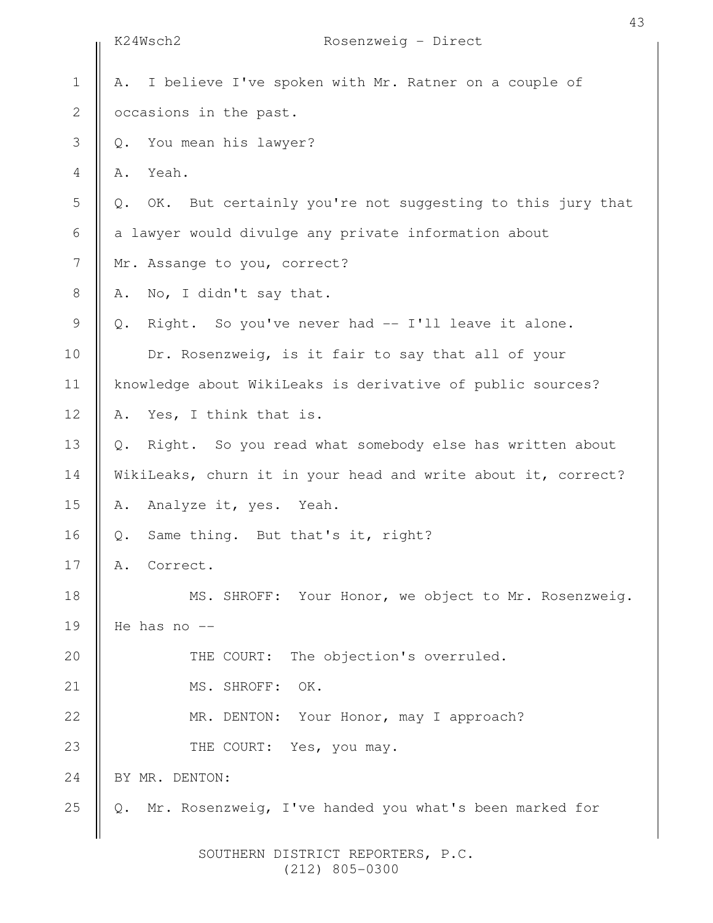|                | K24Wsch2<br>Rosenzweig - Direct                                 |
|----------------|-----------------------------------------------------------------|
| $\mathbf 1$    | I believe I've spoken with Mr. Ratner on a couple of<br>Α.      |
| $\sqrt{2}$     | occasions in the past.                                          |
| 3              | You mean his lawyer?<br>$Q$ .                                   |
| 4              | Yeah.<br>Α.                                                     |
| 5              | OK. But certainly you're not suggesting to this jury that<br>Q. |
| 6              | a lawyer would divulge any private information about            |
| $\overline{7}$ | Mr. Assange to you, correct?                                    |
| $\,8\,$        | No, I didn't say that.<br>Α.                                    |
| $\mathsf 9$    | Right. So you've never had -- I'll leave it alone.<br>$Q$ .     |
| 10             | Dr. Rosenzweig, is it fair to say that all of your              |
| 11             | knowledge about WikiLeaks is derivative of public sources?      |
| 12             | Yes, I think that is.<br>Α.                                     |
| 13             | Right. So you read what somebody else has written about<br>Q.   |
| 14             | WikiLeaks, churn it in your head and write about it, correct?   |
| 15             | Analyze it, yes. Yeah.<br>Α.                                    |
| 16             | Same thing. But that's it, right?<br>Q.                         |
| 17             | Correct.<br>Α.                                                  |
| 18             | MS. SHROFF: Your Honor, we object to Mr. Rosenzweig.            |
| 19             | He has no --                                                    |
| 20             | THE COURT: The objection's overruled.                           |
| 21             | MS. SHROFF:<br>OK.                                              |
| 22             | MR. DENTON: Your Honor, may I approach?                         |
| 23             | THE COURT: Yes, you may.                                        |
| 24             | BY MR. DENTON:                                                  |
| 25             | Mr. Rosenzweig, I've handed you what's been marked for<br>$Q$ . |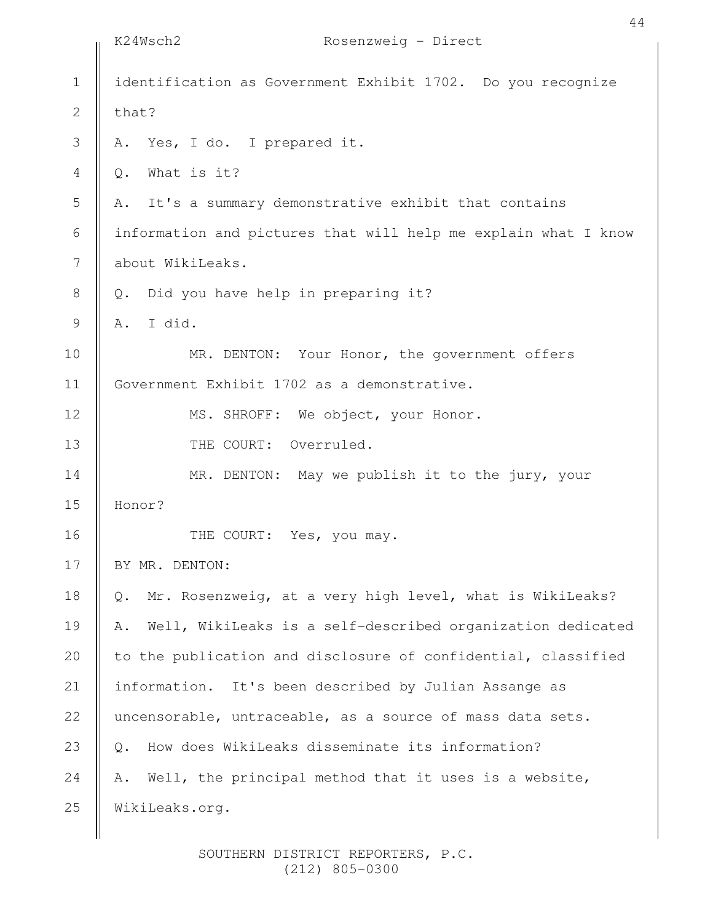|                  | K24Wsch2<br>Rosenzweig - Direct                                  |
|------------------|------------------------------------------------------------------|
| $\mathbf 1$      | identification as Government Exhibit 1702. Do you recognize      |
| $\mathbf{2}$     | that?                                                            |
| $\mathfrak{Z}$   | Yes, I do. I prepared it.<br>Α.                                  |
| 4                | What is it?<br>Q.                                                |
| 5                | It's a summary demonstrative exhibit that contains<br>Α.         |
| $\sqrt{6}$       | information and pictures that will help me explain what I know   |
| $\boldsymbol{7}$ | about WikiLeaks.                                                 |
| $8\,$            | Did you have help in preparing it?<br>Q.                         |
| $\mathcal{G}$    | I did.<br>Α.                                                     |
| 10               | MR. DENTON: Your Honor, the government offers                    |
| 11               | Government Exhibit 1702 as a demonstrative.                      |
| 12               | MS. SHROFF: We object, your Honor.                               |
| 13               | THE COURT: Overruled.                                            |
| 14               | MR. DENTON: May we publish it to the jury, your                  |
| 15               | Honor?                                                           |
| 16               | THE COURT: Yes, you may.                                         |
| 17               | BY MR. DENTON:                                                   |
| 18               | Mr. Rosenzweig, at a very high level, what is WikiLeaks?<br>Q.   |
| 19               | Well, WikiLeaks is a self-described organization dedicated<br>Α. |
| 20               | to the publication and disclosure of confidential, classified    |
| 21               | information. It's been described by Julian Assange as            |
| 22               | uncensorable, untraceable, as a source of mass data sets.        |
| 23               | How does WikiLeaks disseminate its information?<br>$Q$ .         |
| 24               | Well, the principal method that it uses is a website,<br>Α.      |
| 25               | WikiLeaks.org.                                                   |
|                  |                                                                  |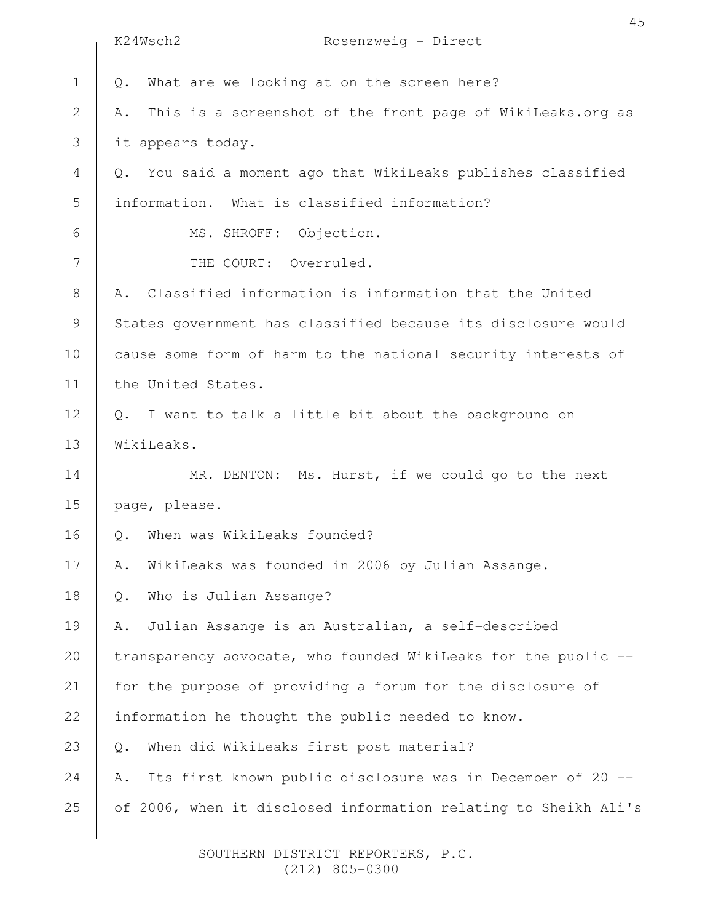|                | 45<br>K24Wsch2<br>Rosenzweig - Direct                            |
|----------------|------------------------------------------------------------------|
| $\mathbf 1$    | What are we looking at on the screen here?<br>Q.                 |
| $\mathbf 2$    | This is a screenshot of the front page of WikiLeaks.org as<br>Α. |
| 3              | it appears today.                                                |
| $\overline{4}$ | Q. You said a moment ago that WikiLeaks publishes classified     |
| 5              | information. What is classified information?                     |
| 6              | MS. SHROFF: Objection.                                           |
| 7              | THE COURT: Overruled.                                            |
| $\,8\,$        | A. Classified information is information that the United         |
| $\mathsf 9$    | States government has classified because its disclosure would    |
| 10             | cause some form of harm to the national security interests of    |
| 11             | the United States.                                               |
| 12             | Q. I want to talk a little bit about the background on           |
| 13             | WikiLeaks.                                                       |
| 14             | MR. DENTON: Ms. Hurst, if we could go to the next                |
| 15             | page, please.                                                    |
| 16             | When was WikiLeaks founded?<br>Q.                                |
| 17             | WikiLeaks was founded in 2006 by Julian Assange.<br>Α.           |
| 18             | Who is Julian Assange?<br>Q.                                     |
| 19             | Julian Assange is an Australian, a self-described<br>Α.          |
| 20             | transparency advocate, who founded WikiLeaks for the public --   |
| 21             | for the purpose of providing a forum for the disclosure of       |
| 22             | information he thought the public needed to know.                |
| 23             | When did WikiLeaks first post material?<br>Q.                    |
| 24             | Its first known public disclosure was in December of 20 --<br>Α. |
| 25             | of 2006, when it disclosed information relating to Sheikh Ali's  |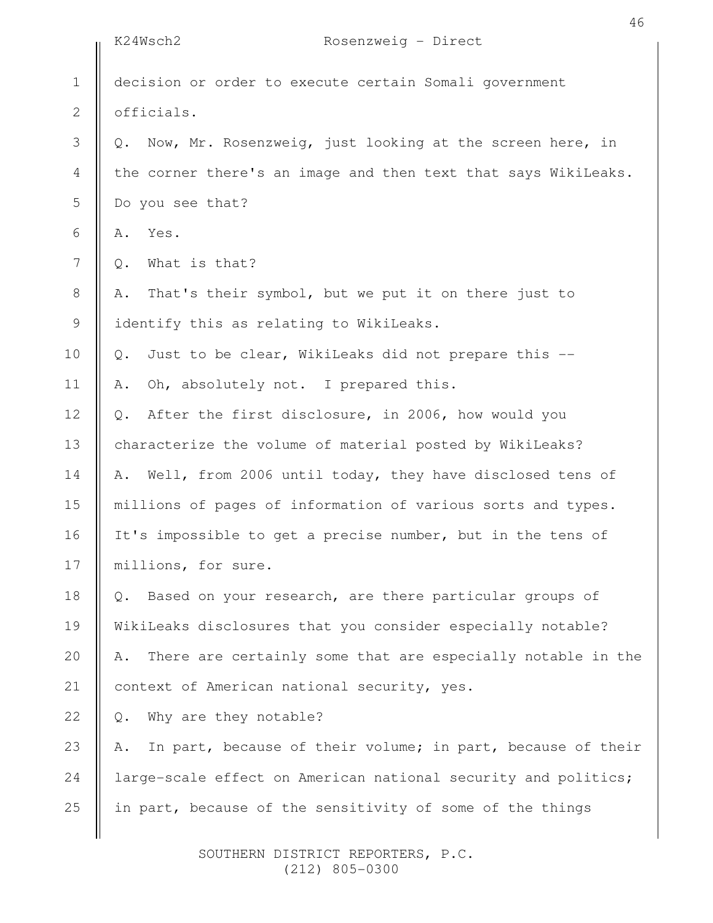|                | 46<br>Rosenzweig - Direct<br>K24Wsch2                                |
|----------------|----------------------------------------------------------------------|
| $\mathbf 1$    | decision or order to execute certain Somali government               |
| $\mathbf{2}$   | officials.                                                           |
| 3              | Now, Mr. Rosenzweig, just looking at the screen here, in<br>Q.       |
| 4              | the corner there's an image and then text that says WikiLeaks.       |
| 5              | Do you see that?                                                     |
| 6              | Yes.<br>Α.                                                           |
| $\overline{7}$ | What is that?<br>Q.                                                  |
| $\,8\,$        | That's their symbol, but we put it on there just to<br>Α.            |
| $\mathsf 9$    | identify this as relating to WikiLeaks.                              |
| 10             | Just to be clear, WikiLeaks did not prepare this --<br>$\mathbb Q$ . |
| 11             | Oh, absolutely not. I prepared this.<br>Α.                           |
| 12             | After the first disclosure, in 2006, how would you<br>Q.             |
| 13             | characterize the volume of material posted by WikiLeaks?             |
| 14             | Well, from 2006 until today, they have disclosed tens of<br>Α.       |
| 15             | millions of pages of information of various sorts and types.         |
| 16             | It's impossible to get a precise number, but in the tens of          |
| 17             | millions, for sure.                                                  |
| 18             | Based on your research, are there particular groups of<br>$Q$ .      |
| 19             | WikiLeaks disclosures that you consider especially notable?          |
| 20             | There are certainly some that are especially notable in the<br>Α.    |
| 21             | context of American national security, yes.                          |
| 22             | Why are they notable?<br>$Q$ .                                       |
| 23             | In part, because of their volume; in part, because of their<br>Α.    |
| 24             | large-scale effect on American national security and politics;       |
| 25             | in part, because of the sensitivity of some of the things            |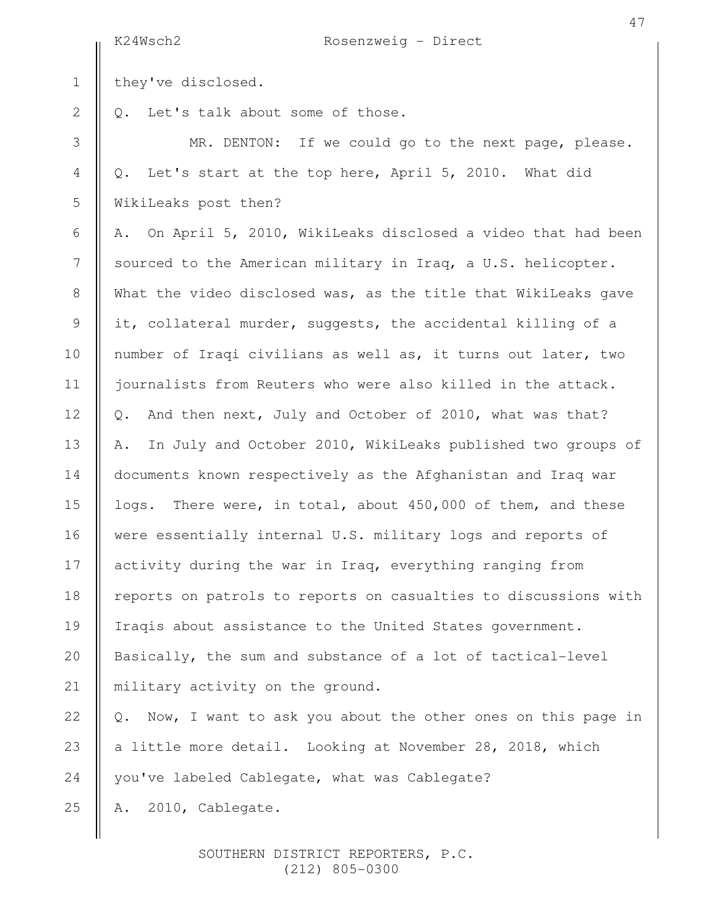|                | K24Wsch2<br>Rosenzweig - Direct                                   |
|----------------|-------------------------------------------------------------------|
| $1\,$          | they've disclosed.                                                |
| $\overline{2}$ | Let's talk about some of those.<br>Q.                             |
| 3              | MR. DENTON: If we could go to the next page, please.              |
| 4              | Let's start at the top here, April 5, 2010. What did<br>Q.        |
| 5              | WikiLeaks post then?                                              |
| 6              | On April 5, 2010, WikiLeaks disclosed a video that had been<br>Α. |
| 7              | sourced to the American military in Iraq, a U.S. helicopter.      |
| 8              | What the video disclosed was, as the title that WikiLeaks gave    |
| 9              | it, collateral murder, suggests, the accidental killing of a      |
| 10             | number of Iraqi civilians as well as, it turns out later, two     |
| 11             | journalists from Reuters who were also killed in the attack.      |
| 12             | And then next, July and October of 2010, what was that?<br>Q.     |
| 13             | In July and October 2010, WikiLeaks published two groups of<br>Α. |
| 14             | documents known respectively as the Afghanistan and Iraq war      |
| 15             | logs. There were, in total, about 450,000 of them, and these      |
| 16             | were essentially internal U.S. military logs and reports of       |
| 17             | activity during the war in Iraq, everything ranging from          |
| 18             | reports on patrols to reports on casualties to discussions with   |
| 19             | Iraqis about assistance to the United States government.          |
| 20             | Basically, the sum and substance of a lot of tactical-level       |
| 21             | military activity on the ground.                                  |
| 22             | Now, I want to ask you about the other ones on this page in<br>Q. |
| 23             | a little more detail. Looking at November 28, 2018, which         |
| 24             | you've labeled Cablegate, what was Cablegate?                     |
| 25             | 2010, Cablegate.<br>Α.                                            |
|                |                                                                   |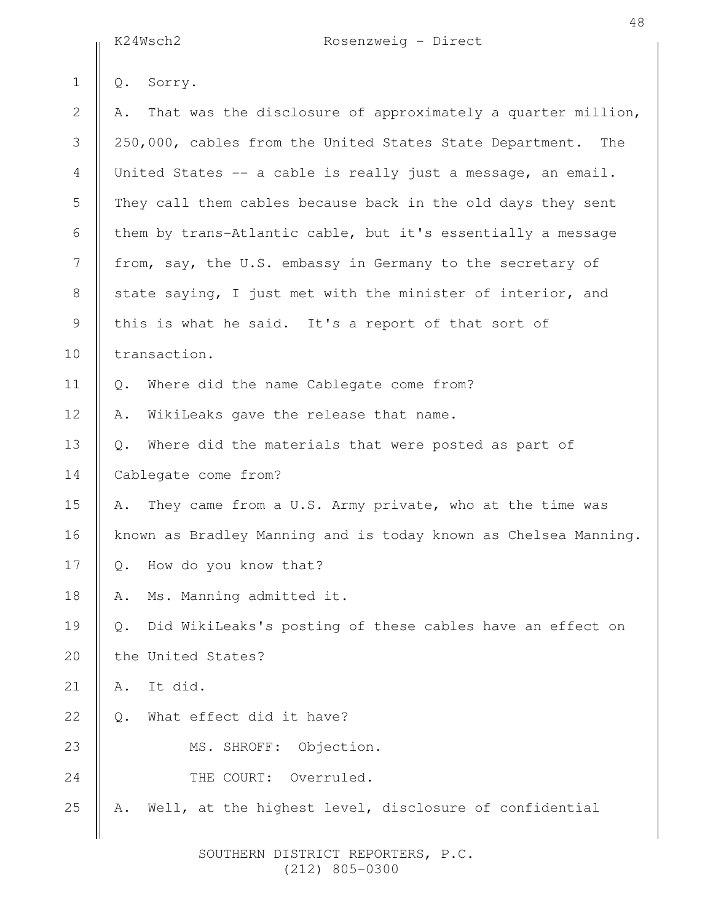K24Wsch2 Rosenzweig - Direct

|                | K24Wsch2<br>$Rosenzwell - Direct$                                  |
|----------------|--------------------------------------------------------------------|
| $\mathbf 1$    | Sorry.<br>Q.                                                       |
| $\mathbf{2}$   | That was the disclosure of approximately a quarter million,<br>Α.  |
| 3              | 250,000, cables from the United States State Department. The       |
| $\overline{4}$ | United States -- a cable is really just a message, an email.       |
| 5              | They call them cables because back in the old days they sent       |
| 6              | them by trans-Atlantic cable, but it's essentially a message       |
| 7              | from, say, the U.S. embassy in Germany to the secretary of         |
| $8\,$          | state saying, I just met with the minister of interior, and        |
| $\mathcal{G}$  | this is what he said. It's a report of that sort of                |
| 10             | transaction.                                                       |
| 11             | Where did the name Cablegate come from?<br>$Q$ .                   |
| 12             | WikiLeaks gave the release that name.<br>Α.                        |
| 13             | Where did the materials that were posted as part of<br>Q.          |
| 14             | Cablegate come from?                                               |
| 15             | They came from a U.S. Army private, who at the time was<br>Α.      |
| 16             | known as Bradley Manning and is today known as Chelsea Manning.    |
| 17             | How do you know that?<br>$\mathsf{Q}$ .                            |
| 18             | Ms. Manning admitted it.<br>Α.                                     |
| 19             | Did WikiLeaks's posting of these cables have an effect on<br>$Q$ . |
| 20             | the United States?                                                 |
| 21             | It did.<br>Α.                                                      |
| 22             | What effect did it have?<br>Q.                                     |
| 23             | MS. SHROFF:<br>Objection.                                          |
| 24             | THE COURT:<br>Overruled.                                           |
| 25             | Well, at the highest level, disclosure of confidential<br>Α.       |
|                |                                                                    |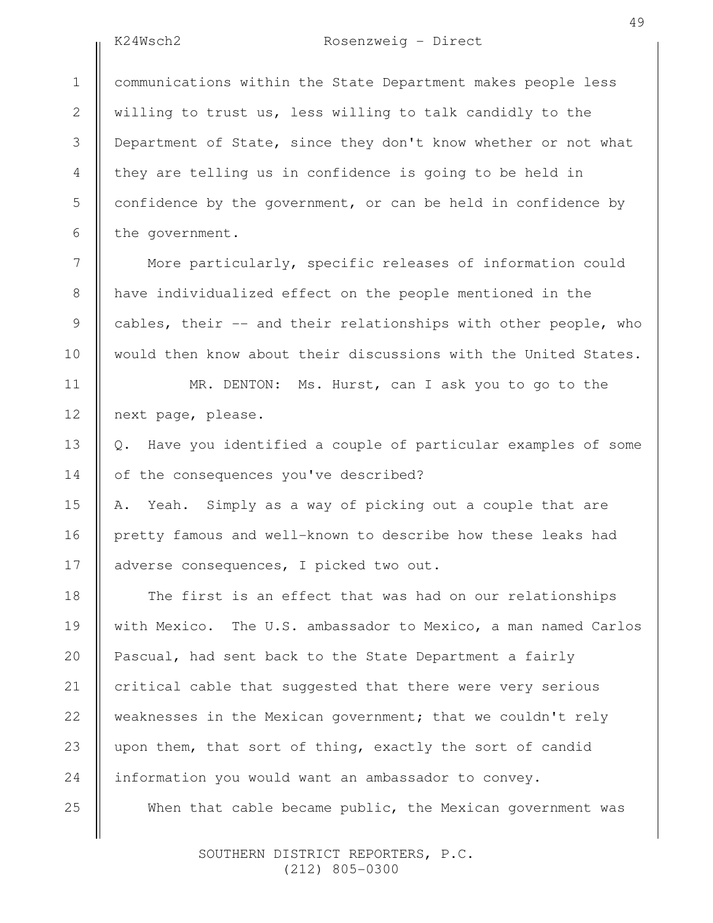# K24Wsch2 Rosenzweig - Direct

49

communications within the State Department makes people less willing to trust us, less willing to talk candidly to the Department of State, since they don't know whether or not what they are telling us in confidence is going to be held in confidence by the government, or can be held in confidence by the government. 1

 More particularly, specific releases of information could have individualized effect on the people mentioned in the cables, their -- and their relationships with other people, who would then know about their discussions with the United States.

MR. DENTON: Ms. Hurst, can I ask you to go to the next page, please.

Q. Have you identified a couple of particular examples of some of the consequences you've described?

A. Yeah. Simply as a way of picking out a couple that are pretty famous and well-known to describe how these leaks had adverse consequences, I picked two out.

 The first is an effect that was had on our relationships with Mexico. The U.S. ambassador to Mexico, a man named Carlos Pascual, had sent back to the State Department a fairly critical cable that suggested that there were very serious weaknesses in the Mexican government; that we couldn't rely upon them, that sort of thing, exactly the sort of candid information you would want an ambassador to convey.

When that cable became public, the Mexican government was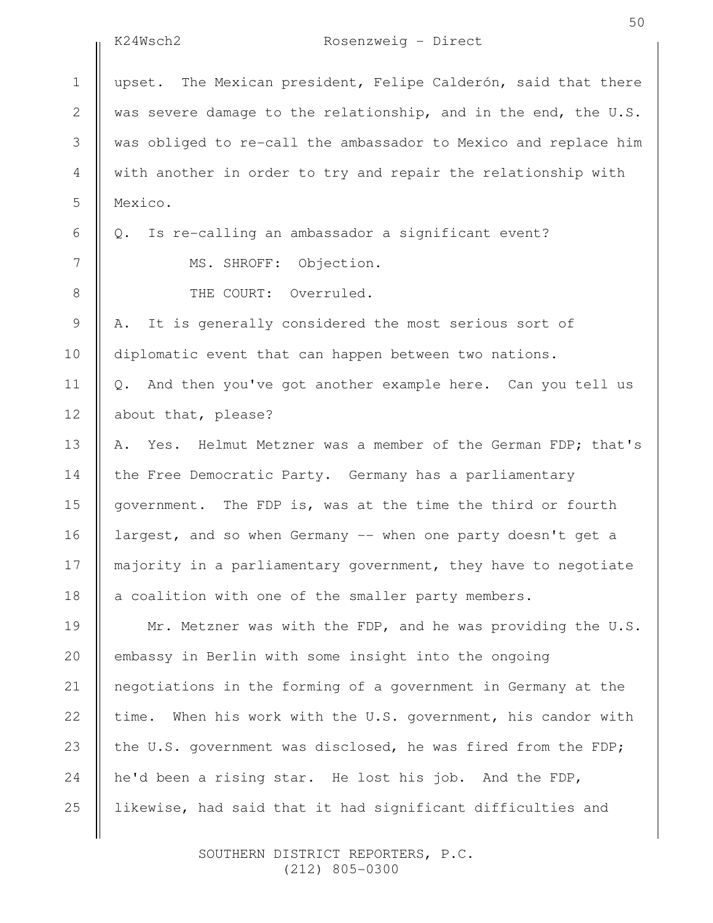|             | K24Wsch2<br>Rosenzweig - Direct                                  |
|-------------|------------------------------------------------------------------|
| $\mathbf 1$ | upset. The Mexican president, Felipe Calderón, said that there   |
| 2           | was severe damage to the relationship, and in the end, the U.S.  |
| 3           | was obliged to re-call the ambassador to Mexico and replace him  |
| 4           | with another in order to try and repair the relationship with    |
| 5           | Mexico.                                                          |
| 6           | Is re-calling an ambassador a significant event?<br>Q.           |
| 7           | MS. SHROFF: Objection.                                           |
| 8           | THE COURT: Overruled.                                            |
| 9           | It is generally considered the most serious sort of<br>Α.        |
| 10          | diplomatic event that can happen between two nations.            |
| 11          | Q. And then you've got another example here. Can you tell us     |
| 12          | about that, please?                                              |
| 13          | A. Yes. Helmut Metzner was a member of the German FDP; that's    |
| 14          | the Free Democratic Party. Germany has a parliamentary           |
| 15          | government. The FDP is, was at the time the third or fourth      |
| 16          | largest, and so when Germany -- when one party doesn't get a     |
| 17          | majority in a parliamentary government, they have to negotiate   |
| 18          | a coalition with one of the smaller party members.               |
| 19          | Mr. Metzner was with the FDP, and he was providing the U.S.      |
| 20          | embassy in Berlin with some insight into the ongoing             |
| 21          | negotiations in the forming of a government in Germany at the    |
| 22          | When his work with the U.S. government, his candor with<br>time. |
| 23          | the U.S. government was disclosed, he was fired from the FDP;    |
| 24          | he'd been a rising star. He lost his job. And the FDP,           |
| 25          | likewise, had said that it had significant difficulties and      |
|             |                                                                  |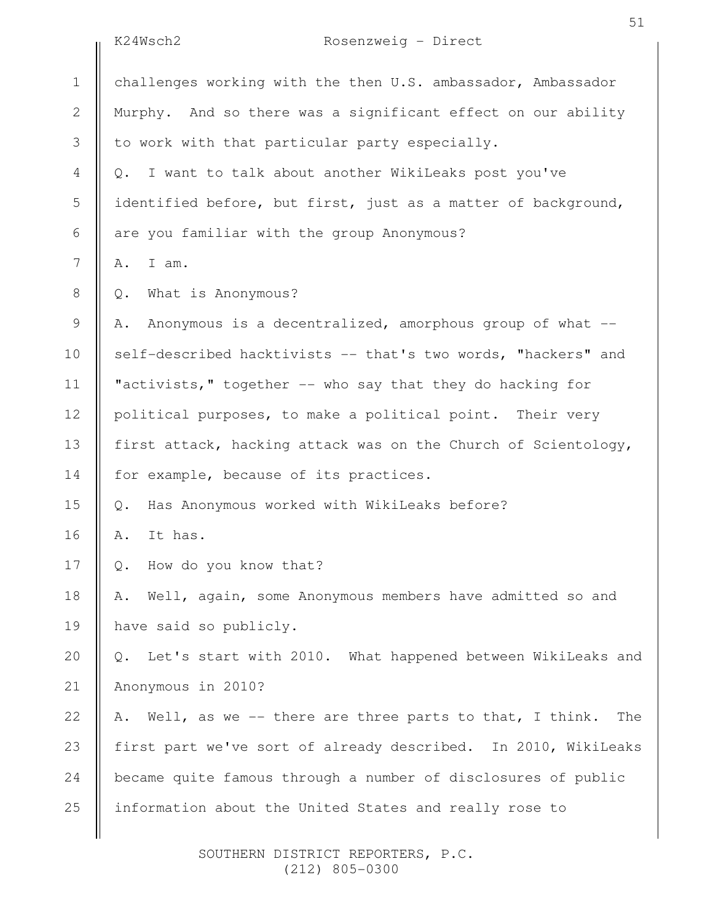|                | K24Wsch2<br>Rosenzweig - Direct                                     |
|----------------|---------------------------------------------------------------------|
| $\mathbf 1$    | challenges working with the then U.S. ambassador, Ambassador        |
| $\sqrt{2}$     | Murphy. And so there was a significant effect on our ability        |
| $\mathfrak{Z}$ | to work with that particular party especially.                      |
| $\overline{4}$ | I want to talk about another WikiLeaks post you've<br>Q.            |
| 5              | identified before, but first, just as a matter of background,       |
| $\sqrt{6}$     | are you familiar with the group Anonymous?                          |
| 7              | I am.<br>Α.                                                         |
| $\,8\,$        | What is Anonymous?<br>Q.                                            |
| $\mathsf 9$    | Anonymous is a decentralized, amorphous group of what --<br>Α.      |
| 10             | self-described hacktivists -- that's two words, "hackers" and       |
| 11             | "activists," together -- who say that they do hacking for           |
| 12             | political purposes, to make a political point. Their very           |
| 13             | first attack, hacking attack was on the Church of Scientology,      |
| 14             | for example, because of its practices.                              |
| 15             | Has Anonymous worked with WikiLeaks before?<br>$Q$ .                |
| 16             | It has.<br>Α.                                                       |
| 17             | How do you know that?<br>$Q$ .                                      |
| 18             | Well, again, some Anonymous members have admitted so and<br>Α.      |
| 19             | have said so publicly.                                              |
| 20             | Let's start with 2010. What happened between WikiLeaks and<br>$Q$ . |
| 21             | Anonymous in 2010?                                                  |
| 22             | Well, as we -- there are three parts to that, I think.<br>The<br>Α. |
| 23             | first part we've sort of already described. In 2010, WikiLeaks      |
| 24             | became quite famous through a number of disclosures of public       |
| 25             | information about the United States and really rose to              |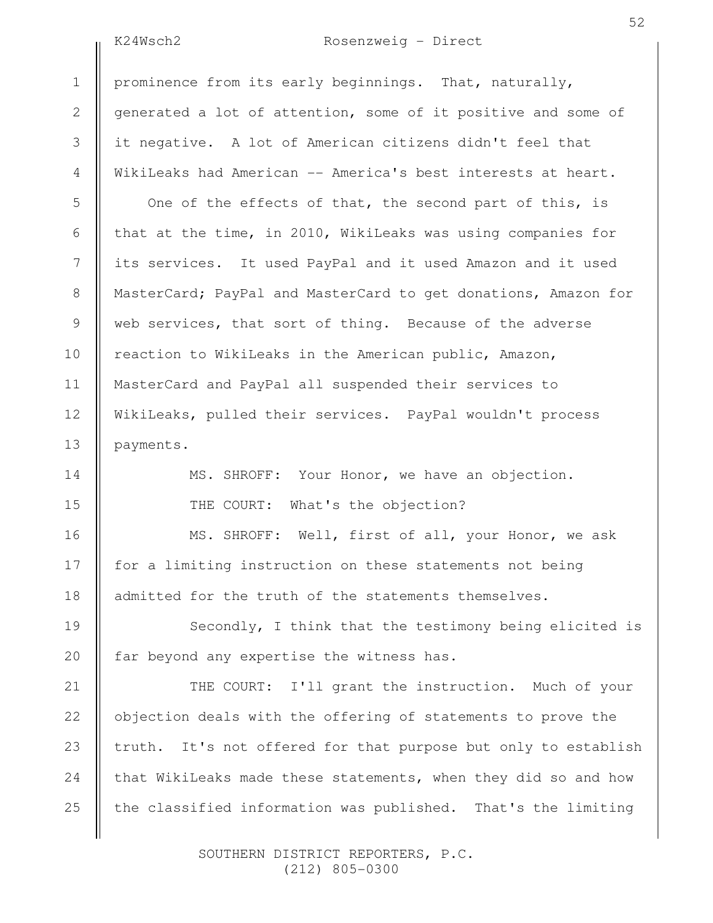2

3

4

5

6

7

8

9

10

11

12

13

14

15

16

17

18

### K24Wsch2 Rosenzweig - Direct

prominence from its early beginnings. That, naturally, generated a lot of attention, some of it positive and some of it negative. A lot of American citizens didn't feel that WikiLeaks had American -- America's best interests at heart.

One of the effects of that, the second part of this, is that at the time, in 2010, WikiLeaks was using companies for its services. It used PayPal and it used Amazon and it used MasterCard; PayPal and MasterCard to get donations, Amazon for web services, that sort of thing. Because of the adverse reaction to WikiLeaks in the American public, Amazon, MasterCard and PayPal all suspended their services to WikiLeaks, pulled their services. PayPal wouldn't process payments.

> MS. SHROFF: Your Honor, we have an objection. THE COURT: What's the objection?

MS. SHROFF: Well, first of all, your Honor, we ask for a limiting instruction on these statements not being admitted for the truth of the statements themselves.

Secondly, I think that the testimony being elicited is far beyond any expertise the witness has. 19 20

THE COURT: I'll grant the instruction. Much of your objection deals with the offering of statements to prove the truth. It's not offered for that purpose but only to establish that WikiLeaks made these statements, when they did so and how the classified information was published. That's the limiting 21 22 23 24 25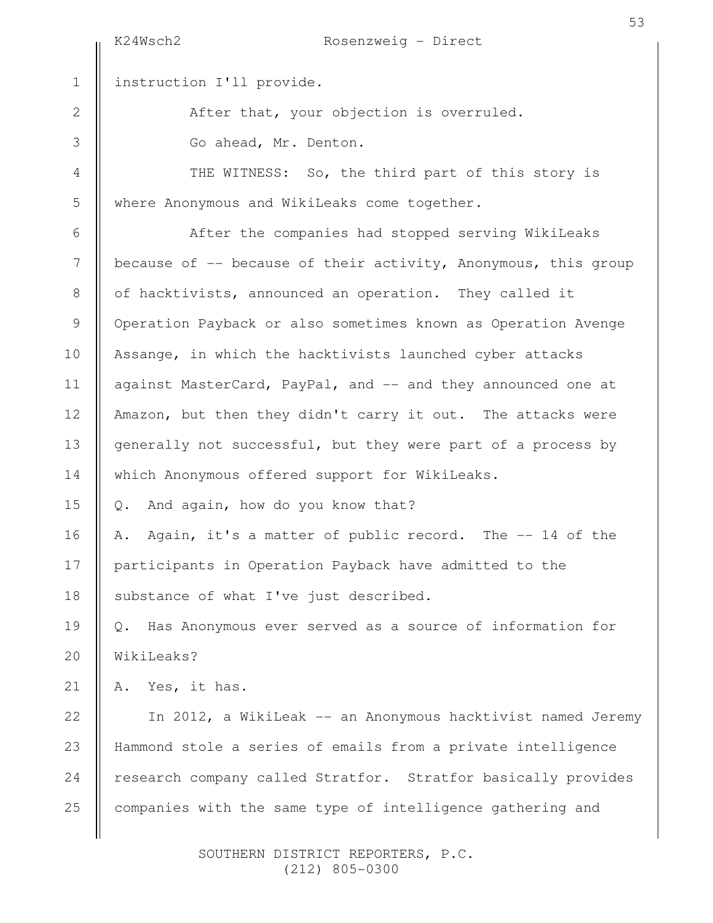K24Wsch2 Rosenzweig - Direct instruction I'll provide. After that, your objection is overruled. Go ahead, Mr. Denton. THE WITNESS: So, the third part of this story is where Anonymous and WikiLeaks come together. After the companies had stopped serving WikiLeaks because of -- because of their activity, Anonymous, this group of hacktivists, announced an operation. They called it Operation Payback or also sometimes known as Operation Avenge Assange, in which the hacktivists launched cyber attacks against MasterCard, PayPal, and -- and they announced one at Amazon, but then they didn't carry it out. The attacks were generally not successful, but they were part of a process by which Anonymous offered support for WikiLeaks. Q. And again, how do you know that? A. Again, it's a matter of public record. The -- 14 of the participants in Operation Payback have admitted to the substance of what I've just described. Q. Has Anonymous ever served as a source of information for WikiLeaks? A. Yes, it has. In 2012, a WikiLeak -- an Anonymous hacktivist named Jeremy Hammond stole a series of emails from a private intelligence research company called Stratfor. Stratfor basically provides companies with the same type of intelligence gathering and 1 2 3 4 5 6 7 8 9 10 11 12 13 14 15 16 17 18 19 20 21 22 23 24 25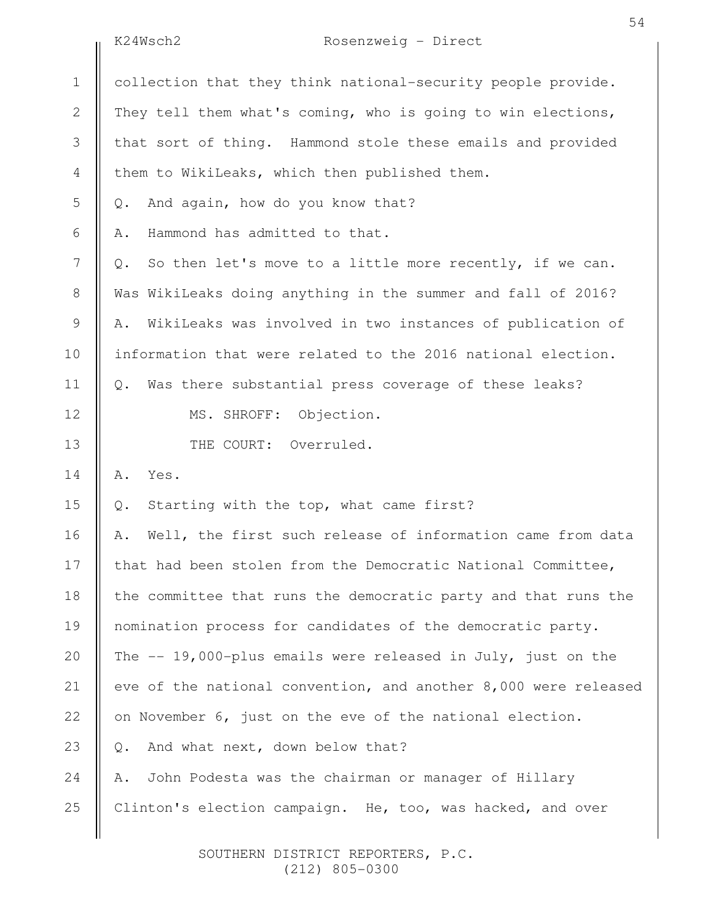|                | K24Wsch2<br>Rosenzweig - Direct                                   |
|----------------|-------------------------------------------------------------------|
| $1\,$          | collection that they think national-security people provide.      |
| $\mathbf{2}$   | They tell them what's coming, who is going to win elections,      |
| $\mathfrak{Z}$ | that sort of thing. Hammond stole these emails and provided       |
| 4              | them to WikiLeaks, which then published them.                     |
| 5              | And again, how do you know that?<br>$Q$ .                         |
| 6              | Hammond has admitted to that.<br>Α.                               |
| $\overline{7}$ | So then let's move to a little more recently, if we can.<br>$Q$ . |
| $\,8\,$        | Was WikiLeaks doing anything in the summer and fall of 2016?      |
| $\mathsf 9$    | WikiLeaks was involved in two instances of publication of<br>Α.   |
| 10             | information that were related to the 2016 national election.      |
| 11             | Was there substantial press coverage of these leaks?<br>Q.        |
| 12             | MS. SHROFF: Objection.                                            |
| 13             | THE COURT: Overruled.                                             |
| 14             | Yes.<br>Α.                                                        |
| 15             | Starting with the top, what came first?<br>$\mathbb Q$ .          |
| 16             | Well, the first such release of information came from data<br>Α.  |
| 17             | that had been stolen from the Democratic National Committee,      |
| 18             | the committee that runs the democratic party and that runs the    |
| 19             | nomination process for candidates of the democratic party.        |
| 20             | The -- 19,000-plus emails were released in July, just on the      |
| 21             | eve of the national convention, and another 8,000 were released   |
| 22             | on November 6, just on the eve of the national election.          |
| 23             | And what next, down below that?<br>$Q$ .                          |
| 24             | John Podesta was the chairman or manager of Hillary<br>Α.         |
| 25             | Clinton's election campaign. He, too, was hacked, and over        |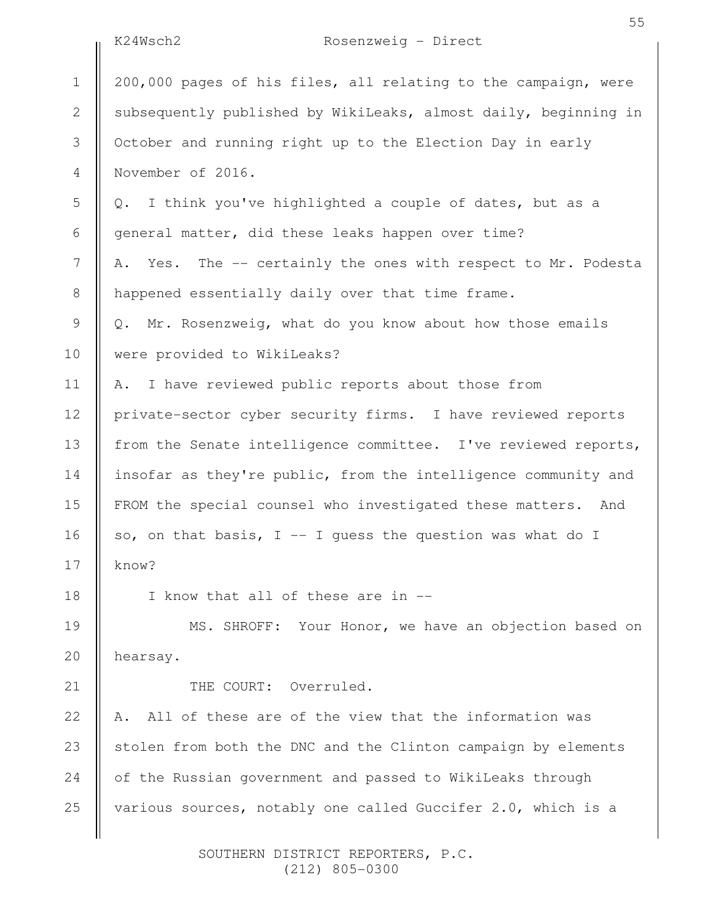|                | K24Wsch2<br>Rosenzweig - Direct                                  |
|----------------|------------------------------------------------------------------|
| $1\,$          | 200,000 pages of his files, all relating to the campaign, were   |
| $\mathbf{2}$   | subsequently published by WikiLeaks, almost daily, beginning in  |
| 3              | October and running right up to the Election Day in early        |
| 4              | November of 2016.                                                |
| 5              | I think you've highlighted a couple of dates, but as a<br>$Q$ .  |
| $\sqrt{6}$     | general matter, did these leaks happen over time?                |
| $\overline{7}$ | Yes. The -- certainly the ones with respect to Mr. Podesta<br>Α. |
| $8\,$          | happened essentially daily over that time frame.                 |
| $\mathsf 9$    | Q. Mr. Rosenzweig, what do you know about how those emails       |
| 10             | were provided to WikiLeaks?                                      |
| 11             | I have reviewed public reports about those from<br>Α.            |
| 12             | private-sector cyber security firms. I have reviewed reports     |
| 13             | from the Senate intelligence committee. I've reviewed reports,   |
| 14             | insofar as they're public, from the intelligence community and   |
| 15             | FROM the special counsel who investigated these matters. And     |
| 16             | so, on that basis, $I - I$ quess the question was what do I      |
| 17             | know?                                                            |
| 18             | I know that all of these are in --                               |
| 19             | MS. SHROFF: Your Honor, we have an objection based on            |
| 20             | hearsay.                                                         |
| 21             | THE COURT: Overruled.                                            |
| 22             | All of these are of the view that the information was<br>Α.      |
| 23             | stolen from both the DNC and the Clinton campaign by elements    |
| 24             | of the Russian government and passed to WikiLeaks through        |
| 25             | various sources, notably one called Guccifer 2.0, which is a     |
|                |                                                                  |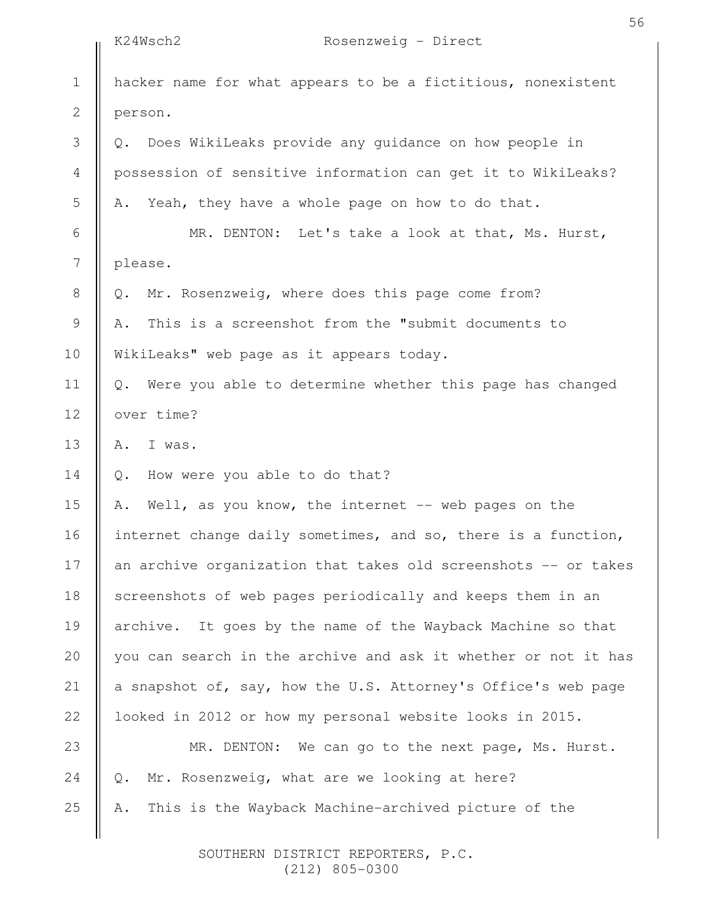|              | K24Wsch2<br>Rosenzweig - Direct                                   |
|--------------|-------------------------------------------------------------------|
| $1\,$        | hacker name for what appears to be a fictitious, nonexistent      |
| $\mathbf{2}$ | person.                                                           |
| 3            | Q. Does WikiLeaks provide any guidance on how people in           |
| 4            | possession of sensitive information can get it to WikiLeaks?      |
| 5            | Yeah, they have a whole page on how to do that.<br>Α.             |
| 6            | MR. DENTON: Let's take a look at that, Ms. Hurst,                 |
| 7            | please.                                                           |
| $\,8\,$      | Mr. Rosenzweig, where does this page come from?<br>Q.             |
| $\mathsf 9$  | This is a screenshot from the "submit documents to<br>Α.          |
| 10           | WikiLeaks" web page as it appears today.                          |
| 11           | Were you able to determine whether this page has changed<br>$Q$ . |
| 12           | over time?                                                        |
| 13           | I was.<br>Α.                                                      |
| 14           | How were you able to do that?<br>Q.                               |
| 15           | Well, as you know, the internet -- web pages on the<br>Α.         |
| 16           | internet change daily sometimes, and so, there is a function,     |
| 17           | an archive organization that takes old screenshots -- or takes    |
| 18           | screenshots of web pages periodically and keeps them in an        |
| 19           | It goes by the name of the Wayback Machine so that<br>archive.    |
| 20           | you can search in the archive and ask it whether or not it has    |
| 21           | a snapshot of, say, how the U.S. Attorney's Office's web page     |
| 22           | looked in 2012 or how my personal website looks in 2015.          |
| 23           | MR. DENTON: We can go to the next page, Ms. Hurst.                |
| 24           | Mr. Rosenzweig, what are we looking at here?<br>Q.                |
| 25           | This is the Wayback Machine-archived picture of the<br>Α.         |
|              |                                                                   |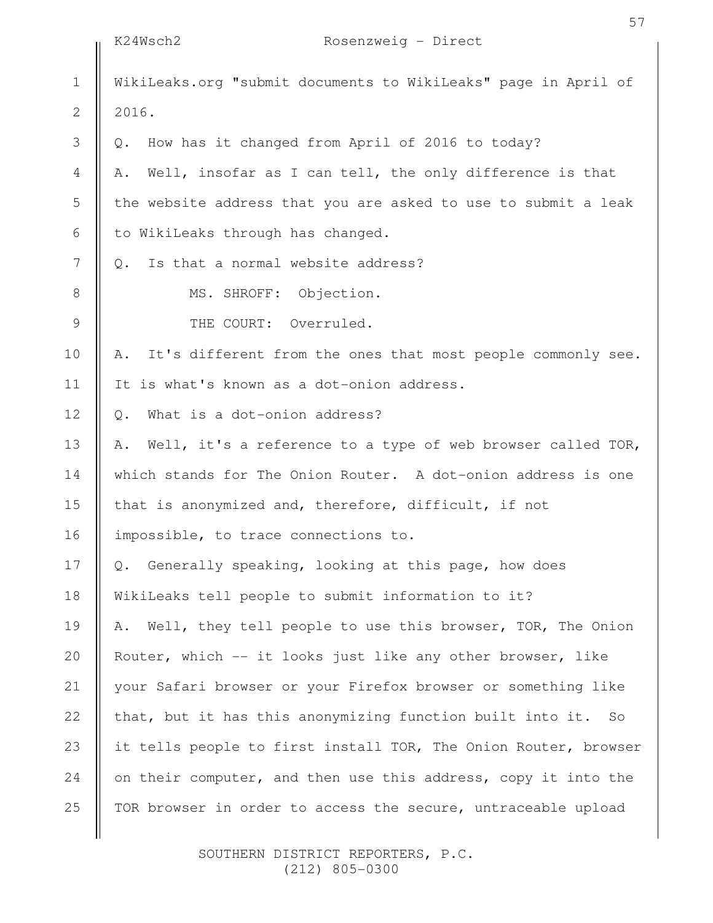|               | 57                                                                |
|---------------|-------------------------------------------------------------------|
|               | K24Wsch2<br>Rosenzweig - Direct                                   |
| $\mathbf 1$   | WikiLeaks.org "submit documents to WikiLeaks" page in April of    |
| $\mathbf{2}$  | 2016.                                                             |
| 3             | How has it changed from April of 2016 to today?<br>Q.             |
| 4             | Well, insofar as I can tell, the only difference is that<br>Α.    |
| 5             | the website address that you are asked to use to submit a leak    |
| 6             | to WikiLeaks through has changed.                                 |
| 7             | Is that a normal website address?<br>$Q_{\bullet}$                |
| $8\,$         | MS. SHROFF: Objection.                                            |
| $\mathcal{G}$ | THE COURT: Overruled.                                             |
| 10            | It's different from the ones that most people commonly see.<br>Α. |
| 11            | It is what's known as a dot-onion address.                        |
| 12            | What is a dot-onion address?<br>$Q$ .                             |
| 13            | Well, it's a reference to a type of web browser called TOR,<br>Α. |
| 14            | which stands for The Onion Router. A dot-onion address is one     |
| 15            | that is anonymized and, therefore, difficult, if not              |
| 16            | impossible, to trace connections to.                              |
| 17            | Generally speaking, looking at this page, how does<br>$Q$ .       |
| 18            | WikiLeaks tell people to submit information to it?                |
| 19            | Well, they tell people to use this browser, TOR, The Onion<br>Α.  |
| 20            | Router, which -- it looks just like any other browser, like       |
| 21            | your Safari browser or your Firefox browser or something like     |
| 22            | that, but it has this anonymizing function built into it. So      |
| 23            | it tells people to first install TOR, The Onion Router, browser   |
| 24            | on their computer, and then use this address, copy it into the    |
| 25            | TOR browser in order to access the secure, untraceable upload     |
|               |                                                                   |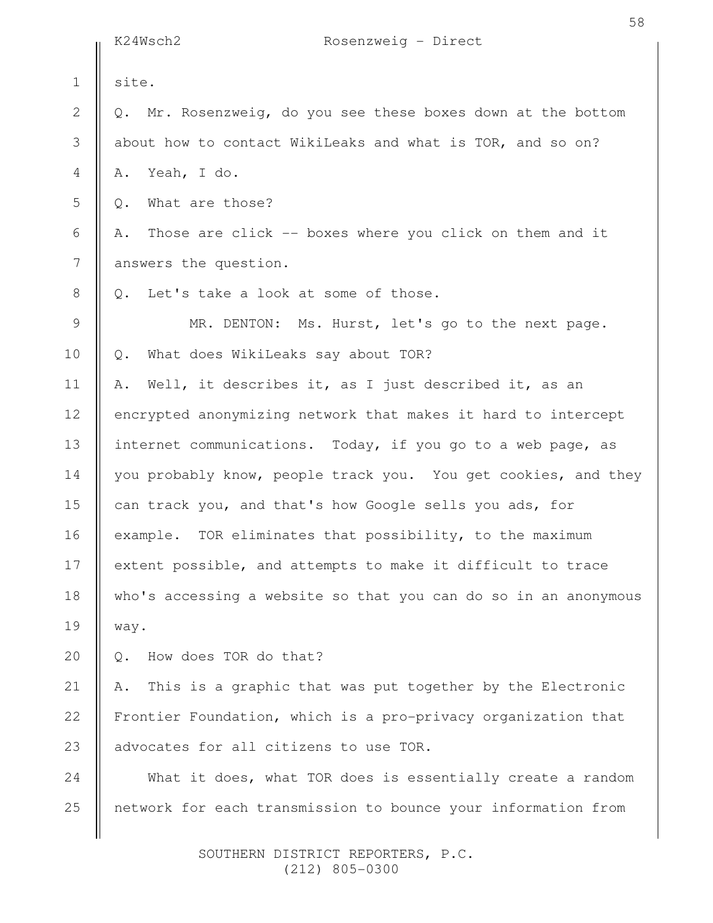|                | K24Wsch2<br>Rosenzweig - Direct                                            |
|----------------|----------------------------------------------------------------------------|
| $\mathbf 1$    | site.                                                                      |
| $\mathbf 2$    | Mr. Rosenzweig, do you see these boxes down at the bottom<br>$Q_{\bullet}$ |
| $\mathfrak S$  | about how to contact WikiLeaks and what is TOR, and so on?                 |
| $\overline{4}$ | Yeah, I do.<br>Α.                                                          |
| 5              | What are those?<br>Q.                                                      |
| 6              | Those are click -- boxes where you click on them and it<br>Α.              |
| 7              | answers the question.                                                      |
| $8\,$          | Let's take a look at some of those.<br>$\circ$ .                           |
| 9              | MR. DENTON: Ms. Hurst, let's go to the next page.                          |
| 10             | What does WikiLeaks say about TOR?<br>Q.                                   |
| 11             | Well, it describes it, as I just described it, as an<br>Α.                 |
| 12             | encrypted anonymizing network that makes it hard to intercept              |
| 13             | internet communications. Today, if you go to a web page, as                |
| 14             | you probably know, people track you. You get cookies, and they             |
| 15             | can track you, and that's how Google sells you ads, for                    |
| 16             | example. TOR eliminates that possibility, to the maximum                   |
| 17             | extent possible, and attempts to make it difficult to trace                |
| 18             | who's accessing a website so that you can do so in an anonymous            |
| 19             | way.                                                                       |
| 20             | How does TOR do that?<br>Q.                                                |
| 21             | This is a graphic that was put together by the Electronic<br>Α.            |
| 22             | Frontier Foundation, which is a pro-privacy organization that              |
| 23             | advocates for all citizens to use TOR.                                     |
| 24             | What it does, what TOR does is essentially create a random                 |
| 25             | network for each transmission to bounce your information from              |
|                |                                                                            |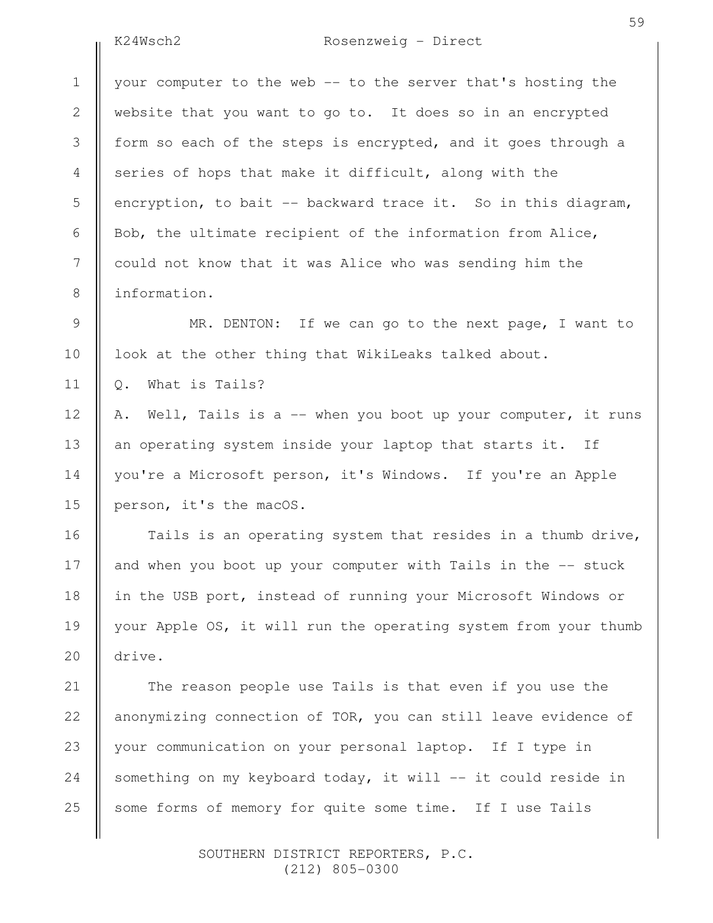2

3

4

5

6

7

8

9

10

11

12

13

14

15

16

17

18

19

20

# K24Wsch2 Rosenzweig - Direct

your computer to the web -- to the server that's hosting the website that you want to go to. It does so in an encrypted form so each of the steps is encrypted, and it goes through a series of hops that make it difficult, along with the encryption, to bait -- backward trace it. So in this diagram, Bob, the ultimate recipient of the information from Alice, could not know that it was Alice who was sending him the information.

MR. DENTON: If we can go to the next page, I want to look at the other thing that WikiLeaks talked about.

Q. What is Tails?

A. Well, Tails is a -- when you boot up your computer, it runs an operating system inside your laptop that starts it. If you're a Microsoft person, it's Windows. If you're an Apple person, it's the macOS.

Tails is an operating system that resides in a thumb drive, and when you boot up your computer with Tails in the -- stuck in the USB port, instead of running your Microsoft Windows or your Apple OS, it will run the operating system from your thumb drive.

The reason people use Tails is that even if you use the anonymizing connection of TOR, you can still leave evidence of your communication on your personal laptop. If I type in something on my keyboard today, it will -- it could reside in some forms of memory for quite some time. If I use Tails 21 22 23 24 25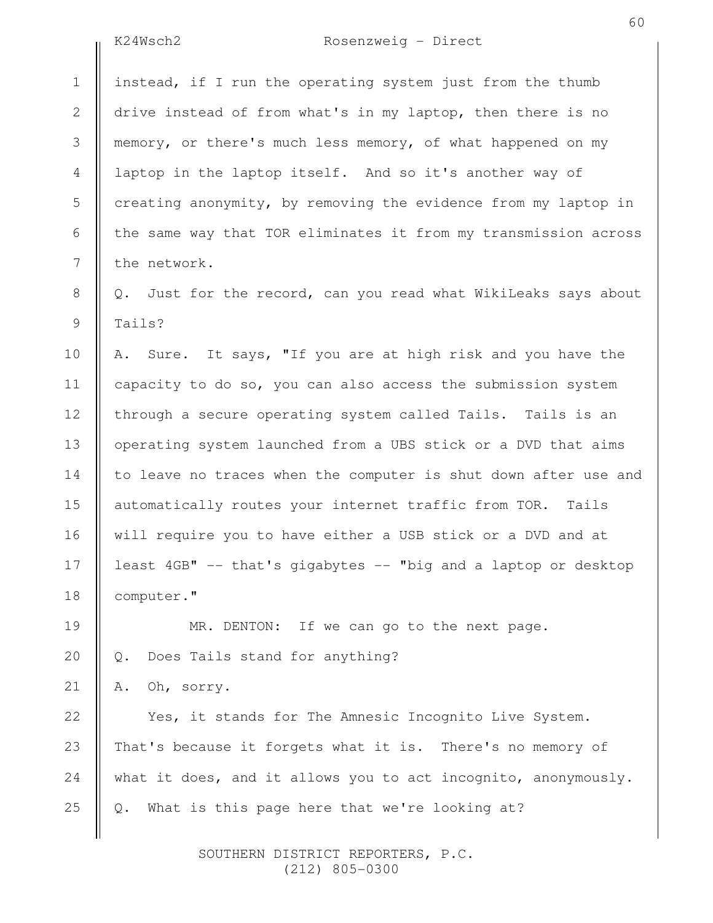$\frac{1}{2}$ 

24

25

# K24Wsch2 Rosenzweig - Direct

| $1\,$        | instead, if I run the operating system just from the thumb        |
|--------------|-------------------------------------------------------------------|
| $\mathbf{2}$ | drive instead of from what's in my laptop, then there is no       |
| 3            | memory, or there's much less memory, of what happened on my       |
| 4            | laptop in the laptop itself. And so it's another way of           |
| 5            | creating anonymity, by removing the evidence from my laptop in    |
| 6            | the same way that TOR eliminates it from my transmission across   |
| 7            | the network.                                                      |
| $\,8\,$      | Just for the record, can you read what WikiLeaks says about<br>Q. |
| 9            | Tails?                                                            |
| 10           | A. Sure. It says, "If you are at high risk and you have the       |
| 11           | capacity to do so, you can also access the submission system      |
| 12           | through a secure operating system called Tails. Tails is an       |
| 13           | operating system launched from a UBS stick or a DVD that aims     |
| 14           | to leave no traces when the computer is shut down after use and   |
| 15           | automatically routes your internet traffic from TOR. Tails        |
| 16           | will require you to have either a USB stick or a DVD and at       |
| 17           | least 4GB" -- that's gigabytes -- "big and a laptop or desktop    |
| 18           | computer."                                                        |
| 19           | MR. DENTON: If we can go to the next page.                        |
| 20           | Does Tails stand for anything?<br>Q.                              |
| 21           | Oh, sorry.<br>Α.                                                  |
| 22           | Yes, it stands for The Amnesic Incognito Live System.             |
| 23           | That's because it forgets what it is. There's no memory of        |

Q. What is this page here that we're looking at?

what it does, and it allows you to act incognito, anonymously.

 SOUTHERN DISTRICT REPORTERS, P.C. (212) 805-0300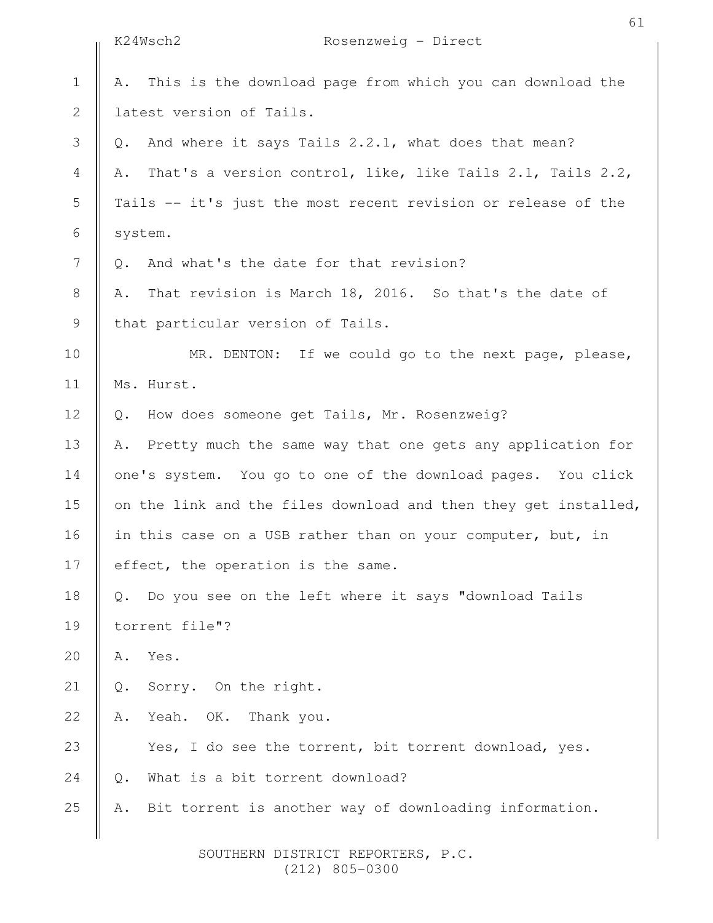|                | K24Wsch2<br>Rosenzweig - Direct                                  |
|----------------|------------------------------------------------------------------|
| $\mathbf 1$    | This is the download page from which you can download the<br>Α.  |
| $\sqrt{2}$     | latest version of Tails.                                         |
| 3              | And where it says Tails 2.2.1, what does that mean?<br>Q.        |
| $\overline{4}$ | That's a version control, like, like Tails 2.1, Tails 2.2,<br>Α. |
| 5              | Tails -- it's just the most recent revision or release of the    |
| 6              | system.                                                          |
| $\overline{7}$ | And what's the date for that revision?<br>Q.                     |
| $\,8\,$        | That revision is March 18, 2016. So that's the date of<br>Α.     |
| $\mathcal{G}$  | that particular version of Tails.                                |
| 10             | MR. DENTON: If we could go to the next page, please,             |
| 11             | Ms. Hurst.                                                       |
| 12             | How does someone get Tails, Mr. Rosenzweig?<br>Q.                |
| 13             | Pretty much the same way that one gets any application for<br>Α. |
| 14             | one's system. You go to one of the download pages. You click     |
| 15             | on the link and the files download and then they get installed,  |
| 16             | in this case on a USB rather than on your computer, but, in      |
| 17             | effect, the operation is the same.                               |
| 18             | Do you see on the left where it says "download Tails             |
| 19             | torrent file"?                                                   |
| $20$           | Yes.<br>Α.                                                       |
| $21$           | Sorry. On the right.<br>$\mathbb Q$ .                            |
| 22             | Yeah. OK.<br>Thank you.<br>Α.                                    |
| 23             | Yes, I do see the torrent, bit torrent download, yes.            |
| 24             | What is a bit torrent download?<br>$\mathbb Q$ .                 |
| 25             | Bit torrent is another way of downloading information.           |
|                |                                                                  |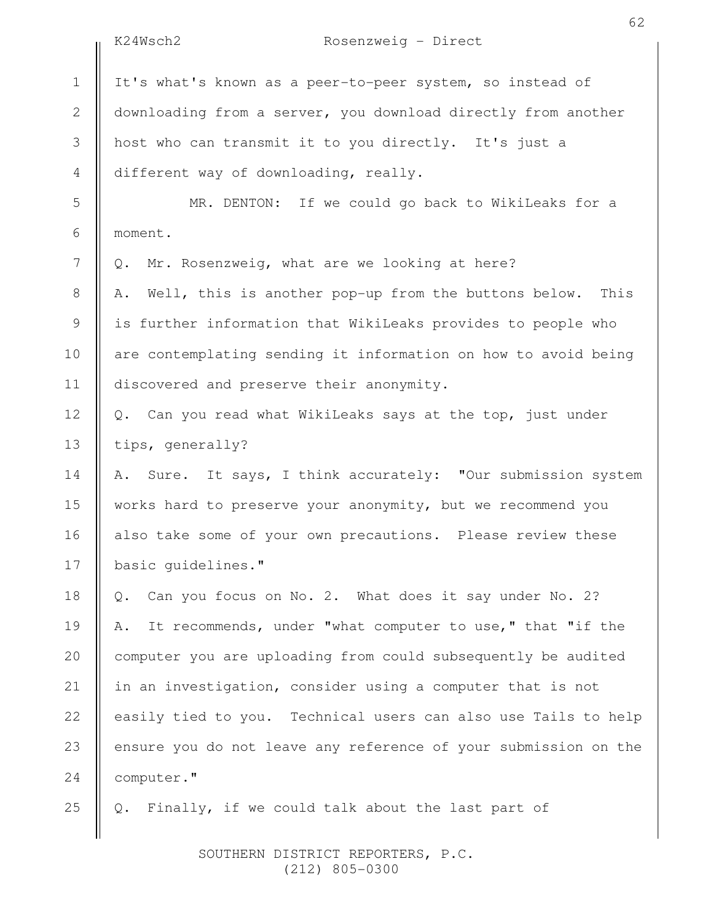|                | K24Wsch2<br>Rosenzweig - Direct                                    |
|----------------|--------------------------------------------------------------------|
| $\mathbf 1$    | It's what's known as a peer-to-peer system, so instead of          |
| $\mathbf{2}$   | downloading from a server, you download directly from another      |
| 3              | host who can transmit it to you directly. It's just a              |
| $\overline{4}$ | different way of downloading, really.                              |
| 5              | MR. DENTON: If we could go back to WikiLeaks for a                 |
| 6              | moment.                                                            |
| 7              | Mr. Rosenzweig, what are we looking at here?<br>Q.                 |
| 8              | Well, this is another pop-up from the buttons below.<br>This<br>Α. |
| $\mathsf 9$    | is further information that WikiLeaks provides to people who       |
| 10             | are contemplating sending it information on how to avoid being     |
| 11             | discovered and preserve their anonymity.                           |
| 12             | Q. Can you read what WikiLeaks says at the top, just under         |
| 13             | tips, generally?                                                   |
| 14             | Sure. It says, I think accurately: "Our submission system<br>Α.    |
| 15             | works hard to preserve your anonymity, but we recommend you        |
| 16             | also take some of your own precautions. Please review these        |
| 17             | basic guidelines."                                                 |
| 18             | Can you focus on No. 2. What does it say under No. 2?<br>Q.        |
| 19             | It recommends, under "what computer to use," that "if the<br>Α.    |
| 20             | computer you are uploading from could subsequently be audited      |
| 21             | in an investigation, consider using a computer that is not         |
| 22             | easily tied to you. Technical users can also use Tails to help     |
| 23             | ensure you do not leave any reference of your submission on the    |
| 24             | computer."                                                         |
| 25             | Finally, if we could talk about the last part of<br>Q.             |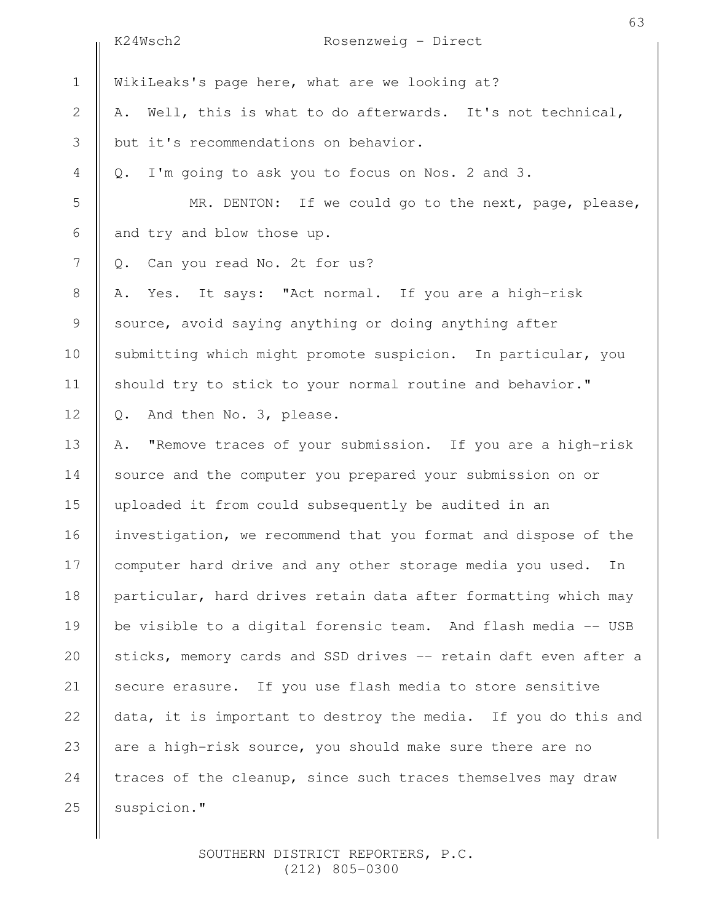|                | K24Wsch2<br>Rosenzweig - Direct                                 |
|----------------|-----------------------------------------------------------------|
| $\mathbf 1$    | WikiLeaks's page here, what are we looking at?                  |
| 2              | Well, this is what to do afterwards. It's not technical,<br>Α.  |
| 3              | but it's recommendations on behavior.                           |
| $\overline{4}$ | I'm going to ask you to focus on Nos. 2 and 3.<br>$Q$ .         |
| 5              | MR. DENTON: If we could go to the next, page, please,           |
| 6              | and try and blow those up.                                      |
| 7              | Can you read No. 2t for us?<br>Q.                               |
| $8\,$          | Yes. It says: "Act normal. If you are a high-risk<br>Α.         |
| $\mathsf 9$    | source, avoid saying anything or doing anything after           |
| 10             | submitting which might promote suspicion. In particular, you    |
| 11             | should try to stick to your normal routine and behavior."       |
| 12             | And then No. 3, please.<br>Q.                                   |
| 13             | "Remove traces of your submission. If you are a high-risk<br>Α. |
| 14             | source and the computer you prepared your submission on or      |
| 15             | uploaded it from could subsequently be audited in an            |
| 16             | investigation, we recommend that you format and dispose of the  |
| 17             | computer hard drive and any other storage media you used.<br>In |
| 18             | particular, hard drives retain data after formatting which may  |
| 19             | be visible to a digital forensic team. And flash media -- USB   |
| 20             | sticks, memory cards and SSD drives -- retain daft even after a |
| 21             | secure erasure. If you use flash media to store sensitive       |
| 22             | data, it is important to destroy the media. If you do this and  |
| 23             | are a high-risk source, you should make sure there are no       |
| 24             | traces of the cleanup, since such traces themselves may draw    |
| 25             | suspicion."                                                     |
|                |                                                                 |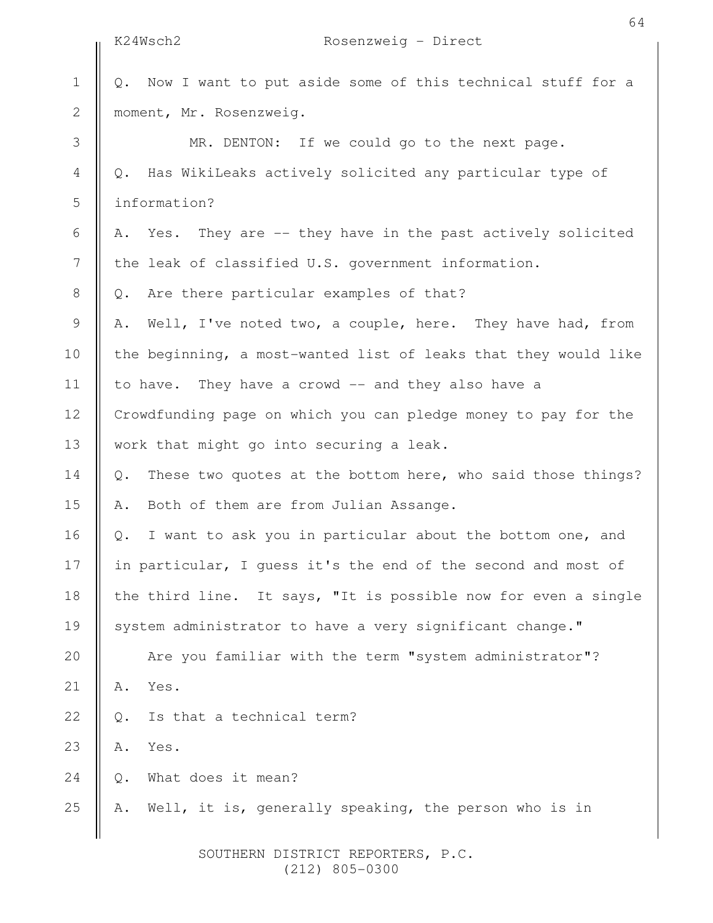|                | K24Wsch2<br>Rosenzweig - Direct                                   |
|----------------|-------------------------------------------------------------------|
| $1\,$          | Now I want to put aside some of this technical stuff for a<br>Q.  |
| $\overline{2}$ | moment, Mr. Rosenzweig.                                           |
| 3              | MR. DENTON: If we could go to the next page.                      |
| 4              | Has WikiLeaks actively solicited any particular type of<br>Q.     |
| 5              | information?                                                      |
| 6              | Yes. They are -- they have in the past actively solicited<br>Α.   |
| 7              | the leak of classified U.S. government information.               |
| 8              | Are there particular examples of that?<br>Q.                      |
| 9              | Well, I've noted two, a couple, here. They have had, from<br>Α.   |
| 10             | the beginning, a most-wanted list of leaks that they would like   |
| 11             | to have. They have a crowd -- and they also have a                |
| 12             | Crowdfunding page on which you can pledge money to pay for the    |
| 13             | work that might go into securing a leak.                          |
| 14             | These two quotes at the bottom here, who said those things?<br>Q. |
| 15             | Both of them are from Julian Assange.<br>Α.                       |
| 16             | I want to ask you in particular about the bottom one, and<br>Q.   |
| 17             | in particular, I guess it's the end of the second and most of     |
| 18             | the third line. It says, "It is possible now for even a single    |
| 19             | system administrator to have a very significant change."          |
| 20             | Are you familiar with the term "system administrator"?            |
| 21             | Yes.<br>Α.                                                        |
| 22             | Is that a technical term?<br>Q.                                   |
| 23             | Yes.<br>Α.                                                        |
| 24             | What does it mean?<br>Q.                                          |
| 25             | Well, it is, generally speaking, the person who is in<br>Α.       |
|                |                                                                   |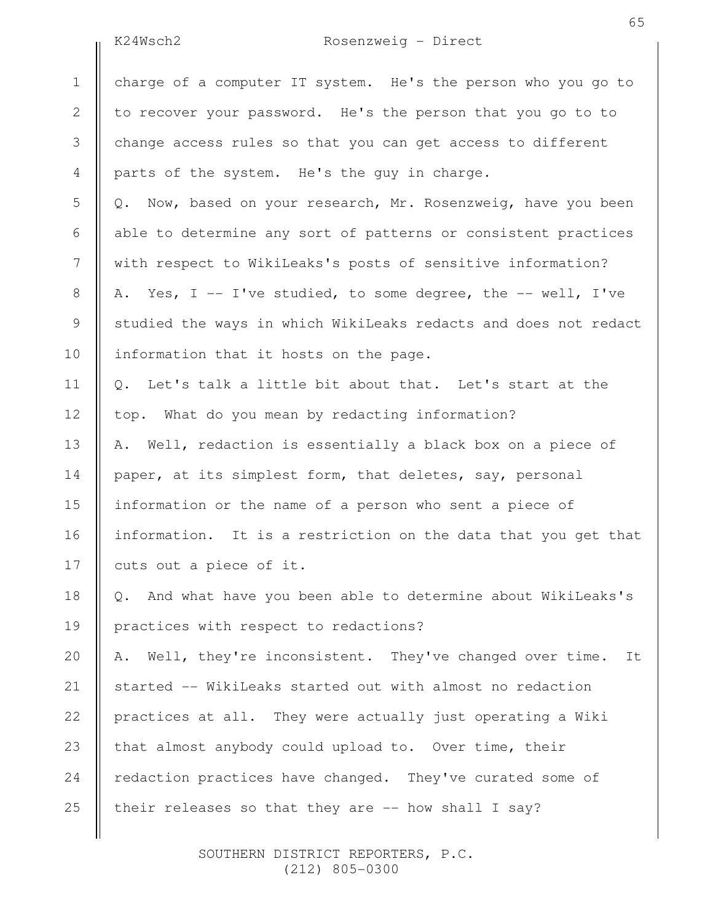## K24Wsch2 Rosenzweig - Direct

charge of a computer IT system. He's the person who you go to to recover your password. He's the person that you go to to change access rules so that you can get access to different parts of the system. He's the guy in charge. Q. Now, based on your research, Mr. Rosenzweig, have you been able to determine any sort of patterns or consistent practices with respect to WikiLeaks's posts of sensitive information? A. Yes, I -- I've studied, to some degree, the -- well, I've studied the ways in which WikiLeaks redacts and does not redact information that it hosts on the page. Q. Let's talk a little bit about that. Let's start at the top. What do you mean by redacting information? A. Well, redaction is essentially a black box on a piece of paper, at its simplest form, that deletes, say, personal information or the name of a person who sent a piece of information. It is a restriction on the data that you get that cuts out a piece of it. Q. And what have you been able to determine about WikiLeaks's practices with respect to redactions? A. Well, they're inconsistent. They've changed over time. It started -- WikiLeaks started out with almost no redaction practices at all. They were actually just operating a Wiki that almost anybody could upload to. Over time, their redaction practices have changed. They've curated some of their releases so that they are -- how shall I say? 1 2 3 4 5 6 7 8 9 10 11 12 13 14 15 16 17 18 19 20 21 22 23 24 25

> SOUTHERN DISTRICT REPORTERS, P.C. (212) 805-0300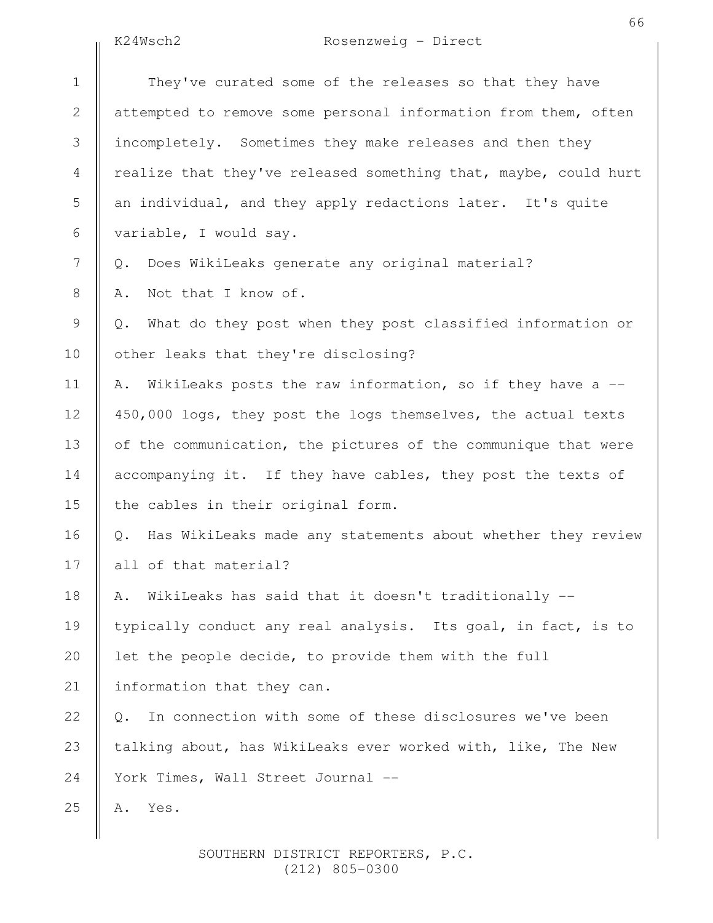K24Wsch2 Rosenzweig - Direct

|               | K24Wsch2<br>Rosenzweig - Direct                                   |
|---------------|-------------------------------------------------------------------|
| $\mathbf 1$   | They've curated some of the releases so that they have            |
| $\mathbf{2}$  | attempted to remove some personal information from them, often    |
| 3             | incompletely. Sometimes they make releases and then they          |
| 4             | realize that they've released something that, maybe, could hurt   |
| 5             | an individual, and they apply redactions later. It's quite        |
| 6             | variable, I would say.                                            |
| 7             | Does WikiLeaks generate any original material?<br>Q.              |
| $8\,$         | Not that I know of.<br>Α.                                         |
| $\mathcal{G}$ | What do they post when they post classified information or<br>Q.  |
| 10            | other leaks that they're disclosing?                              |
| 11            | WikiLeaks posts the raw information, so if they have a --<br>Α.   |
| 12            | 450,000 logs, they post the logs themselves, the actual texts     |
| 13            | of the communication, the pictures of the communique that were    |
| 14            | accompanying it. If they have cables, they post the texts of      |
| 15            | the cables in their original form.                                |
| 16            | Has WikiLeaks made any statements about whether they review<br>Q. |
| 17            | all of that material?                                             |
| 18            | WikiLeaks has said that it doesn't traditionally --<br>Α.         |
| 19            | typically conduct any real analysis. Its goal, in fact, is to     |
| 20            | let the people decide, to provide them with the full              |
| 21            | information that they can.                                        |
| 22            | In connection with some of these disclosures we've been<br>Q.     |
| 23            | talking about, has WikiLeaks ever worked with, like, The New      |
| 24            | York Times, Wall Street Journal --                                |
| 25            | Yes.<br>Α.                                                        |
|               |                                                                   |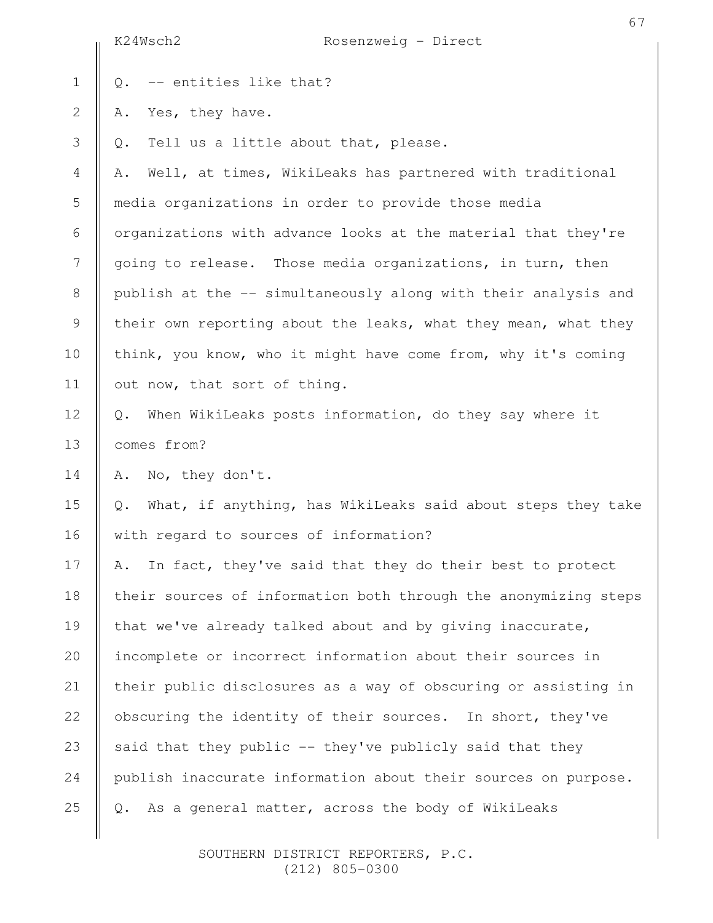|                  | 67<br>K24Wsch2<br>Rosenzweig - Direct                                        |  |
|------------------|------------------------------------------------------------------------------|--|
| $\mathbf 1$      | -- entities like that?<br>Q.                                                 |  |
| $\sqrt{2}$       | Yes, they have.<br>Α.                                                        |  |
| $\mathfrak{Z}$   | Tell us a little about that, please.<br>Q.                                   |  |
| 4                | Well, at times, WikiLeaks has partnered with traditional<br>Α.               |  |
| 5                | media organizations in order to provide those media                          |  |
| 6                | organizations with advance looks at the material that they're                |  |
| $\boldsymbol{7}$ | going to release. Those media organizations, in turn, then                   |  |
| $\,8\,$          | publish at the -- simultaneously along with their analysis and               |  |
| $\mathsf 9$      | their own reporting about the leaks, what they mean, what they               |  |
| 10               | think, you know, who it might have come from, why it's coming                |  |
| 11               | out now, that sort of thing.                                                 |  |
| 12               | When WikiLeaks posts information, do they say where it<br>Q.                 |  |
| 13               | comes from?                                                                  |  |
| 14               | No, they don't.<br>Α.                                                        |  |
| 15               | What, if anything, has WikiLeaks said about steps they take<br>$\mathbb Q$ . |  |
| 16               | with regard to sources of information?                                       |  |
| 17               | In fact, they've said that they do their best to protect<br>Α.               |  |
| 18               | their sources of information both through the anonymizing steps              |  |
| 19               | that we've already talked about and by giving inaccurate,                    |  |
| 20               | incomplete or incorrect information about their sources in                   |  |
| 21               | their public disclosures as a way of obscuring or assisting in               |  |
| 22               | obscuring the identity of their sources. In short, they've                   |  |
| 23               | said that they public -- they've publicly said that they                     |  |
| 24               | publish inaccurate information about their sources on purpose.               |  |
| 25               | As a general matter, across the body of WikiLeaks<br>$Q$ .                   |  |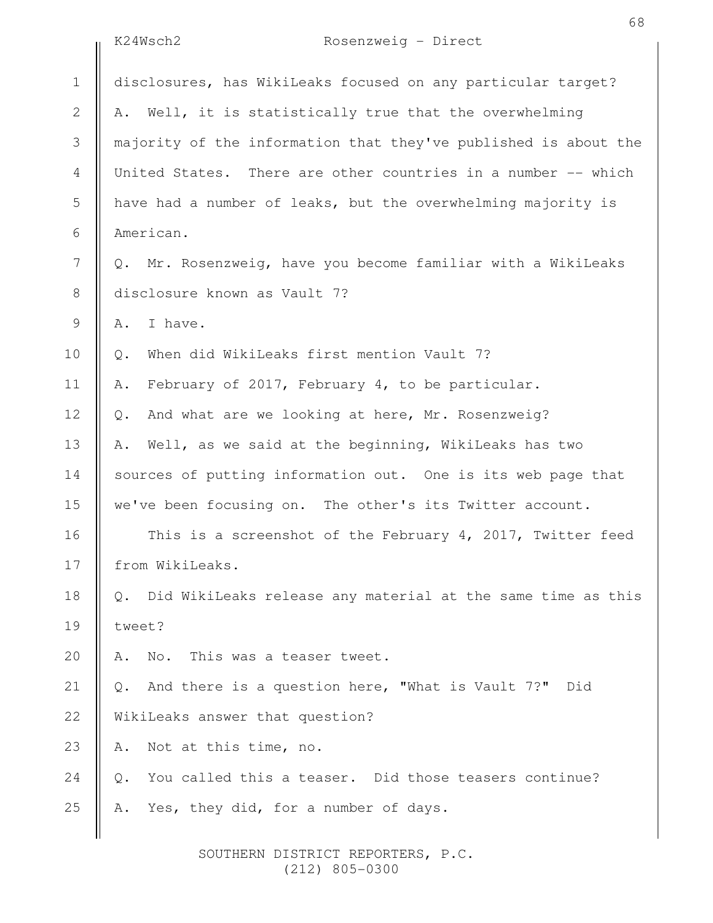K24Wsch2 Rosenzweig - Direct

|                | KZ4WschZ<br>$RosenzWelq - Direct$                                 |  |  |
|----------------|-------------------------------------------------------------------|--|--|
| $\mathbf 1$    | disclosures, has WikiLeaks focused on any particular target?      |  |  |
| $\overline{2}$ | Well, it is statistically true that the overwhelming<br>Α.        |  |  |
| 3              | majority of the information that they've published is about the   |  |  |
| $\overline{4}$ | United States. There are other countries in a number -- which     |  |  |
| 5              | have had a number of leaks, but the overwhelming majority is      |  |  |
| 6              | American.                                                         |  |  |
| 7              | Q. Mr. Rosenzweig, have you become familiar with a WikiLeaks      |  |  |
| $\,8\,$        | disclosure known as Vault 7?                                      |  |  |
| $\mathsf 9$    | I have.<br>Α.                                                     |  |  |
| 10             | When did WikiLeaks first mention Vault 7?<br>Q.                   |  |  |
| 11             | February of 2017, February 4, to be particular.<br>Α.             |  |  |
| 12             | And what are we looking at here, Mr. Rosenzweig?<br>Q.            |  |  |
| 13             | Well, as we said at the beginning, WikiLeaks has two<br>Α.        |  |  |
| 14             | sources of putting information out. One is its web page that      |  |  |
| 15             | we've been focusing on. The other's its Twitter account.          |  |  |
| 16             | This is a screenshot of the February 4, 2017, Twitter feed        |  |  |
| 17             | from WikiLeaks.                                                   |  |  |
| 18             | Did WikiLeaks release any material at the same time as this<br>Q. |  |  |
| 19             | tweet?                                                            |  |  |
| 20             | This was a teaser tweet.<br>Α.<br>No.                             |  |  |
| 21             | And there is a question here, "What is Vault 7?" Did<br>Q.        |  |  |
| 22             | WikiLeaks answer that question?                                   |  |  |
| 23             | Not at this time, no.<br>Α.                                       |  |  |
| 24             | You called this a teaser. Did those teasers continue?<br>$Q$ .    |  |  |
| 25             | Yes, they did, for a number of days.<br>Α.                        |  |  |
|                |                                                                   |  |  |

 SOUTHERN DISTRICT REPORTERS, P.C. (212) 805-0300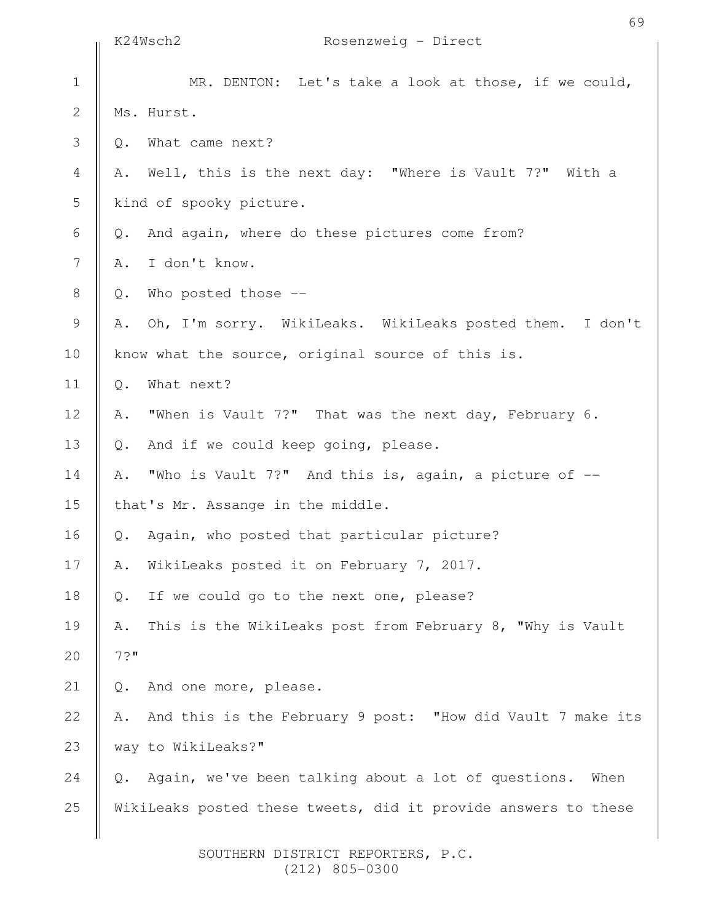|                | K24Wsch2                                          | 69<br>Rosenzweig - Direct                                      |
|----------------|---------------------------------------------------|----------------------------------------------------------------|
| $\mathbf 1$    |                                                   | MR. DENTON: Let's take a look at those, if we could,           |
| $\sqrt{2}$     |                                                   | Ms. Hurst.                                                     |
| 3              | $\mathsf{Q}$ .                                    | What came next?                                                |
| $\overline{4}$ | Α.                                                | Well, this is the next day: "Where is Vault 7?" With a         |
| 5              | kind of spooky picture.                           |                                                                |
| 6              | Q.                                                | And again, where do these pictures come from?                  |
| $\overline{7}$ | Α.                                                | I don't know.                                                  |
| $\,8\,$        | Q.                                                | Who posted those --                                            |
| 9              | Α.                                                | Oh, I'm sorry. WikiLeaks. WikiLeaks posted them. I don't       |
| 10             | know what the source, original source of this is. |                                                                |
| 11             | $Q$ .                                             | What next?                                                     |
| 12             | Α.                                                | "When is Vault 7?" That was the next day, February 6.          |
| 13             | $Q$ .                                             | And if we could keep going, please.                            |
| 14             | Α.                                                | "Who is Vault 7?" And this is, again, a picture of --          |
| 15             |                                                   | that's Mr. Assange in the middle.                              |
| 16             | $\mathsf{Q}$ .                                    | Again, who posted that particular picture?                     |
| 17             | Α.                                                | WikiLeaks posted it on February 7, 2017.                       |
| 18             | $\mathbb Q$ .                                     | If we could go to the next one, please?                        |
| 19             | Α.                                                | This is the WikiLeaks post from February 8, "Why is Vault      |
| 20             | 7?"                                               |                                                                |
| 21             | $\mathbb{Q}$ .                                    | And one more, please.                                          |
| 22             | Α.                                                | And this is the February 9 post: "How did Vault 7 make its     |
| 23             |                                                   | way to WikiLeaks?"                                             |
| 24             | Q.                                                | Again, we've been talking about a lot of questions.<br>When    |
| 25             |                                                   | WikiLeaks posted these tweets, did it provide answers to these |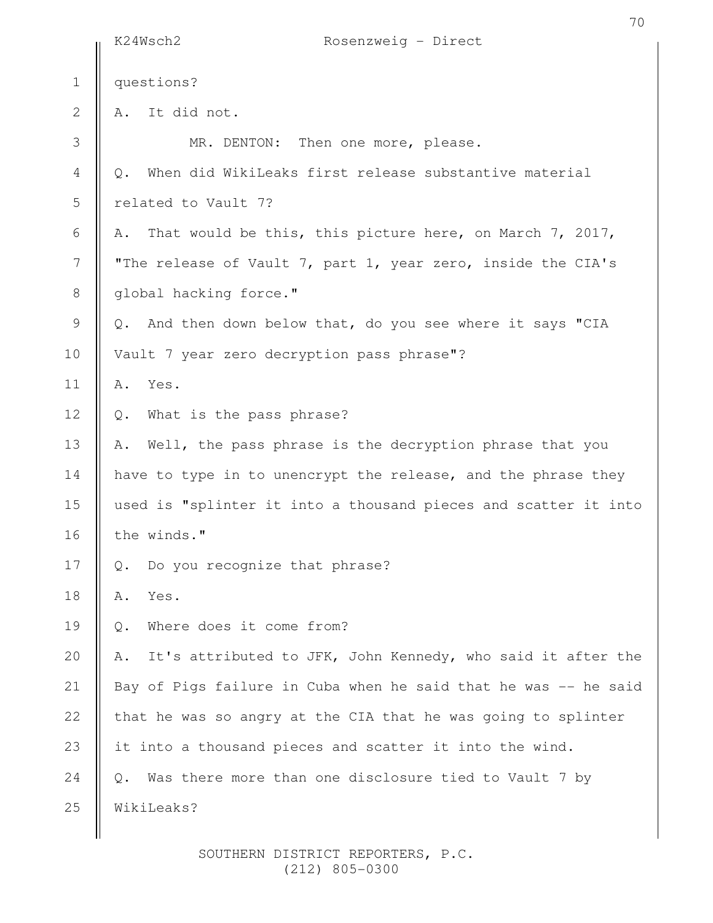|                          | 70<br>Rosenzweig - Direct<br>K24Wsch2                             |
|--------------------------|-------------------------------------------------------------------|
| $\mathbf 1$              | questions?                                                        |
| $\mathbf{2}$             | It did not.<br>Α.                                                 |
| $\mathfrak{Z}$           | MR. DENTON: Then one more, please.                                |
| $\sqrt{4}$               | When did WikiLeaks first release substantive material<br>Q.       |
| 5                        | related to Vault 7?                                               |
| 6                        | That would be this, this picture here, on March 7, 2017,<br>Α.    |
| $\overline{\phantom{a}}$ | "The release of Vault 7, part 1, year zero, inside the CIA's      |
| $\,8\,$                  | global hacking force."                                            |
| $\mathcal{G}$            | And then down below that, do you see where it says "CIA<br>$Q$ .  |
| 10                       | Vault 7 year zero decryption pass phrase"?                        |
| 11                       | Yes.<br>Α.                                                        |
| 12                       | What is the pass phrase?<br>Q.                                    |
| 13                       | Well, the pass phrase is the decryption phrase that you<br>Α.     |
| 14                       | have to type in to unencrypt the release, and the phrase they     |
| 15                       | used is "splinter it into a thousand pieces and scatter it into   |
| 16                       | the winds."                                                       |
| 17                       | Do you recognize that phrase?<br>$\mathbb Q$ .                    |
| 18                       | Yes.<br>Α.                                                        |
| 19                       | Where does it come from?<br>$Q$ .                                 |
| 20                       | It's attributed to JFK, John Kennedy, who said it after the<br>Α. |
| 21                       | Bay of Pigs failure in Cuba when he said that he was -- he said   |
| 22                       | that he was so angry at the CIA that he was going to splinter     |
| 23                       | it into a thousand pieces and scatter it into the wind.           |
| 24                       | Was there more than one disclosure tied to Vault 7 by<br>$Q$ .    |
| 25                       | WikiLeaks?                                                        |
|                          |                                                                   |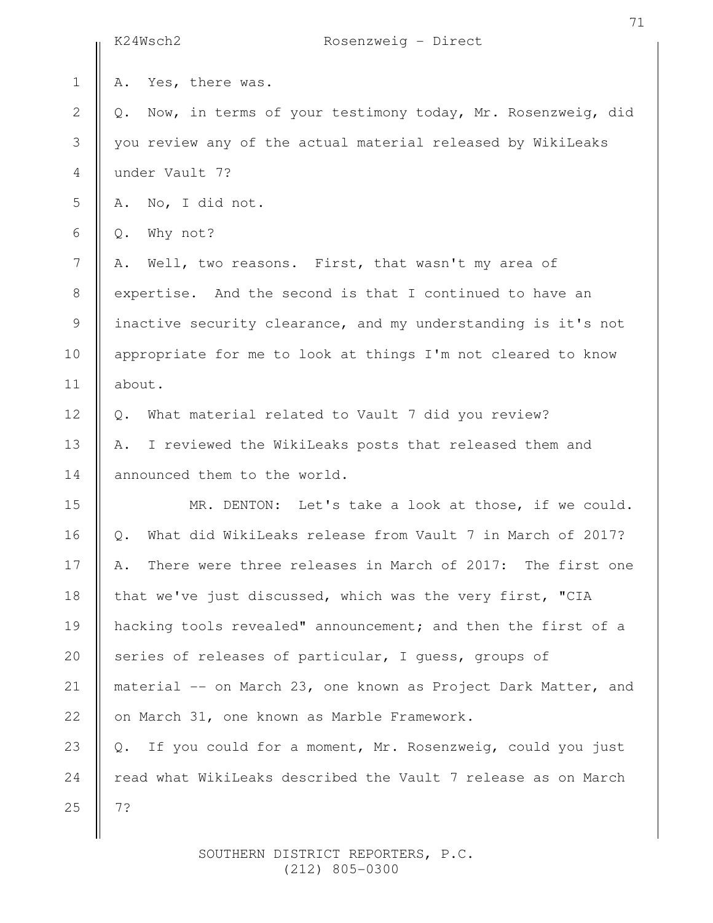|              | K24Wsch2<br>Rosenzweig - Direct                                  |  |  |
|--------------|------------------------------------------------------------------|--|--|
| $\mathbf 1$  | Yes, there was.<br>Α.                                            |  |  |
| $\mathbf{2}$ | Now, in terms of your testimony today, Mr. Rosenzweig, did<br>Q. |  |  |
| 3            | you review any of the actual material released by WikiLeaks      |  |  |
| 4            | under Vault 7?                                                   |  |  |
| 5            | No, I did not.<br>Α.                                             |  |  |
| 6            | Why not?<br>Q.                                                   |  |  |
| 7            | Well, two reasons. First, that wasn't my area of<br>Α.           |  |  |
| $8\,$        | expertise. And the second is that I continued to have an         |  |  |
| 9            | inactive security clearance, and my understanding is it's not    |  |  |
| 10           | appropriate for me to look at things I'm not cleared to know     |  |  |
| 11           | about.                                                           |  |  |
| 12           | What material related to Vault 7 did you review?<br>0.           |  |  |
| 13           | I reviewed the WikiLeaks posts that released them and<br>Α.      |  |  |
| 14           | announced them to the world.                                     |  |  |
| 15           | MR. DENTON: Let's take a look at those, if we could.             |  |  |
| 16           | What did WikiLeaks release from Vault 7 in March of 2017?<br>Q.  |  |  |
| 17           | There were three releases in March of 2017: The first one<br>Α.  |  |  |
| 18           | that we've just discussed, which was the very first, "CIA        |  |  |
| 19           | hacking tools revealed" announcement; and then the first of a    |  |  |
| 20           | series of releases of particular, I quess, groups of             |  |  |
| 21           | material -- on March 23, one known as Project Dark Matter, and   |  |  |
| 22           | on March 31, one known as Marble Framework.                      |  |  |
| 23           | If you could for a moment, Mr. Rosenzweig, could you just<br>Q.  |  |  |
| 24           | read what WikiLeaks described the Vault 7 release as on March    |  |  |
| 25           | 7?                                                               |  |  |
|              |                                                                  |  |  |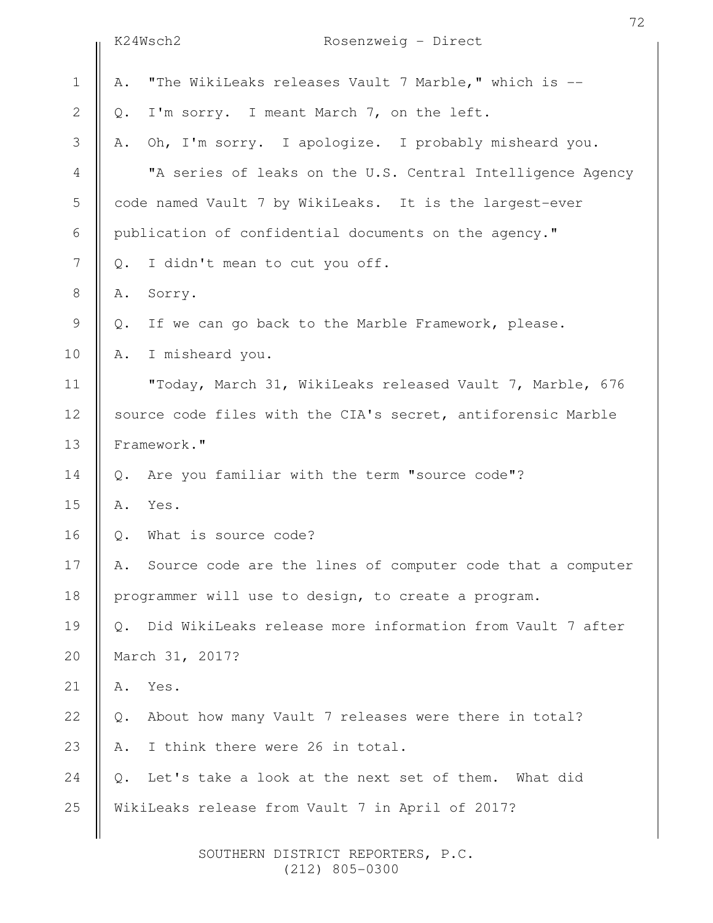|                  |                                                              | K24Wsch2<br>Rosenzweig - Direct                            |  |
|------------------|--------------------------------------------------------------|------------------------------------------------------------|--|
| $\mathbf 1$      | Α.                                                           | "The WikiLeaks releases Vault 7 Marble," which is --       |  |
| $\mathbf 2$      | Q.                                                           | I'm sorry. I meant March 7, on the left.                   |  |
| 3                | Α.                                                           | Oh, I'm sorry. I apologize. I probably misheard you.       |  |
| $\overline{4}$   |                                                              | "A series of leaks on the U.S. Central Intelligence Agency |  |
| 5                |                                                              | code named Vault 7 by WikiLeaks. It is the largest-ever    |  |
| 6                |                                                              | publication of confidential documents on the agency."      |  |
| $\boldsymbol{7}$ | $\mathbb Q$ .                                                | I didn't mean to cut you off.                              |  |
| $\,8\,$          | Α.                                                           | Sorry.                                                     |  |
| 9                | Q.                                                           | If we can go back to the Marble Framework, please.         |  |
| 10               | Α.                                                           | I misheard you.                                            |  |
| 11               |                                                              | "Today, March 31, WikiLeaks released Vault 7, Marble, 676  |  |
| 12               | source code files with the CIA's secret, antiforensic Marble |                                                            |  |
| 13               | Framework."                                                  |                                                            |  |
| 14               | $Q$ .                                                        | Are you familiar with the term "source code"?              |  |
| 15               | Α.                                                           | Yes.                                                       |  |
| 16               | Q.                                                           | What is source code?                                       |  |
| 17               | Α.                                                           | Source code are the lines of computer code that a computer |  |
| 18               |                                                              | programmer will use to design, to create a program.        |  |
| 19               | $Q_{\bullet}$                                                | Did WikiLeaks release more information from Vault 7 after  |  |
| 20               |                                                              | March 31, 2017?                                            |  |
| 21               | Α.                                                           | Yes.                                                       |  |
| 22               | Q.                                                           | About how many Vault 7 releases were there in total?       |  |
| 23               | Α.                                                           | I think there were 26 in total.                            |  |
| 24               | $Q$ .                                                        | Let's take a look at the next set of them. What did        |  |
| 25               |                                                              | WikiLeaks release from Vault 7 in April of 2017?           |  |
|                  |                                                              |                                                            |  |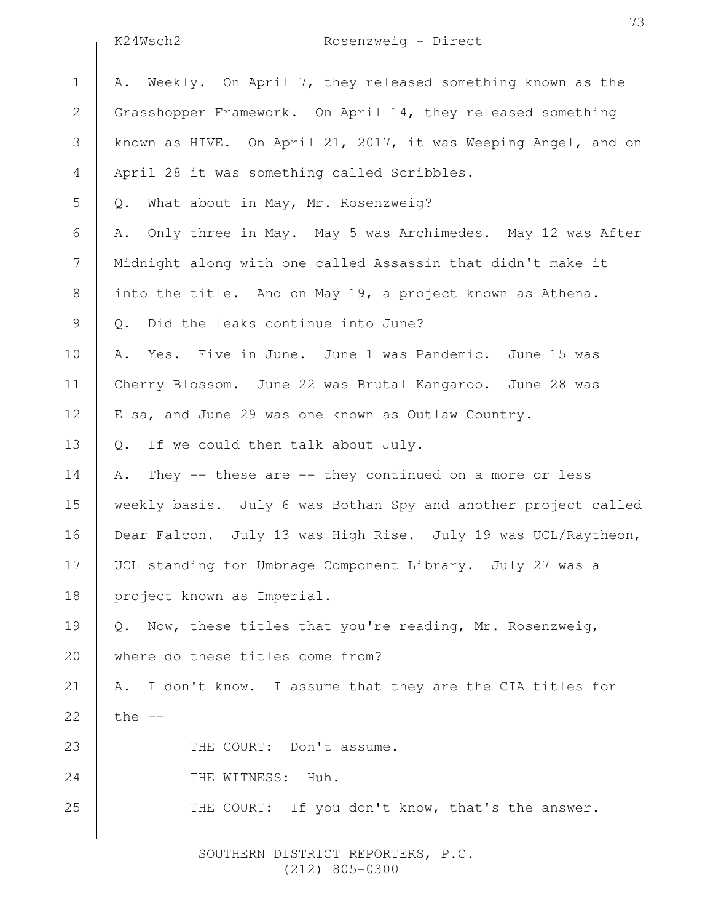| K24Wsch2 |
|----------|
|----------|

## Rosenzweig - Direct

A. Weekly. On April 7, they released something known as the Grasshopper Framework. On April 14, they released something known as HIVE. On April 21, 2017, it was Weeping Angel, and on April 28 it was something called Scribbles. Q. What about in May, Mr. Rosenzweig? A. Only three in May. May 5 was Archimedes. May 12 was After Midnight along with one called Assassin that didn't make it into the title. And on May 19, a project known as Athena. Q. Did the leaks continue into June? A. Yes. Five in June. June 1 was Pandemic. June 15 was Cherry Blossom. June 22 was Brutal Kangaroo. June 28 was Elsa, and June 29 was one known as Outlaw Country. Q. If we could then talk about July. A. They -- these are -- they continued on a more or less weekly basis. July 6 was Bothan Spy and another project called Dear Falcon. July 13 was High Rise. July 19 was UCL/Raytheon, UCL standing for Umbrage Component Library. July 27 was a project known as Imperial. Q. Now, these titles that you're reading, Mr. Rosenzweig, where do these titles come from? A. I don't know. I assume that they are the CIA titles for the  $--$ THE COURT: Don't assume. THE WITNESS: Huh. THE COURT: If you don't know, that's the answer. 1 2 3 4 5 6 7 8 9 10 11 12 13 14 15 16 17 18 19 20 21 22 23 24 25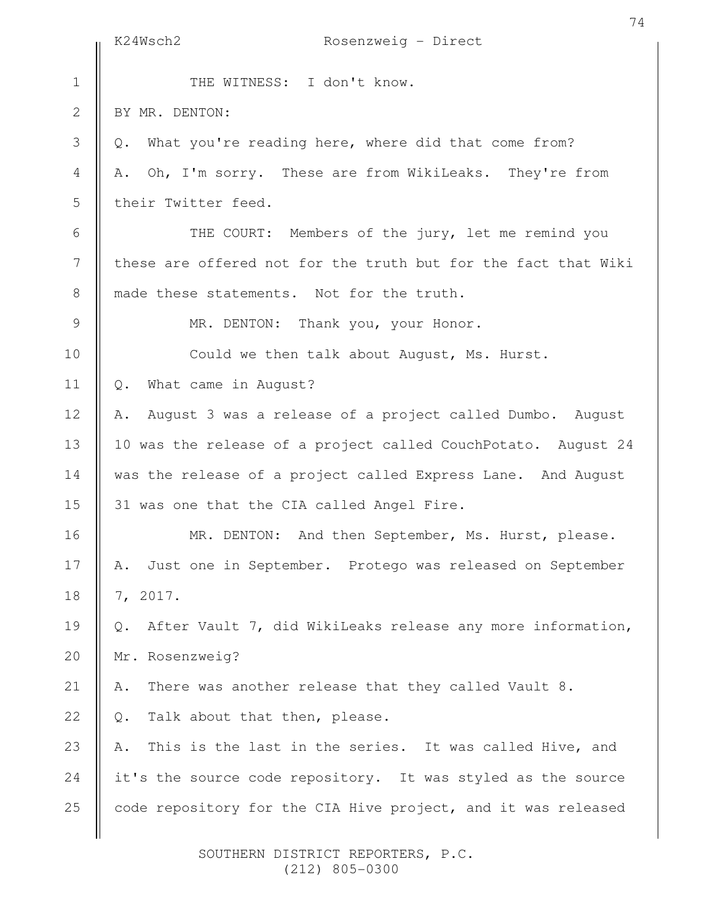|                | K24Wsch2<br>Rosenzweig - Direct                                  |
|----------------|------------------------------------------------------------------|
| $1\,$          | THE WITNESS: I don't know.                                       |
| $\overline{2}$ | BY MR. DENTON:                                                   |
| 3              | What you're reading here, where did that come from?<br>Q.        |
| $\overline{4}$ | Oh, I'm sorry. These are from WikiLeaks. They're from<br>Α.      |
| 5              | their Twitter feed.                                              |
| 6              | THE COURT: Members of the jury, let me remind you                |
| $\overline{7}$ | these are offered not for the truth but for the fact that Wiki   |
| $\,8\,$        | made these statements. Not for the truth.                        |
| $\mathcal{G}$  | MR. DENTON: Thank you, your Honor.                               |
| 10             | Could we then talk about August, Ms. Hurst.                      |
| 11             | What came in August?<br>Q.                                       |
| 12             | August 3 was a release of a project called Dumbo. August<br>Α.   |
| 13             | 10 was the release of a project called CouchPotato. August 24    |
| 14             | was the release of a project called Express Lane. And August     |
| 15             | 31 was one that the CIA called Angel Fire.                       |
| 16             | MR. DENTON: And then September, Ms. Hurst, please.               |
| 17             | Just one in September. Protego was released on September<br>Α.   |
| 18             | 7, 2017.                                                         |
| 19             | After Vault 7, did WikiLeaks release any more information,<br>Q. |
| 20             | Mr. Rosenzweig?                                                  |
| 21             | There was another release that they called Vault 8.<br>Α.        |
| 22             | Talk about that then, please.<br>Q.                              |
| 23             | This is the last in the series. It was called Hive, and<br>Α.    |
| 24             | it's the source code repository. It was styled as the source     |
| 25             | code repository for the CIA Hive project, and it was released    |
|                |                                                                  |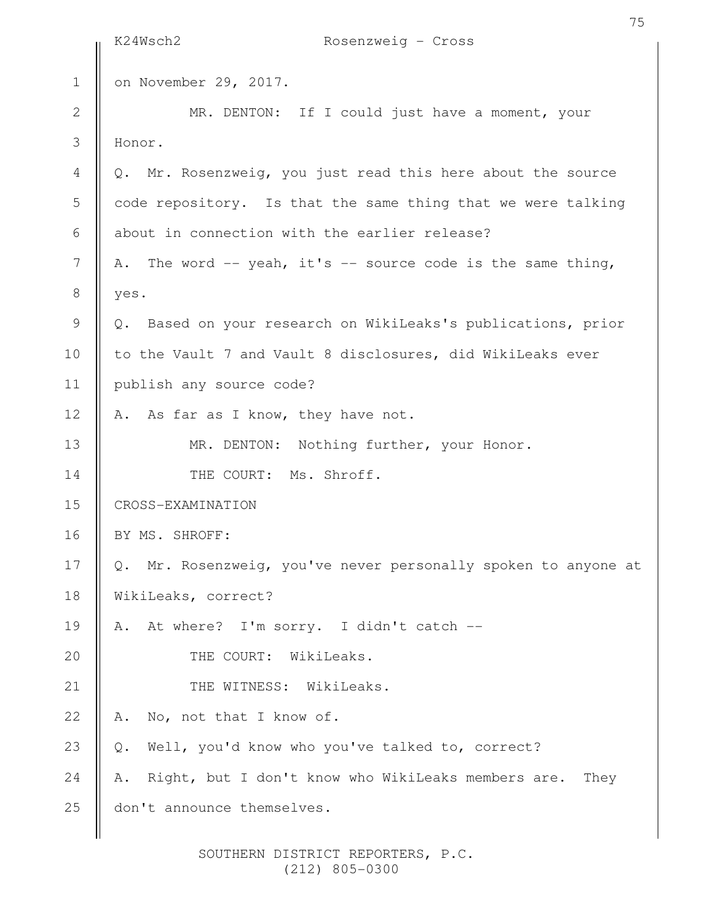|                  | K24Wsch2<br>Rosenzweig - Cross                                   |
|------------------|------------------------------------------------------------------|
| $\mathbf 1$      | on November 29, 2017.                                            |
| $\mathbf 2$      | MR. DENTON: If I could just have a moment, your                  |
| 3                | Honor.                                                           |
| $\overline{4}$   | Q. Mr. Rosenzweig, you just read this here about the source      |
| 5                | code repository. Is that the same thing that we were talking     |
| 6                | about in connection with the earlier release?                    |
| $\boldsymbol{7}$ | A. The word -- yeah, it's -- source code is the same thing,      |
| $\,8\,$          | yes.                                                             |
| 9                | Based on your research on WikiLeaks's publications, prior<br>Q.  |
| 10               | to the Vault 7 and Vault 8 disclosures, did WikiLeaks ever       |
| 11               | publish any source code?                                         |
| 12               | A. As far as I know, they have not.                              |
| 13               | MR. DENTON: Nothing further, your Honor.                         |
| 14               | THE COURT: Ms. Shroff.                                           |
| 15               | CROSS-EXAMINATION                                                |
| 16               | BY MS. SHROFF:                                                   |
| 17               | Q. Mr. Rosenzweig, you've never personally spoken to anyone at   |
| 18               | WikiLeaks, correct?                                              |
| 19               | At where? I'm sorry. I didn't catch --<br>Α.                     |
| 20               | THE COURT: WikiLeaks.                                            |
| 21               | THE WITNESS: WikiLeaks.                                          |
| 22               | No, not that I know of.<br>Α.                                    |
| 23               | Well, you'd know who you've talked to, correct?<br>Q.            |
| 24               | Right, but I don't know who WikiLeaks members are.<br>They<br>Α. |
| 25               | don't announce themselves.                                       |
|                  |                                                                  |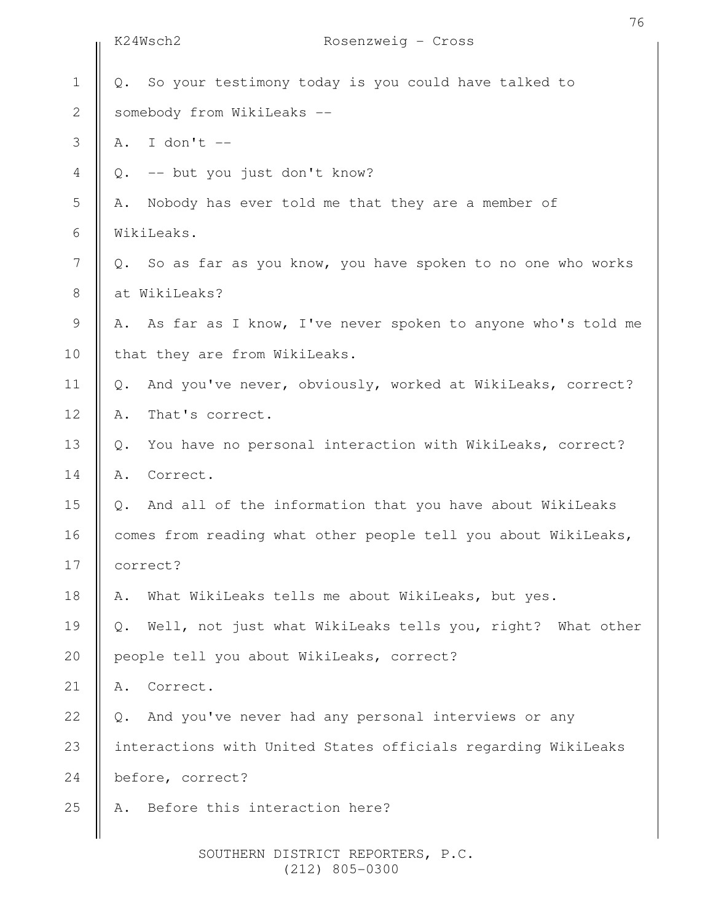|                | K24Wsch2 | Rosenzweig - Cross                                             |
|----------------|----------|----------------------------------------------------------------|
| $\mathbf 1$    | Q.       | So your testimony today is you could have talked to            |
| $\overline{2}$ |          | somebody from WikiLeaks --                                     |
| 3              |          | A. I don't $--$                                                |
| 4              | Q.       | -- but you just don't know?                                    |
| 5              | Α.       | Nobody has ever told me that they are a member of              |
| 6              |          | WikiLeaks.                                                     |
| 7              | Q.       | So as far as you know, you have spoken to no one who works     |
| 8              |          | at WikiLeaks?                                                  |
| 9              |          | A. As far as I know, I've never spoken to anyone who's told me |
| 10             |          | that they are from WikiLeaks.                                  |
| 11             | Q.       | And you've never, obviously, worked at WikiLeaks, correct?     |
| 12             | Α.       | That's correct.                                                |
| 13             | Q.       | You have no personal interaction with WikiLeaks, correct?      |
| 14             | Α.       | Correct.                                                       |
| 15             | Q.       | And all of the information that you have about WikiLeaks       |
| 16             |          | comes from reading what other people tell you about WikiLeaks, |
| 17             | correct? |                                                                |
| 18             | Α.       | What WikiLeaks tells me about WikiLeaks, but yes.              |
| 19             | Q.       | Well, not just what WikiLeaks tells you, right? What other     |
| 20             |          | people tell you about WikiLeaks, correct?                      |
| 21             | Α.       | Correct.                                                       |
| 22             | Q.       | And you've never had any personal interviews or any            |
| 23             |          | interactions with United States officials regarding WikiLeaks  |
| 24             |          | before, correct?                                               |
| 25             | Α.       | Before this interaction here?                                  |
|                |          |                                                                |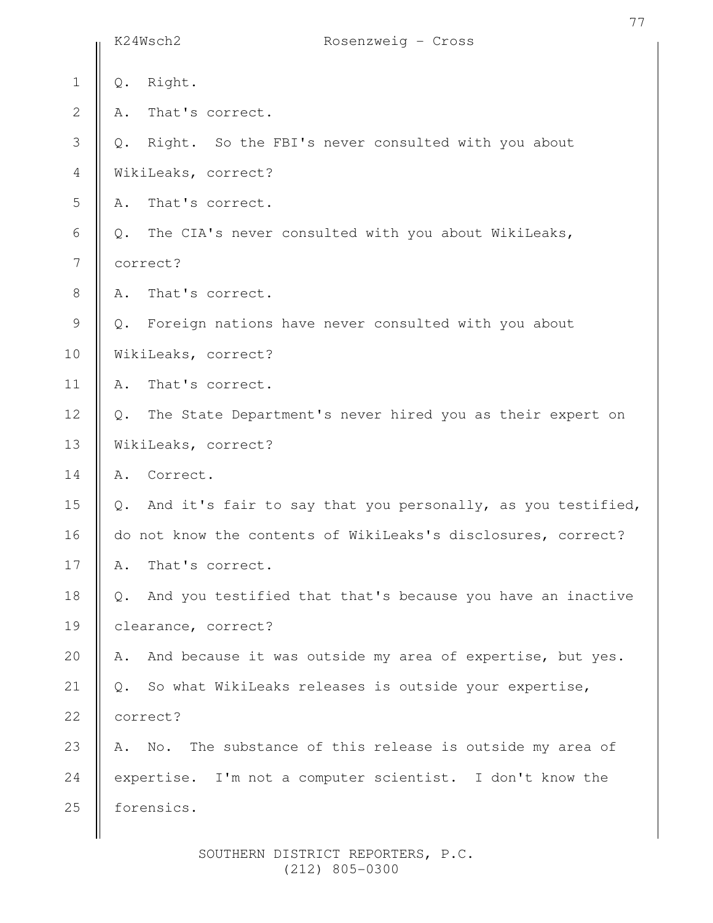|                |               | K24Wsch2<br>Rosenzweig - Cross                                 |
|----------------|---------------|----------------------------------------------------------------|
| $\mathbf 1$    | $\mathbb Q$ . | Right.                                                         |
| $\mathbf{2}$   | Α.            | That's correct.                                                |
| $\mathfrak{Z}$ | Q.            | Right. So the FBI's never consulted with you about             |
| $\overline{4}$ |               | WikiLeaks, correct?                                            |
| 5              | Α.            | That's correct.                                                |
| 6              | Q.            | The CIA's never consulted with you about WikiLeaks,            |
| 7              |               | correct?                                                       |
| $\,8\,$        | Α.            | That's correct.                                                |
| $\mathcal{G}$  | Q.            | Foreign nations have never consulted with you about            |
| 10             |               | WikiLeaks, correct?                                            |
| 11             | Α.            | That's correct.                                                |
| 12             | Q.            | The State Department's never hired you as their expert on      |
| 13             |               | WikiLeaks, correct?                                            |
| 14             | Α.            | Correct.                                                       |
| 15             |               | Q. And it's fair to say that you personally, as you testified, |
| 16             |               | do not know the contents of WikiLeaks's disclosures, correct?  |
| 17             | Α.            | That's correct.                                                |
| 18             | Q.            | And you testified that that's because you have an inactive     |
| 19             |               | clearance, correct?                                            |
| 20             | Α.            | And because it was outside my area of expertise, but yes.      |
| 21             | $Q$ .         | So what WikiLeaks releases is outside your expertise,          |
| 22             |               | correct?                                                       |
| 23             | Α.            | The substance of this release is outside my area of<br>No.     |
| 24             |               | expertise. I'm not a computer scientist. I don't know the      |
| 25             |               | forensics.                                                     |
|                |               |                                                                |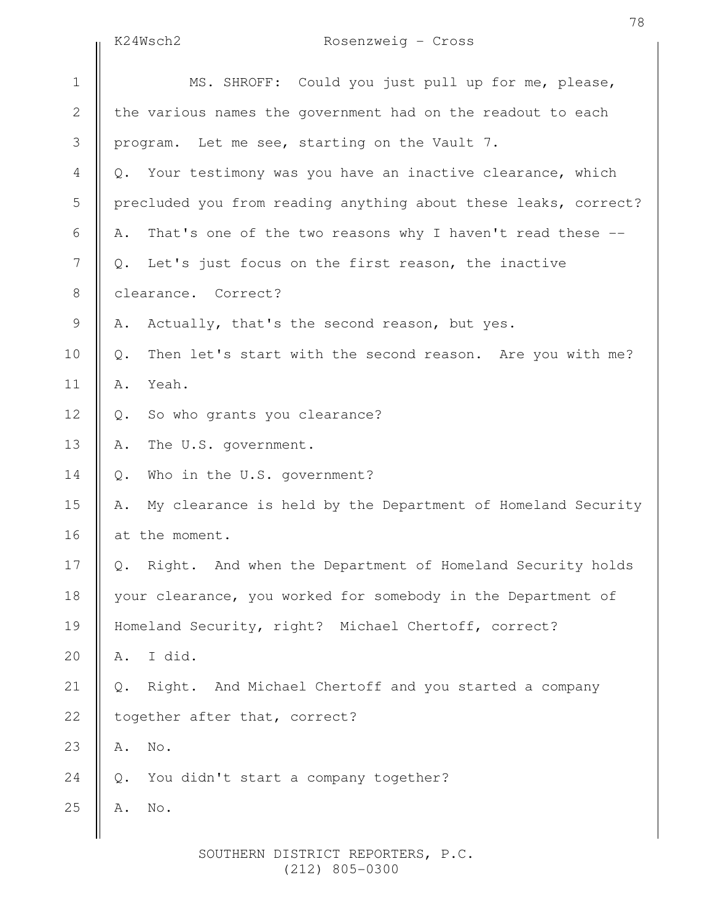K24Wsch2 Rosenzweig - Cross

|                | KZ4WSCNZ<br>ROSenzweig – Cross                                    |
|----------------|-------------------------------------------------------------------|
| $\mathbf 1$    | MS. SHROFF: Could you just pull up for me, please,                |
| $\mathbf{2}$   | the various names the government had on the readout to each       |
| 3              | program. Let me see, starting on the Vault 7.                     |
| $\overline{4}$ | Your testimony was you have an inactive clearance, which<br>Q.    |
| 5              | precluded you from reading anything about these leaks, correct?   |
| 6              | That's one of the two reasons why I haven't read these --<br>Α.   |
| $\overline{7}$ | Let's just focus on the first reason, the inactive<br>Q.          |
| $8\,$          | clearance. Correct?                                               |
| $\mathcal{G}$  | Actually, that's the second reason, but yes.<br>Α.                |
| 10             | Then let's start with the second reason. Are you with me?<br>Q.   |
| 11             | Yeah.<br>Α.                                                       |
| 12             | So who grants you clearance?<br>Q.                                |
| 13             | The U.S. government.<br>Α.                                        |
| 14             | Who in the U.S. government?<br>Q.                                 |
| 15             | My clearance is held by the Department of Homeland Security<br>Α. |
| 16             | at the moment.                                                    |
| 17             | Right. And when the Department of Homeland Security holds<br>Q.   |
| 18             | your clearance, you worked for somebody in the Department of      |
| 19             | Homeland Security, right? Michael Chertoff, correct?              |
| 20             | I did.<br>Α.                                                      |
| 21             | Right. And Michael Chertoff and you started a company<br>Q.       |
| 22             | together after that, correct?                                     |
| 23             | No.<br>Α.                                                         |
| 24             | You didn't start a company together?<br>$Q$ .                     |
| 25             | No.<br>Α.                                                         |
|                |                                                                   |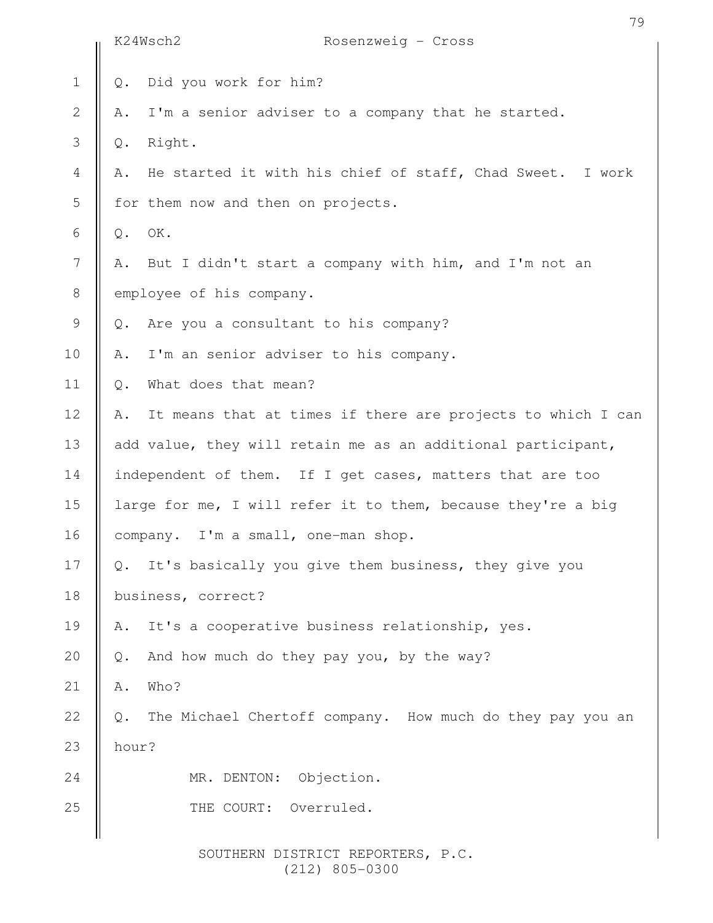|                  | 79<br>K24Wsch2<br>Rosenzweig - Cross                                  |
|------------------|-----------------------------------------------------------------------|
| $\mathbf 1$      | Did you work for him?<br>$Q$ .                                        |
| $\mathbf{2}$     | I'm a senior adviser to a company that he started.<br>Α.              |
| $\mathfrak{Z}$   | Right.                                                                |
|                  | Q.                                                                    |
| $\overline{4}$   | He started it with his chief of staff, Chad Sweet. I work<br>Α.       |
| 5                | for them now and then on projects.                                    |
| 6                | OK.<br>Q.                                                             |
| $\boldsymbol{7}$ | But I didn't start a company with him, and I'm not an<br>Α.           |
| $\,8\,$          | employee of his company.                                              |
| $\mathsf 9$      | Are you a consultant to his company?<br>$Q$ .                         |
| 10               | I'm an senior adviser to his company.<br>Α.                           |
| 11               | What does that mean?<br>Q.                                            |
| 12               | It means that at times if there are projects to which I can<br>Α.     |
| 13               | add value, they will retain me as an additional participant,          |
| 14               | independent of them. If I get cases, matters that are too             |
| 15               | large for me, I will refer it to them, because they're a big          |
| 16               | company. I'm a small, one-man shop.                                   |
| 17               | It's basically you give them business, they give you<br>$\mathbb Q$ . |
| 18               | business, correct?                                                    |
| 19               | It's a cooperative business relationship, yes.<br>Α.                  |
| 20               | And how much do they pay you, by the way?<br>Q.                       |
| 21               | Who?<br>Α.                                                            |
| 22               | The Michael Chertoff company. How much do they pay you an<br>$Q$ .    |
| 23               | hour?                                                                 |
| 24               | MR. DENTON:<br>Objection.                                             |
| 25               | THE COURT: Overruled.                                                 |
|                  |                                                                       |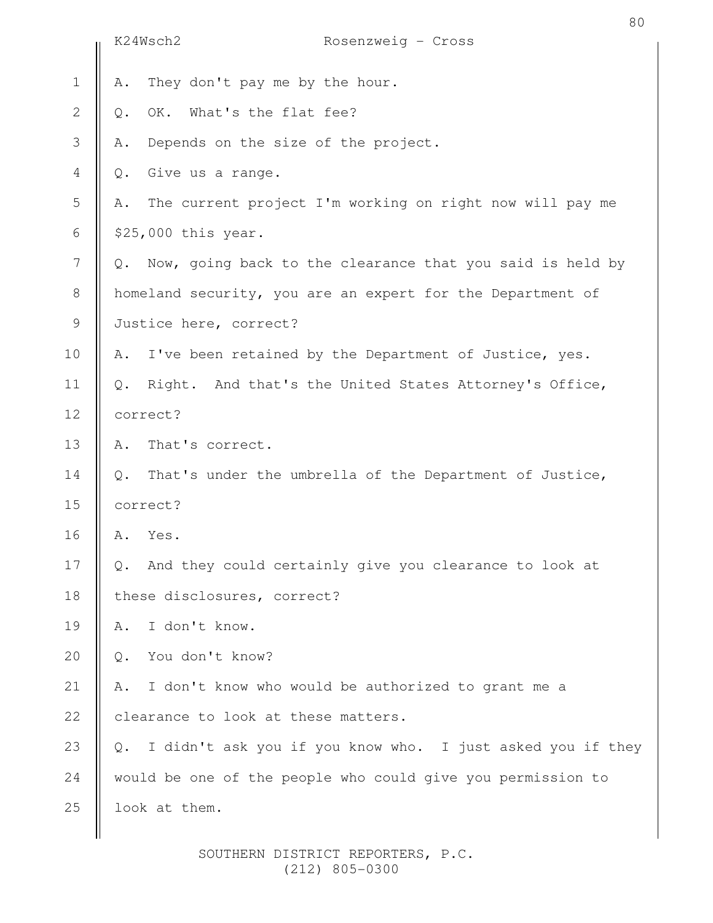|                | K24Wsch2                         | Rosenzweig - Cross                                          |
|----------------|----------------------------------|-------------------------------------------------------------|
| $\mathbf 1$    | Α.                               | They don't pay me by the hour.                              |
| $\overline{2}$ | Q.                               | OK. What's the flat fee?                                    |
| 3              | Α.                               | Depends on the size of the project.                         |
| 4              | Give us a range.<br>$Q$ .        |                                                             |
| 5              | Α.                               | The current project I'm working on right now will pay me    |
| 6              | \$25,000 this year.              |                                                             |
| 7              | $Q$ .                            | Now, going back to the clearance that you said is held by   |
| $\,8\,$        |                                  | homeland security, you are an expert for the Department of  |
| 9              | Justice here, correct?           |                                                             |
| 10             | Α.                               | I've been retained by the Department of Justice, yes.       |
| 11             | $Q$ .                            | Right. And that's the United States Attorney's Office,      |
| 12             | correct?                         |                                                             |
| 13             | That's correct.<br>Α.            |                                                             |
| 14             | $Q$ .                            | That's under the umbrella of the Department of Justice,     |
| 15             | correct?                         |                                                             |
| 16             | Yes.<br>Α.                       |                                                             |
| 17             | Q.                               | And they could certainly give you clearance to look at      |
| 18             | these disclosures, correct?      |                                                             |
| 19             | I don't know.<br>Α.              |                                                             |
| 20             | You don't know?<br>$\mathbb Q$ . |                                                             |
| 21             | Α.                               | I don't know who would be authorized to grant me a          |
| 22             |                                  | clearance to look at these matters.                         |
| 23             | Q.                               | I didn't ask you if you know who. I just asked you if they  |
| 24             |                                  | would be one of the people who could give you permission to |
| 25             | look at them.                    |                                                             |
|                |                                  |                                                             |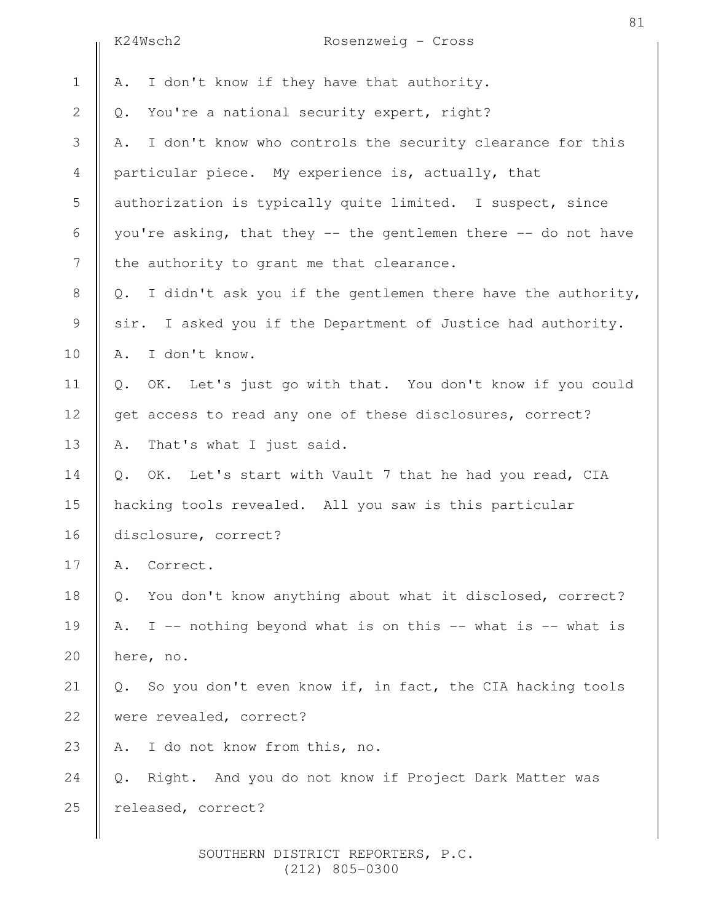|                | K24Wsch2<br>Rosenzweig - Cross                                    |
|----------------|-------------------------------------------------------------------|
| $\mathbf 1$    | I don't know if they have that authority.<br>Α.                   |
| $\mathbf{2}$   | You're a national security expert, right?<br>Q.                   |
| 3              | I don't know who controls the security clearance for this<br>Α.   |
| $\overline{4}$ | particular piece. My experience is, actually, that                |
| 5              | authorization is typically quite limited. I suspect, since        |
| 6              | you're asking, that they -- the gentlemen there -- do not have    |
| $\overline{7}$ | the authority to grant me that clearance.                         |
| $8\,$          | I didn't ask you if the gentlemen there have the authority,<br>Q. |
| $\mathsf 9$    | sir. I asked you if the Department of Justice had authority.      |
| 10             | I don't know.<br>Α.                                               |
| 11             | OK. Let's just go with that. You don't know if you could<br>Q.    |
| 12             | get access to read any one of these disclosures, correct?         |
| 13             | That's what I just said.<br>Α.                                    |
| 14             | OK. Let's start with Vault 7 that he had you read, CIA<br>Q.      |
| 15             | hacking tools revealed. All you saw is this particular            |
| 16             | disclosure, correct?                                              |
| 17             | Correct.<br>Α.                                                    |
| 18             | You don't know anything about what it disclosed, correct?<br>Q.   |
| 19             | I -- nothing beyond what is on this -- what is -- what is<br>Α.   |
| 20             | here, no.                                                         |
| 21             | So you don't even know if, in fact, the CIA hacking tools<br>Q.   |
| 22             | were revealed, correct?                                           |
| 23             | I do not know from this, no.<br>Α.                                |
| 24             | Right. And you do not know if Project Dark Matter was<br>Q.       |
| 25             | released, correct?                                                |
|                |                                                                   |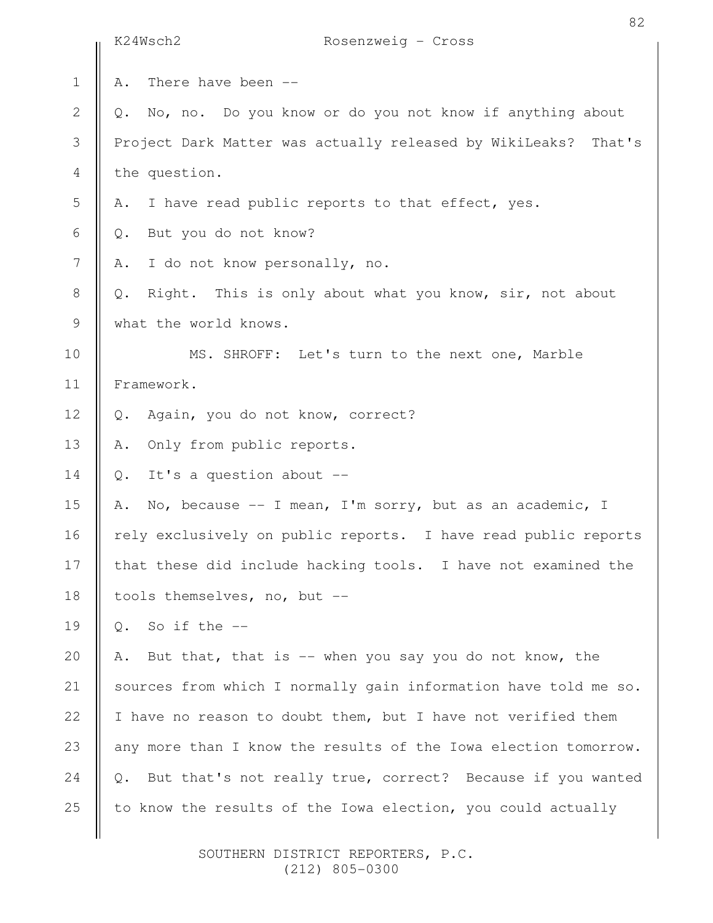|                | K24Wsch2<br>Rosenzweig - Cross                                   |
|----------------|------------------------------------------------------------------|
| $\mathbf 1$    | There have been --<br>Α.                                         |
| $\mathbf{2}$   | No, no. Do you know or do you not know if anything about<br>Q.   |
| 3              | Project Dark Matter was actually released by WikiLeaks? That's   |
| $\overline{4}$ | the question.                                                    |
| 5              | I have read public reports to that effect, yes.<br>Α.            |
| 6              | But you do not know?<br>Q.                                       |
| $\overline{7}$ | I do not know personally, no.<br>Α.                              |
| $8\,$          | Right. This is only about what you know, sir, not about<br>$Q$ . |
| $\mathcal{G}$  | what the world knows.                                            |
| 10             | MS. SHROFF: Let's turn to the next one, Marble                   |
| 11             | Framework.                                                       |
| 12             | Again, you do not know, correct?<br>Q.                           |
| 13             | Only from public reports.<br>Α.                                  |
| 14             | It's a question about --<br>$\mathbb Q$ .                        |
| 15             | No, because $--$ I mean, I'm sorry, but as an academic, I<br>Α.  |
| 16             | rely exclusively on public reports. I have read public reports   |
| 17             | that these did include hacking tools. I have not examined the    |
| 18             | tools themselves, no, but --                                     |
| 19             | So if the $-$<br>$Q_{\bullet}$                                   |
| 20             | But that, that is $-$ - when you say you do not know, the<br>Α.  |
| 21             | sources from which I normally gain information have told me so.  |
| 22             | I have no reason to doubt them, but I have not verified them     |
| 23             | any more than I know the results of the Iowa election tomorrow.  |
| 24             | But that's not really true, correct? Because if you wanted<br>Q. |
| 25             | to know the results of the Iowa election, you could actually     |
|                |                                                                  |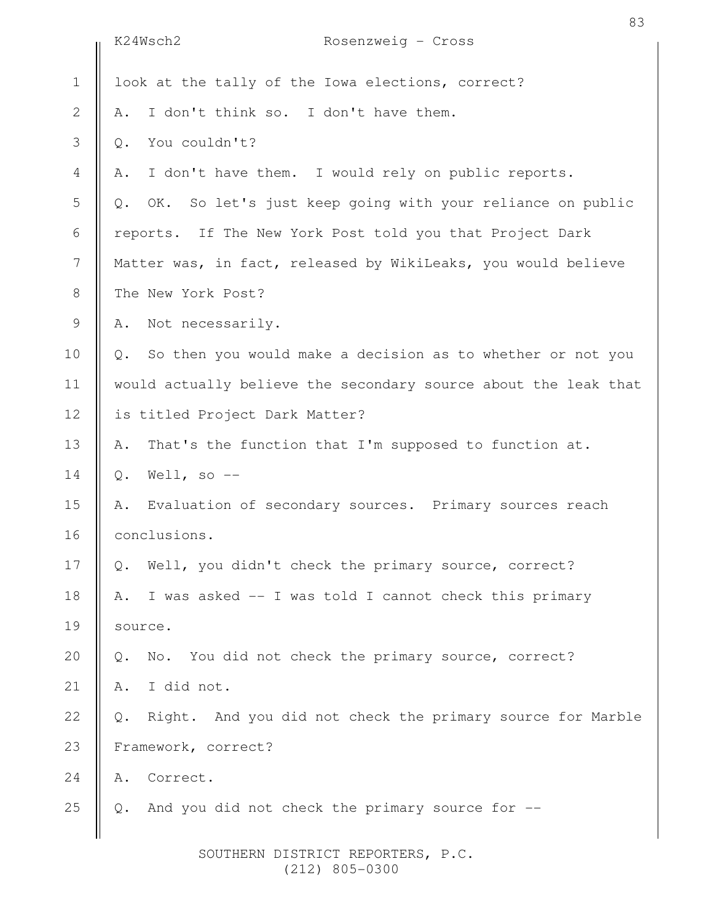|              | K24Wsch2<br>Rosenzweig - Cross                                      |
|--------------|---------------------------------------------------------------------|
| $\mathbf 1$  | look at the tally of the Iowa elections, correct?                   |
| $\mathbf{2}$ | I don't think so. I don't have them.<br>Α.                          |
| 3            | You couldn't?<br>$Q$ .                                              |
| 4            | I don't have them. I would rely on public reports.<br>Α.            |
| 5            | OK. So let's just keep going with your reliance on public<br>$Q$ .  |
| 6            | reports. If The New York Post told you that Project Dark            |
| 7            | Matter was, in fact, released by WikiLeaks, you would believe       |
| $8\,$        | The New York Post?                                                  |
| 9            | Not necessarily.<br>Α.                                              |
| 10           | So then you would make a decision as to whether or not you<br>Q.    |
| 11           | would actually believe the secondary source about the leak that     |
| 12           | is titled Project Dark Matter?                                      |
| 13           | That's the function that I'm supposed to function at.<br>Α.         |
| 14           | Well, so $-$<br>$\mathbb Q$ .                                       |
| 15           | Evaluation of secondary sources. Primary sources reach<br>Α.        |
| 16           | conclusions.                                                        |
| 17           | Well, you didn't check the primary source, correct?<br>Q.           |
| 18           | I was asked -- I was told I cannot check this primary<br>Α.         |
| 19           | source.                                                             |
| 20           | No. You did not check the primary source, correct?<br>Q.            |
| 21           | I did not.<br>Α.                                                    |
| 22           | Right. And you did not check the primary source for Marble<br>$Q$ . |
| 23           | Framework, correct?                                                 |
| 24           | Correct.<br>Α.                                                      |
| 25           | And you did not check the primary source for --<br>$Q$ .            |
|              |                                                                     |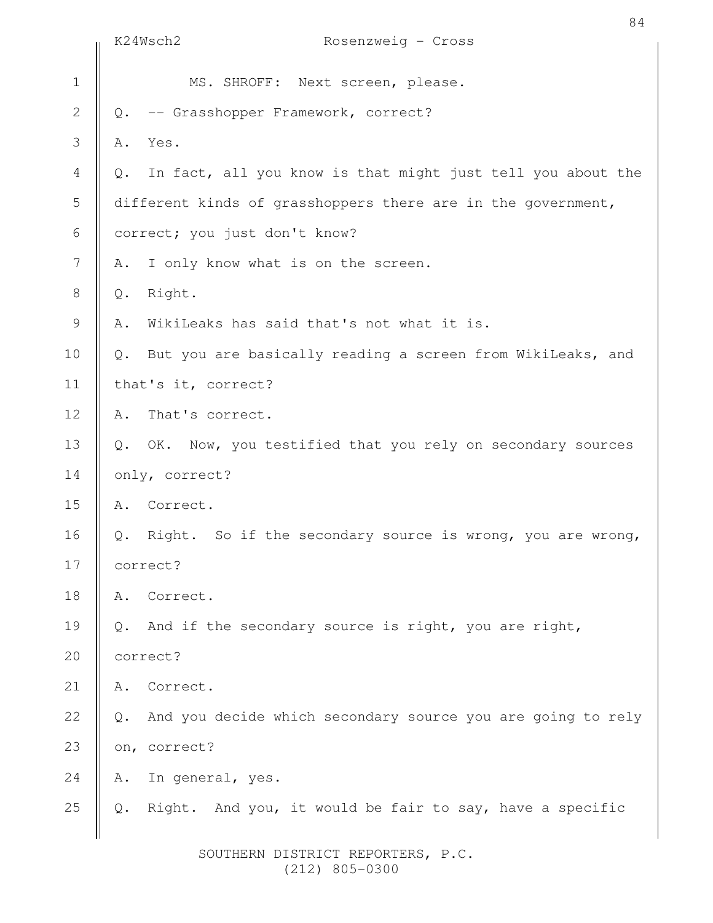|                | K24Wsch2<br>Rosenzweig - Cross                                       |
|----------------|----------------------------------------------------------------------|
| $\mathbf 1$    | MS. SHROFF: Next screen, please.                                     |
| $\mathbf{2}$   | -- Grasshopper Framework, correct?<br>Q.                             |
| 3              | Yes.<br>Α.                                                           |
| $\overline{4}$ | In fact, all you know is that might just tell you about the<br>$Q$ . |
| 5              | different kinds of grasshoppers there are in the government,         |
| 6              | correct; you just don't know?                                        |
| 7              | I only know what is on the screen.<br>Α.                             |
| $8\,$          | Right.<br>Q.                                                         |
| $\mathcal{G}$  | WikiLeaks has said that's not what it is.<br>Α.                      |
| 10             | But you are basically reading a screen from WikiLeaks, and<br>$Q$ .  |
| 11             | that's it, correct?                                                  |
| 12             | That's correct.<br>Α.                                                |
| 13             | OK. Now, you testified that you rely on secondary sources<br>$Q$ .   |
| 14             | only, correct?                                                       |
| 15             | Correct.<br>Α.                                                       |
| 16             | Right. So if the secondary source is wrong, you are wrong,<br>Q.     |
| 17             | correct?                                                             |
| 18             | Correct.<br>Α.                                                       |
| 19             | And if the secondary source is right, you are right,<br>$Q$ .        |
| 20             | correct?                                                             |
| 21             | Correct.<br>Α.                                                       |
| 22             | And you decide which secondary source you are going to rely<br>$Q$ . |
| 23             | on, correct?                                                         |
| 24             | In general, yes.<br>Α.                                               |
| 25             | Right. And you, it would be fair to say, have a specific<br>Q.       |
|                |                                                                      |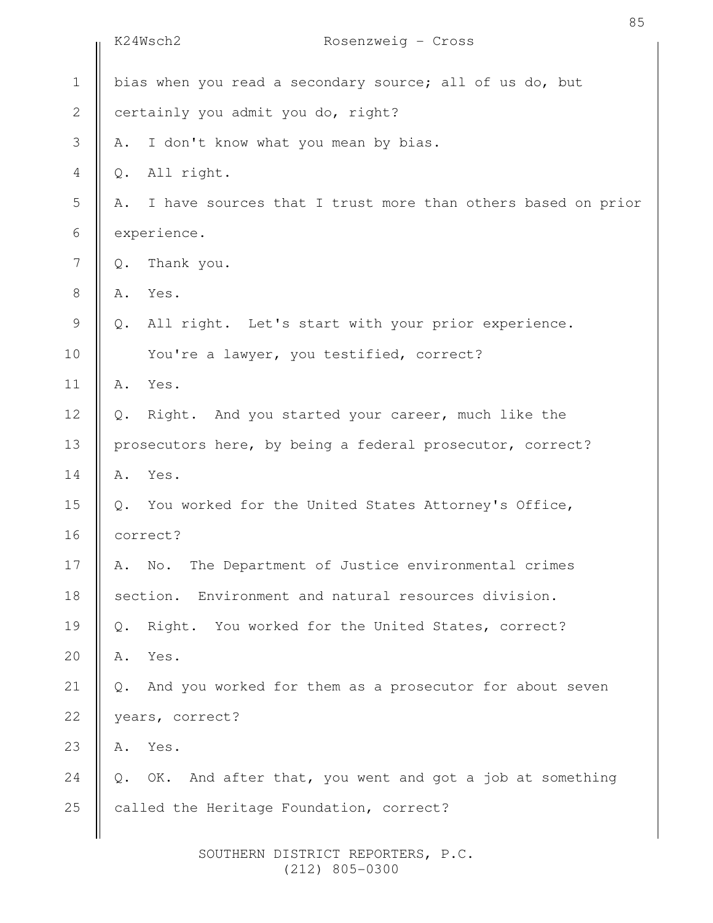|              | K24Wsch2<br>Rosenzweig - Cross                                              |  |  |  |
|--------------|-----------------------------------------------------------------------------|--|--|--|
| $1\,$        | bias when you read a secondary source; all of us do, but                    |  |  |  |
| $\mathbf{2}$ | certainly you admit you do, right?                                          |  |  |  |
| 3            | I don't know what you mean by bias.<br>Α.                                   |  |  |  |
| 4            | All right.<br>Q.                                                            |  |  |  |
| 5            | I have sources that I trust more than others based on prior<br>Α.           |  |  |  |
| 6            | experience.                                                                 |  |  |  |
| 7            | Thank you.<br>Q.                                                            |  |  |  |
| $8\,$        | Yes.<br>Α.                                                                  |  |  |  |
| 9            | All right. Let's start with your prior experience.<br>$Q$ .                 |  |  |  |
| 10           | You're a lawyer, you testified, correct?                                    |  |  |  |
| 11           | Yes.<br>Α.                                                                  |  |  |  |
| 12           | Right. And you started your career, much like the<br>$Q_{\bullet}$          |  |  |  |
| 13           | prosecutors here, by being a federal prosecutor, correct?                   |  |  |  |
| 14           | Yes.<br>Α.                                                                  |  |  |  |
| 15           | You worked for the United States Attorney's Office,<br>Q.                   |  |  |  |
| 16           | correct?                                                                    |  |  |  |
| 17           | The Department of Justice environmental crimes<br>$\mathbb{N}\circ$ .<br>Α. |  |  |  |
| 18           | section. Environment and natural resources division.                        |  |  |  |
| 19           | Right. You worked for the United States, correct?<br>Q.                     |  |  |  |
| 20           | Yes.<br>Α.                                                                  |  |  |  |
| 21           | And you worked for them as a prosecutor for about seven<br>$Q$ .            |  |  |  |
| 22           | years, correct?                                                             |  |  |  |
| 23           | Yes.<br>Α.                                                                  |  |  |  |
| 24           | OK. And after that, you went and got a job at something<br>Q.               |  |  |  |
| 25           | called the Heritage Foundation, correct?                                    |  |  |  |
|              | SOUTHERN DISTRICT REPORTERS, P.C.                                           |  |  |  |

(212) 805-0300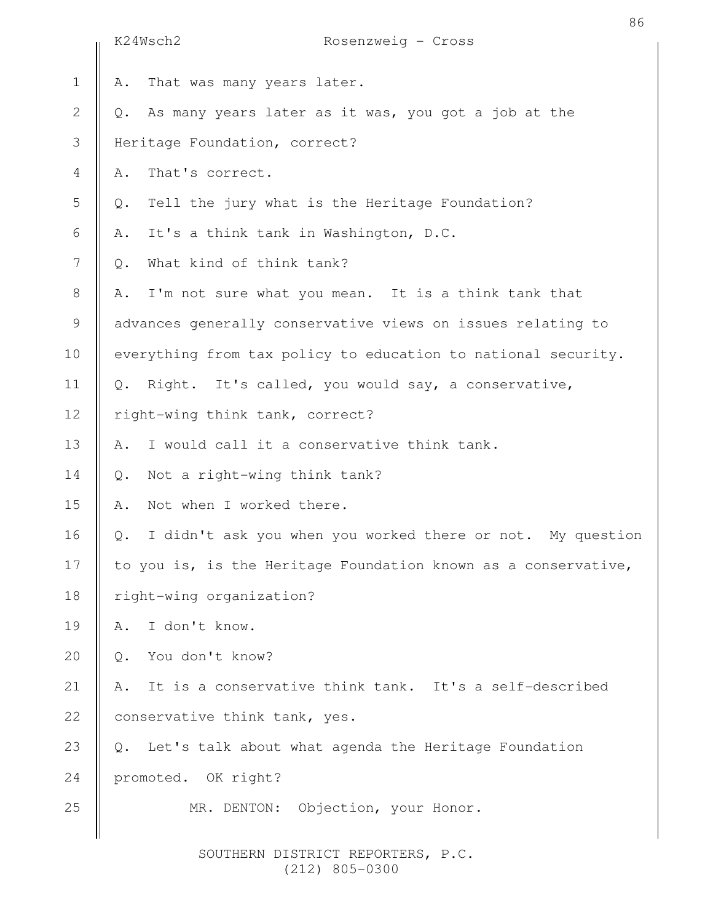|                | K24Wsch2                        | Rosenzweig - Cross                                             |
|----------------|---------------------------------|----------------------------------------------------------------|
| $\mathbf 1$    | Α.                              | That was many years later.                                     |
| $\overline{2}$ | Q.                              | As many years later as it was, you got a job at the            |
| 3              | Heritage Foundation, correct?   |                                                                |
| $\overline{4}$ | That's correct.<br>Α.           |                                                                |
| 5              | $Q$ .                           | Tell the jury what is the Heritage Foundation?                 |
| 6              | Α.                              | It's a think tank in Washington, D.C.                          |
| 7              | What kind of think tank?<br>Q.  |                                                                |
| $8\,$          | Α.                              | I'm not sure what you mean. It is a think tank that            |
| 9              |                                 | advances generally conservative views on issues relating to    |
| 10             |                                 | everything from tax policy to education to national security.  |
| 11             | $Q_{\bullet}$                   | Right. It's called, you would say, a conservative,             |
| 12             | right-wing think tank, correct? |                                                                |
| 13             | Α.                              | I would call it a conservative think tank.                     |
| 14             | Q.                              | Not a right-wing think tank?                                   |
| 15             | Not when I worked there.<br>Α.  |                                                                |
| 16             | Q.                              | I didn't ask you when you worked there or not. My question     |
| 17             |                                 | to you is, is the Heritage Foundation known as a conservative, |
| 18             | right-wing organization?        |                                                                |
| 19             | I don't know.<br>Α.             |                                                                |
| 20             | You don't know?<br>Q.           |                                                                |
| 21             | Α.                              | It is a conservative think tank. It's a self-described         |
| 22             | conservative think tank, yes.   |                                                                |
| 23             | Q.                              | Let's talk about what agenda the Heritage Foundation           |
| 24             | promoted. OK right?             |                                                                |
| 25             |                                 | MR. DENTON: Objection, your Honor.                             |
|                |                                 |                                                                |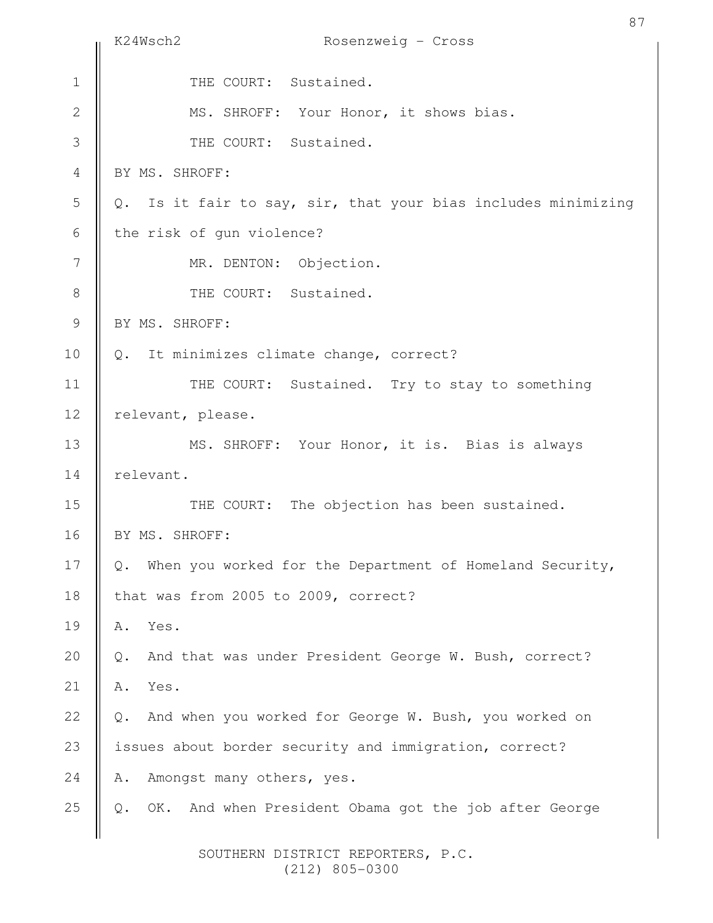|                | 87<br>K24Wsch2<br>Rosenzweig - Cross                           |
|----------------|----------------------------------------------------------------|
| $\mathbf 1$    | THE COURT: Sustained.                                          |
| $\mathbf 2$    | MS. SHROFF: Your Honor, it shows bias.                         |
| 3              | THE COURT: Sustained.                                          |
| $\overline{4}$ | BY MS. SHROFF:                                                 |
| 5              | Q. Is it fair to say, sir, that your bias includes minimizing  |
| 6              | the risk of gun violence?                                      |
| 7              | MR. DENTON: Objection.                                         |
| $\,8\,$        | THE COURT: Sustained.                                          |
| $\mathcal{G}$  | BY MS. SHROFF:                                                 |
| 10             | Q. It minimizes climate change, correct?                       |
| 11             | THE COURT: Sustained. Try to stay to something                 |
| 12             | relevant, please.                                              |
| 13             | MS. SHROFF: Your Honor, it is. Bias is always                  |
| 14             | relevant.                                                      |
| 15             | THE COURT: The objection has been sustained.                   |
| 16             | BY MS. SHROFF:                                                 |
| 17             | When you worked for the Department of Homeland Security,<br>Q. |
| 18             | that was from 2005 to 2009, correct?                           |
| 19             | Α.<br>Yes.                                                     |
| 20             | And that was under President George W. Bush, correct?<br>Q.    |
| 21             | Yes.<br>Α.                                                     |
| 22             | And when you worked for George W. Bush, you worked on<br>Q.    |
| 23             | issues about border security and immigration, correct?         |
| 24             | Amongst many others, yes.<br>Α.                                |
| 25             | OK. And when President Obama got the job after George<br>$Q$ . |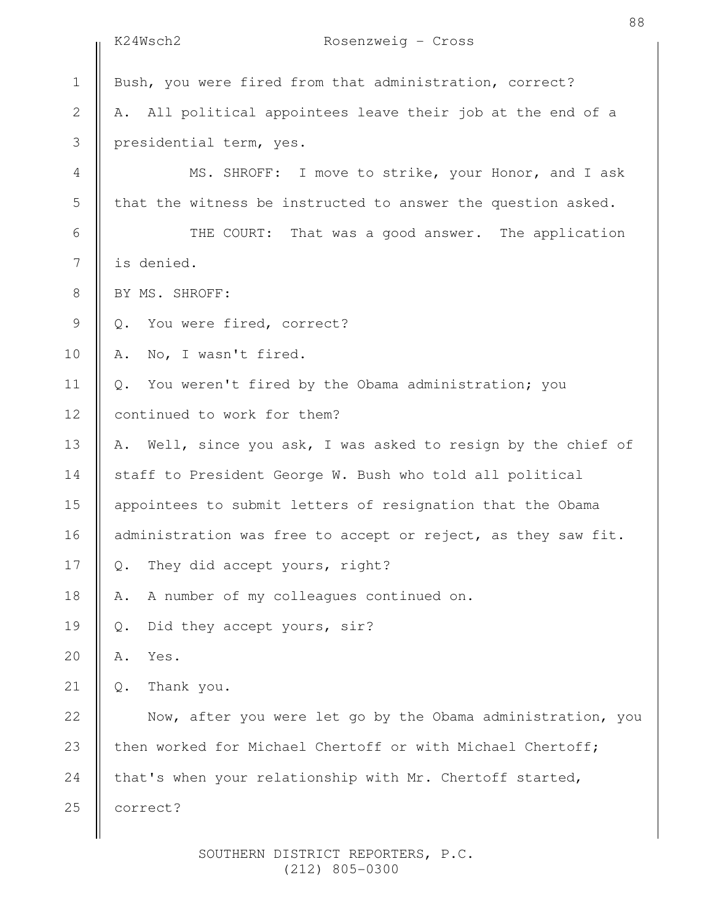|                | 88<br>K24Wsch2<br>Rosenzweig - Cross                           |
|----------------|----------------------------------------------------------------|
| $1\,$          | Bush, you were fired from that administration, correct?        |
| $\mathbf{2}$   | All political appointees leave their job at the end of a<br>Α. |
| $\mathfrak{Z}$ | presidential term, yes.                                        |
| 4              | MS. SHROFF: I move to strike, your Honor, and I ask            |
| 5              | that the witness be instructed to answer the question asked.   |
| 6              | THE COURT: That was a good answer. The application             |
| $\overline{7}$ | is denied.                                                     |
| $\,8\,$        | BY MS. SHROFF:                                                 |
| 9              | You were fired, correct?<br>Q.                                 |
| 10             | No, I wasn't fired.<br>Α.                                      |
| 11             | You weren't fired by the Obama administration; you<br>Q.       |
| 12             | continued to work for them?                                    |
| 13             | A. Well, since you ask, I was asked to resign by the chief of  |
| 14             | staff to President George W. Bush who told all political       |
| 15             | appointees to submit letters of resignation that the Obama     |
| 16             | administration was free to accept or reject, as they saw fit.  |
| 17             | They did accept yours, right?<br>Q.                            |
| 18             | A number of my colleagues continued on.<br>Α.                  |
| 19             | Did they accept yours, sir?<br>$Q$ .                           |
| 20             | Yes.<br>Α.                                                     |
| 21             | Thank you.<br>Q.                                               |
| 22             | Now, after you were let go by the Obama administration, you    |
| 23             | then worked for Michael Chertoff or with Michael Chertoff;     |
| 24             | that's when your relationship with Mr. Chertoff started,       |
| 25             | correct?                                                       |
|                |                                                                |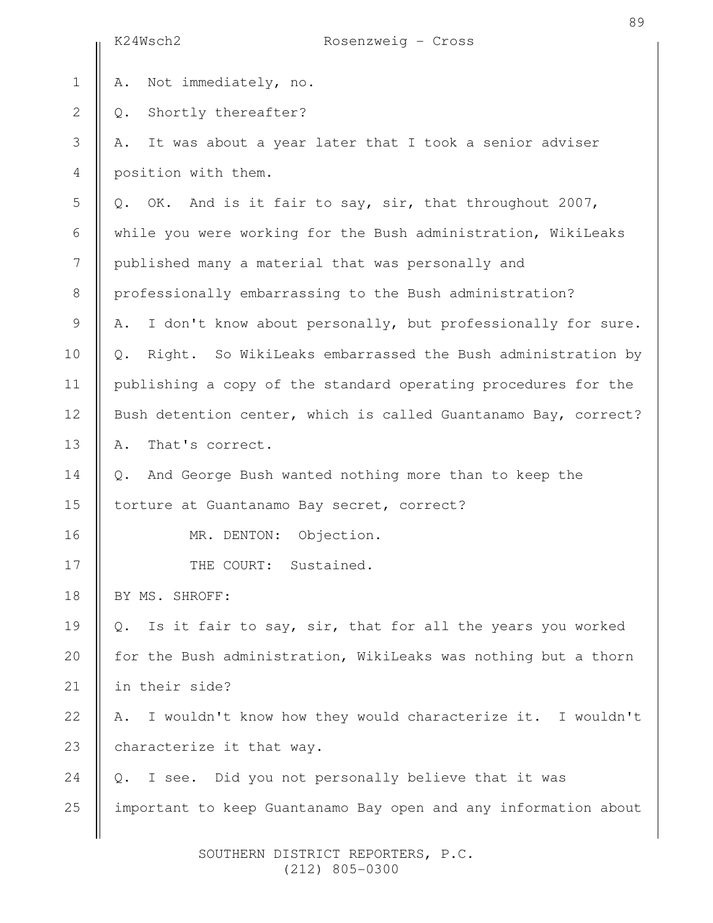|                | K24Wsch2<br>Rosenzweig - Cross                                             |
|----------------|----------------------------------------------------------------------------|
| $\mathbf 1$    | Not immediately, no.<br>Α.                                                 |
| $\mathbf{2}$   | Shortly thereafter?<br>Q.                                                  |
| 3              | It was about a year later that I took a senior adviser<br>Α.               |
| $\overline{4}$ | position with them.                                                        |
| 5              | OK. And is it fair to say, sir, that throughout 2007,<br>Q.                |
| 6              | while you were working for the Bush administration, WikiLeaks              |
| $\overline{7}$ | published many a material that was personally and                          |
| $\,8\,$        | professionally embarrassing to the Bush administration?                    |
| $\mathcal{G}$  | I don't know about personally, but professionally for sure.<br>Α.          |
| 10             | Right. So WikiLeaks embarrassed the Bush administration by<br>Q.           |
| 11             | publishing a copy of the standard operating procedures for the             |
| 12             | Bush detention center, which is called Guantanamo Bay, correct?            |
| 13             | That's correct.<br>Α.                                                      |
| 14             | And George Bush wanted nothing more than to keep the<br>$Q$ .              |
| 15             | torture at Guantanamo Bay secret, correct?                                 |
| 16             | Objection.<br>MR. DENTON:                                                  |
| 17             | THE COURT: Sustained.                                                      |
| 18             | BY MS. SHROFF:                                                             |
| 19             | Is it fair to say, sir, that for all the years you worked<br>$Q_{\bullet}$ |
| 20             | for the Bush administration, WikiLeaks was nothing but a thorn             |
| 21             | in their side?                                                             |
| 22             | I wouldn't know how they would characterize it. I wouldn't<br>Α.           |
| 23             | characterize it that way.                                                  |
| 24             | I see. Did you not personally believe that it was<br>Q.                    |
| 25             | important to keep Guantanamo Bay open and any information about            |
|                |                                                                            |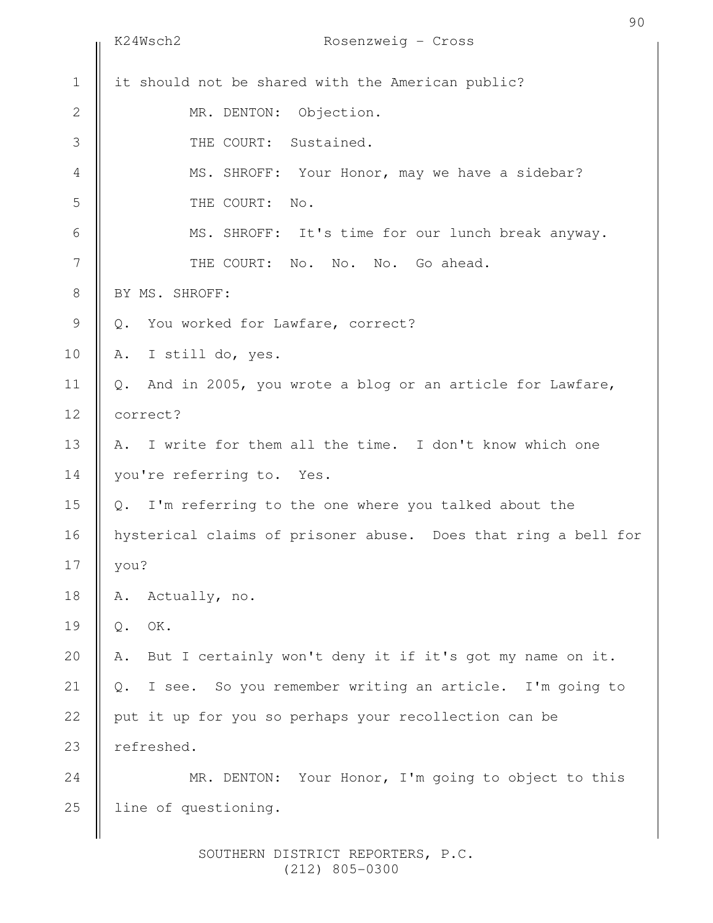|                | K24Wsch2<br>Rosenzweig - Cross                                            | 90 |
|----------------|---------------------------------------------------------------------------|----|
| $\mathbf 1$    | it should not be shared with the American public?                         |    |
| $\mathbf{2}$   | Objection.<br>MR. DENTON:                                                 |    |
| 3              | THE COURT: Sustained.                                                     |    |
| $\overline{4}$ | MS. SHROFF: Your Honor, may we have a sidebar?                            |    |
| 5              | THE COURT:<br>No.                                                         |    |
| 6              | MS. SHROFF: It's time for our lunch break anyway.                         |    |
| 7              | THE COURT: No. No. No. Go ahead.                                          |    |
| $8\,$          | BY MS. SHROFF:                                                            |    |
| 9              | You worked for Lawfare, correct?<br>$Q_{\bullet}$                         |    |
| 10             | I still do, yes.<br>Α.                                                    |    |
| 11             | And in 2005, you wrote a blog or an article for Lawfare,<br>$Q_{\bullet}$ |    |
| 12             | correct?                                                                  |    |
| 13             | A. I write for them all the time. I don't know which one                  |    |
| 14             | you're referring to. Yes.                                                 |    |
| 15             | Q. I'm referring to the one where you talked about the                    |    |
| 16             | hysterical claims of prisoner abuse. Does that ring a bell for            |    |
| 17             | you?                                                                      |    |
| 18             | Actually, no.<br>Α.                                                       |    |
| 19             | OK.<br>$Q$ .                                                              |    |
| 20             | But I certainly won't deny it if it's got my name on it.<br>Α.            |    |
| 21             | I see. So you remember writing an article. I'm going to<br>$Q$ .          |    |
| 22             | put it up for you so perhaps your recollection can be                     |    |
| 23             | refreshed.                                                                |    |
| 24             | MR. DENTON: Your Honor, I'm going to object to this                       |    |
| 25             | line of questioning.                                                      |    |
|                |                                                                           |    |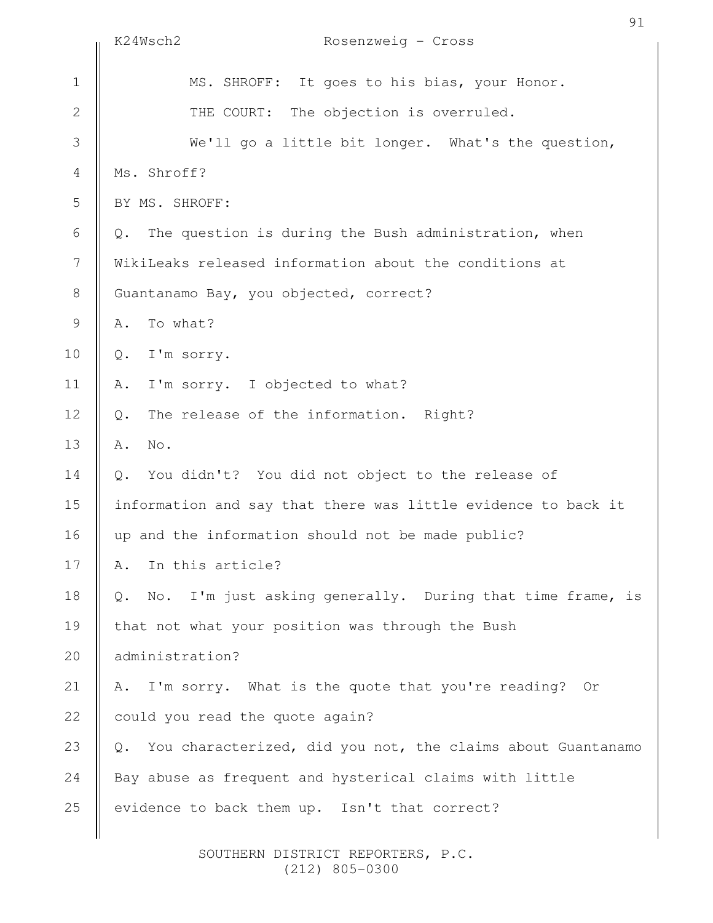|                  | K24Wsch2<br>Rosenzweig - Cross                                    | 91 |
|------------------|-------------------------------------------------------------------|----|
| $1\,$            | MS. SHROFF: It goes to his bias, your Honor.                      |    |
| $\sqrt{2}$       | THE COURT: The objection is overruled.                            |    |
| 3                | We'll go a little bit longer. What's the question,                |    |
| $\overline{4}$   | Ms. Shroff?                                                       |    |
| 5                | BY MS. SHROFF:                                                    |    |
| $\epsilon$       | The question is during the Bush administration, when<br>Q.        |    |
| $\boldsymbol{7}$ | WikiLeaks released information about the conditions at            |    |
| $\,8\,$          | Guantanamo Bay, you objected, correct?                            |    |
| 9                | To what?<br>Α.                                                    |    |
| 10               | I'm sorry.<br>Q.                                                  |    |
| 11               | I'm sorry. I objected to what?<br>Α.                              |    |
| 12               | The release of the information. Right?<br>$Q$ .                   |    |
| 13               | No.<br>Α.                                                         |    |
| 14               | You didn't? You did not object to the release of<br>Q.            |    |
| 15               | information and say that there was little evidence to back it     |    |
| 16               | up and the information should not be made public?                 |    |
| 17               | In this article?<br>Α.                                            |    |
| 18               | No. I'm just asking generally. During that time frame, is<br>Q.   |    |
| 19               | that not what your position was through the Bush                  |    |
| 20               | administration?                                                   |    |
| 21               | I'm sorry. What is the quote that you're reading? Or<br>Α.        |    |
| 22               | could you read the quote again?                                   |    |
| 23               | You characterized, did you not, the claims about Guantanamo<br>Q. |    |
| 24               | Bay abuse as frequent and hysterical claims with little           |    |
| 25               | evidence to back them up. Isn't that correct?                     |    |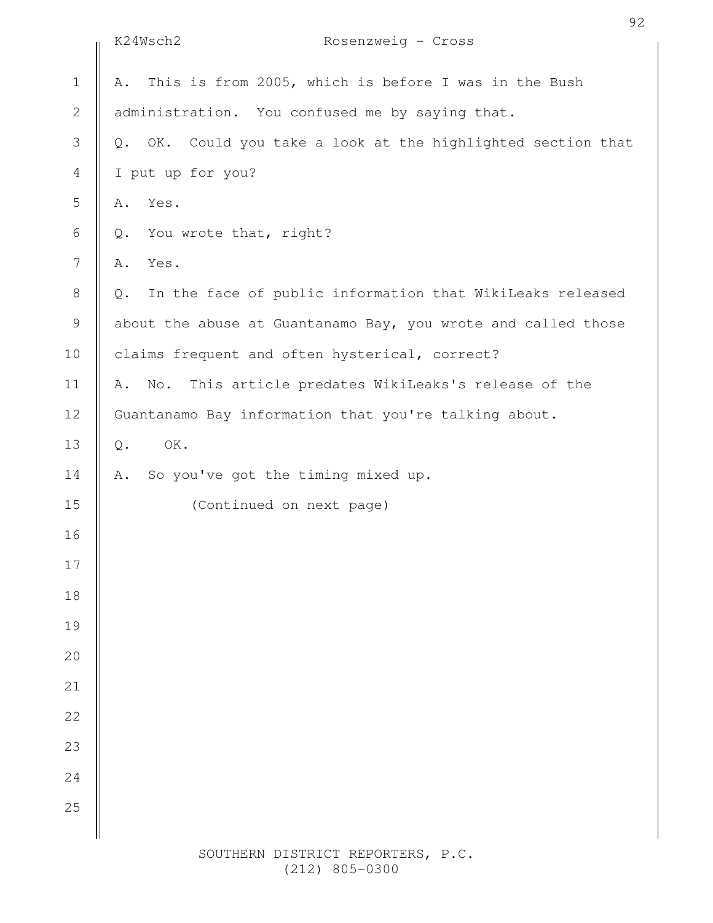|                  | K24Wsch2<br>Rosenzweig - Cross                                                |
|------------------|-------------------------------------------------------------------------------|
| $1\,$            | This is from 2005, which is before I was in the Bush<br>Α.                    |
| $\mathbf 2$      | administration. You confused me by saying that.                               |
| $\mathfrak{Z}$   | OK. Could you take a look at the highlighted section that<br>$\mathbb Q$ .    |
| $\overline{4}$   | I put up for you?                                                             |
| $\mathsf S$      | Yes.<br>Α.                                                                    |
| $\sqrt{6}$       | You wrote that, right?<br>$\mathbb Q$ .                                       |
| $\boldsymbol{7}$ | Yes.<br>Α.                                                                    |
| $\,8\,$          | In the face of public information that WikiLeaks released<br>Q.               |
| $\mathcal{G}$    | about the abuse at Guantanamo Bay, you wrote and called those                 |
| 10               | claims frequent and often hysterical, correct?                                |
| 11               | This article predates WikiLeaks's release of the<br>$\mathbb{N}\circ$ .<br>Α. |
| 12               | Guantanamo Bay information that you're talking about.                         |
| 13               | OK.<br>$\mathsf{Q}$ .                                                         |
| 14               | So you've got the timing mixed up.<br>Α.                                      |
| 15               | (Continued on next page)                                                      |
| 16               |                                                                               |
| 17               |                                                                               |
| 18               |                                                                               |
| 19               |                                                                               |
| 20               |                                                                               |
| 21               |                                                                               |
| 22               |                                                                               |
| 23               |                                                                               |
| 24               |                                                                               |
| 25               |                                                                               |
|                  |                                                                               |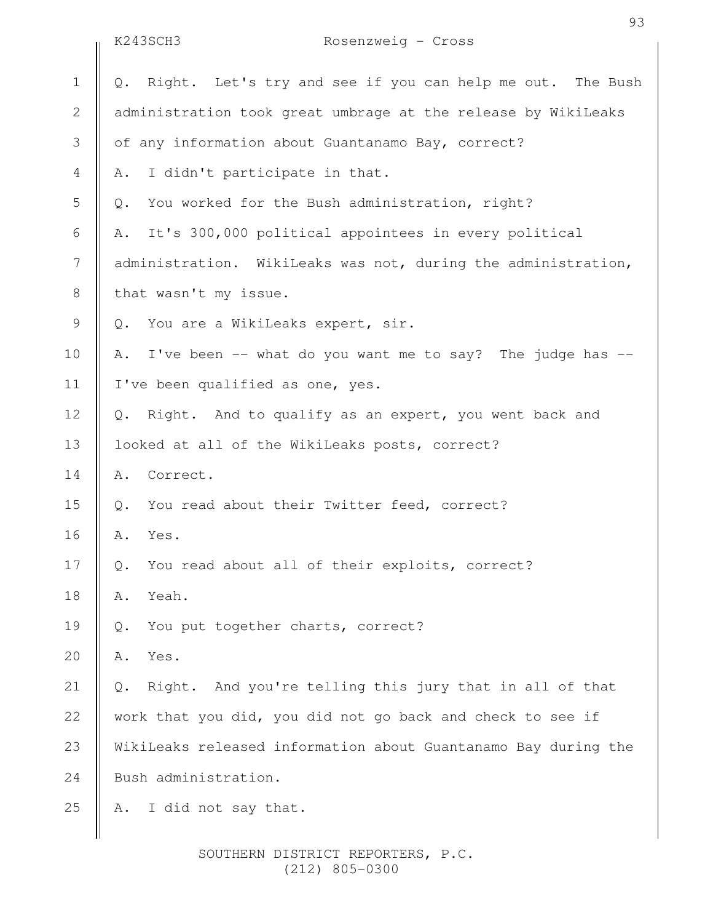|               | K243SCH3<br>Rosenzweig - Cross                                  |
|---------------|-----------------------------------------------------------------|
| $\mathbf 1$   | Right. Let's try and see if you can help me out. The Bush<br>Q. |
| $\mathbf{2}$  | administration took great umbrage at the release by WikiLeaks   |
| 3             | of any information about Guantanamo Bay, correct?               |
| 4             | I didn't participate in that.<br>Α.                             |
| 5             | You worked for the Bush administration, right?<br>$Q$ .         |
| 6             | It's 300,000 political appointees in every political<br>Α.      |
| 7             | administration. WikiLeaks was not, during the administration,   |
| $\,8\,$       | that wasn't my issue.                                           |
| $\mathcal{G}$ | You are a WikiLeaks expert, sir.<br>Q.                          |
| 10            | I've been -- what do you want me to say? The judge has --<br>Α. |
| 11            | I've been qualified as one, yes.                                |
| 12            | Right. And to qualify as an expert, you went back and<br>$Q$ .  |
| 13            | looked at all of the WikiLeaks posts, correct?                  |
| 14            | Correct.<br>Α.                                                  |
| 15            | You read about their Twitter feed, correct?<br>$Q$ .            |
| 16            | Yes.<br>Α.                                                      |
| 17            | You read about all of their exploits, correct?<br>$Q$ .         |
| 18            | Yeah.<br>Α.                                                     |
| 19            | You put together charts, correct?<br>Q.                         |
| 20            | Yes.<br>Α.                                                      |
| 21            | Right. And you're telling this jury that in all of that<br>Q.   |
| 22            | work that you did, you did not go back and check to see if      |
| 23            | WikiLeaks released information about Guantanamo Bay during the  |
| 24            | Bush administration.                                            |
| 25            | I did not say that.<br>Α.                                       |
|               |                                                                 |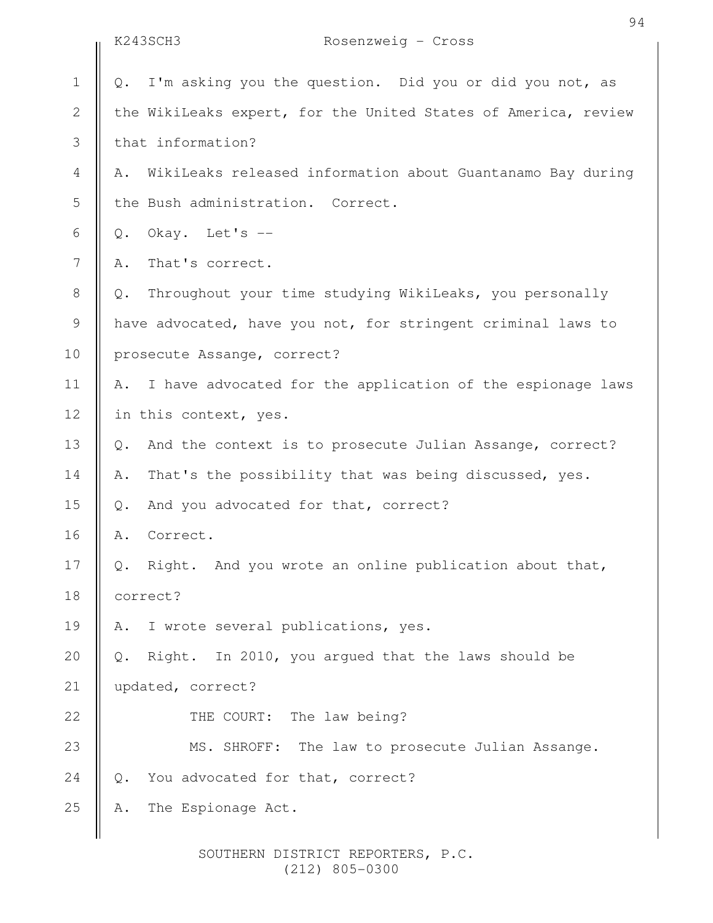|                 | K243SCH3<br>Rosenzweig - Cross                                    |
|-----------------|-------------------------------------------------------------------|
| $1\,$           | I'm asking you the question. Did you or did you not, as<br>$Q$ .  |
| $\sqrt{2}$      | the WikiLeaks expert, for the United States of America, review    |
| 3               | that information?                                                 |
| $\overline{4}$  | WikiLeaks released information about Guantanamo Bay during<br>Α.  |
| 5               | the Bush administration. Correct.                                 |
| 6               | Okay. Let's --<br>$Q$ .                                           |
| $7\phantom{.0}$ | That's correct.<br>Α.                                             |
| $8\,$           | Throughout your time studying WikiLeaks, you personally<br>$Q$ .  |
| $\mathcal{G}$   | have advocated, have you not, for stringent criminal laws to      |
| 10              | prosecute Assange, correct?                                       |
| 11              | I have advocated for the application of the espionage laws<br>Α.  |
| 12              | in this context, yes.                                             |
| 13              | And the context is to prosecute Julian Assange, correct?<br>$Q$ . |
| 14              | That's the possibility that was being discussed, yes.<br>Α.       |
| 15              | And you advocated for that, correct?<br>Q.                        |
| 16              | Correct.<br>Α.                                                    |
| 17              | Right. And you wrote an online publication about that,<br>Q.      |
| 18              | correct?                                                          |
| 19              | I wrote several publications, yes.<br>Α.                          |
| 20              | Right. In 2010, you argued that the laws should be<br>$Q$ .       |
| 21              | updated, correct?                                                 |
| 22              | The law being?<br>THE COURT:                                      |
| 23              | MS. SHROFF: The law to prosecute Julian Assange.                  |
| 24              | You advocated for that, correct?<br>Q.                            |
| 25              | The Espionage Act.<br>Α.                                          |
|                 |                                                                   |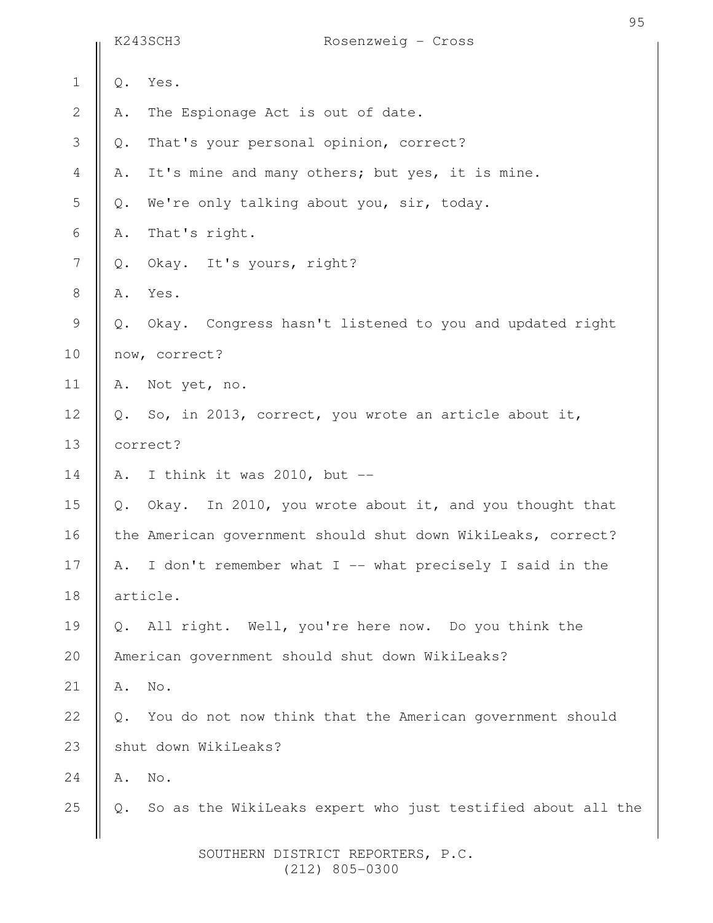|                |                          | K243SCH3<br>Rosenzweig - Cross                               |  |
|----------------|--------------------------|--------------------------------------------------------------|--|
| $\mathbf 1$    | $\mathbb Q$ .            | Yes.                                                         |  |
| $\mathbf{2}$   | Α.                       | The Espionage Act is out of date.                            |  |
| 3              | $\mathbb Q$ .            | That's your personal opinion, correct?                       |  |
| $\overline{4}$ | Α.                       | It's mine and many others; but yes, it is mine.              |  |
| 5              | $\mathsf{Q}$ .           | We're only talking about you, sir, today.                    |  |
| $\sqrt{6}$     | Α.                       | That's right.                                                |  |
| $\overline{7}$ | $Q$ .                    | Okay. It's yours, right?                                     |  |
| $\,8\,$        | Α.                       | Yes.                                                         |  |
| $\mathcal{G}$  | Q.                       | Okay. Congress hasn't listened to you and updated right      |  |
| 10             |                          | now, correct?                                                |  |
| 11             | Α.                       | Not yet, no.                                                 |  |
| 12             | $Q$ .                    | So, in 2013, correct, you wrote an article about it,         |  |
| 13             |                          | correct?                                                     |  |
| 14             | Α.                       | I think it was 2010, but $-$                                 |  |
| 15             | $\mathbb{Q}$ .           | Okay. In 2010, you wrote about it, and you thought that      |  |
| 16             |                          | the American government should shut down WikiLeaks, correct? |  |
| 17             | Α.                       | I don't remember what I -- what precisely I said in the      |  |
| 18             |                          | article.                                                     |  |
| 19             | $Q$ .                    | All right. Well, you're here now. Do you think the           |  |
| 20             |                          | American government should shut down WikiLeaks?              |  |
| 21             | Α.                       | No.                                                          |  |
| 22             | $\mathbb{Q}$ .           | You do not now think that the American government should     |  |
| 23             |                          | shut down WikiLeaks?                                         |  |
| 24             | Α.                       | No.                                                          |  |
| 25             | $\mathbf{\mathcal{Q}}$ . | So as the WikiLeaks expert who just testified about all the  |  |
|                |                          |                                                              |  |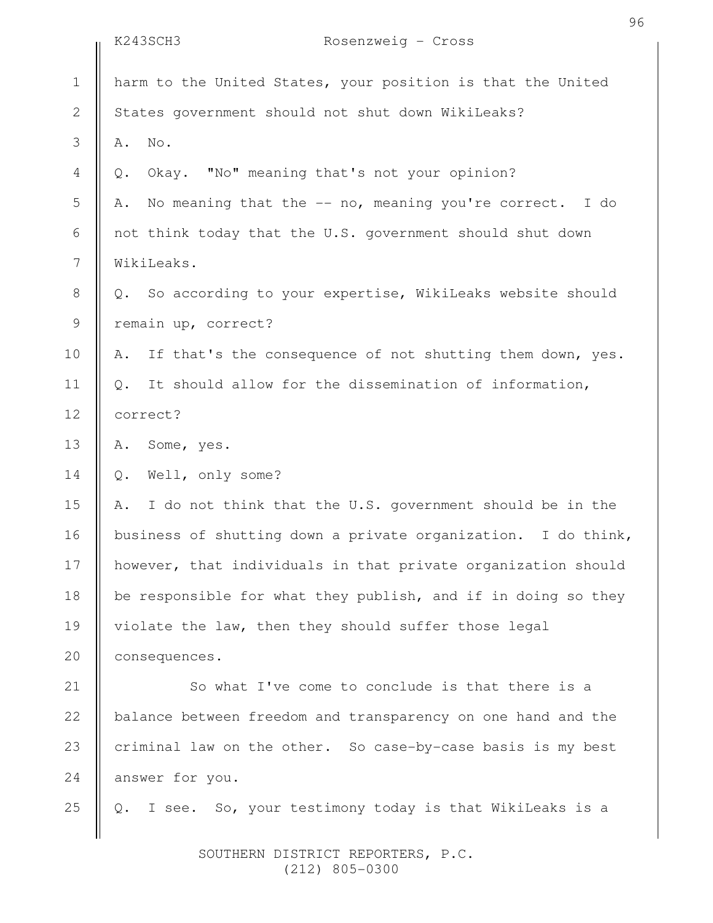|                | K243SCH3<br>Rosenzweig - Cross                                  |
|----------------|-----------------------------------------------------------------|
| $\mathbf 1$    | harm to the United States, your position is that the United     |
| $\mathbf{2}$   | States government should not shut down WikiLeaks?               |
| 3              | No.<br>Α.                                                       |
| $\overline{4}$ | Okay. "No" meaning that's not your opinion?<br>Q.               |
| 5              | No meaning that the -- no, meaning you're correct. I do<br>Α.   |
| 6              | not think today that the U.S. government should shut down       |
| $\overline{7}$ | WikiLeaks.                                                      |
| $\,8\,$        | Q. So according to your expertise, WikiLeaks website should     |
| 9              | remain up, correct?                                             |
| 10             | If that's the consequence of not shutting them down, yes.<br>Α. |
| 11             | It should allow for the dissemination of information,<br>$Q$ .  |
| 12             | correct?                                                        |
| 13             | Some, yes.<br>Α.                                                |
| 14             | Well, only some?<br>Q.                                          |
| 15             | I do not think that the U.S. government should be in the<br>Α.  |
| 16             | business of shutting down a private organization. I do think,   |
| 17             | however, that individuals in that private organization should   |
| 18             | be responsible for what they publish, and if in doing so they   |
| 19             | violate the law, then they should suffer those legal            |
| 20             | consequences.                                                   |
| 21             | So what I've come to conclude is that there is a                |
| 22             | balance between freedom and transparency on one hand and the    |
| 23             | criminal law on the other. So case-by-case basis is my best     |
| 24             | answer for you.                                                 |
| 25             | I see. So, your testimony today is that WikiLeaks is a<br>Q.    |
|                |                                                                 |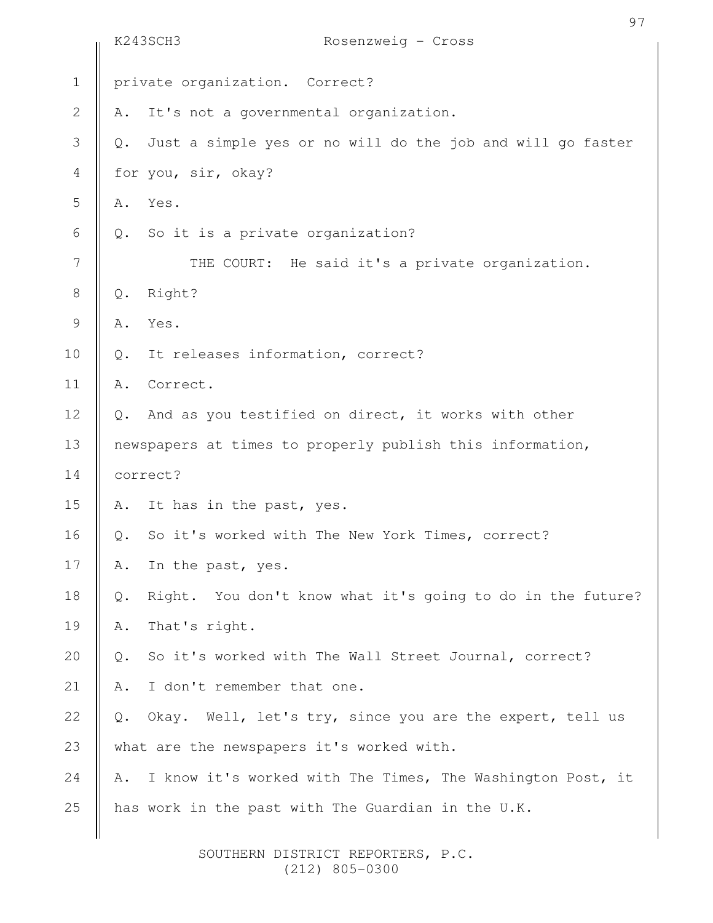|              | K243SCH3<br>Rosenzweig - Cross                                               |  |
|--------------|------------------------------------------------------------------------------|--|
| $1\,$        | private organization. Correct?                                               |  |
| $\mathbf{2}$ | It's not a governmental organization.<br>Α.                                  |  |
| 3            | Just a simple yes or no will do the job and will go faster<br>Q.             |  |
| 4            | for you, sir, okay?                                                          |  |
| 5            | Yes.<br>Α.                                                                   |  |
| 6            | So it is a private organization?<br>Q.                                       |  |
| 7            | THE COURT: He said it's a private organization.                              |  |
| $\,8\,$      | Right?<br>$Q$ .                                                              |  |
| $\mathsf 9$  | Yes.<br>Α.                                                                   |  |
| 10           | It releases information, correct?<br>Q.                                      |  |
| 11           | Correct.<br>Α.                                                               |  |
| 12           | And as you testified on direct, it works with other<br>$Q_{\bullet}$         |  |
| 13           | newspapers at times to properly publish this information,                    |  |
| 14           | correct?                                                                     |  |
| 15           | A. It has in the past, yes.                                                  |  |
| 16           | So it's worked with The New York Times, correct?<br>Q.                       |  |
| 17           | In the past, yes.<br>Α.                                                      |  |
| 18           | Right. You don't know what it's going to do in the future?<br>$\mathbb{Q}$ . |  |
| 19           | That's right.<br>Α.                                                          |  |
| 20           | So it's worked with The Wall Street Journal, correct?<br>$\mathbb{Q}$ .      |  |
| 21           | I don't remember that one.<br>Α.                                             |  |
| 22           | Okay. Well, let's try, since you are the expert, tell us<br>Q.               |  |
| 23           | what are the newspapers it's worked with.                                    |  |
| 24           | I know it's worked with The Times, The Washington Post, it<br>Α.             |  |
| 25           | has work in the past with The Guardian in the U.K.                           |  |
|              |                                                                              |  |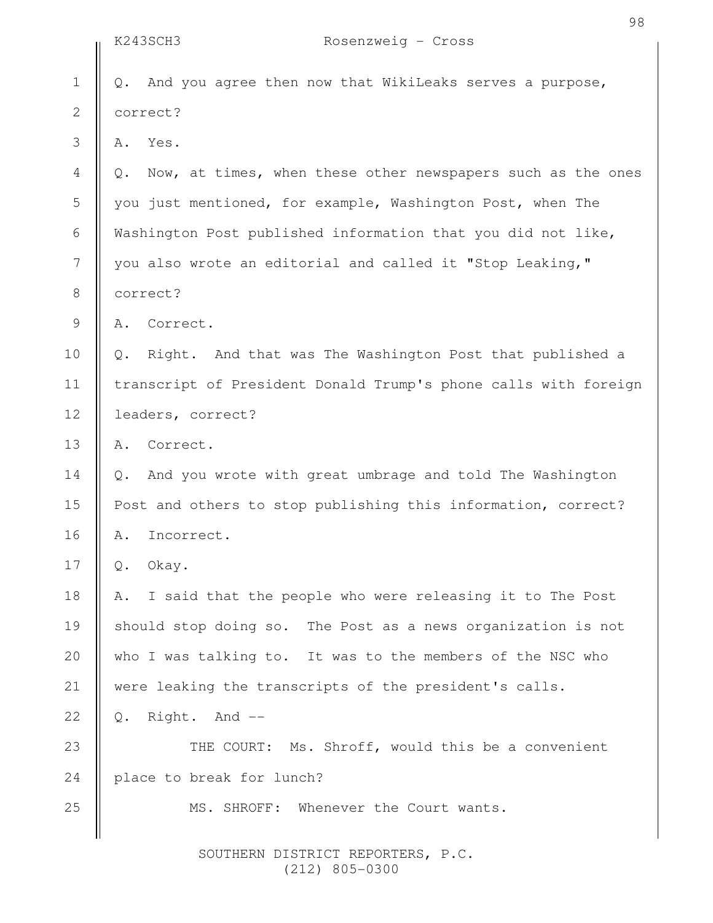|                | K243SCH3<br>Rosenzweig - Cross                                    |  |
|----------------|-------------------------------------------------------------------|--|
| $\mathbf 1$    | And you agree then now that WikiLeaks serves a purpose,<br>Q.     |  |
| $\mathbf{2}$   | correct?                                                          |  |
| 3              | Yes.<br>Α.                                                        |  |
| $\overline{4}$ | Now, at times, when these other newspapers such as the ones<br>Q. |  |
| 5              | you just mentioned, for example, Washington Post, when The        |  |
| 6              | Washington Post published information that you did not like,      |  |
| 7              | you also wrote an editorial and called it "Stop Leaking,"         |  |
| 8              | correct?                                                          |  |
| 9              | Correct.<br>Α.                                                    |  |
| 10             | Right. And that was The Washington Post that published a<br>Q.    |  |
| 11             | transcript of President Donald Trump's phone calls with foreign   |  |
| 12             | leaders, correct?                                                 |  |
| 13             | Correct.<br>Α.                                                    |  |
| 14             | And you wrote with great umbrage and told The Washington<br>Q.    |  |
| 15             | Post and others to stop publishing this information, correct?     |  |
| 16             | Incorrect.<br>Α.                                                  |  |
| 17             | $Q$ .<br>Okay.                                                    |  |
| 18             | I said that the people who were releasing it to The Post<br>Α.    |  |
| 19             | should stop doing so. The Post as a news organization is not      |  |
| 20             | who I was talking to. It was to the members of the NSC who        |  |
| 21             | were leaking the transcripts of the president's calls.            |  |
| 22             | Right. And --<br>Q.                                               |  |
| 23             | THE COURT: Ms. Shroff, would this be a convenient                 |  |
| 24             | place to break for lunch?                                         |  |
| 25             | MS. SHROFF:<br>Whenever the Court wants.                          |  |
|                |                                                                   |  |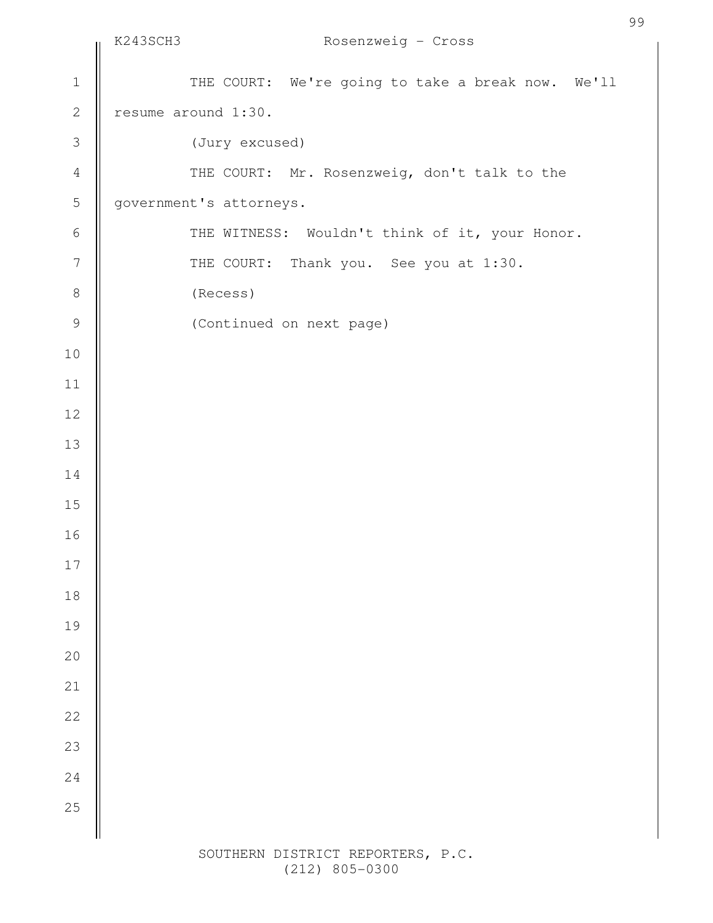|                  | K243SCH3 | Rosenzweig - Cross                                |
|------------------|----------|---------------------------------------------------|
| $\mathbbm{1}$    |          | THE COURT: We're going to take a break now. We'll |
| $\mathbf{2}$     |          | resume around 1:30.                               |
| $\mathfrak{Z}$   |          | (Jury excused)                                    |
| $\sqrt{4}$       |          | THE COURT: Mr. Rosenzweig, don't talk to the      |
| 5                |          | government's attorneys.                           |
| $\sqrt{6}$       |          | THE WITNESS: Wouldn't think of it, your Honor.    |
| $\boldsymbol{7}$ |          | THE COURT: Thank you. See you at 1:30.            |
| $\,8\,$          |          | (Recess)                                          |
| $\mathcal{G}$    |          | (Continued on next page)                          |
| $10$             |          |                                                   |
| 11               |          |                                                   |
| 12               |          |                                                   |
| 13               |          |                                                   |
| 14               |          |                                                   |
| 15               |          |                                                   |
| 16               |          |                                                   |
| $17$             |          |                                                   |
| 18               |          |                                                   |
| 19               |          |                                                   |
| $20$             |          |                                                   |
| 21               |          |                                                   |
| 22               |          |                                                   |
| 23               |          |                                                   |
| 24               |          |                                                   |
| 25               |          |                                                   |
|                  |          |                                                   |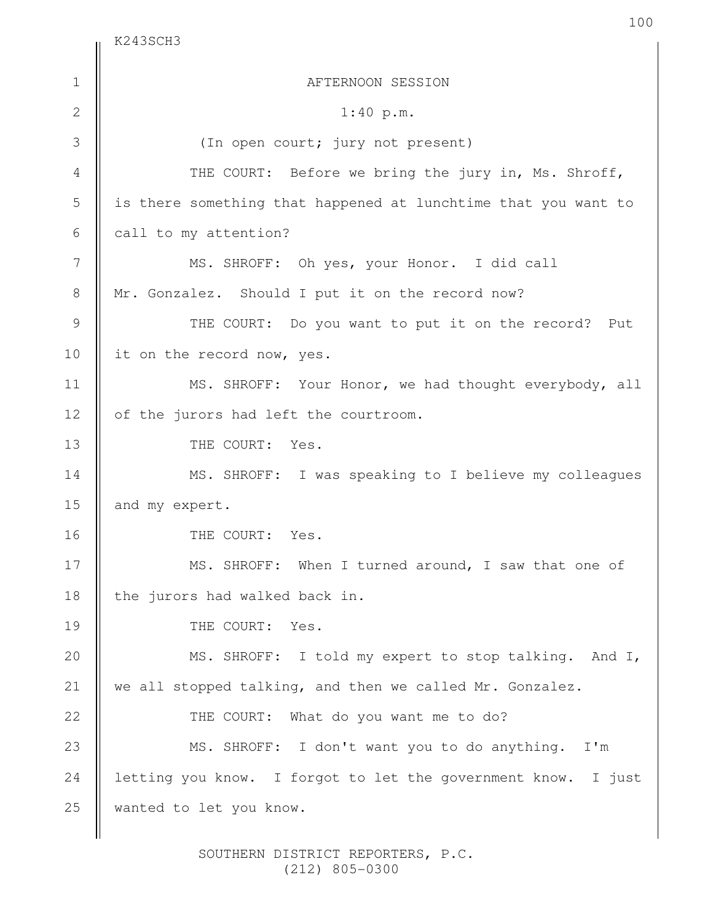$K243SCH3$ 

| $\mathbf 1$    | AFTERNOON SESSION                                              |
|----------------|----------------------------------------------------------------|
| $\mathbf{2}$   | 1:40 p.m.                                                      |
| 3              | (In open court; jury not present)                              |
| $\overline{4}$ | THE COURT: Before we bring the jury in, Ms. Shroff,            |
| 5              | is there something that happened at lunchtime that you want to |
| 6              | call to my attention?                                          |
| 7              | MS. SHROFF: Oh yes, your Honor. I did call                     |
| $\,8\,$        | Mr. Gonzalez. Should I put it on the record now?               |
| $\mathcal{G}$  | THE COURT: Do you want to put it on the record? Put            |
| 10             | it on the record now, yes.                                     |
| 11             | MS. SHROFF: Your Honor, we had thought everybody, all          |
| 12             | of the jurors had left the courtroom.                          |
| 13             | THE COURT: Yes.                                                |
| 14             | MS. SHROFF: I was speaking to I believe my colleagues          |
| 15             | and my expert.                                                 |
| 16             | THE COURT: Yes.                                                |
| 17             | MS. SHROFF: When I turned around, I saw that one of            |
| 18             | the jurors had walked back in.                                 |
| 19             | THE COURT: Yes.                                                |
| 20             | MS. SHROFF: I told my expert to stop talking. And I,           |
| 21             | we all stopped talking, and then we called Mr. Gonzalez.       |
| 22             | THE COURT: What do you want me to do?                          |
| 23             | MS. SHROFF: I don't want you to do anything. I'm               |
| 24             | letting you know. I forgot to let the government know. I just  |
| 25             | wanted to let you know.                                        |
|                |                                                                |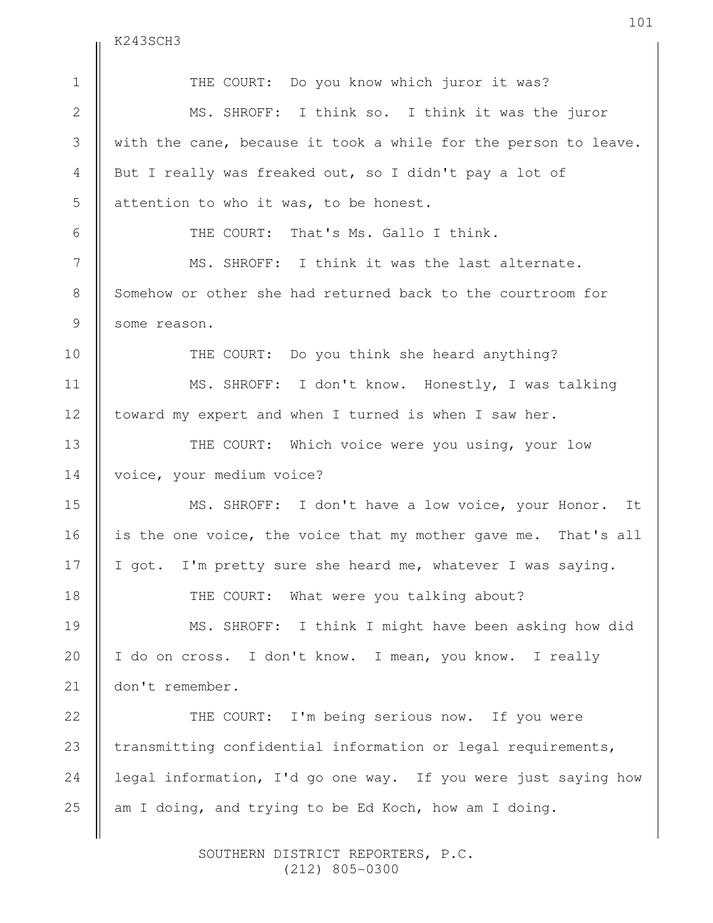K243SCH3

THE COURT: Do you know which juror it was? MS. SHROFF: I think so. I think it was the juror with the cane, because it took a while for the person to leave. But I really was freaked out, so I didn't pay a lot of attention to who it was, to be honest. THE COURT: That's Ms. Gallo I think. MS. SHROFF: I think it was the last alternate. Somehow or other she had returned back to the courtroom for some reason. THE COURT: Do you think she heard anything? MS. SHROFF: I don't know. Honestly, I was talking toward my expert and when I turned is when I saw her. THE COURT: Which voice were you using, your low voice, your medium voice? MS. SHROFF: I don't have a low voice, your Honor. It is the one voice, the voice that my mother gave me. That's all I got. I'm pretty sure she heard me, whatever I was saying. THE COURT: What were you talking about? MS. SHROFF: I think I might have been asking how did I do on cross. I don't know. I mean, you know. I really don't remember. THE COURT: I'm being serious now. If you were transmitting confidential information or legal requirements, legal information, I'd go one way. If you were just saying how am I doing, and trying to be Ed Koch, how am I doing. 1 2 3 4 5 6 7 8 9 10 11 12 13 14 15 16 17 18 19 20 21 22 23 24 25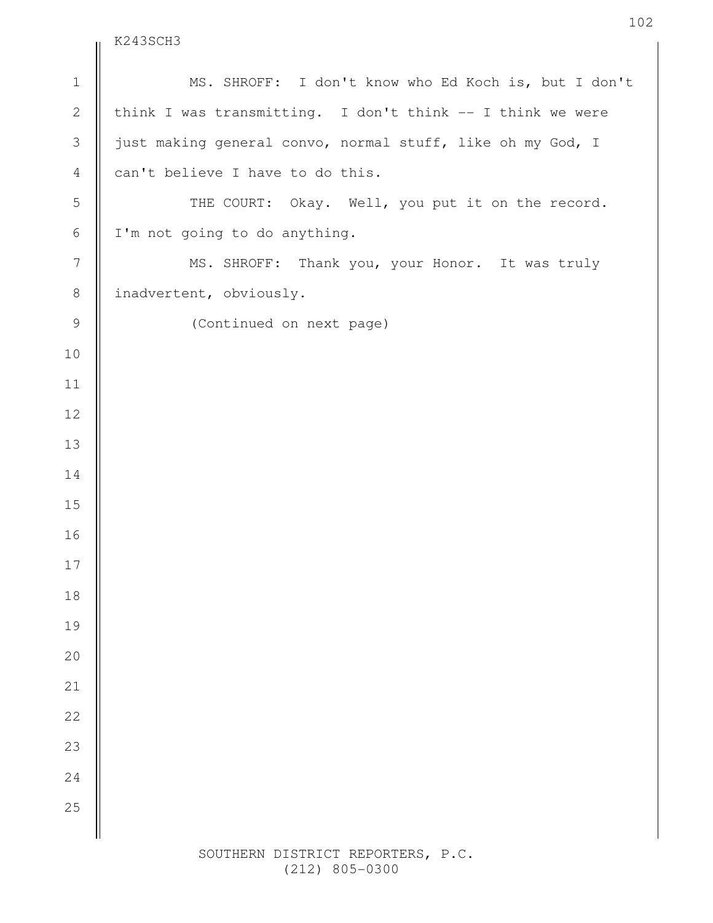$\parallel$  K243SCH3

| $\ensuremath{\mathbbm{1}}$ | MS. SHROFF: I don't know who Ed Koch is, but I don't       |
|----------------------------|------------------------------------------------------------|
| $\mathbf{2}$               | think I was transmitting. I don't think -- I think we were |
| $\mathfrak{Z}$             | just making general convo, normal stuff, like oh my God, I |
| $\overline{4}$             | can't believe I have to do this.                           |
| $\mathsf S$                | THE COURT: Okay. Well, you put it on the record.           |
| $\sqrt{6}$                 | I'm not going to do anything.                              |
| $\boldsymbol{7}$           | MS. SHROFF: Thank you, your Honor. It was truly            |
| $\,8\,$                    | inadvertent, obviously.                                    |
| $\mathcal{G}$              | (Continued on next page)                                   |
| 10                         |                                                            |
| 11                         |                                                            |
| 12                         |                                                            |
| 13                         |                                                            |
| 14                         |                                                            |
| 15                         |                                                            |
| 16                         |                                                            |
| 17                         |                                                            |
| 18                         |                                                            |
| 19                         |                                                            |
| 20                         |                                                            |
| 21                         |                                                            |
| 22                         |                                                            |
| 23                         |                                                            |
| 24                         |                                                            |
| 25                         |                                                            |
|                            |                                                            |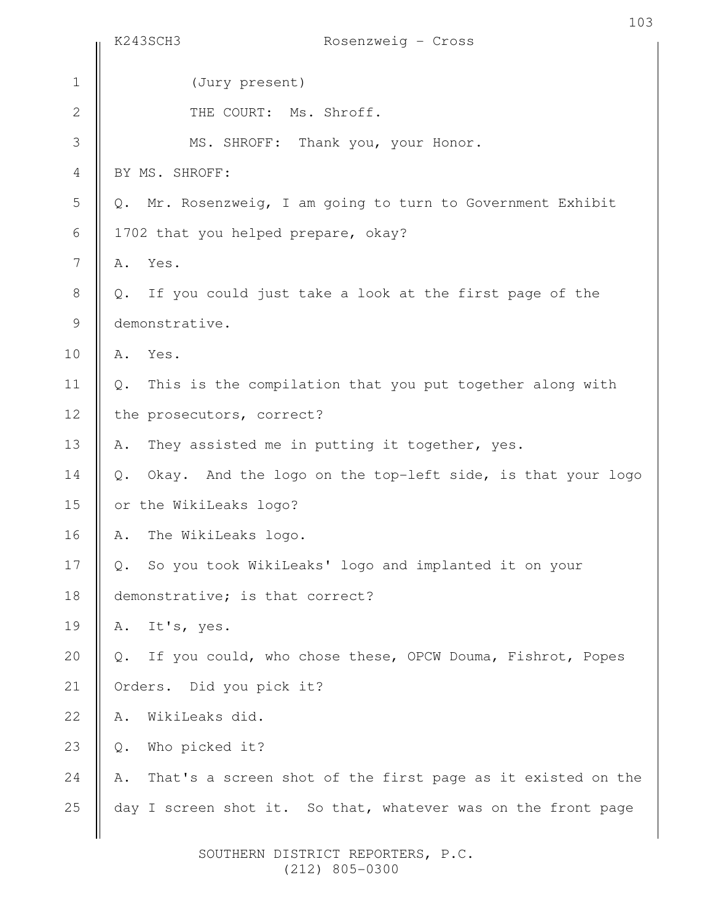|                | 103<br>K243SCH3<br>Rosenzweig - Cross                                       |
|----------------|-----------------------------------------------------------------------------|
| $\mathbf 1$    | (Jury present)                                                              |
|                |                                                                             |
| $\mathbf{2}$   | THE COURT: Ms. Shroff.                                                      |
| 3              | MS. SHROFF: Thank you, your Honor.                                          |
| $\overline{4}$ | BY MS. SHROFF:                                                              |
| 5              | Mr. Rosenzweig, I am going to turn to Government Exhibit<br>$Q_{\bullet}$   |
| $\sqrt{6}$     | 1702 that you helped prepare, okay?                                         |
| 7              | Yes.<br>Α.                                                                  |
| $\,8\,$        | If you could just take a look at the first page of the<br>Q.                |
| 9              | demonstrative.                                                              |
| 10             | Yes.<br>Α.                                                                  |
| 11             | This is the compilation that you put together along with<br>Q.              |
| 12             | the prosecutors, correct?                                                   |
| 13             | They assisted me in putting it together, yes.<br>Α.                         |
| 14             | Okay. And the logo on the top-left side, is that your logo<br>$\mathbb Q$ . |
| 15             | or the WikiLeaks logo?                                                      |
| 16             | The WikiLeaks logo.<br>Α.                                                   |
| 17             | So you took WikiLeaks' logo and implanted it on your<br>Q.                  |
| 18             | demonstrative; is that correct?                                             |
| 19             | It's, yes.<br>Α.                                                            |
| 20             | If you could, who chose these, OPCW Douma, Fishrot, Popes<br>Q.             |
| 21             | Orders. Did you pick it?                                                    |
| 22             | WikiLeaks did.<br>Α.                                                        |
| 23             | Who picked it?<br>$\mathbb Q$ .                                             |
| 24             | That's a screen shot of the first page as it existed on the<br>Α.           |
| 25             | day I screen shot it. So that, whatever was on the front page               |
|                |                                                                             |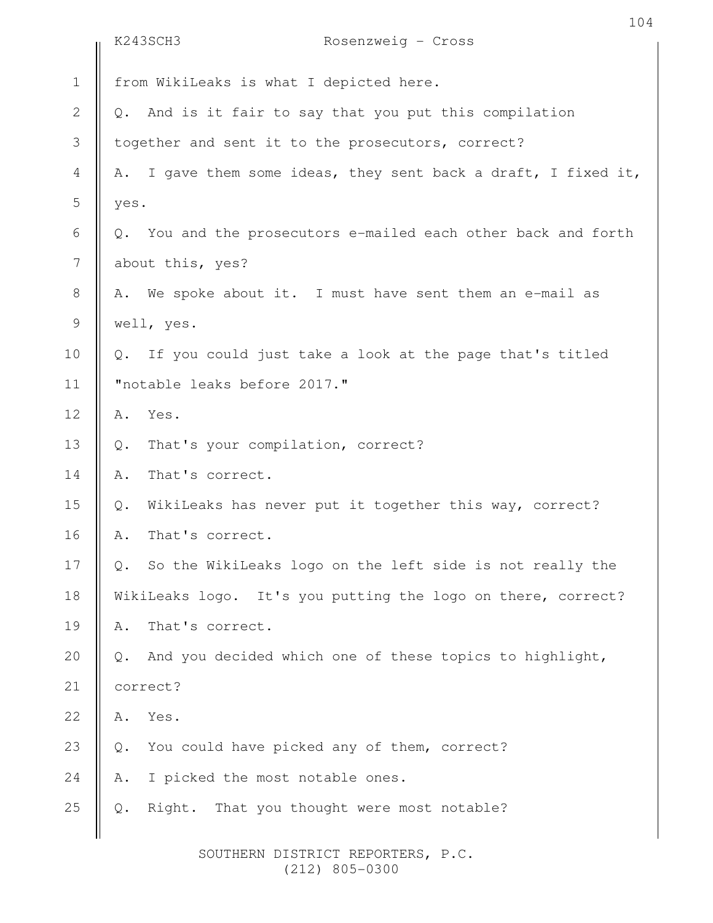|                  |                                                              | K243SCH3<br>Rosenzweig - Cross                                 |  |
|------------------|--------------------------------------------------------------|----------------------------------------------------------------|--|
| $\mathbf 1$      |                                                              | from WikiLeaks is what I depicted here.                        |  |
| $\sqrt{2}$       |                                                              | Q. And is it fair to say that you put this compilation         |  |
| 3                |                                                              | together and sent it to the prosecutors, correct?              |  |
| $\overline{4}$   |                                                              | A. I gave them some ideas, they sent back a draft, I fixed it, |  |
| 5                | yes.                                                         |                                                                |  |
| $\sqrt{6}$       | $Q_{\bullet}$                                                | You and the prosecutors e-mailed each other back and forth     |  |
| $\boldsymbol{7}$ | about this, yes?                                             |                                                                |  |
| $\,8\,$          |                                                              | A. We spoke about it. I must have sent them an e-mail as       |  |
| $\mathsf 9$      | well, yes.                                                   |                                                                |  |
| 10               |                                                              | Q. If you could just take a look at the page that's titled     |  |
| 11               |                                                              | "notable leaks before 2017."                                   |  |
| 12               | Α.                                                           | Yes.                                                           |  |
| 13               | Q.                                                           | That's your compilation, correct?                              |  |
| 14               | Α.                                                           | That's correct.                                                |  |
| 15               | $\mathbb Q$ .                                                | WikiLeaks has never put it together this way, correct?         |  |
| 16               | Α.                                                           | That's correct.                                                |  |
| 17               | Q.                                                           | So the WikiLeaks logo on the left side is not really the       |  |
| 18               | WikiLeaks logo. It's you putting the logo on there, correct? |                                                                |  |
| 19               | Α.                                                           | That's correct.                                                |  |
| 20               | $Q$ .                                                        | And you decided which one of these topics to highlight,        |  |
| 21               | correct?                                                     |                                                                |  |
| 22               | Α.                                                           | Yes.                                                           |  |
| 23               | $\mathsf{Q}$ .                                               | You could have picked any of them, correct?                    |  |
| $2\sqrt{4}$      |                                                              | A. I picked the most notable ones.                             |  |
| 25               |                                                              | Right.<br>That you thought were most notable?                  |  |
|                  |                                                              |                                                                |  |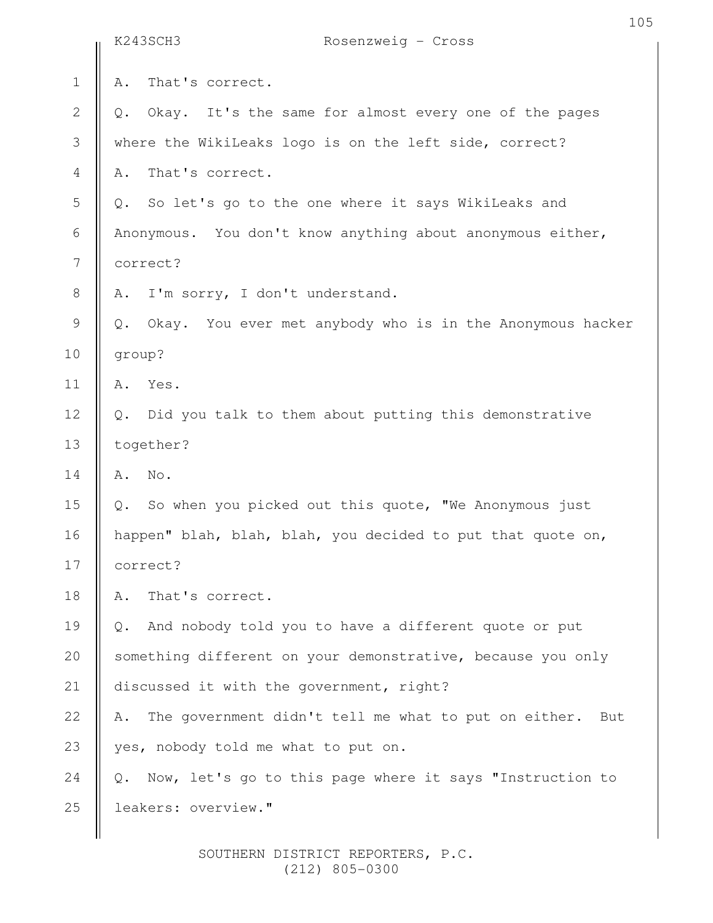|                | K243SCH3<br>Rosenzweig - Cross                                    |  |
|----------------|-------------------------------------------------------------------|--|
| $1\,$          | That's correct.<br>Α.                                             |  |
| $\mathbf{2}$   | Okay. It's the same for almost every one of the pages<br>Q.       |  |
| 3              | where the WikiLeaks logo is on the left side, correct?            |  |
| $\overline{4}$ | That's correct.<br>Α.                                             |  |
| 5              | Q. So let's go to the one where it says WikiLeaks and             |  |
| 6              | Anonymous. You don't know anything about anonymous either,        |  |
| 7              | correct?                                                          |  |
| $\,8\,$        | I'm sorry, I don't understand.<br>Α.                              |  |
| 9              | Okay. You ever met anybody who is in the Anonymous hacker<br>Q.   |  |
| 10             | group?                                                            |  |
| 11             | Yes.<br>Α.                                                        |  |
| 12             | Did you talk to them about putting this demonstrative<br>$Q$ .    |  |
| 13             | together?                                                         |  |
| 14             | No.<br>Α.                                                         |  |
| 15             | Q. So when you picked out this quote, "We Anonymous just          |  |
| 16             | happen" blah, blah, blah, you decided to put that quote on,       |  |
| 17             | correct?                                                          |  |
| 18             | That's correct.<br>Α.                                             |  |
| 19             | And nobody told you to have a different quote or put<br>Q.        |  |
| 20             | something different on your demonstrative, because you only       |  |
| 21             | discussed it with the government, right?                          |  |
| 22             | The government didn't tell me what to put on either.<br>Α.<br>But |  |
| 23             | yes, nobody told me what to put on.                               |  |
| 24             | Now, let's go to this page where it says "Instruction to<br>Q.    |  |
| 25             | leakers: overview."                                               |  |
|                |                                                                   |  |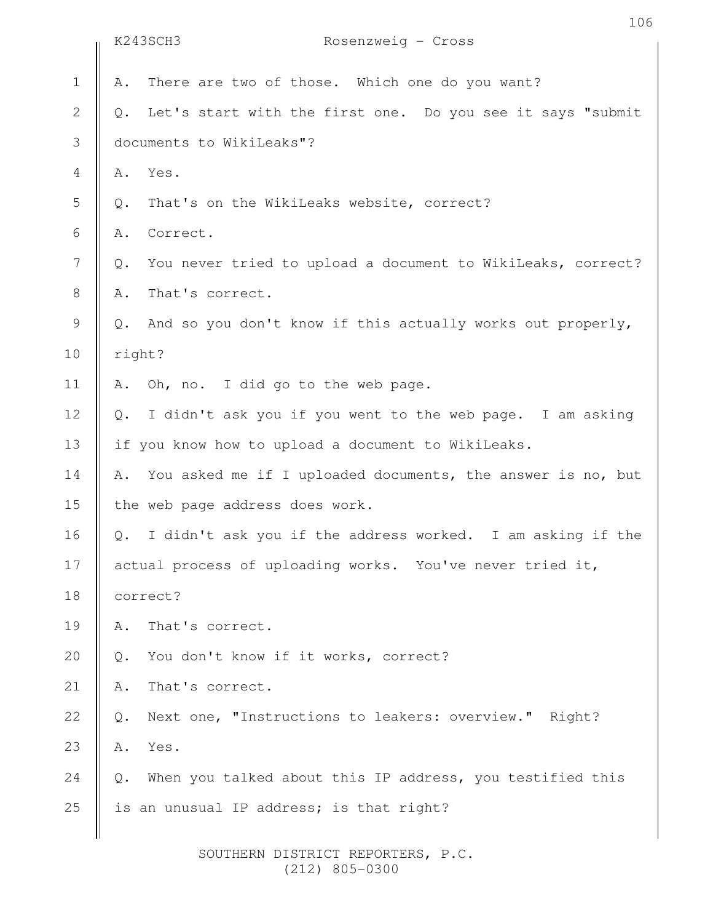|                | K243SCH3<br>Rosenzweig - Cross                                              |  |
|----------------|-----------------------------------------------------------------------------|--|
| $\mathbf 1$    | There are two of those. Which one do you want?<br>Α.                        |  |
| $\sqrt{2}$     | Let's start with the first one. Do you see it says "submit<br>$Q$ .         |  |
| $\mathcal{S}$  | documents to WikiLeaks"?                                                    |  |
| $\overline{4}$ | Α.<br>Yes.                                                                  |  |
| 5              | That's on the WikiLeaks website, correct?<br>Q.                             |  |
| 6              | Correct.<br>Α.                                                              |  |
| $\overline{7}$ | You never tried to upload a document to WikiLeaks, correct?<br>Q.           |  |
| $8\,$          | That's correct.<br>Α.                                                       |  |
| $\mathcal{G}$  | And so you don't know if this actually works out properly,<br>$Q$ .         |  |
| 10             | right?                                                                      |  |
| 11             | Oh, no. I did go to the web page.<br>Α.                                     |  |
| 12             | I didn't ask you if you went to the web page. I am asking<br>$Q$ .          |  |
| 13             | if you know how to upload a document to WikiLeaks.                          |  |
| 14             | You asked me if I uploaded documents, the answer is no, but<br>Α.           |  |
| 15             | the web page address does work.                                             |  |
| 16             | I didn't ask you if the address worked. I am asking if the<br>$\mathbb Q$ . |  |
| 17             | actual process of uploading works. You've never tried it,                   |  |
| 18             | correct?                                                                    |  |
| 19             | That's correct.<br>Α.                                                       |  |
| 20             | You don't know if it works, correct?<br>$Q$ .                               |  |
| 21             | That's correct.<br>Α.                                                       |  |
| 22             | Next one, "Instructions to leakers: overview." Right?<br>$\mathbb{Q}$ .     |  |
| 23             | Yes.<br>Α.                                                                  |  |
| 24             | When you talked about this IP address, you testified this<br>$Q$ .          |  |
| 25             | is an unusual IP address; is that right?                                    |  |
|                |                                                                             |  |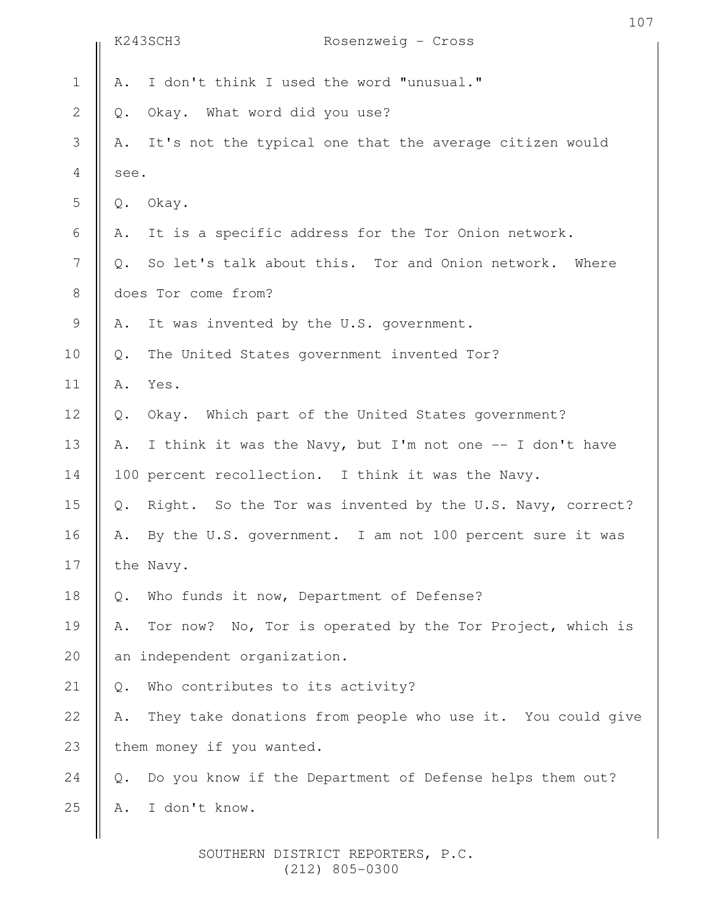|                          | K243SCH3<br>Rosenzweig - Cross                                     | 107 |
|--------------------------|--------------------------------------------------------------------|-----|
|                          |                                                                    |     |
| $\mathbf 1$              | I don't think I used the word "unusual."<br>Α.                     |     |
| $\mathbf{2}$             | Okay. What word did you use?<br>$\mathbb Q$ .                      |     |
| $\mathcal{S}$            | It's not the typical one that the average citizen would<br>Α.      |     |
| $\overline{4}$           | see.                                                               |     |
| 5                        | Okay.<br>$Q$ .                                                     |     |
| 6                        | It is a specific address for the Tor Onion network.<br>Α.          |     |
| $\overline{\phantom{a}}$ | So let's talk about this. Tor and Onion network. Where<br>$Q$ .    |     |
| $8\,$                    | does Tor come from?                                                |     |
| $\mathsf 9$              | It was invented by the U.S. government.<br>Α.                      |     |
| 10                       | The United States government invented Tor?<br>$Q$ .                |     |
| 11                       | Α.<br>Yes.                                                         |     |
| 12                       | Okay. Which part of the United States government?<br>$\mathbb Q$ . |     |
| 13                       | I think it was the Navy, but I'm not one -- I don't have<br>Α.     |     |
| 14                       | 100 percent recollection. I think it was the Navy.                 |     |
| 15                       | Right. So the Tor was invented by the U.S. Navy, correct?<br>Q.    |     |
| 16                       | By the U.S. government. I am not 100 percent sure it was<br>Α.     |     |
| 17                       | the Navy.                                                          |     |
| 18                       | Who funds it now, Department of Defense?<br>$\mathbb Q$ .          |     |
| 19                       | Tor now? No, Tor is operated by the Tor Project, which is<br>Α.    |     |
| 20                       | an independent organization.                                       |     |
| 21                       | Who contributes to its activity?<br>$Q$ .                          |     |
| 22                       | They take donations from people who use it. You could give<br>Α.   |     |
| 23                       | them money if you wanted.                                          |     |
| 24                       | Do you know if the Department of Defense helps them out?<br>$Q$ .  |     |
| 25                       | I don't know.<br>Α.                                                |     |
|                          |                                                                    |     |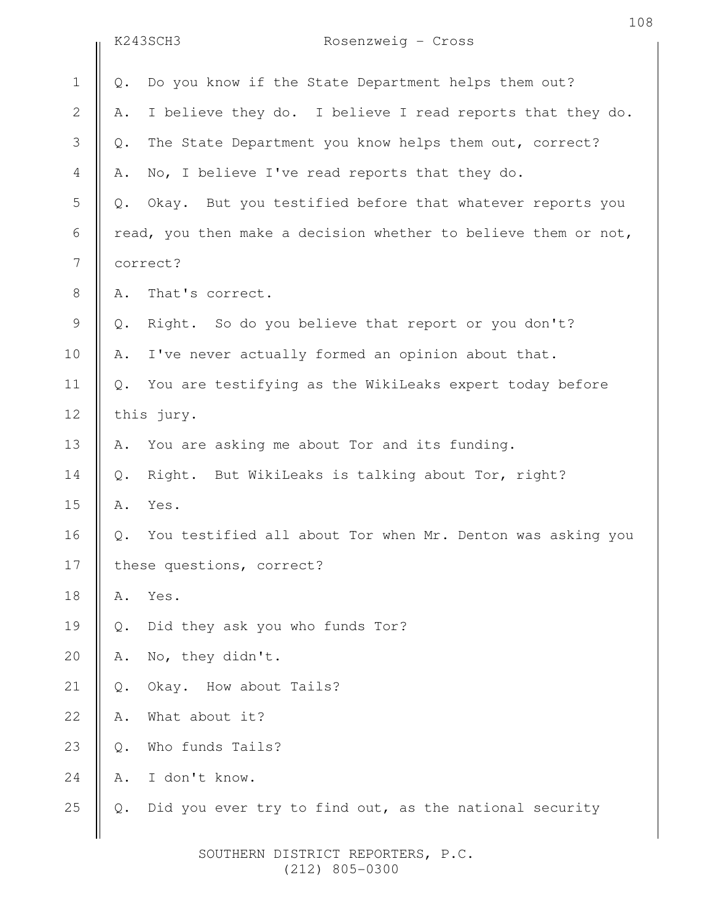|                |                           | K243SCH3<br>Rosenzweig - Cross                                 |  |
|----------------|---------------------------|----------------------------------------------------------------|--|
| $\mathbf 1$    | Q.                        | Do you know if the State Department helps them out?            |  |
| $\mathbf{2}$   | Α.                        | I believe they do. I believe I read reports that they do.      |  |
| 3              | $Q$ .                     | The State Department you know helps them out, correct?         |  |
| $\overline{4}$ | Α.                        | No, I believe I've read reports that they do.                  |  |
| 5              | Q.                        | Okay. But you testified before that whatever reports you       |  |
| 6              |                           | read, you then make a decision whether to believe them or not, |  |
| 7              | correct?                  |                                                                |  |
| $8\,$          | Α.                        | That's correct.                                                |  |
| $\mathsf 9$    | Q.                        | Right. So do you believe that report or you don't?             |  |
| 10             | Α.                        | I've never actually formed an opinion about that.              |  |
| 11             | $Q$ .                     | You are testifying as the WikiLeaks expert today before        |  |
| 12             | this jury.                |                                                                |  |
| 13             | Α.                        | You are asking me about Tor and its funding.                   |  |
| 14             | $Q$ .                     | Right. But WikiLeaks is talking about Tor, right?              |  |
| 15             | Α.                        | Yes.                                                           |  |
| 16             | Q.                        | You testified all about Tor when Mr. Denton was asking you     |  |
| 17             | these questions, correct? |                                                                |  |
| 18             | Α.                        | Yes.                                                           |  |
| 19             | Q.                        | Did they ask you who funds Tor?                                |  |
| 20             | Α.                        | No, they didn't.                                               |  |
| 21             | $Q$ .                     | Okay. How about Tails?                                         |  |
| 22             | Α.                        | What about it?                                                 |  |
| 23             | $Q$ .                     | Who funds Tails?                                               |  |
| 24             | Α.                        | I don't know.                                                  |  |
| 25             | $Q$ .                     | Did you ever try to find out, as the national security         |  |
|                |                           |                                                                |  |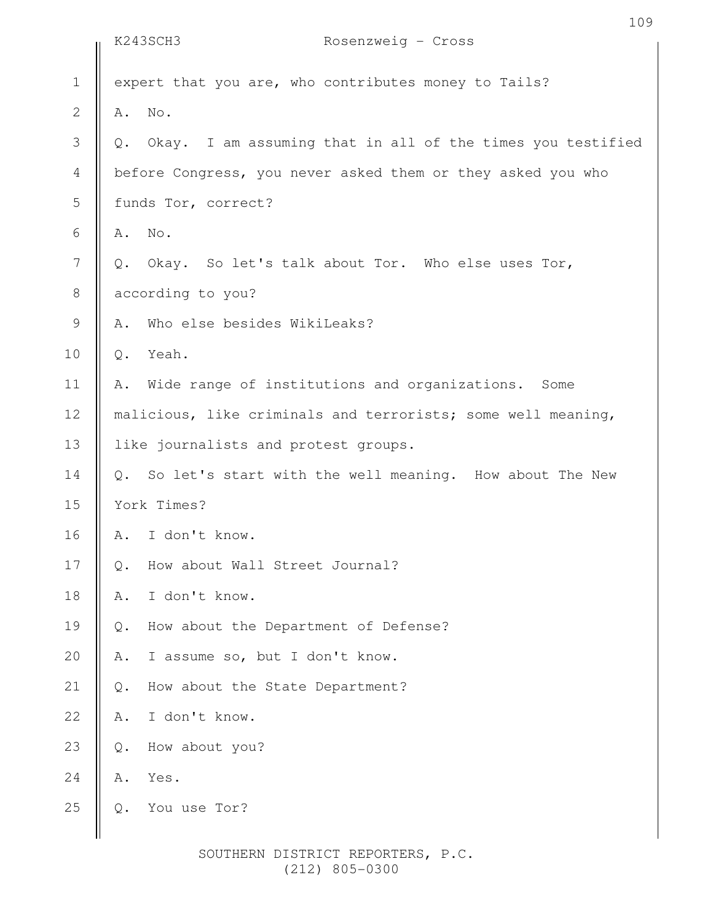|                | K243SCH3<br>Rosenzweig - Cross                                           |  |  |
|----------------|--------------------------------------------------------------------------|--|--|
| $1\,$          | expert that you are, who contributes money to Tails?                     |  |  |
| $\overline{2}$ | No.<br>Α.                                                                |  |  |
| 3              | Okay. I am assuming that in all of the times you testified<br>Q.         |  |  |
| $\overline{4}$ | before Congress, you never asked them or they asked you who              |  |  |
| 5              | funds Tor, correct?                                                      |  |  |
| $\sqrt{6}$     | No.<br>Α.                                                                |  |  |
| $\overline{7}$ | Okay. So let's talk about Tor. Who else uses Tor,<br>$Q$ .               |  |  |
| $\,8\,$        | according to you?                                                        |  |  |
| $\mathcal{G}$  | Who else besides WikiLeaks?<br>Α.                                        |  |  |
| 10             | Yeah.<br>$Q$ .                                                           |  |  |
| 11             | Wide range of institutions and organizations. Some<br>Α.                 |  |  |
| 12             | malicious, like criminals and terrorists; some well meaning,             |  |  |
| 13             | like journalists and protest groups.                                     |  |  |
| 14             | So let's start with the well meaning. How about The New<br>$Q_{\bullet}$ |  |  |
| 15             | York Times?                                                              |  |  |
| 16             | I don't know.<br>Α.                                                      |  |  |
| $17$           | How about Wall Street Journal?<br>$\mathbb{Q}$ .                         |  |  |
| 18             | I don't know.<br>Α.                                                      |  |  |
| 19             | How about the Department of Defense?<br>Q.                               |  |  |
| 20             | I assume so, but I don't know.<br>Α.                                     |  |  |
| 21             | How about the State Department?<br>Q.                                    |  |  |
| 22             | I don't know.<br>Α.                                                      |  |  |
| 23             | How about you?<br>Q.                                                     |  |  |
| 24             | Yes.<br>Α.                                                               |  |  |
| 25             | You use Tor?<br>Q.                                                       |  |  |
|                |                                                                          |  |  |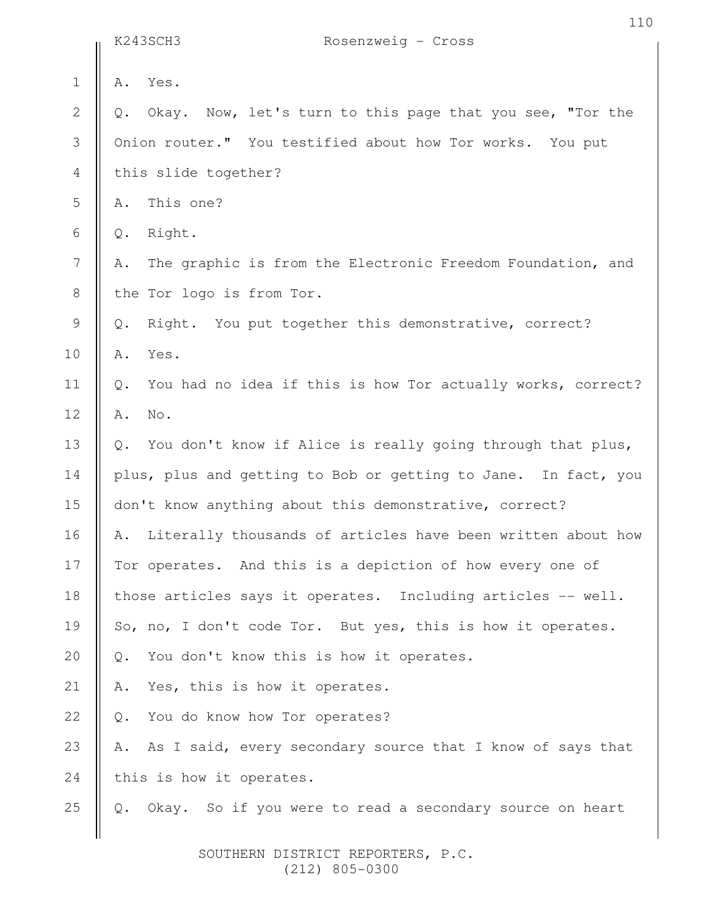|                | K243SCH3<br>Rosenzweig - Cross                                               |
|----------------|------------------------------------------------------------------------------|
| $\mathbf 1$    | Yes.<br>Α.                                                                   |
| $\sqrt{2}$     | Okay. Now, let's turn to this page that you see, "Tor the<br>Q.              |
| 3              | Onion router." You testified about how Tor works. You put                    |
| $\overline{4}$ | this slide together?                                                         |
| $\mathsf S$    | This one?<br>Α.                                                              |
| $\epsilon$     | Right.<br>Q.                                                                 |
| $\overline{7}$ | The graphic is from the Electronic Freedom Foundation, and<br>Α.             |
| $\,8\,$        | the Tor logo is from Tor.                                                    |
| $\mathcal{G}$  | Right. You put together this demonstrative, correct?<br>Q.                   |
| 10             | Α.<br>Yes.                                                                   |
| 11             | You had no idea if this is how Tor actually works, correct?<br>$\mathbb Q$ . |
| 12             | No.<br>Α.                                                                    |
| 13             | You don't know if Alice is really going through that plus,<br>Q.             |
| 14             | plus, plus and getting to Bob or getting to Jane. In fact, you               |
| 15             | don't know anything about this demonstrative, correct?                       |
| 16             | Literally thousands of articles have been written about how<br>Α.            |
| 17             | Tor operates. And this is a depiction of how every one of                    |
| 18             | those articles says it operates. Including articles -- well.                 |
| 19             | So, no, I don't code Tor. But yes, this is how it operates.                  |
| 20             | You don't know this is how it operates.<br>Q.                                |
| 21             | Yes, this is how it operates.<br>Α.                                          |
| 22             | You do know how Tor operates?<br>$Q$ .                                       |
| 23             | As I said, every secondary source that I know of says that<br>Α.             |
| 24             | this is how it operates.                                                     |
| 25             | So if you were to read a secondary source on heart<br>$Q$ .<br>Okay.         |
|                |                                                                              |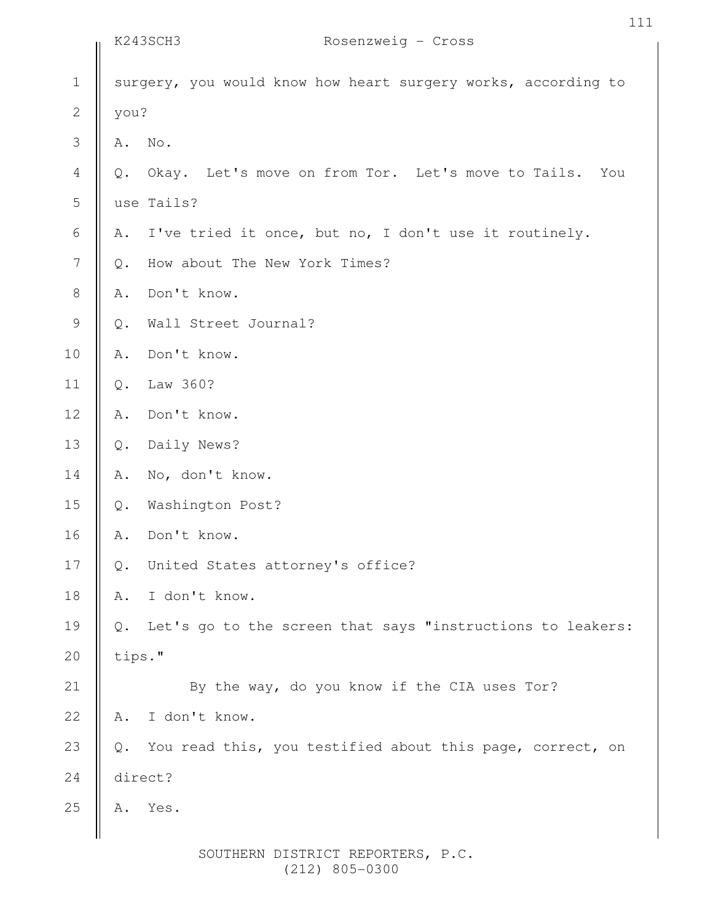|                |        | K243SCH3<br>Rosenzweig - Cross                                |
|----------------|--------|---------------------------------------------------------------|
| $\mathbf 1$    |        | surgery, you would know how heart surgery works, according to |
| $\sqrt{2}$     | you?   |                                                               |
| 3              | Α.     | No.                                                           |
| $\overline{4}$ | Q.     | Okay. Let's move on from Tor. Let's move to Tails.<br>You     |
| 5              |        | use Tails?                                                    |
| 6              | Α.     | I've tried it once, but no, I don't use it routinely.         |
| $\overline{7}$ | Q.     | How about The New York Times?                                 |
| $\,8\,$        | Α.     | Don't know.                                                   |
| $\mathcal{G}$  | $Q$ .  | Wall Street Journal?                                          |
| 10             | Α.     | Don't know.                                                   |
| 11             | $Q$ .  | Law 360?                                                      |
| 12             | Α.     | Don't know.                                                   |
| 13             | $Q$ .  | Daily News?                                                   |
| 14             | Α.     | No, don't know.                                               |
| 15             | $Q$ .  | Washington Post?                                              |
| 16             | Α.     | Don't know.                                                   |
| 17             | Q.     | United States attorney's office?                              |
| 18             | Α.     | I don't know.                                                 |
| 19             | Q.     | Let's go to the screen that says "instructions to leakers:    |
| 20             | tips." |                                                               |
| 21             |        | By the way, do you know if the CIA uses Tor?                  |
| 22             | Α.     | I don't know.                                                 |
| 23             | $Q$ .  | You read this, you testified about this page, correct, on     |
| 24             |        | direct?                                                       |
| 25             | Α.     | Yes.                                                          |
|                |        |                                                               |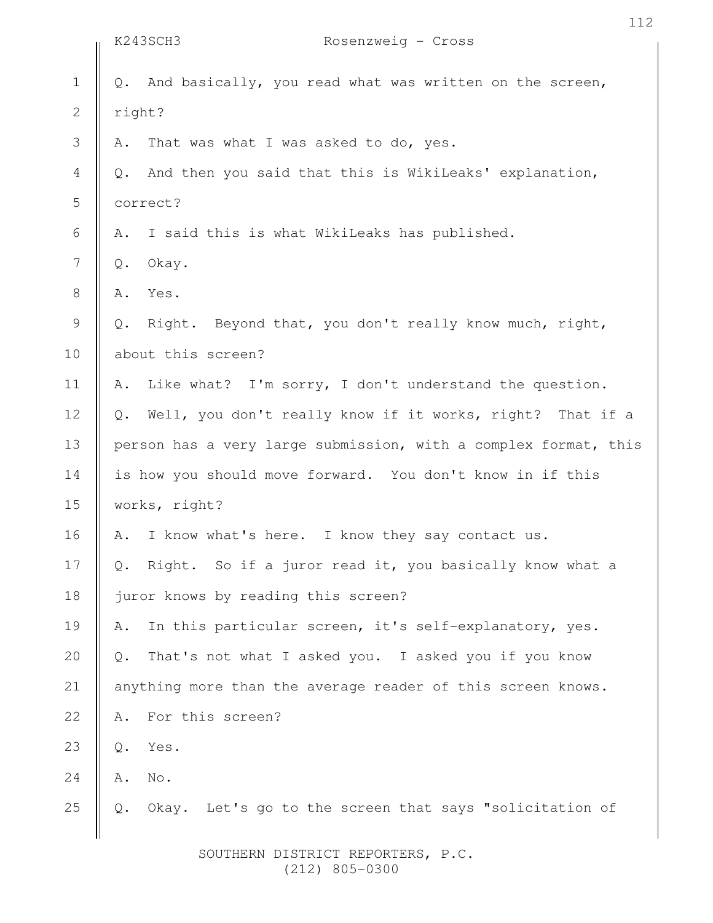|                | K243SCH3                                                  | Rosenzweig - Cross                                              |  |  |
|----------------|-----------------------------------------------------------|-----------------------------------------------------------------|--|--|
| $\mathbf 1$    | Q.                                                        | And basically, you read what was written on the screen,         |  |  |
| $\mathbf{2}$   |                                                           | right?                                                          |  |  |
| $\mathfrak{Z}$ | Α.                                                        | That was what I was asked to do, yes.                           |  |  |
| $\overline{4}$ | $\mathbb Q$ .                                             | And then you said that this is WikiLeaks' explanation,          |  |  |
| 5              | correct?                                                  |                                                                 |  |  |
| 6              | Α.                                                        | I said this is what WikiLeaks has published.                    |  |  |
| $\overline{7}$ | $\mathbb Q$ .                                             | Okay.                                                           |  |  |
| $\,8\,$        | Α.                                                        | Yes.                                                            |  |  |
| $\mathcal{G}$  | Q.                                                        | Right. Beyond that, you don't really know much, right,          |  |  |
| 10             |                                                           | about this screen?                                              |  |  |
| 11             | Α.                                                        | Like what? I'm sorry, I don't understand the question.          |  |  |
| 12             | $\mathbb Q$ .                                             | Well, you don't really know if it works, right? That if a       |  |  |
| 13             |                                                           | person has a very large submission, with a complex format, this |  |  |
| 14             | is how you should move forward. You don't know in if this |                                                                 |  |  |
| 15             |                                                           | works, right?                                                   |  |  |
| 16             | Α.                                                        | I know what's here. I know they say contact us.                 |  |  |
| 17             | Q.                                                        | Right. So if a juror read it, you basically know what a         |  |  |
| 18             |                                                           | juror knows by reading this screen?                             |  |  |
| 19             | Α.                                                        | In this particular screen, it's self-explanatory, yes.          |  |  |
| 20             | $Q$ .                                                     | That's not what I asked you. I asked you if you know            |  |  |
| 21             |                                                           | anything more than the average reader of this screen knows.     |  |  |
| 22             | Α.                                                        | For this screen?                                                |  |  |
| 23             | $\mathsf{Q}$ .                                            | Yes.                                                            |  |  |
| 24             | A.                                                        | No.                                                             |  |  |
| 25             |                                                           | Okay. Let's go to the screen that says "solicitation of         |  |  |
|                |                                                           |                                                                 |  |  |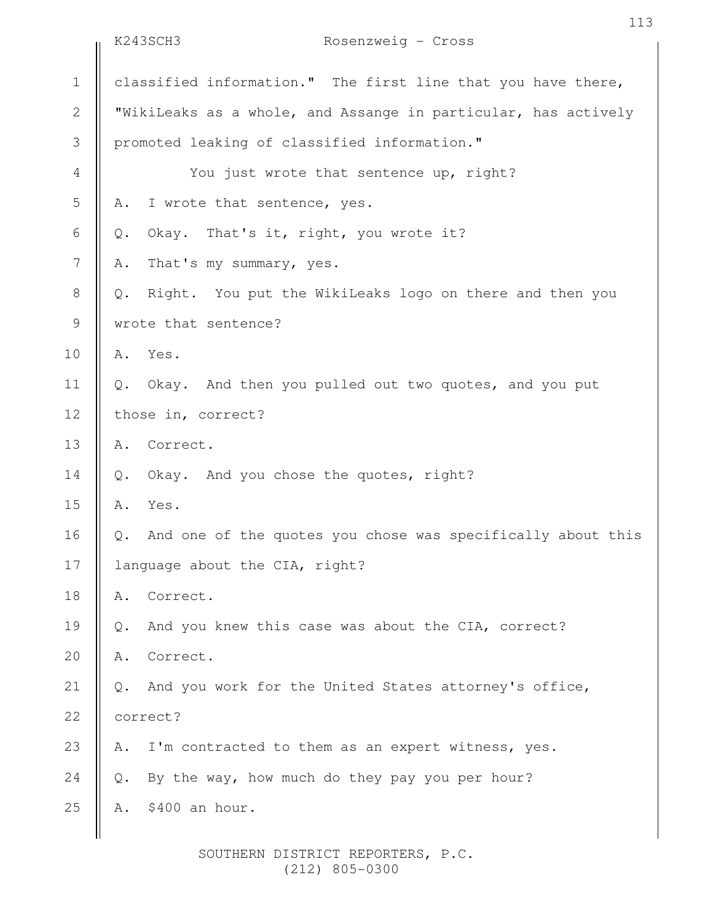|                | K243SCH3<br>Rosenzweig - Cross                                               |  |  |
|----------------|------------------------------------------------------------------------------|--|--|
| $\mathbf 1$    | classified information." The first line that you have there,                 |  |  |
| $\overline{2}$ | "WikiLeaks as a whole, and Assange in particular, has actively               |  |  |
| 3              | promoted leaking of classified information."                                 |  |  |
| $\overline{4}$ | You just wrote that sentence up, right?                                      |  |  |
| $\mathsf S$    | I wrote that sentence, yes.<br>Α.                                            |  |  |
| $\epsilon$     | Okay. That's it, right, you wrote it?<br>$Q$ .                               |  |  |
| $\overline{7}$ | That's my summary, yes.<br>Α.                                                |  |  |
| $\,8\,$        | Right. You put the WikiLeaks logo on there and then you<br>Q.                |  |  |
| $\mathsf 9$    | wrote that sentence?                                                         |  |  |
| 10             | Yes.<br>Α.                                                                   |  |  |
| 11             | Okay. And then you pulled out two quotes, and you put<br>$Q$ .               |  |  |
| 12             | those in, correct?                                                           |  |  |
| 13             | Correct.<br>Α.                                                               |  |  |
| 14             | Okay. And you chose the quotes, right?<br>$Q$ .                              |  |  |
| 15             | Yes.<br>Α.                                                                   |  |  |
| 16             | And one of the quotes you chose was specifically about this<br>$\mathbb Q$ . |  |  |
| 17             | language about the CIA, right?                                               |  |  |
| 18             | Correct.<br>Α.                                                               |  |  |
| 19             | And you knew this case was about the CIA, correct?<br>$\mathbb Q$ .          |  |  |
| 20             | Correct.<br>Α.                                                               |  |  |
| 21             | And you work for the United States attorney's office,<br>$Q$ .               |  |  |
| 22             | correct?                                                                     |  |  |
| 23             | I'm contracted to them as an expert witness, yes.<br>Α.                      |  |  |
| 24             | By the way, how much do they pay you per hour?<br>Q.                         |  |  |
| 25             | \$400 an hour.<br>Α.                                                         |  |  |
|                |                                                                              |  |  |

113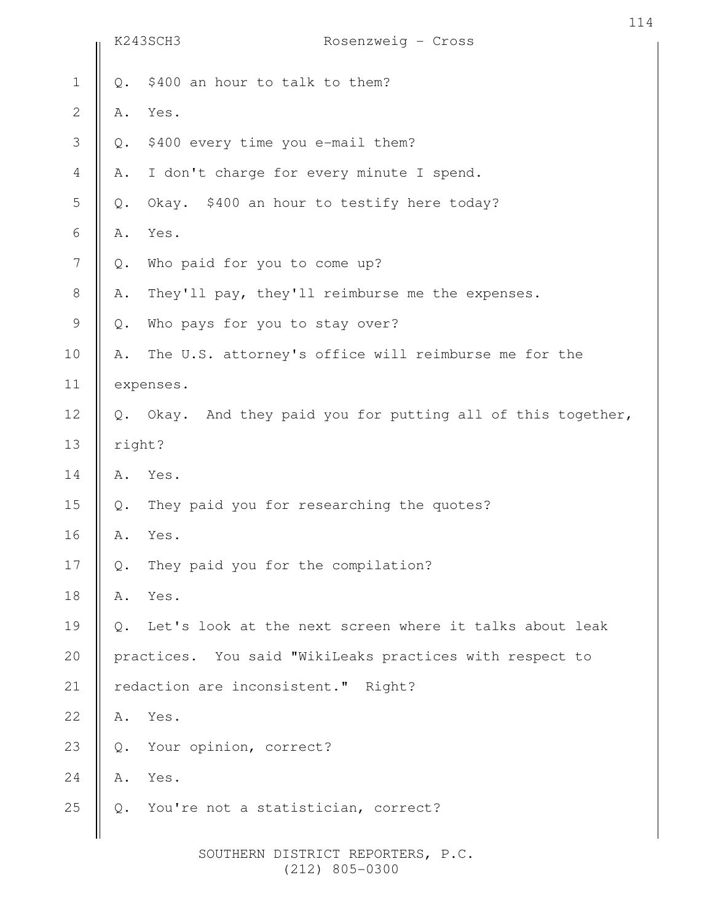|                |       | K243SCH3<br>Rosenzweig - Cross                            |  |
|----------------|-------|-----------------------------------------------------------|--|
| $\mathbf 1$    | Q.    | \$400 an hour to talk to them?                            |  |
| $\mathbf 2$    | Α.    | Yes.                                                      |  |
| 3              | Q.    | \$400 every time you e-mail them?                         |  |
| $\overline{4}$ | Α.    | I don't charge for every minute I spend.                  |  |
| 5              | Q.    | Okay. \$400 an hour to testify here today?                |  |
| $\sqrt{6}$     | Α.    | Yes.                                                      |  |
| 7              | $Q$ . | Who paid for you to come up?                              |  |
| $\,8\,$        | Α.    | They'll pay, they'll reimburse me the expenses.           |  |
| $\mathcal{G}$  | Q.    | Who pays for you to stay over?                            |  |
| 10             | Α.    | The U.S. attorney's office will reimburse me for the      |  |
| 11             |       | expenses.                                                 |  |
| 12             | $Q$ . | Okay. And they paid you for putting all of this together, |  |
| 13             |       | right?                                                    |  |
| 14             | Α.    | Yes.                                                      |  |
| 15             | Q.    | They paid you for researching the quotes?                 |  |
| 16             | Α.    | Yes.                                                      |  |
| 17             | Q.    | They paid you for the compilation?                        |  |
| 18             | Α.    | Yes.                                                      |  |
| 19             | Q.    | Let's look at the next screen where it talks about leak   |  |
| 20             |       | practices. You said "WikiLeaks practices with respect to  |  |
| 21             |       | redaction are inconsistent." Right?                       |  |
| 22             | Α.    | Yes.                                                      |  |
| 23             | Q.    | Your opinion, correct?                                    |  |
| 24             | Α.    | Yes.                                                      |  |
| 25             | Q.    | You're not a statistician, correct?                       |  |
|                |       | SOUTHERN DISTRICT REPORTERS, P.C.<br>$(212)$ 805-0300     |  |

114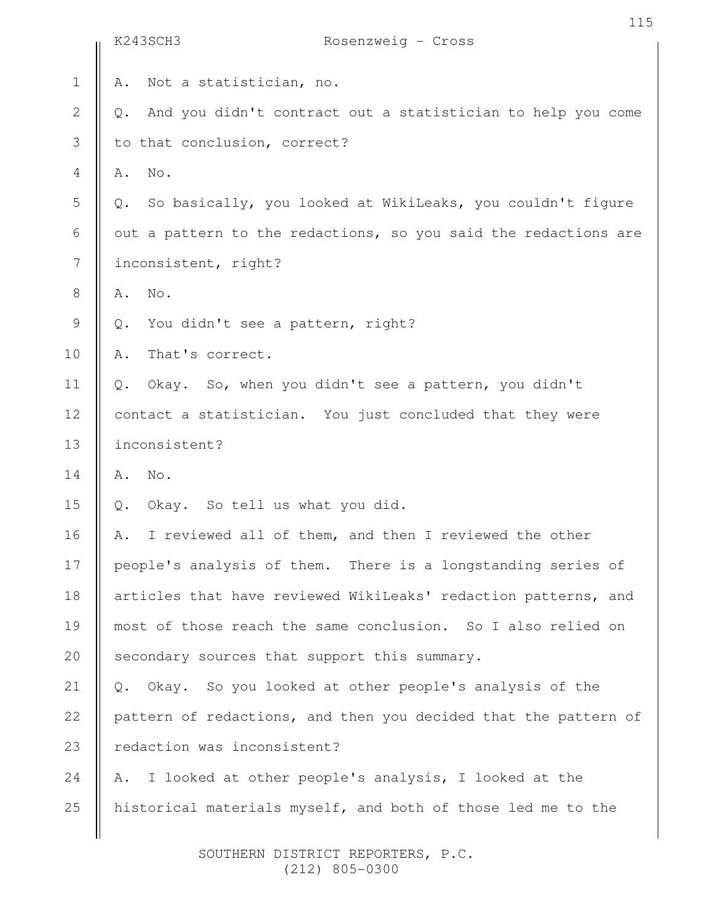|                | 115<br>K243SCH3<br>Rosenzweig - Cross                             |
|----------------|-------------------------------------------------------------------|
| $\mathbf 1$    | Not a statistician, no.<br>Α.                                     |
| $\mathbf{2}$   | And you didn't contract out a statistician to help you come<br>Q. |
| $\mathfrak{Z}$ | to that conclusion, correct?                                      |
| $\overline{4}$ | No.<br>Α.                                                         |
| 5              | So basically, you looked at WikiLeaks, you couldn't figure<br>Q.  |
| $\sqrt{6}$     | out a pattern to the redactions, so you said the redactions are   |
| 7              | inconsistent, right?                                              |
| $\,8\,$        | No.<br>Α.                                                         |
| $\mathcal{G}$  | You didn't see a pattern, right?<br>$\mathbb Q$ .                 |
| 10             | That's correct.<br>Α.                                             |
| 11             | Okay. So, when you didn't see a pattern, you didn't<br>Q.         |
| 12             | contact a statistician. You just concluded that they were         |
| 13             | inconsistent?                                                     |
| 14             | No.<br>Α.                                                         |
| 15             | Okay. So tell us what you did.<br>$Q$ .                           |
| 16             | I reviewed all of them, and then I reviewed the other<br>Α.       |
| 17             | people's analysis of them. There is a longstanding series of      |
| 18             | articles that have reviewed WikiLeaks' redaction patterns, and    |
| 19             | most of those reach the same conclusion. So I also relied on      |
| 20             | secondary sources that support this summary.                      |
| 21             | Okay. So you looked at other people's analysis of the<br>Q.       |
| 22             | pattern of redactions, and then you decided that the pattern of   |
| 23             | redaction was inconsistent?                                       |
| 24             | I looked at other people's analysis, I looked at the<br>Α.        |
| 25             | historical materials myself, and both of those led me to the      |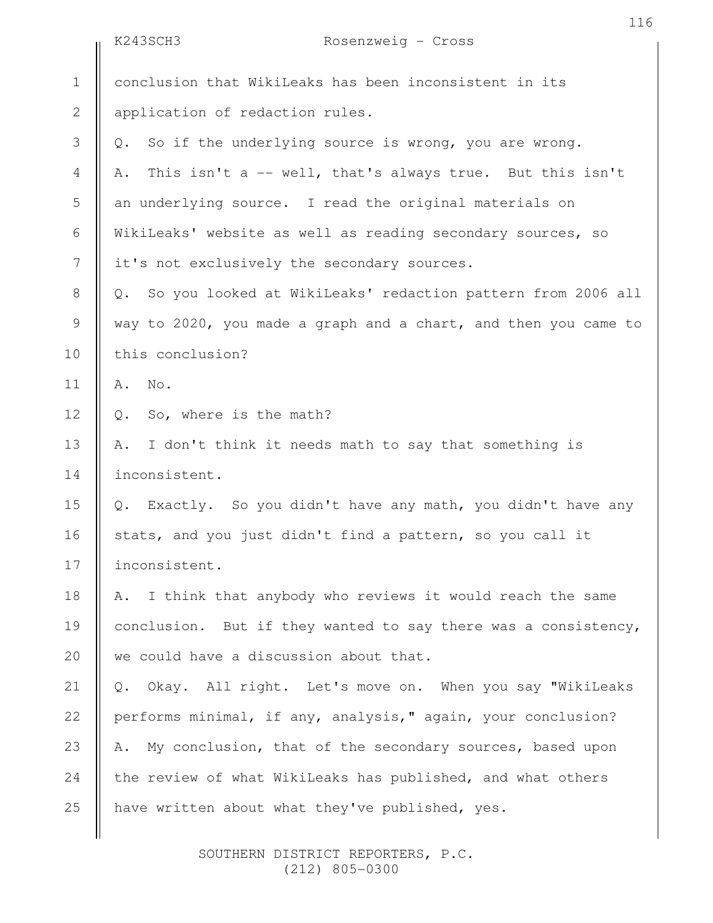|                | K243SCH3<br>Rosenzweig - Cross                                    |
|----------------|-------------------------------------------------------------------|
| $1\,$          | conclusion that WikiLeaks has been inconsistent in its            |
| $\overline{2}$ | application of redaction rules.                                   |
| 3              | So if the underlying source is wrong, you are wrong.<br>Q.        |
| $\overline{4}$ | This isn't a -- well, that's always true. But this isn't<br>Α.    |
| 5              | an underlying source. I read the original materials on            |
| 6              | WikiLeaks' website as well as reading secondary sources, so       |
| $\overline{7}$ | it's not exclusively the secondary sources.                       |
| $8\,$          | So you looked at WikiLeaks' redaction pattern from 2006 all<br>Q. |
| 9              | way to 2020, you made a graph and a chart, and then you came to   |
| 10             | this conclusion?                                                  |
| 11             | No.<br>Α.                                                         |
| 12             | So, where is the math?<br>Q.                                      |
| 13             | I don't think it needs math to say that something is<br>Α.        |
| 14             | inconsistent.                                                     |
| 15             | Exactly. So you didn't have any math, you didn't have any<br>Q.   |
| 16             | stats, and you just didn't find a pattern, so you call it         |
| 17             | inconsistent.                                                     |
| 18             | I think that anybody who reviews it would reach the same<br>Α.    |
| 19             | conclusion. But if they wanted to say there was a consistency,    |
| 20             | we could have a discussion about that.                            |
| 21             | Okay. All right. Let's move on. When you say "WikiLeaks<br>Q.     |
| 22             | performs minimal, if any, analysis," again, your conclusion?      |
| 23             | My conclusion, that of the secondary sources, based upon<br>Α.    |
| 24             | the review of what WikiLeaks has published, and what others       |
| 25             | have written about what they've published, yes.                   |
|                |                                                                   |

116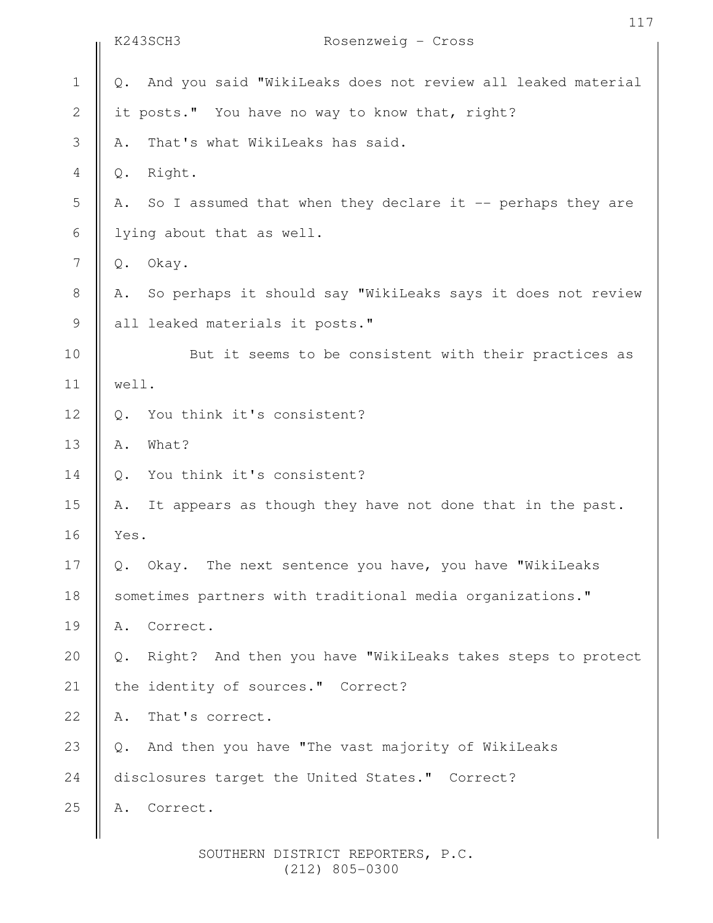|             | 117<br>K243SCH3<br>Rosenzweig - Cross                                        |
|-------------|------------------------------------------------------------------------------|
|             |                                                                              |
| $\mathbf 1$ | And you said "WikiLeaks does not review all leaked material<br>$Q_{\bullet}$ |
| $\sqrt{2}$  | it posts." You have no way to know that, right?                              |
| 3           | That's what WikiLeaks has said.<br>Α.                                        |
| 4           | Right.<br>Q.                                                                 |
| 5           | So I assumed that when they declare it -- perhaps they are<br>Α.             |
| 6           | lying about that as well.                                                    |
| 7           | Okay.<br>$\mathbb Q$ .                                                       |
| $\,8\,$     | So perhaps it should say "WikiLeaks says it does not review<br>Α.            |
| $\mathsf 9$ | all leaked materials it posts."                                              |
| 10          | But it seems to be consistent with their practices as                        |
| 11          | well.                                                                        |
| 12          | You think it's consistent?<br>$Q_{\bullet}$                                  |
| 13          | What?<br>Α.                                                                  |
| 14          | You think it's consistent?<br>$Q$ .                                          |
| 15          | It appears as though they have not done that in the past.<br>Α.              |
| 16          | Yes.                                                                         |
| 17          | Okay. The next sentence you have, you have "WikiLeaks<br>$\mathsf{Q}$ .      |
| 18          | sometimes partners with traditional media organizations."                    |
| 19          | Correct.<br>Α.                                                               |
| 20          | Right? And then you have "WikiLeaks takes steps to protect<br>Q.             |
| 21          | the identity of sources." Correct?                                           |
| 22          | That's correct.<br>Α.                                                        |
| 23          | And then you have "The vast majority of WikiLeaks<br>Q.                      |
| 24          | disclosures target the United States." Correct?                              |
| 25          | Correct.<br>Α.                                                               |
|             |                                                                              |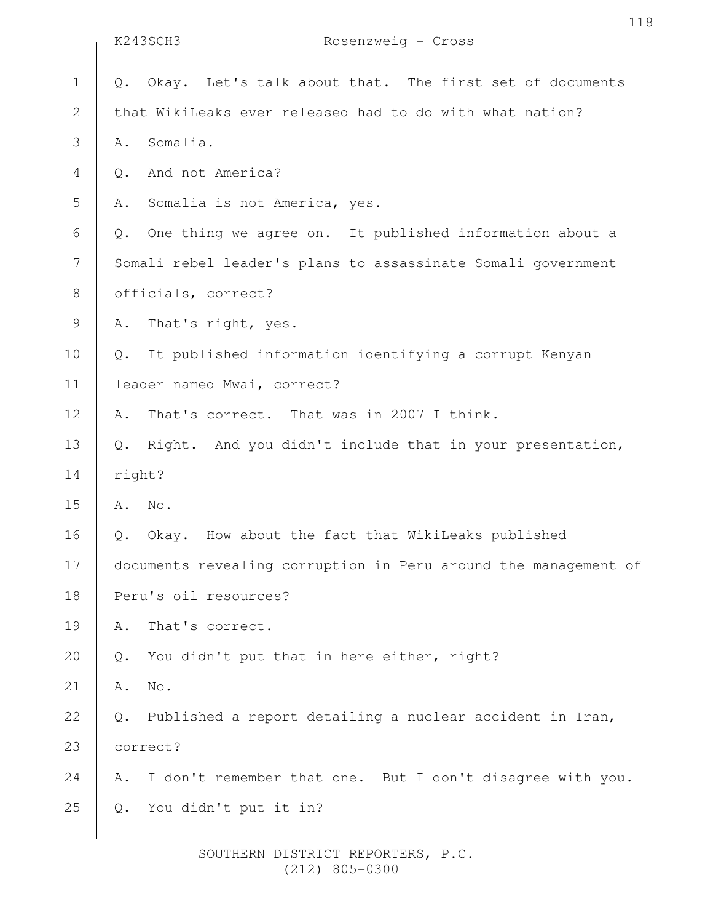|                | K243SCH3                                                        | Rosenzweig - Cross                                           |  |
|----------------|-----------------------------------------------------------------|--------------------------------------------------------------|--|
| $1\,$          | $Q$ .                                                           | Okay. Let's talk about that. The first set of documents      |  |
| $\mathbf{2}$   |                                                                 | that WikiLeaks ever released had to do with what nation?     |  |
| $\mathcal{S}$  | Α.                                                              | Somalia.                                                     |  |
| 4              | $Q$ .                                                           | And not America?                                             |  |
| 5              | Α.                                                              | Somalia is not America, yes.                                 |  |
| 6              | $Q$ .                                                           | One thing we agree on. It published information about a      |  |
| $\overline{7}$ |                                                                 | Somali rebel leader's plans to assassinate Somali government |  |
| $\,8\,$        |                                                                 | officials, correct?                                          |  |
| $\mathcal{G}$  | Α.                                                              | That's right, yes.                                           |  |
| 10             | $Q_{\bullet}$                                                   | It published information identifying a corrupt Kenyan        |  |
| 11             |                                                                 | leader named Mwai, correct?                                  |  |
| 12             | Α.                                                              | That's correct. That was in 2007 I think.                    |  |
| 13             | $Q$ .                                                           | Right. And you didn't include that in your presentation,     |  |
| 14             | right?                                                          |                                                              |  |
| 15             | No.<br>Α.                                                       |                                                              |  |
| 16             | Q.                                                              | Okay. How about the fact that WikiLeaks published            |  |
| 17             | documents revealing corruption in Peru around the management of |                                                              |  |
| 18             | Peru's oil resources?                                           |                                                              |  |
| 19             | Α.                                                              | That's correct.                                              |  |
| 20             | $Q$ .                                                           | You didn't put that in here either, right?                   |  |
| 21             | No.<br>Α.                                                       |                                                              |  |
| 22             | $Q$ .                                                           | Published a report detailing a nuclear accident in Iran,     |  |
| 23             | correct?                                                        |                                                              |  |
| 24             | Α.                                                              | I don't remember that one. But I don't disagree with you.    |  |
| 25             | $Q$ .                                                           | You didn't put it in?                                        |  |
|                |                                                                 |                                                              |  |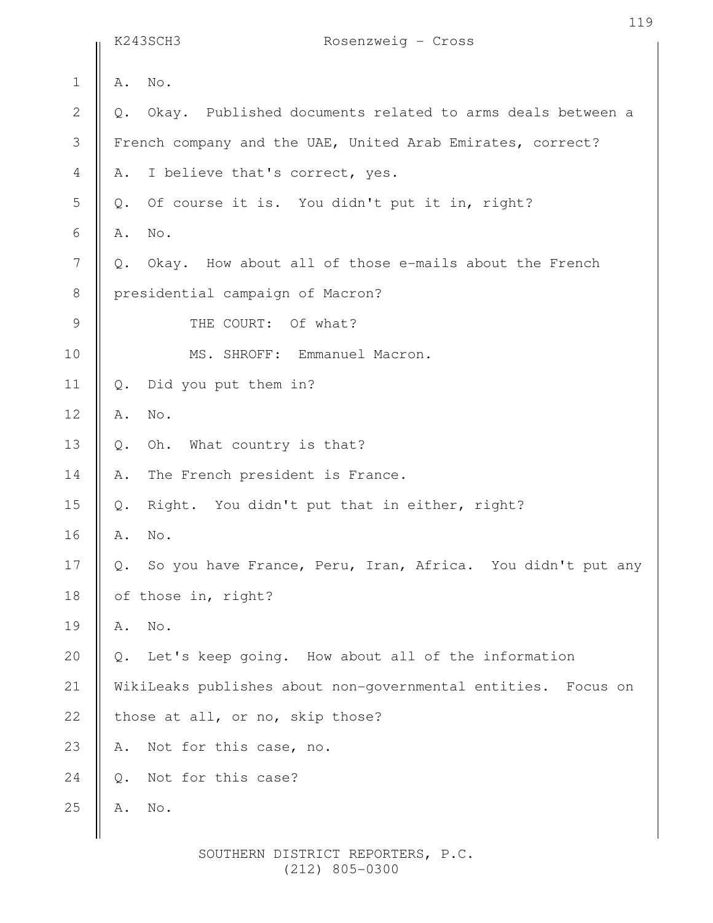|                  |       | K243SCH3<br>Rosenzweig - Cross                                |
|------------------|-------|---------------------------------------------------------------|
| $1\,$            | Α.    | No.                                                           |
| $\mathbf{2}$     | Q.    | Okay. Published documents related to arms deals between a     |
| $\mathfrak{Z}$   |       | French company and the UAE, United Arab Emirates, correct?    |
| $\overline{4}$   | Α.    | I believe that's correct, yes.                                |
| 5                | $Q$ . | Of course it is. You didn't put it in, right?                 |
| 6                | Α.    | No.                                                           |
| $\boldsymbol{7}$ | Q.    | Okay. How about all of those e-mails about the French         |
| $\,8\,$          |       | presidential campaign of Macron?                              |
| $\mathcal{G}$    |       | THE COURT: Of what?                                           |
| 10               |       | MS. SHROFF: Emmanuel Macron.                                  |
| 11               | $Q$ . | Did you put them in?                                          |
| 12               | Α.    | No.                                                           |
| 13               | $Q$ . | Oh. What country is that?                                     |
| 14               | Α.    | The French president is France.                               |
| 15               | $Q$ . | Right. You didn't put that in either, right?                  |
| 16               | Α.    | No.                                                           |
| 17               | Q.    | So you have France, Peru, Iran, Africa. You didn't put any    |
| 18               |       | of those in, right?                                           |
| 19               | Α.    | No.                                                           |
| 20               | $Q$ . | Let's keep going. How about all of the information            |
| 21               |       | WikiLeaks publishes about non-governmental entities. Focus on |
| 22               |       | those at all, or no, skip those?                              |
| 23               | Α.    | Not for this case, no.                                        |
| 24               | $Q$ . | Not for this case?                                            |
| 25               | Α.    | $\mathrm{No}$ .                                               |
|                  |       |                                                               |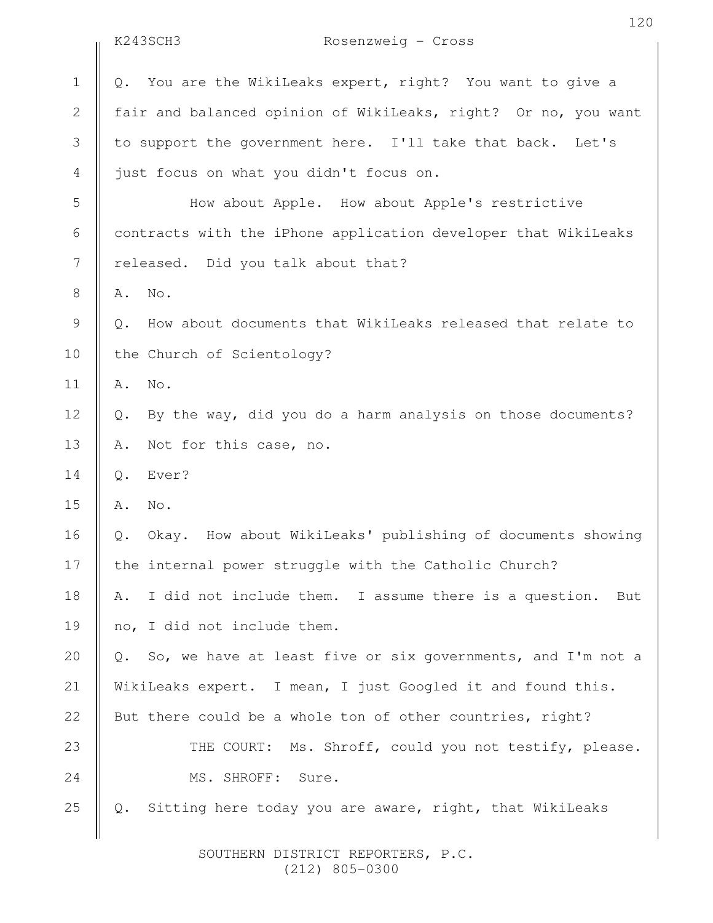|              | K243SCH3<br>Rosenzweig - Cross                                           |
|--------------|--------------------------------------------------------------------------|
| $\mathbf 1$  | You are the WikiLeaks expert, right? You want to give a<br>Q.            |
| $\mathbf{2}$ | fair and balanced opinion of WikiLeaks, right? Or no, you want           |
| 3            | to support the government here. I'll take that back. Let's               |
| 4            | just focus on what you didn't focus on.                                  |
| 5            | How about Apple. How about Apple's restrictive                           |
| 6            | contracts with the iPhone application developer that WikiLeaks           |
| 7            | released. Did you talk about that?                                       |
| 8            | No.<br>Α.                                                                |
| 9            | How about documents that WikiLeaks released that relate to<br>$Q$ .      |
| 10           | the Church of Scientology?                                               |
| 11           | No.<br>Α.                                                                |
| 12           | By the way, did you do a harm analysis on those documents?<br>Q.         |
| 13           | Not for this case, no.<br>Α.                                             |
| 14           | Ever?<br>$Q$ .                                                           |
| 15           | No.<br>Α.                                                                |
| 16           | Okay. How about WikiLeaks' publishing of documents showing<br>Q.         |
| 17           | the internal power struggle with the Catholic Church?                    |
| 18           | I did not include them. I assume there is a question.<br>Α.<br>But       |
| 19           | no, I did not include them.                                              |
| 20           | So, we have at least five or six governments, and I'm not a<br>$\circ$ . |
| 21           | WikiLeaks expert. I mean, I just Googled it and found this.              |
| 22           | But there could be a whole ton of other countries, right?                |
| 23           | THE COURT: Ms. Shroff, could you not testify, please.                    |
| 24           | MS. SHROFF: Sure.                                                        |
| 25           | Sitting here today you are aware, right, that WikiLeaks<br>Q.            |
|              |                                                                          |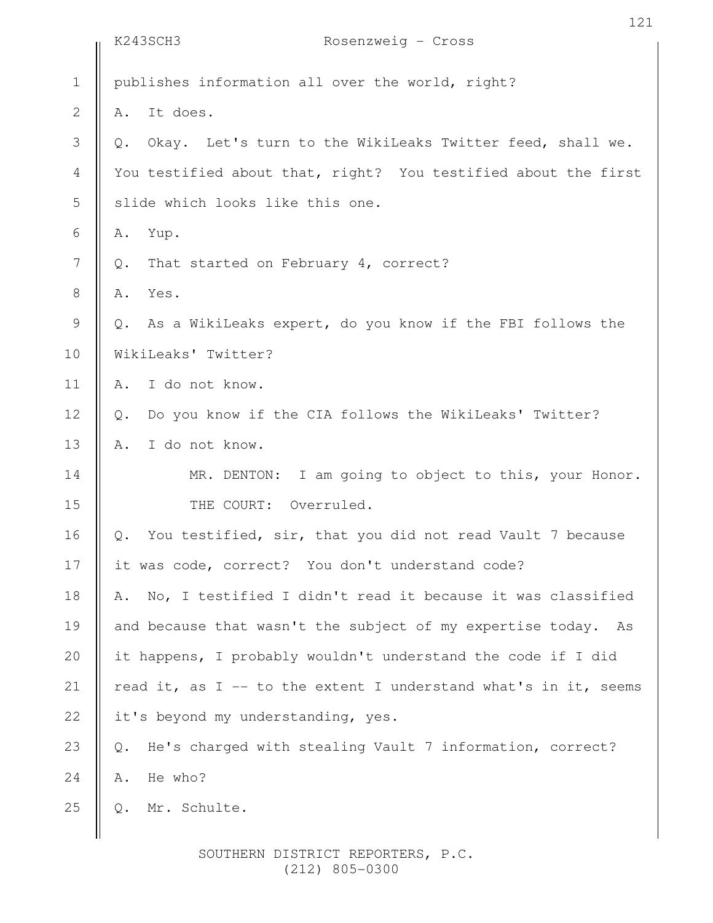|                | K243SCH3<br>Rosenzweig - Cross                                   |
|----------------|------------------------------------------------------------------|
| $1\,$          | publishes information all over the world, right?                 |
| $\mathbf{2}$   | It does.<br>Α.                                                   |
| 3              | Okay. Let's turn to the WikiLeaks Twitter feed, shall we.<br>Q.  |
| $\overline{4}$ | You testified about that, right? You testified about the first   |
| 5              | slide which looks like this one.                                 |
| 6              | Yup.<br>Α.                                                       |
| 7              | That started on February 4, correct?<br>Q.                       |
| $\,8\,$        | Yes.<br>Α.                                                       |
| $\mathsf 9$    | As a WikiLeaks expert, do you know if the FBI follows the<br>Q.  |
| 10             | WikiLeaks' Twitter?                                              |
| 11             | I do not know.<br>Α.                                             |
| 12             | Do you know if the CIA follows the WikiLeaks' Twitter?<br>Q.     |
| 13             | I do not know.<br>Α.                                             |
| 14             | MR. DENTON: I am going to object to this, your Honor.            |
| 15             | THE COURT: Overruled.                                            |
| 16             | You testified, sir, that you did not read Vault 7 because<br>Q.  |
| 17             | it was code, correct? You don't understand code?                 |
| 18             | No, I testified I didn't read it because it was classified<br>Α. |
| 19             | and because that wasn't the subject of my expertise today. As    |
| 20             | it happens, I probably wouldn't understand the code if I did     |
| 21             | read it, as I -- to the extent I understand what's in it, seems  |
| 22             | it's beyond my understanding, yes.                               |
| 23             | He's charged with stealing Vault 7 information, correct?<br>Q.   |
| 24             | He who?<br>Α.                                                    |
| 25             | Mr. Schulte.<br>Q.                                               |
|                |                                                                  |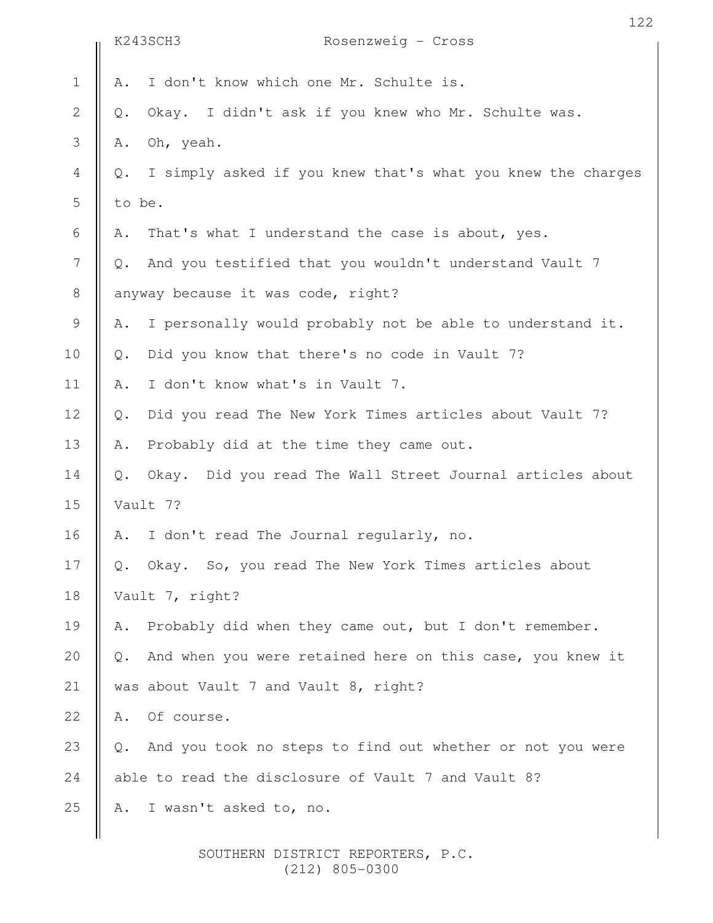|                |                | 122<br>K243SCH3<br>Rosenzweig - Cross                       |
|----------------|----------------|-------------------------------------------------------------|
|                |                |                                                             |
| $\mathbf 1$    | Α.             | I don't know which one Mr. Schulte is.                      |
| $\mathbf 2$    | $\mathbb{Q}$ . | Okay. I didn't ask if you knew who Mr. Schulte was.         |
| 3              | Α.             | Oh, yeah.                                                   |
| $\overline{4}$ | $Q$ .          | I simply asked if you knew that's what you knew the charges |
| 5              | to be.         |                                                             |
| 6              | Α.             | That's what I understand the case is about, yes.            |
| $\overline{7}$ | $Q$ .          | And you testified that you wouldn't understand Vault 7      |
| $\,8\,$        |                | anyway because it was code, right?                          |
| $\mathsf 9$    | Α.             | I personally would probably not be able to understand it.   |
| 10             | $Q$ .          | Did you know that there's no code in Vault 7?               |
| 11             | Α.             | I don't know what's in Vault 7.                             |
| 12             | $Q$ .          | Did you read The New York Times articles about Vault 7?     |
| 13             | Α.             | Probably did at the time they came out.                     |
| 14             | $Q$ .          | Okay. Did you read The Wall Street Journal articles about   |
| 15             |                | Vault 7?                                                    |
| 16             | Α.             | I don't read The Journal regularly, no.                     |
| 17             | Q.             | Okay. So, you read The New York Times articles about        |
| 18             |                | Vault 7, right?                                             |
| 19             | Α.             | Probably did when they came out, but I don't remember.      |
| 20             | $Q$ .          | And when you were retained here on this case, you knew it   |
| 21             |                | was about Vault 7 and Vault 8, right?                       |
| 22             | Α.             | Of course.                                                  |
| 23             | $Q$ .          | And you took no steps to find out whether or not you were   |
| 24             |                | able to read the disclosure of Vault 7 and Vault 8?         |
| 25             | Α.             | I wasn't asked to, no.                                      |
|                |                |                                                             |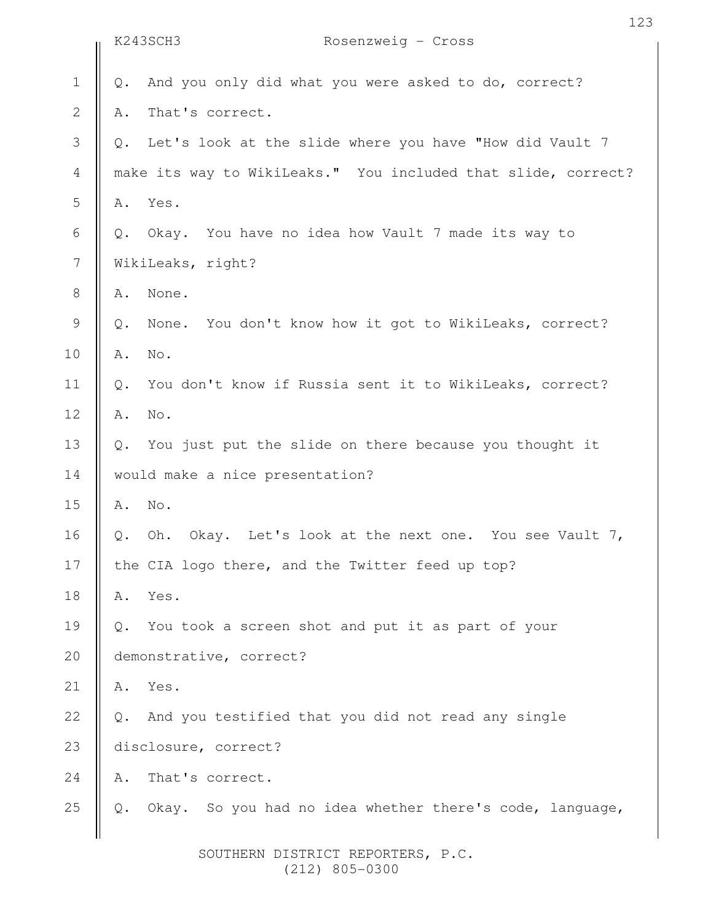|                  |                | K243SCH3<br>Rosenzweig - Cross                                |
|------------------|----------------|---------------------------------------------------------------|
| $\mathbf 1$      | $\mathbb Q$ .  | And you only did what you were asked to do, correct?          |
| $\sqrt{2}$       | Α.             | That's correct.                                               |
| $\mathfrak{Z}$   | Q.             | Let's look at the slide where you have "How did Vault 7       |
| $\overline{4}$   |                | make its way to WikiLeaks." You included that slide, correct? |
| 5                | Α.             | Yes.                                                          |
| 6                | Q.             | Okay. You have no idea how Vault 7 made its way to            |
| $\boldsymbol{7}$ |                | WikiLeaks, right?                                             |
| $\,8\,$          | Α.             | None.                                                         |
| $\mathsf 9$      | $Q$ .          | None. You don't know how it got to WikiLeaks, correct?        |
| 10               | Α.             | No.                                                           |
| 11               | $Q$ .          | You don't know if Russia sent it to WikiLeaks, correct?       |
| 12               | Α.             | No.                                                           |
| 13               | $\mathbb Q$ .  | You just put the slide on there because you thought it        |
| 14               |                | would make a nice presentation?                               |
| 15               | Α.             | No.                                                           |
| 16               | $\mathbb Q$ .  | Oh.<br>Okay. Let's look at the next one. You see Vault 7,     |
| 17               |                | the CIA logo there, and the Twitter feed up top?              |
| 18               | Α.             | Yes.                                                          |
| 19               | Q.             | You took a screen shot and put it as part of your             |
| 20               |                | demonstrative, correct?                                       |
| 21               | Α.             | Yes.                                                          |
| 22               | $Q_{\bullet}$  | And you testified that you did not read any single            |
| 23               |                | disclosure, correct?                                          |
| 24               | Α.             | That's correct.                                               |
| 25               | $\mathsf{Q}$ . | So you had no idea whether there's code, language,<br>Okay.   |
|                  |                |                                                               |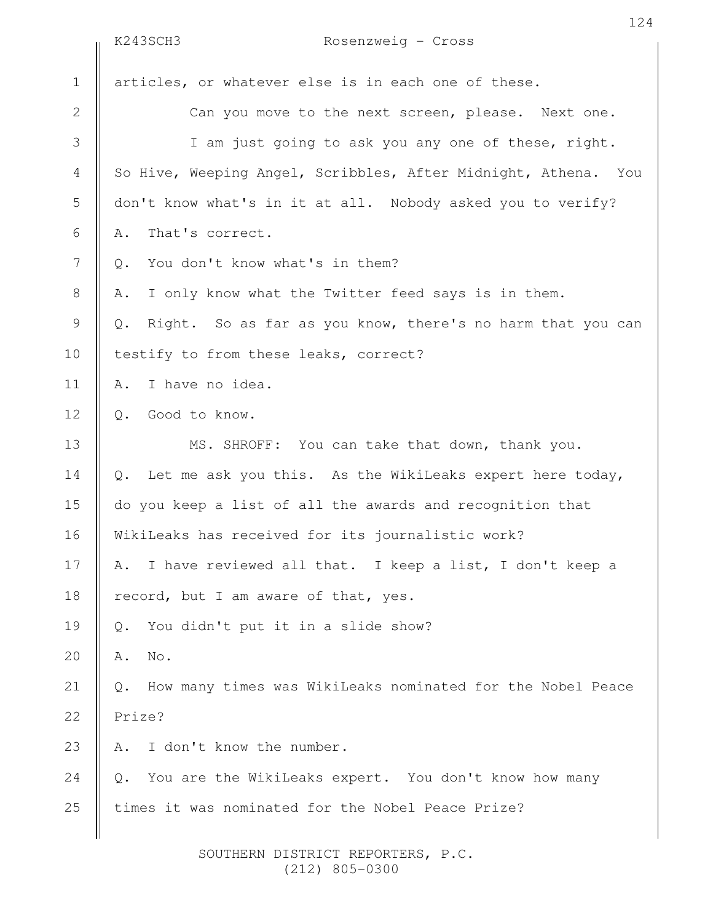|                          | K243SCH3<br>Rosenzweig - Cross                                              |
|--------------------------|-----------------------------------------------------------------------------|
| $1\,$                    | articles, or whatever else is in each one of these.                         |
| $\mathbf{2}$             | Can you move to the next screen, please. Next one.                          |
| $\mathfrak{Z}$           | I am just going to ask you any one of these, right.                         |
| $\overline{4}$           | So Hive, Weeping Angel, Scribbles, After Midnight, Athena. You              |
| 5                        | don't know what's in it at all. Nobody asked you to verify?                 |
| 6                        | That's correct.<br>Α.                                                       |
| $\overline{\phantom{a}}$ | You don't know what's in them?<br>Q.                                        |
| $\,8\,$                  | I only know what the Twitter feed says is in them.<br>Α.                    |
| $\mathcal{G}$            | Right. So as far as you know, there's no harm that you can<br>Q.            |
| 10                       | testify to from these leaks, correct?                                       |
| 11                       | I have no idea.<br>Α.                                                       |
| 12                       | Good to know.<br>$Q$ .                                                      |
| 13                       | MS. SHROFF: You can take that down, thank you.                              |
| 14                       | Let me ask you this. As the WikiLeaks expert here today,<br>$\mathbb Q$ .   |
| 15                       | do you keep a list of all the awards and recognition that                   |
| 16                       | WikiLeaks has received for its journalistic work?                           |
| 17                       | I have reviewed all that. I keep a list, I don't keep a<br>Α.               |
| 18                       | record, but I am aware of that, yes.                                        |
| 19                       | You didn't put it in a slide show?<br>$\mathbb Q$ .                         |
| 20                       | No.<br>Α.                                                                   |
| 21                       | How many times was WikiLeaks nominated for the Nobel Peace<br>$Q_{\bullet}$ |
| 22                       | Prize?                                                                      |
| 23                       | I don't know the number.<br>Α.                                              |
| 24                       | You are the WikiLeaks expert. You don't know how many<br>Q.                 |
| 25                       | times it was nominated for the Nobel Peace Prize?                           |
|                          |                                                                             |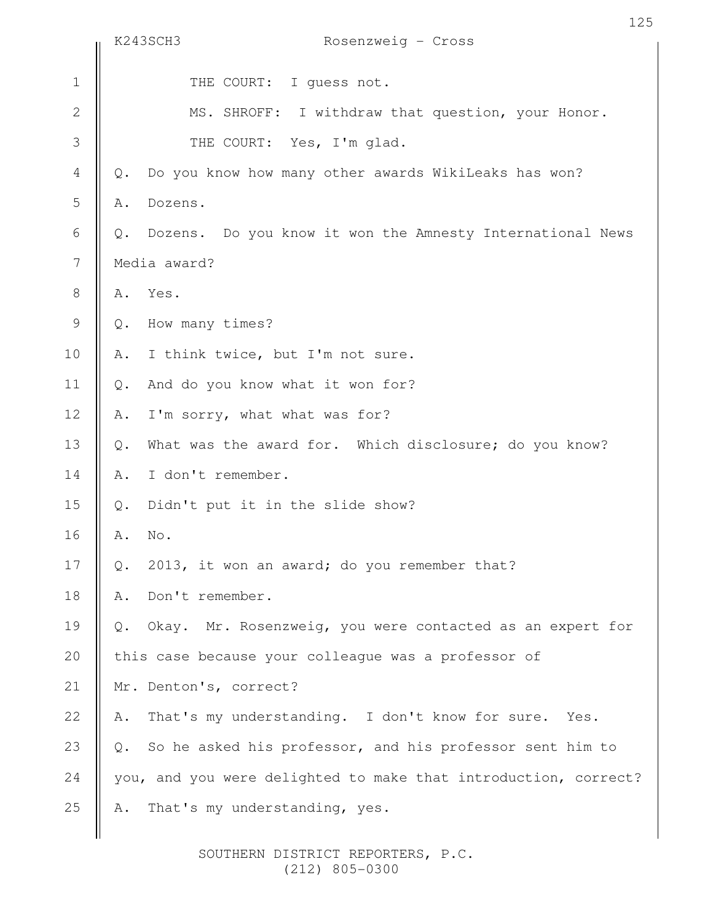|                | K243SCH3<br>Rosenzweig - Cross                                         |
|----------------|------------------------------------------------------------------------|
| $\mathbf 1$    | THE COURT: I guess not.                                                |
| $\mathbf{2}$   | MS. SHROFF: I withdraw that question, your Honor.                      |
| $\mathcal{S}$  | THE COURT: Yes, I'm glad.                                              |
| $\overline{4}$ | Do you know how many other awards WikiLeaks has won?<br>$\mathbb{Q}$ . |
| 5              | Dozens.<br>Α.                                                          |
| 6              | Dozens. Do you know it won the Amnesty International News<br>Q.        |
| 7              | Media award?                                                           |
| $\,8\,$        | Yes.<br>Α.                                                             |
| $\mathsf 9$    | How many times?<br>Q.                                                  |
| 10             | I think twice, but I'm not sure.<br>Α.                                 |
| 11             | And do you know what it won for?<br>$Q$ .                              |
| 12             | I'm sorry, what what was for?<br>Α.                                    |
| 13             | What was the award for. Which disclosure; do you know?<br>$Q$ .        |
| 14             | I don't remember.<br>Α.                                                |
| 15             | Didn't put it in the slide show?<br>$\mathbb{Q}$ .                     |
| 16             | No.<br>Α.                                                              |
| 17             | 2013, it won an award; do you remember that?<br>Q.                     |
| 18             | Don't remember.<br>Α.                                                  |
| 19             | Okay. Mr. Rosenzweig, you were contacted as an expert for<br>$Q$ .     |
| 20             | this case because your colleague was a professor of                    |
| 21             | Mr. Denton's, correct?                                                 |
| 22             | That's my understanding. I don't know for sure. Yes.<br>Α.             |
| 23             | So he asked his professor, and his professor sent him to<br>Q.         |
| 24             | you, and you were delighted to make that introduction, correct?        |
| 25             | That's my understanding, yes.<br>Α.                                    |
|                |                                                                        |

# 125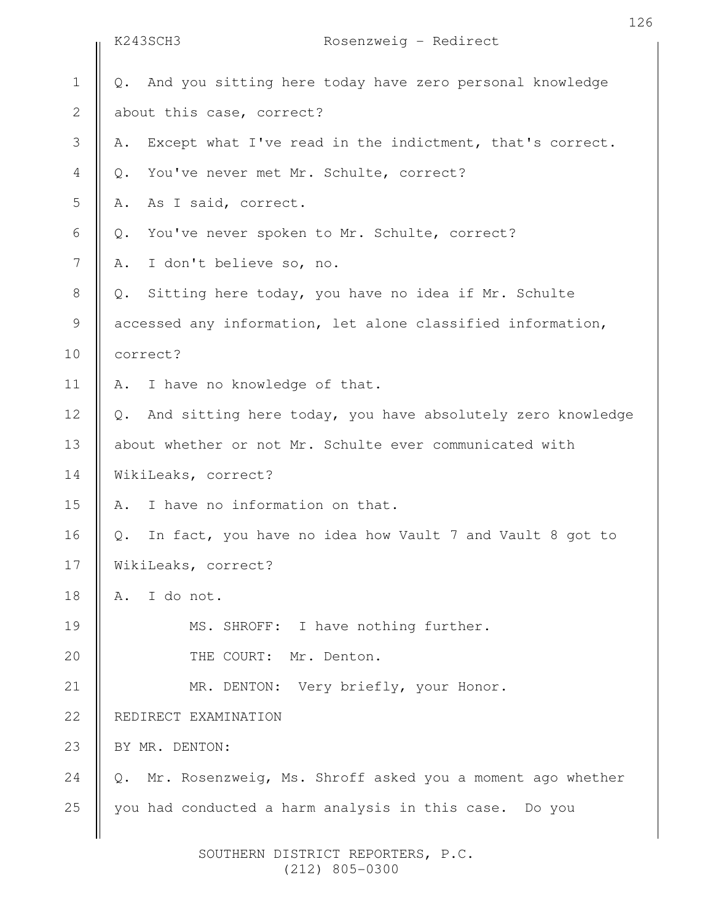|                | K243SCH3 |                                              | Rosenzweig - Redirect                                       |
|----------------|----------|----------------------------------------------|-------------------------------------------------------------|
| $\mathbf 1$    | Q.       |                                              | And you sitting here today have zero personal knowledge     |
| $\mathbf{2}$   |          | about this case, correct?                    |                                                             |
| 3              | Α.       |                                              | Except what I've read in the indictment, that's correct.    |
| $\overline{4}$ | $Q$ .    | You've never met Mr. Schulte, correct?       |                                                             |
| 5              | Α.       | As I said, correct.                          |                                                             |
| 6              | Q.       | You've never spoken to Mr. Schulte, correct? |                                                             |
| 7              | Α.       | I don't believe so, no.                      |                                                             |
| $8\,$          | Q.       |                                              | Sitting here today, you have no idea if Mr. Schulte         |
| $\mathsf 9$    |          |                                              | accessed any information, let alone classified information, |
| 10             | correct? |                                              |                                                             |
| 11             | Α.       | I have no knowledge of that.                 |                                                             |
| 12             | $Q$ .    |                                              | And sitting here today, you have absolutely zero knowledge  |
| 13             |          |                                              | about whether or not Mr. Schulte ever communicated with     |
| 14             |          | WikiLeaks, correct?                          |                                                             |
| 15             | Α.       | I have no information on that.               |                                                             |
| 16             | Q.       |                                              | In fact, you have no idea how Vault 7 and Vault 8 got to    |
| 17             |          | WikiLeaks, correct?                          |                                                             |
| 18             | Α.       | I do not.                                    |                                                             |
| 19             |          | MS. SHROFF: I have nothing further.          |                                                             |
| 20             |          | THE COURT: Mr. Denton.                       |                                                             |
| 21             |          | MR. DENTON: Very briefly, your Honor.        |                                                             |
| 22             |          | REDIRECT EXAMINATION                         |                                                             |
| 23             |          | BY MR. DENTON:                               |                                                             |
| 24             | Q.       |                                              | Mr. Rosenzweig, Ms. Shroff asked you a moment ago whether   |
| 25             |          |                                              | you had conducted a harm analysis in this case. Do you      |
|                |          |                                              |                                                             |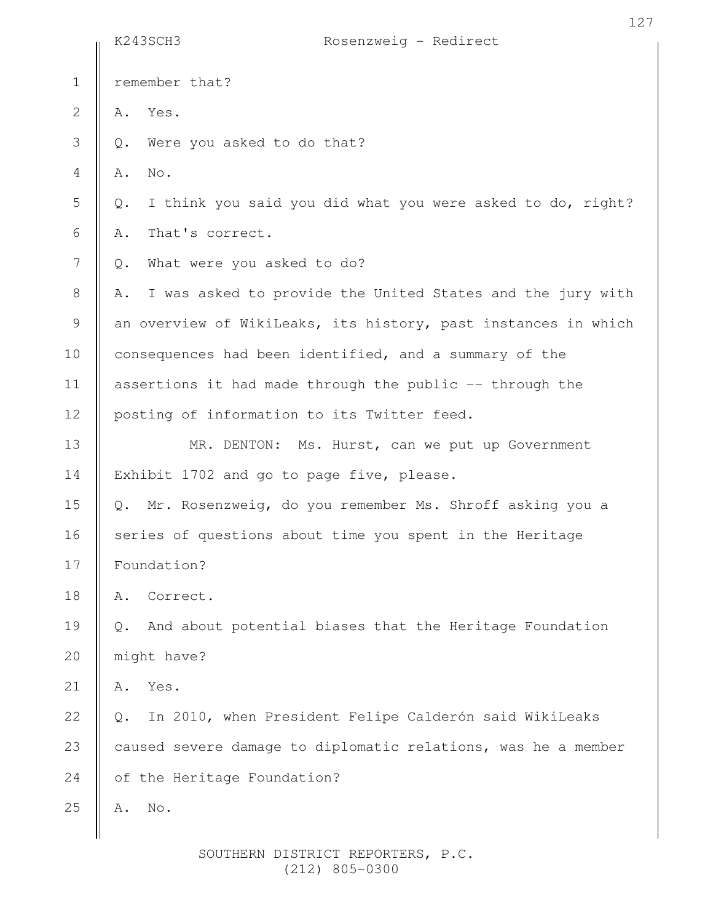|                | K243SCH3<br>Rosenzweig - Redirect                                           |
|----------------|-----------------------------------------------------------------------------|
| $\mathbf 1$    | remember that?                                                              |
| $\mathbf{2}$   | Yes.<br>Α.                                                                  |
| 3              | Were you asked to do that?<br>$\mathbb Q$ .                                 |
| $\overline{4}$ | No.<br>Α.                                                                   |
| 5              | I think you said you did what you were asked to do, right?<br>$\mathbb Q$ . |
| 6              | That's correct.<br>Α.                                                       |
| 7              | What were you asked to do?<br>$\mathbb Q$ .                                 |
| $8\,$          | I was asked to provide the United States and the jury with<br>Α.            |
| 9              | an overview of WikiLeaks, its history, past instances in which              |
| 10             | consequences had been identified, and a summary of the                      |
| 11             | assertions it had made through the public -- through the                    |
| 12             | posting of information to its Twitter feed.                                 |
| 13             | MR. DENTON: Ms. Hurst, can we put up Government                             |
| 14             | Exhibit 1702 and go to page five, please.                                   |
| 15             | Q. Mr. Rosenzweig, do you remember Ms. Shroff asking you a                  |
| 16             | series of questions about time you spent in the Heritage                    |
| 17             | Foundation?                                                                 |
| 18             | Correct.<br>Α.                                                              |
| 19             | And about potential biases that the Heritage Foundation<br>Q.               |
| 20             | might have?                                                                 |
| 21             | Yes.<br>Α.                                                                  |
| 22             | In 2010, when President Felipe Calderón said WikiLeaks<br>Q.                |
| 23             | caused severe damage to diplomatic relations, was he a member               |
| 24             | of the Heritage Foundation?                                                 |
| 25             | No.<br>Α.                                                                   |
|                |                                                                             |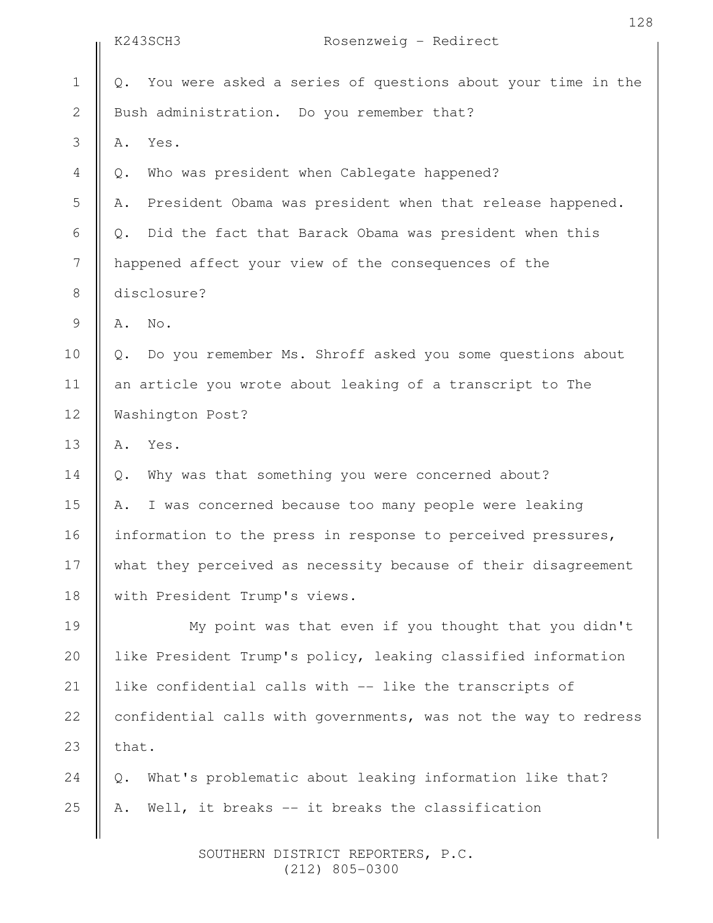|                | 128<br>Rosenzweig - Redirect<br>K243SCH3                          |
|----------------|-------------------------------------------------------------------|
|                |                                                                   |
| $\mathbf 1$    | You were asked a series of questions about your time in the<br>Q. |
| $\mathbf{2}$   | Bush administration. Do you remember that?                        |
| 3              | Yes.<br>Α.                                                        |
| 4              | Who was president when Cablegate happened?<br>$\mathbb Q$ .       |
| 5              | President Obama was president when that release happened.<br>Α.   |
| 6              | Did the fact that Barack Obama was president when this<br>Q.      |
| $\overline{7}$ | happened affect your view of the consequences of the              |
| $8\,$          | disclosure?                                                       |
| 9              | No.<br>Α.                                                         |
| 10             | Do you remember Ms. Shroff asked you some questions about<br>Q.   |
| 11             | an article you wrote about leaking of a transcript to The         |
| 12             | Washington Post?                                                  |
| 13             | Yes.<br>Α.                                                        |
| 14             | Why was that something you were concerned about?<br>Q.            |
| 15             | I was concerned because too many people were leaking<br>Α.        |
| 16             | information to the press in response to perceived pressures,      |
| 17             | what they perceived as necessity because of their disagreement    |
| 18             | with President Trump's views.                                     |
| 19             | My point was that even if you thought that you didn't             |
| 20             | like President Trump's policy, leaking classified information     |
| 21             | like confidential calls with -- like the transcripts of           |
| 22             | confidential calls with governments, was not the way to redress   |
| 23             | that.                                                             |
| 24             | What's problematic about leaking information like that?<br>Q.     |
| 25             | Well, it breaks -- it breaks the classification<br>Α.             |
|                |                                                                   |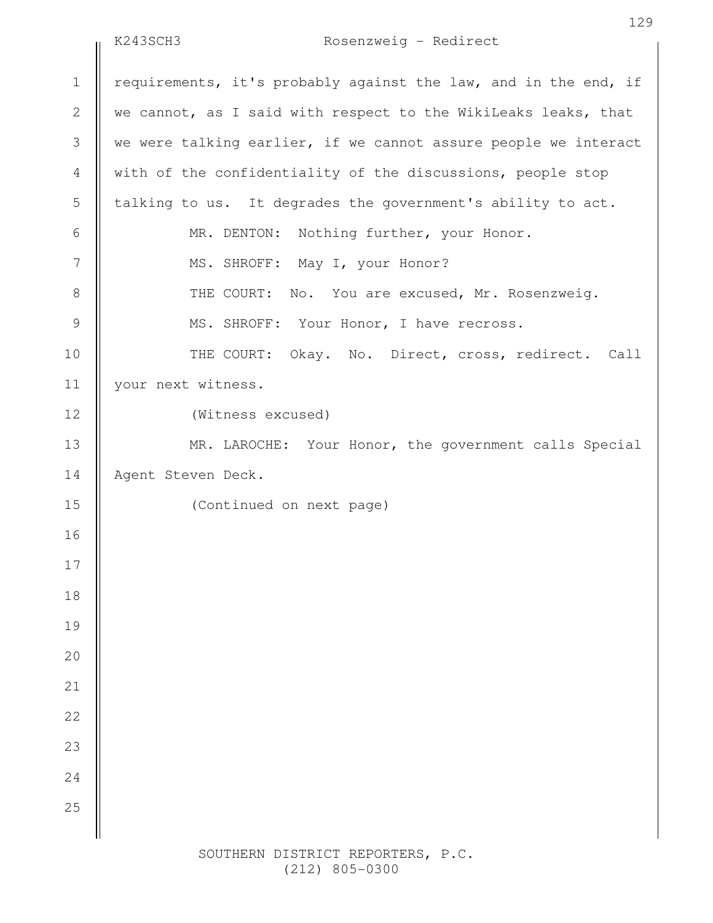### K243SCH3 Rosenzweig - Redirect

requirements, it's probably against the law, and in the end, if we cannot, as I said with respect to the WikiLeaks leaks, that we were talking earlier, if we cannot assure people we interact with of the confidentiality of the discussions, people stop talking to us. It degrades the government's ability to act. MR. DENTON: Nothing further, your Honor. MS. SHROFF: May I, your Honor? THE COURT: No. You are excused, Mr. Rosenzweig. MS. SHROFF: Your Honor, I have recross. THE COURT: Okay. No. Direct, cross, redirect. Call your next witness. (Witness excused) MR. LAROCHE: Your Honor, the government calls Special Agent Steven Deck. (Continued on next page) 1 2 3 4 5 6 7 8 9 10 11 12 13 14 15 16 17 18 19 20 21 22 23 24 25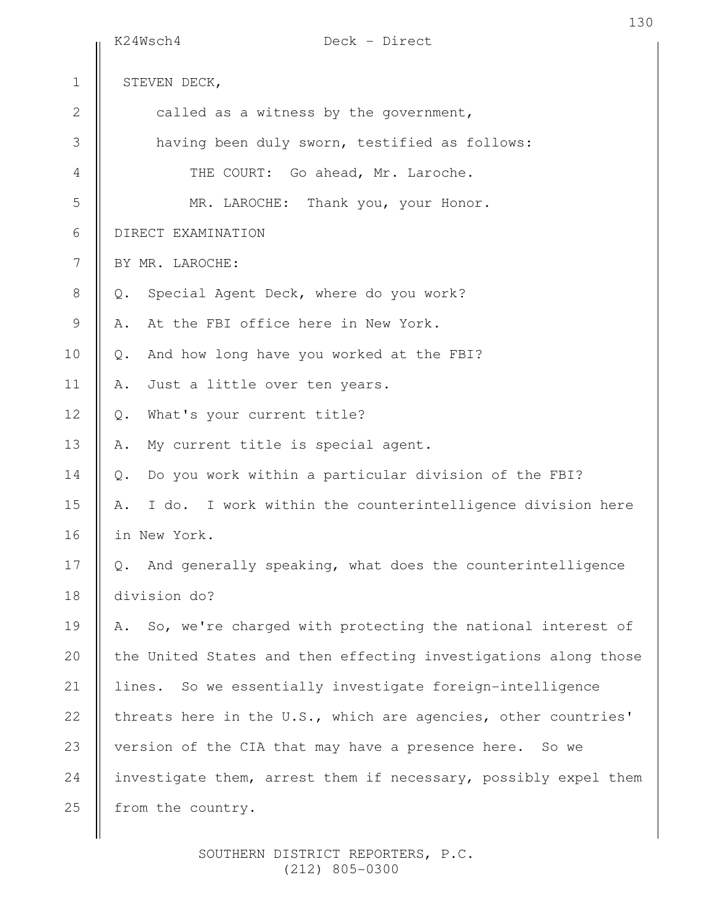|              | Deck - Direct<br>K24Wsch4                                        |
|--------------|------------------------------------------------------------------|
| $\mathbf 1$  | STEVEN DECK,                                                     |
| $\mathbf{2}$ | called as a witness by the government,                           |
| 3            | having been duly sworn, testified as follows:                    |
| 4            | THE COURT: Go ahead, Mr. Laroche.                                |
| 5            | MR. LAROCHE: Thank you, your Honor.                              |
| 6            | DIRECT EXAMINATION                                               |
| 7            | BY MR. LAROCHE:                                                  |
| 8            | Special Agent Deck, where do you work?<br>Q.                     |
| 9            | At the FBI office here in New York.<br>Α.                        |
| 10           | And how long have you worked at the FBI?<br>$Q_{\bullet}$        |
| 11           | Just a little over ten years.<br>Α.                              |
| 12           | What's your current title?<br>$Q$ .                              |
| 13           | My current title is special agent.<br>Α.                         |
| 14           | Do you work within a particular division of the FBI?<br>$Q$ .    |
| 15           | I do. I work within the counterintelligence division here<br>Α.  |
| 16           | in New York.                                                     |
| 17           | And generally speaking, what does the counterintelligence<br>Q.  |
| 18           | division do?                                                     |
| 19           | So, we're charged with protecting the national interest of<br>Α. |
| 20           | the United States and then effecting investigations along those  |
| 21           | lines. So we essentially investigate foreign-intelligence        |
| 22           | threats here in the U.S., which are agencies, other countries'   |
| 23           | version of the CIA that may have a presence here. So we          |
| 24           | investigate them, arrest them if necessary, possibly expel them  |
| 25           | from the country.                                                |
|              |                                                                  |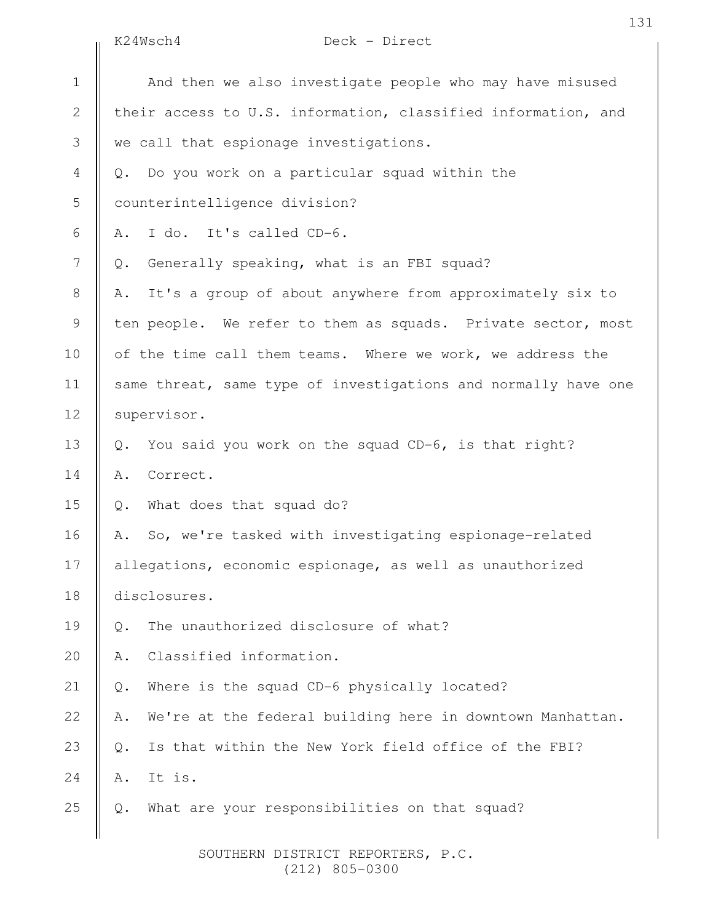K24Wsch4 Deck - Direct

|                | K24Wsch4<br>Deck - Direct                                              |
|----------------|------------------------------------------------------------------------|
| $\mathbf 1$    | And then we also investigate people who may have misused               |
| $\mathbf{2}$   | their access to U.S. information, classified information, and          |
| 3              | we call that espionage investigations.                                 |
| $\overline{4}$ | Do you work on a particular squad within the<br>Q.                     |
| 5              | counterintelligence division?                                          |
| 6              | I do. It's called CD-6.<br>Α.                                          |
| 7              | Generally speaking, what is an FBI squad?<br>Q.                        |
| 8              | It's a group of about anywhere from approximately six to<br>Α.         |
| $\mathsf 9$    | ten people. We refer to them as squads. Private sector, most           |
| 10             | of the time call them teams. Where we work, we address the             |
| 11             | same threat, same type of investigations and normally have one         |
| 12             | supervisor.                                                            |
| 13             | You said you work on the squad CD-6, is that right?<br>$Q$ .           |
| 14             | Correct.<br>Α.                                                         |
| 15             | What does that squad do?<br>Q.                                         |
| 16             | So, we're tasked with investigating espionage-related<br>Α.            |
| 17             | allegations, economic espionage, as well as unauthorized               |
| 18             | disclosures.                                                           |
| 19             | The unauthorized disclosure of what?<br>$\mathbb{Q}$ .                 |
| 20             | Classified information.<br>Α.                                          |
| 21             | Where is the squad CD-6 physically located?<br>$\mathbb Q$ .           |
| 22             | We're at the federal building here in downtown Manhattan.<br>Α.        |
| 23             | Is that within the New York field office of the FBI?<br>$\mathsf{Q}$ . |
| 24             | It is.<br>Α.                                                           |
| 25             | What are your responsibilities on that squad?<br>$Q$ .                 |
|                |                                                                        |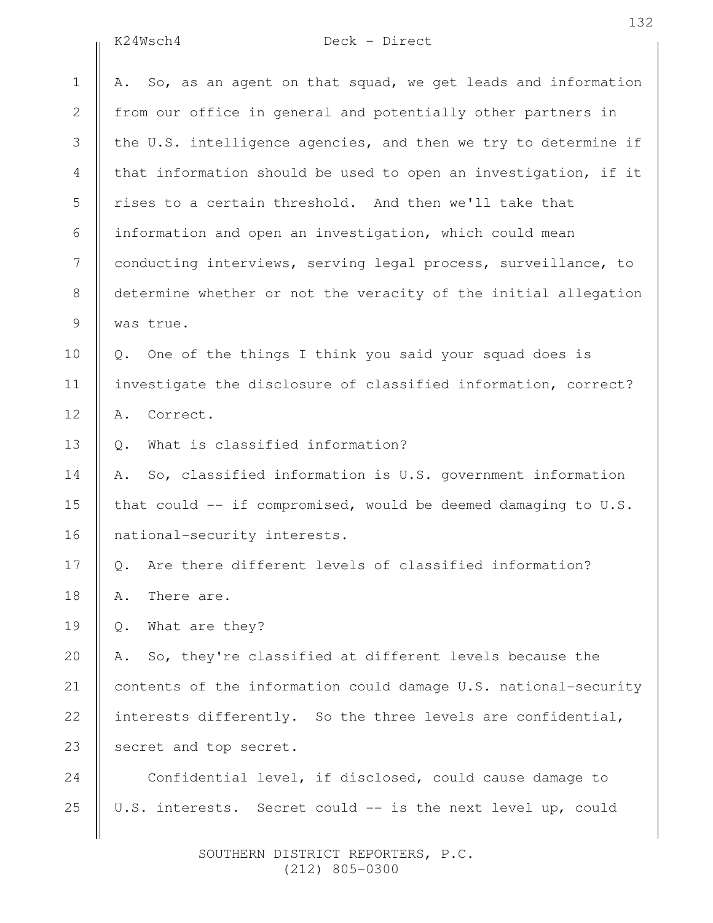## K24Wsch4 Deck - Direct

|               | K24Wsch4<br>Deck - Direct                                         |
|---------------|-------------------------------------------------------------------|
| $\mathbf 1$   | So, as an agent on that squad, we get leads and information<br>Α. |
| 2             | from our office in general and potentially other partners in      |
| 3             | the U.S. intelligence agencies, and then we try to determine if   |
| 4             | that information should be used to open an investigation, if it   |
| 5             | rises to a certain threshold. And then we'll take that            |
| 6             | information and open an investigation, which could mean           |
| 7             | conducting interviews, serving legal process, surveillance, to    |
| 8             | determine whether or not the veracity of the initial allegation   |
| $\mathcal{G}$ | was true.                                                         |
| 10            | Q. One of the things I think you said your squad does is          |
| 11            | investigate the disclosure of classified information, correct?    |
| 12            | Correct.<br>Α.                                                    |
| 13            | What is classified information?<br>Q.                             |
| 14            | So, classified information is U.S. government information<br>Α.   |
| 15            | that could -- if compromised, would be deemed damaging to U.S.    |
| 16            | national-security interests.                                      |
| 17            | Q. Are there different levels of classified information?          |
| 18            | There are.<br>Α.                                                  |
| 19            | What are they?<br>Q.                                              |
| 20            | So, they're classified at different levels because the<br>Α.      |
| 21            | contents of the information could damage U.S. national-security   |
| 22            | interests differently. So the three levels are confidential,      |
| 23            | secret and top secret.                                            |
| 24            | Confidential level, if disclosed, could cause damage to           |
| 25            | U.S. interests. Secret could -- is the next level up, could       |
|               |                                                                   |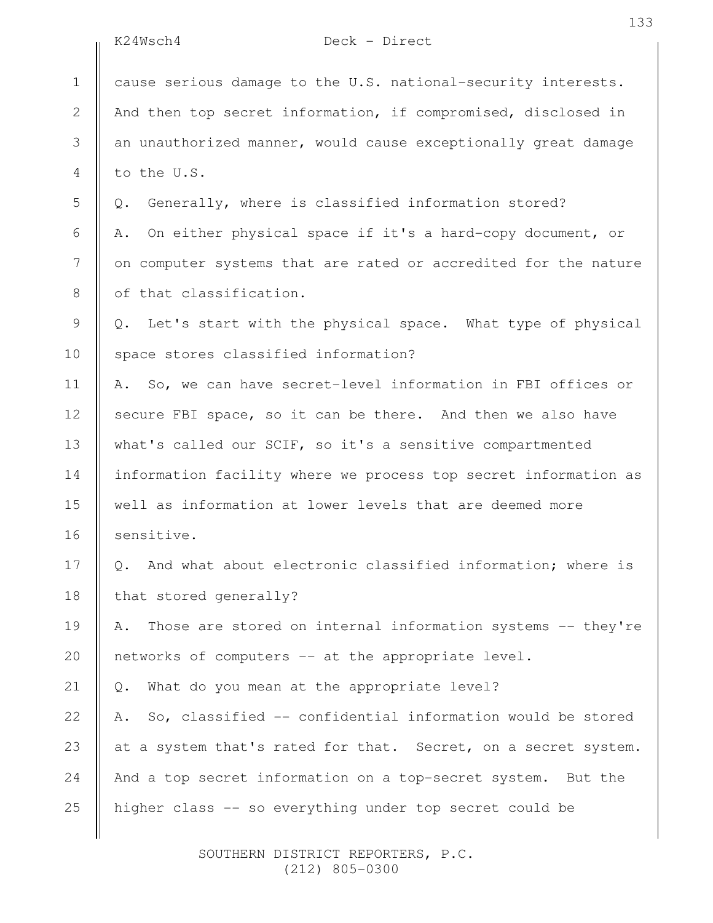|                | K24Wsch4<br>Deck - Direct                                         |
|----------------|-------------------------------------------------------------------|
| $\mathbf 1$    | cause serious damage to the U.S. national-security interests.     |
| $\sqrt{2}$     | And then top secret information, if compromised, disclosed in     |
| 3              | an unauthorized manner, would cause exceptionally great damage    |
| $\overline{4}$ | to the U.S.                                                       |
| 5              | Generally, where is classified information stored?<br>Q.          |
| 6              | On either physical space if it's a hard-copy document, or<br>Α.   |
| 7              | on computer systems that are rated or accredited for the nature   |
| $8\,$          | of that classification.                                           |
| $\mathcal{G}$  | Let's start with the physical space. What type of physical<br>Q.  |
| 10             | space stores classified information?                              |
| 11             | So, we can have secret-level information in FBI offices or<br>Α.  |
| 12             | secure FBI space, so it can be there. And then we also have       |
| 13             | what's called our SCIF, so it's a sensitive compartmented         |
| 14             | information facility where we process top secret information as   |
| 15             | well as information at lower levels that are deemed more          |
| 16             | sensitive.                                                        |
| 17             | And what about electronic classified information; where is<br>Q.  |
| 18             | that stored generally?                                            |
| 19             | Those are stored on internal information systems -- they're<br>Α. |
| 20             | networks of computers -- at the appropriate level.                |
| 21             | What do you mean at the appropriate level?<br>Q.                  |
| 22             | So, classified -- confidential information would be stored<br>Α.  |
| 23             | at a system that's rated for that. Secret, on a secret system.    |
| 24             | And a top secret information on a top-secret system. But the      |
| 25             | higher class -- so everything under top secret could be           |
|                |                                                                   |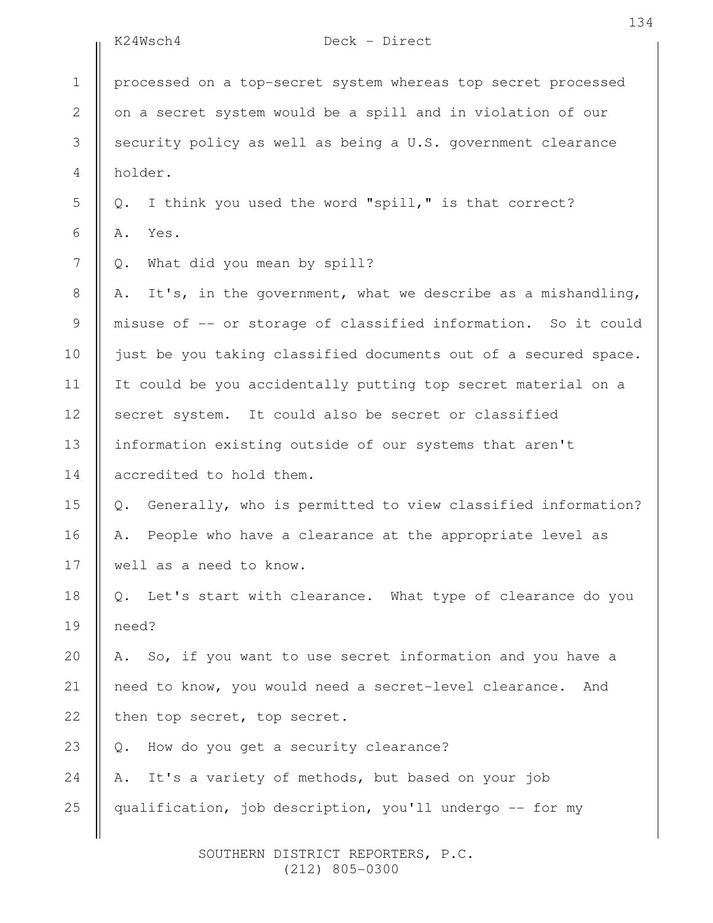|                | Deck - Direct<br>K24Wsch4                                                    |
|----------------|------------------------------------------------------------------------------|
| $\mathbf 1$    | processed on a top-secret system whereas top secret processed                |
| $\mathbf{2}$   | on a secret system would be a spill and in violation of our                  |
| 3              | security policy as well as being a U.S. government clearance                 |
| 4              | holder.                                                                      |
| 5              | I think you used the word "spill," is that correct?<br>$Q$ .                 |
| $\sqrt{6}$     | Yes.<br>Α.                                                                   |
| $\overline{7}$ | What did you mean by spill?<br>Q.                                            |
| $8\,$          | It's, in the government, what we describe as a mishandling,<br>Α.            |
| $\mathsf 9$    | misuse of -- or storage of classified information. So it could               |
| 10             | just be you taking classified documents out of a secured space.              |
| 11             | It could be you accidentally putting top secret material on a                |
| 12             | secret system. It could also be secret or classified                         |
| 13             | information existing outside of our systems that aren't                      |
| 14             | accredited to hold them.                                                     |
| 15             | Generally, who is permitted to view classified information?<br>$\mathbb Q$ . |
| 16             | People who have a clearance at the appropriate level as<br>Α.                |
| 17             | well as a need to know.                                                      |
| 18             | Q. Let's start with clearance. What type of clearance do you                 |
| 19             | need?                                                                        |
| 20             | A. So, if you want to use secret information and you have a                  |
| 21             | need to know, you would need a secret-level clearance.<br>And                |
| 22             | then top secret, top secret.                                                 |
| 23             | How do you get a security clearance?<br>$Q$ .                                |
| 24             | It's a variety of methods, but based on your job<br>Α.                       |
| 25             | qualification, job description, you'll undergo -- for my                     |
|                |                                                                              |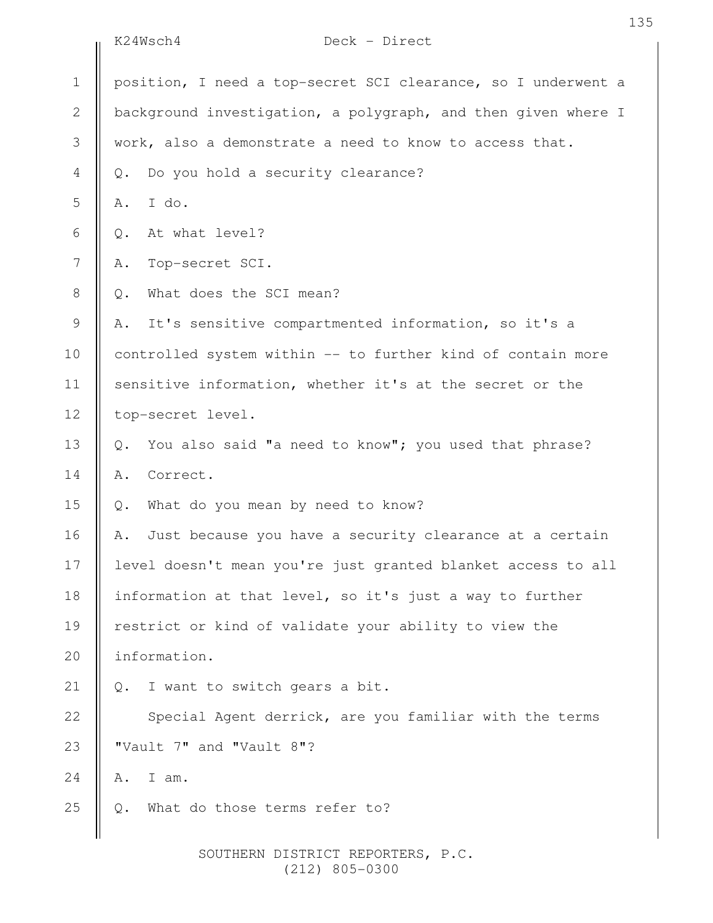|                | Deck - Direct<br>K24Wsch4                                     |
|----------------|---------------------------------------------------------------|
| $\mathbf 1$    | position, I need a top-secret SCI clearance, so I underwent a |
| $\overline{2}$ | background investigation, a polygraph, and then given where I |
| 3              | work, also a demonstrate a need to know to access that.       |
| $\overline{4}$ | Do you hold a security clearance?<br>Q.                       |
| 5              | I do.<br>Α.                                                   |
| 6              | At what level?<br>Q.                                          |
| 7              | Top-secret SCI.<br>Α.                                         |
| 8              | What does the SCI mean?<br>Q.                                 |
| 9              | It's sensitive compartmented information, so it's a<br>Α.     |
| 10             | controlled system within -- to further kind of contain more   |
| 11             | sensitive information, whether it's at the secret or the      |
| 12             | top-secret level.                                             |
| 13             | You also said "a need to know"; you used that phrase?<br>Q.   |
| 14             | Correct.<br>Α.                                                |
| 15             | What do you mean by need to know?<br>Q.                       |
| 16             | Just because you have a security clearance at a certain<br>Α. |
| 17             | level doesn't mean you're just granted blanket access to all  |
| 18             | information at that level, so it's just a way to further      |
| 19             | restrict or kind of validate your ability to view the         |
| 20             | information.                                                  |
| 21             | I want to switch gears a bit.<br>Q.                           |
| 22             | Special Agent derrick, are you familiar with the terms        |
| 23             | "Vault 7" and "Vault 8"?                                      |
| 24             | I am.<br>Α.                                                   |
| 25             | What do those terms refer to?<br>Q.                           |
|                |                                                               |

135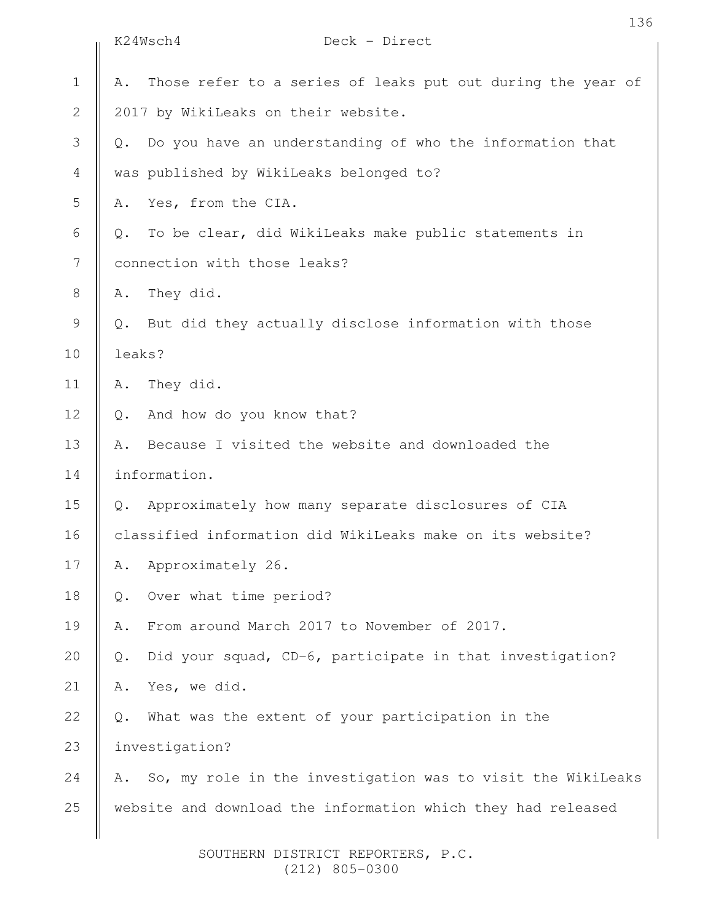|               | K24Wsch4<br>Deck - Direct                                         |
|---------------|-------------------------------------------------------------------|
| $\mathbf 1$   | Those refer to a series of leaks put out during the year of<br>Α. |
| $\mathbf{2}$  | 2017 by WikiLeaks on their website.                               |
| 3             | Do you have an understanding of who the information that<br>Q.    |
| 4             | was published by WikiLeaks belonged to?                           |
| 5             | Yes, from the CIA.<br>Α.                                          |
| 6             | To be clear, did WikiLeaks make public statements in<br>Q.        |
| 7             | connection with those leaks?                                      |
| 8             | They did.<br>Α.                                                   |
| $\mathcal{G}$ | But did they actually disclose information with those<br>Q.       |
| 10            | leaks?                                                            |
| 11            | They did.<br>Α.                                                   |
| 12            | And how do you know that?<br>$Q$ .                                |
| 13            | Because I visited the website and downloaded the<br>Α.            |
| 14            | information.                                                      |
| 15            | Approximately how many separate disclosures of CIA<br>Q.          |
| 16            | classified information did WikiLeaks make on its website?         |
| 17            | Approximately 26.<br>Α.                                           |
| 18            | Over what time period?<br>Q.                                      |
| 19            | From around March 2017 to November of 2017.<br>Α.                 |
| 20            | Did your squad, CD-6, participate in that investigation?<br>Q.    |
| 21            | Yes, we did.<br>Α.                                                |
| 22            | What was the extent of your participation in the<br>Q.            |
| 23            | investigation?                                                    |
| 24            | So, my role in the investigation was to visit the WikiLeaks<br>Α. |
| 25            | website and download the information which they had released      |
|               |                                                                   |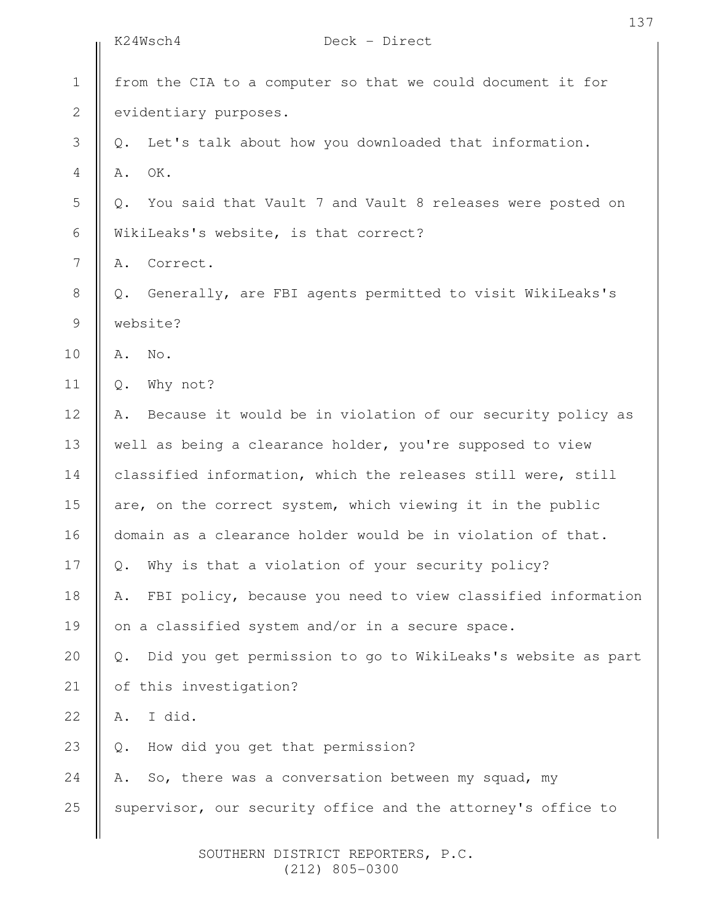|                  | K24Wsch4<br>Deck - Direct                                            |
|------------------|----------------------------------------------------------------------|
| $1\,$            | from the CIA to a computer so that we could document it for          |
| $\mathbf{2}$     | evidentiary purposes.                                                |
| 3                | Let's talk about how you downloaded that information.<br>Q.          |
| $\overline{4}$   | OK.<br>Α.                                                            |
| 5                | You said that Vault 7 and Vault 8 releases were posted on<br>Q.      |
| 6                | WikiLeaks's website, is that correct?                                |
| $\boldsymbol{7}$ | Correct.<br>Α.                                                       |
| $8\,$            | Generally, are FBI agents permitted to visit WikiLeaks's<br>Q.       |
| $\mathsf 9$      | website?                                                             |
| 10               | No.<br>Α.                                                            |
| 11               | Why not?<br>$Q$ .                                                    |
| 12               | Because it would be in violation of our security policy as<br>Α.     |
| 13               | well as being a clearance holder, you're supposed to view            |
| 14               | classified information, which the releases still were, still         |
| 15               | are, on the correct system, which viewing it in the public           |
| 16               | domain as a clearance holder would be in violation of that.          |
| 17               | Why is that a violation of your security policy?<br>Q.               |
| 18               | FBI policy, because you need to view classified information<br>Α.    |
| 19               | on a classified system and/or in a secure space.                     |
| 20               | Did you get permission to go to WikiLeaks's website as part<br>$Q$ . |
| 21               | of this investigation?                                               |
| 22               | I did.<br>Α.                                                         |
| 23               | How did you get that permission?<br>Q.                               |
| 24               | So, there was a conversation between my squad, my<br>Α.              |
| 25               | supervisor, our security office and the attorney's office to         |
|                  |                                                                      |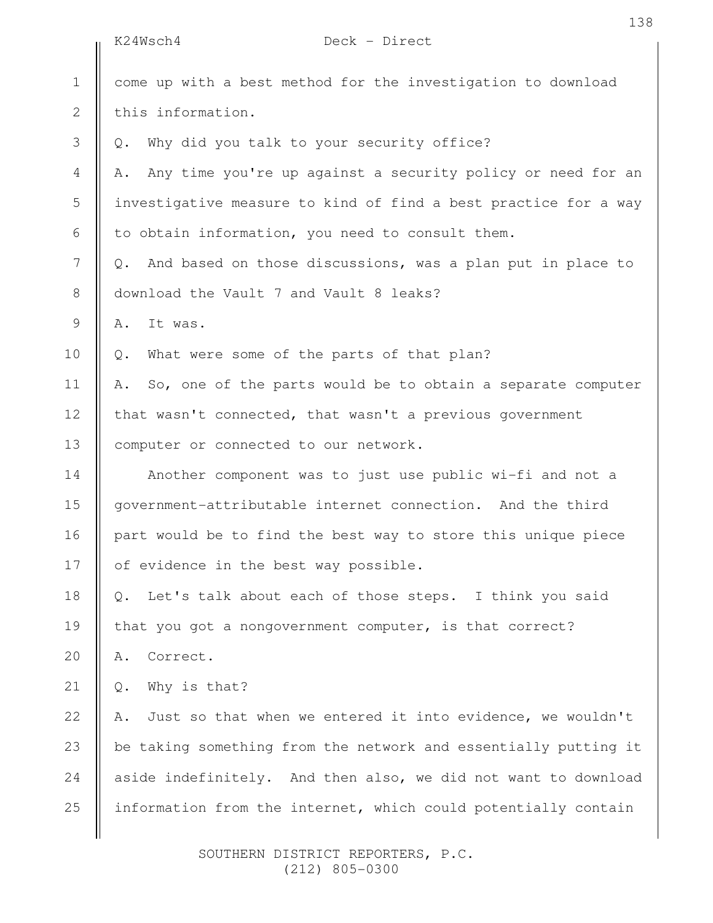|              | K24Wsch4<br>Deck - Direct                                         |
|--------------|-------------------------------------------------------------------|
| $\mathbf 1$  | come up with a best method for the investigation to download      |
| $\mathbf{2}$ | this information.                                                 |
| 3            | Why did you talk to your security office?<br>Q.                   |
| 4            | Any time you're up against a security policy or need for an<br>Α. |
| 5            | investigative measure to kind of find a best practice for a way   |
| 6            | to obtain information, you need to consult them.                  |
| 7            | And based on those discussions, was a plan put in place to<br>Q.  |
| 8            | download the Vault 7 and Vault 8 leaks?                           |
| 9            | It was.<br>Α.                                                     |
| 10           | What were some of the parts of that plan?<br>$Q$ .                |
| 11           | So, one of the parts would be to obtain a separate computer<br>Α. |
| 12           | that wasn't connected, that wasn't a previous government          |
| 13           | computer or connected to our network.                             |
| 14           | Another component was to just use public wi-fi and not a          |
| 15           | government-attributable internet connection. And the third        |
| 16           | part would be to find the best way to store this unique piece     |
| 17           | of evidence in the best way possible.                             |
| 18           | Let's talk about each of those steps. I think you said<br>Q.      |
| 19           | that you got a nongovernment computer, is that correct?           |
| 20           | Correct.<br>Α.                                                    |
| 21           | Why is that?<br>$\mathbb Q$ .                                     |
| 22           | Just so that when we entered it into evidence, we wouldn't<br>Α.  |
| 23           | be taking something from the network and essentially putting it   |
| 24           | aside indefinitely. And then also, we did not want to download    |
| 25           | information from the internet, which could potentially contain    |
|              |                                                                   |

138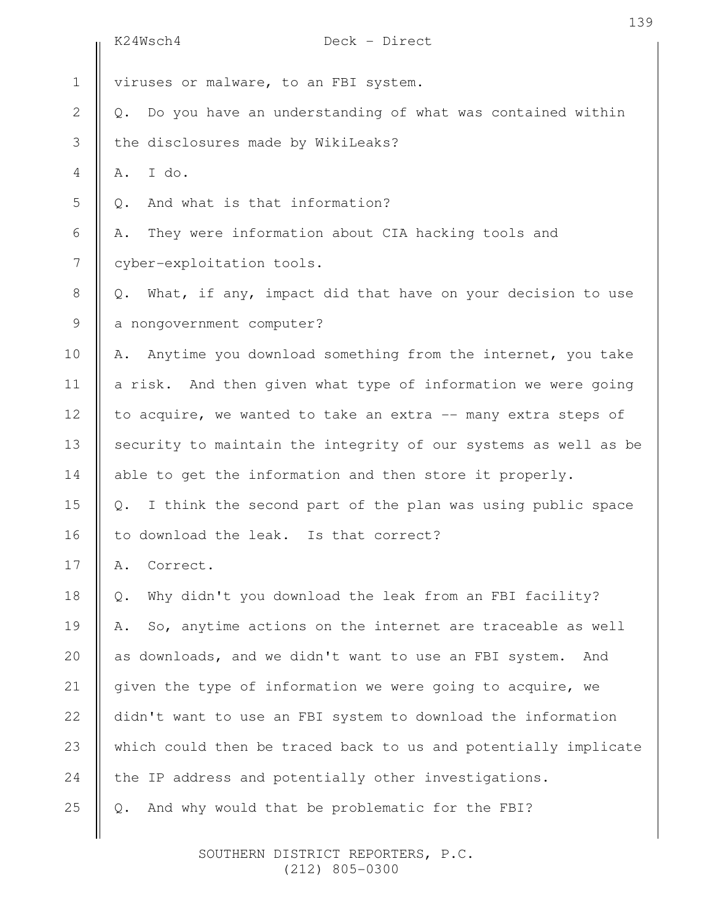|                | Deck - Direct<br>K24Wsch4                                        |
|----------------|------------------------------------------------------------------|
| $\mathbf 1$    | viruses or malware, to an FBI system.                            |
| $\mathbf{2}$   | Do you have an understanding of what was contained within<br>Q.  |
| $\mathcal{S}$  | the disclosures made by WikiLeaks?                               |
| $\overline{4}$ | I do.<br>Α.                                                      |
| 5              | And what is that information?<br>Q.                              |
| 6              | They were information about CIA hacking tools and<br>Α.          |
| $\overline{7}$ | cyber-exploitation tools.                                        |
| $8\,$          | What, if any, impact did that have on your decision to use<br>Q. |
| 9              | a nongovernment computer?                                        |
| 10             | Anytime you download something from the internet, you take<br>Α. |
| 11             | a risk. And then given what type of information we were going    |
| 12             | to acquire, we wanted to take an extra -- many extra steps of    |
| 13             | security to maintain the integrity of our systems as well as be  |
| 14             | able to get the information and then store it properly.          |
| 15             | Q. I think the second part of the plan was using public space    |
| 16             | to download the leak. Is that correct?                           |
| 17             | Correct.<br>Α.                                                   |
| 18             | Why didn't you download the leak from an FBI facility?<br>Q.     |
| 19             | So, anytime actions on the internet are traceable as well<br>Α.  |
| 20             | as downloads, and we didn't want to use an FBI system.<br>And    |
| 21             | given the type of information we were going to acquire, we       |
| 22             | didn't want to use an FBI system to download the information     |
| 23             | which could then be traced back to us and potentially implicate  |
| 24             | the IP address and potentially other investigations.             |
| 25             | And why would that be problematic for the FBI?<br>Q.             |
|                |                                                                  |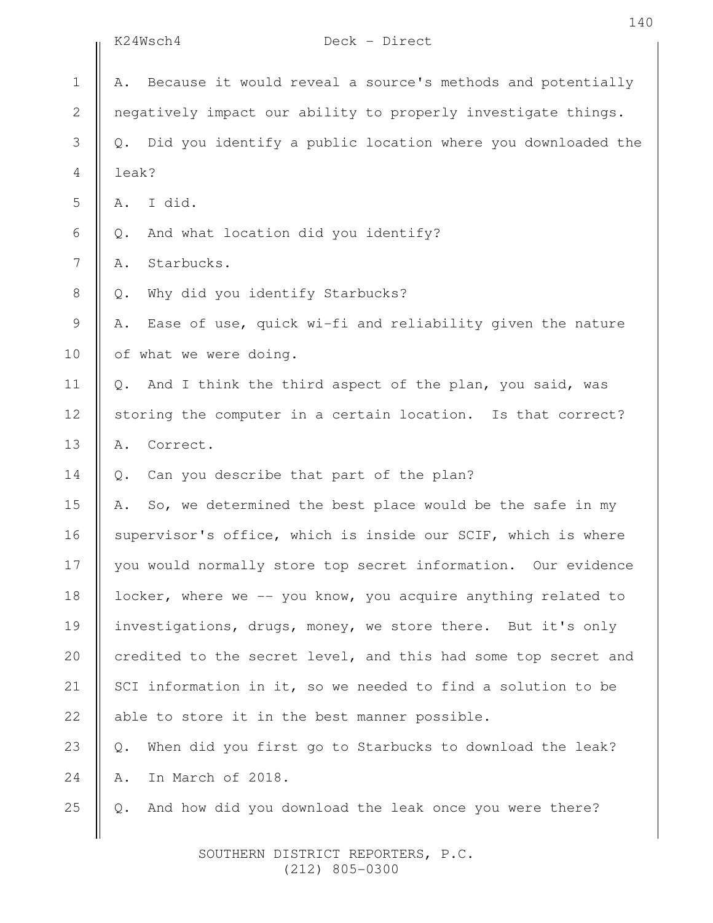|               | K24Wsch4<br>Deck - Direct                                         |
|---------------|-------------------------------------------------------------------|
| $\mathbf 1$   | Because it would reveal a source's methods and potentially<br>Α.  |
| $\mathbf{2}$  | negatively impact our ability to properly investigate things.     |
| 3             | Did you identify a public location where you downloaded the<br>Q. |
| 4             | leak?                                                             |
| 5             | I did.<br>Α.                                                      |
| $\sqrt{6}$    | And what location did you identify?<br>Q.                         |
| 7             | Starbucks.<br>Α.                                                  |
| $\,8\,$       | Why did you identify Starbucks?<br>$\mathsf{Q}$ .                 |
| $\mathcal{G}$ | Ease of use, quick wi-fi and reliability given the nature<br>Α.   |
| 10            | of what we were doing.                                            |
| 11            | And I think the third aspect of the plan, you said, was<br>Q.     |
| 12            | storing the computer in a certain location. Is that correct?      |
| 13            | Correct.<br>Α.                                                    |
| 14            | Can you describe that part of the plan?<br>Q.                     |
| 15            | So, we determined the best place would be the safe in my<br>Α.    |
| 16            | supervisor's office, which is inside our SCIF, which is where     |
| 17            | you would normally store top secret information. Our evidence     |
| 18            | locker, where we -- you know, you acquire anything related to     |
| 19            | investigations, drugs, money, we store there. But it's only       |
| 20            | credited to the secret level, and this had some top secret and    |
| 21            | SCI information in it, so we needed to find a solution to be      |
| 22            | able to store it in the best manner possible.                     |
| 23            | When did you first go to Starbucks to download the leak?<br>$Q$ . |
| 24            | In March of 2018.<br>Α.                                           |
| 25            | And how did you download the leak once you were there?<br>Q.      |
|               |                                                                   |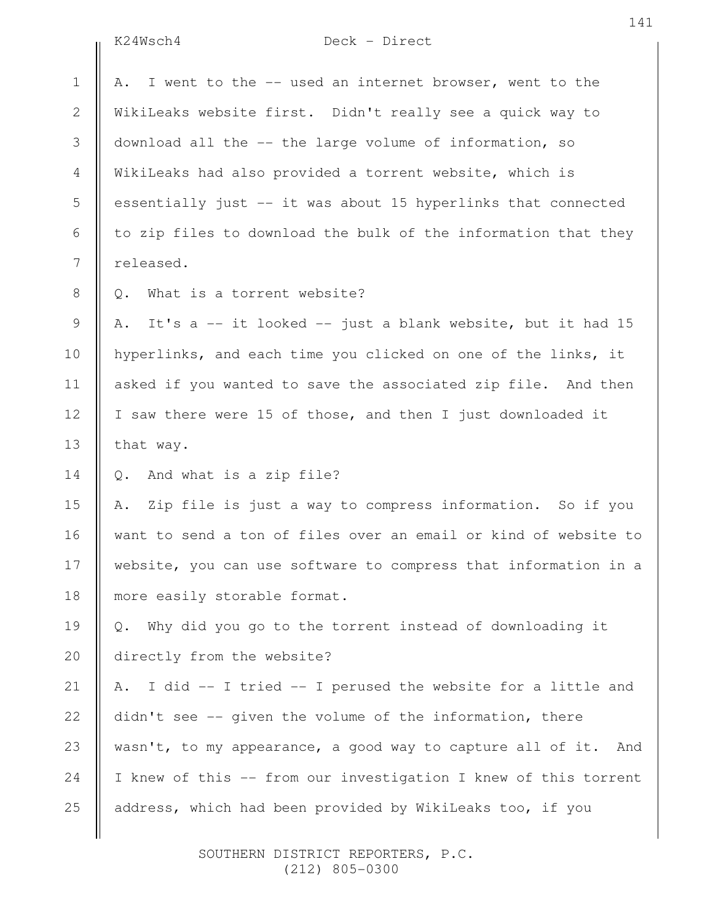K24Wsch4 Deck - Direct

|                | KZ4Wsch4<br>$Deck - Direct$                                          |
|----------------|----------------------------------------------------------------------|
| $\mathbf 1$    | I went to the -- used an internet browser, went to the<br>Α.         |
| $\mathbf{2}$   | WikiLeaks website first. Didn't really see a quick way to            |
| 3              | download all the -- the large volume of information, so              |
| $\overline{4}$ | WikiLeaks had also provided a torrent website, which is              |
| 5              | essentially just -- it was about 15 hyperlinks that connected        |
| 6              | to zip files to download the bulk of the information that they       |
| 7              | released.                                                            |
| $8\,$          | What is a torrent website?<br>Q.                                     |
| $\mathsf 9$    | It's a -- it looked -- just a blank website, but it had 15<br>Α.     |
| 10             | hyperlinks, and each time you clicked on one of the links, it        |
| 11             | asked if you wanted to save the associated zip file. And then        |
| 12             | I saw there were 15 of those, and then I just downloaded it          |
| 13             | that way.                                                            |
| 14             | And what is a zip file?<br>Q.                                        |
| 15             | Zip file is just a way to compress information. So if you<br>Α.      |
| 16             | want to send a ton of files over an email or kind of website to      |
| 17             | website, you can use software to compress that information in a      |
| 18             | more easily storable format.                                         |
| 19             | Why did you go to the torrent instead of downloading it<br>$\circ$ . |
| 20             | directly from the website?                                           |
| 21             | A. I did -- I tried -- I perused the website for a little and        |
| 22             | didn't see -- given the volume of the information, there             |
| 23             | wasn't, to my appearance, a good way to capture all of it. And       |
| 24             | I knew of this -- from our investigation I knew of this torrent      |
| 25             | address, which had been provided by WikiLeaks too, if you            |
|                |                                                                      |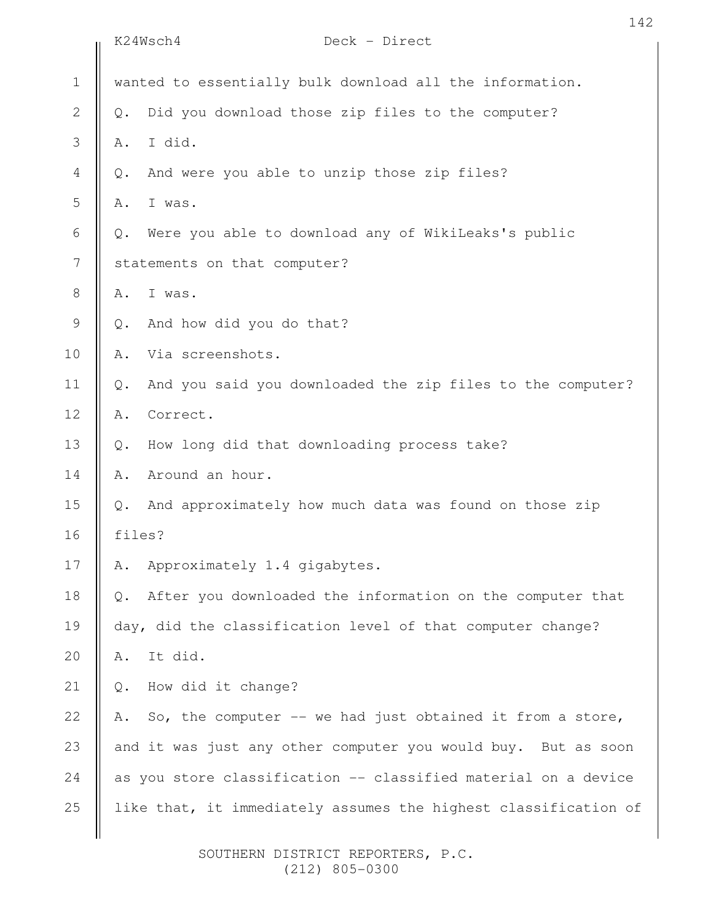|               | 142<br>K24Wsch4<br>Deck - Direct                                            |  |
|---------------|-----------------------------------------------------------------------------|--|
| $1\,$         | wanted to essentially bulk download all the information.                    |  |
| $\mathbf{2}$  | Did you download those zip files to the computer?<br>$\mathbb Q$ .          |  |
| 3             | I did.<br>Α.                                                                |  |
| 4             | And were you able to unzip those zip files?<br>$\mathbb Q$ .                |  |
| 5             | I was.<br>Α.                                                                |  |
| 6             | Were you able to download any of WikiLeaks's public<br>$\mathbb Q$ .        |  |
| 7             | statements on that computer?                                                |  |
| $\,8\,$       | I was.<br>Α.                                                                |  |
| $\mathcal{G}$ | And how did you do that?<br>$Q$ .                                           |  |
| 10            | Via screenshots.<br>Α.                                                      |  |
| 11            | And you said you downloaded the zip files to the computer?<br>$\mathbb Q$ . |  |
| 12            | Correct.<br>Α.                                                              |  |
| 13            | How long did that downloading process take?<br>$Q$ .                        |  |
| 14            | Around an hour.<br>Α.                                                       |  |
| 15            | And approximately how much data was found on those zip<br>$Q$ .             |  |
| 16            | files?                                                                      |  |
| 17            | Approximately 1.4 gigabytes.<br>Α.                                          |  |
| 18            | After you downloaded the information on the computer that<br>Q.             |  |
| 19            | day, did the classification level of that computer change?                  |  |
| 20            | It did.<br>Α.                                                               |  |
| 21            | How did it change?<br>Q.                                                    |  |
| 22            | So, the computer -- we had just obtained it from a store,<br>Α.             |  |
| 23            | and it was just any other computer you would buy. But as soon               |  |
| 24            | as you store classification -- classified material on a device              |  |
| 25            | like that, it immediately assumes the highest classification of             |  |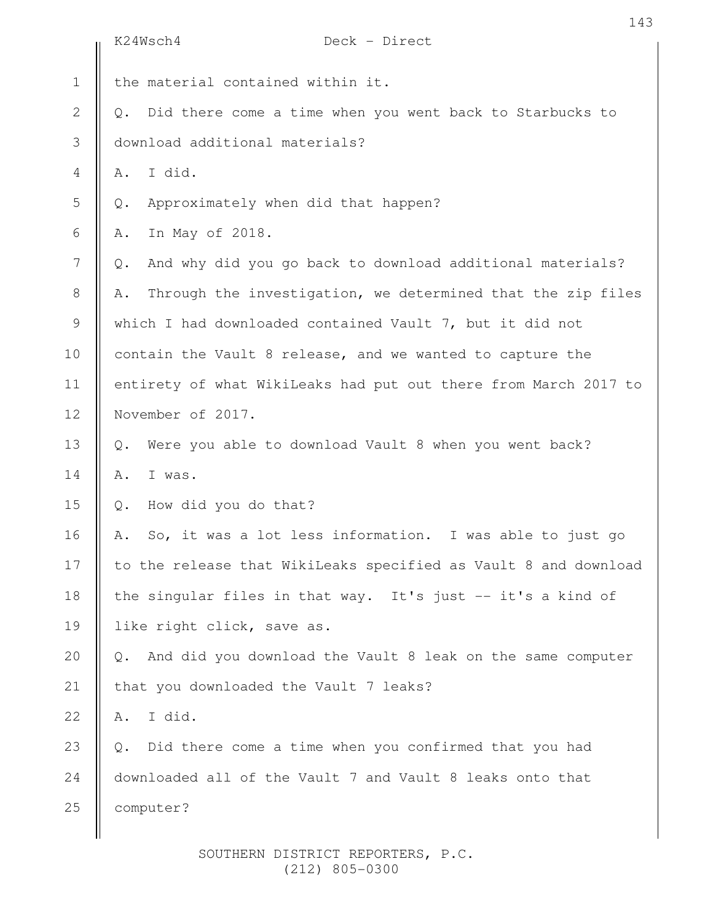|                  | 143<br>K24Wsch4<br>Deck - Direct                                            |
|------------------|-----------------------------------------------------------------------------|
| $\mathbf 1$      | the material contained within it.                                           |
| $\sqrt{2}$       | Did there come a time when you went back to Starbucks to<br>Q.              |
| 3                | download additional materials?                                              |
| $\overline{4}$   | I did.<br>Α.                                                                |
| 5                | Approximately when did that happen?<br>Q.                                   |
| $\epsilon$       | In May of 2018.<br>Α.                                                       |
| $\boldsymbol{7}$ | And why did you go back to download additional materials?<br>Q.             |
| $8\,$            | Through the investigation, we determined that the zip files<br>Α.           |
| $\mathcal{G}$    | which I had downloaded contained Vault 7, but it did not                    |
| 10               | contain the Vault 8 release, and we wanted to capture the                   |
| 11               | entirety of what WikiLeaks had put out there from March 2017 to             |
| 12               | November of 2017.                                                           |
| 13               | Were you able to download Vault 8 when you went back?<br>Q.                 |
| 14               | Α.<br>I was.                                                                |
| 15               | How did you do that?<br>Q.                                                  |
| 16               | So, it was a lot less information. I was able to just go<br>Α.              |
| 17               | to the release that WikiLeaks specified as Vault 8 and download             |
| 18               | the singular files in that way. It's just -- it's a kind of                 |
| 19               | like right click, save as.                                                  |
| 20               | And did you download the Vault 8 leak on the same computer<br>$Q_{\bullet}$ |
| 21               | that you downloaded the Vault 7 leaks?                                      |
| 22               | I did.<br>Α.                                                                |
| 23               | Did there come a time when you confirmed that you had<br>$Q$ .              |
| 24               | downloaded all of the Vault 7 and Vault 8 leaks onto that                   |
| 25               | computer?                                                                   |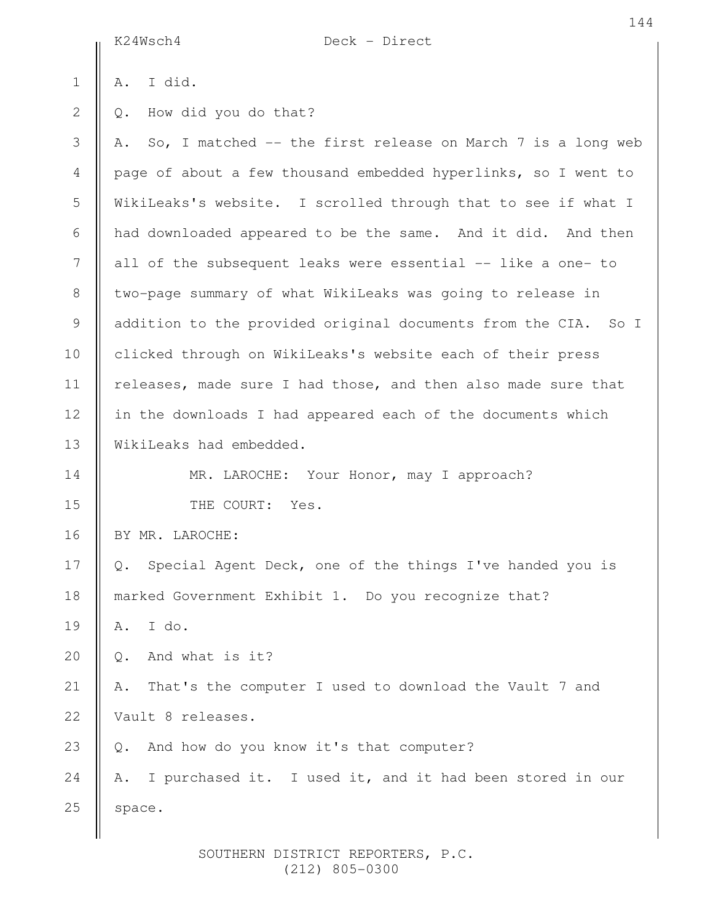|              | K24Wsch4<br>Deck - Direct                                         |
|--------------|-------------------------------------------------------------------|
| $\mathbf 1$  | I did.<br>Α.                                                      |
| $\mathbf{2}$ | How did you do that?<br>Q.                                        |
| 3            | So, I matched -- the first release on March 7 is a long web<br>Α. |
| 4            | page of about a few thousand embedded hyperlinks, so I went to    |
| 5            | WikiLeaks's website. I scrolled through that to see if what I     |
| 6            | had downloaded appeared to be the same. And it did. And then      |
| 7            | all of the subsequent leaks were essential -- like a one- to      |
| 8            | two-page summary of what WikiLeaks was going to release in        |
| $\mathsf 9$  | addition to the provided original documents from the CIA. So I    |
| 10           | clicked through on WikiLeaks's website each of their press        |
| 11           | releases, made sure I had those, and then also made sure that     |
| 12           | in the downloads I had appeared each of the documents which       |
| 13           | WikiLeaks had embedded.                                           |
| 14           | MR. LAROCHE: Your Honor, may I approach?                          |
| 15           | THE COURT: Yes.                                                   |
| 16           | BY MR. LAROCHE:                                                   |
| 17           | Special Agent Deck, one of the things I've handed you is<br>Q.    |
| 18           | marked Government Exhibit 1. Do you recognize that?               |
| 19           | I do.<br>Α.                                                       |
| 20           | And what is it?<br>Q.                                             |
| 21           | That's the computer I used to download the Vault 7 and<br>Α.      |
| 22           | Vault 8 releases.                                                 |
| 23           | And how do you know it's that computer?<br>Q.                     |
| 24           | I purchased it. I used it, and it had been stored in our<br>Α.    |
| 25           | space.                                                            |
|              |                                                                   |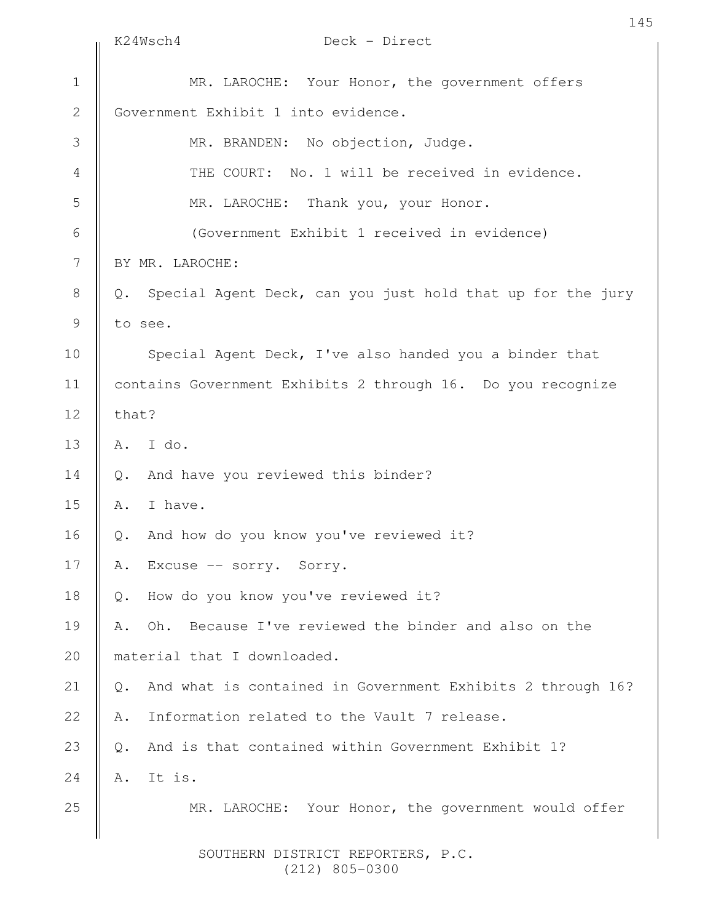|                  | K24Wsch4<br>Deck - Direct                                                   |
|------------------|-----------------------------------------------------------------------------|
| $\mathbf 1$      | MR. LAROCHE: Your Honor, the government offers                              |
| $\mathbf{2}$     | Government Exhibit 1 into evidence.                                         |
| 3                | MR. BRANDEN: No objection, Judge.                                           |
| $\overline{4}$   | THE COURT: No. 1 will be received in evidence.                              |
| 5                | MR. LAROCHE: Thank you, your Honor.                                         |
| 6                | (Government Exhibit 1 received in evidence)                                 |
| $\boldsymbol{7}$ | BY MR. LAROCHE:                                                             |
| $\,8\,$          | Special Agent Deck, can you just hold that up for the jury<br>Q.            |
| $\mathsf 9$      | to see.                                                                     |
| 10               | Special Agent Deck, I've also handed you a binder that                      |
| 11               | contains Government Exhibits 2 through 16. Do you recognize                 |
| 12               | that?                                                                       |
| 13               | I do.<br>Α.                                                                 |
| 14               | And have you reviewed this binder?<br>$Q$ .                                 |
| 15               | I have.<br>Α.                                                               |
| 16               | And how do you know you've reviewed it?<br>Q.                               |
| 17               | Α.<br>Excuse -- sorry. Sorry.                                               |
| 18               | How do you know you've reviewed it?<br>Q.                                   |
| 19               | Because I've reviewed the binder and also on the<br>Oh.<br>Α.               |
| 20               | material that I downloaded.                                                 |
| 21               | And what is contained in Government Exhibits 2 through 16?<br>$\mathbb Q$ . |
| 22               | Information related to the Vault 7 release.<br>Α.                           |
| 23               | And is that contained within Government Exhibit 1?<br>Q.                    |
| 24               | It is.<br>Α.                                                                |
| 25               | MR. LAROCHE: Your Honor, the government would offer                         |
|                  |                                                                             |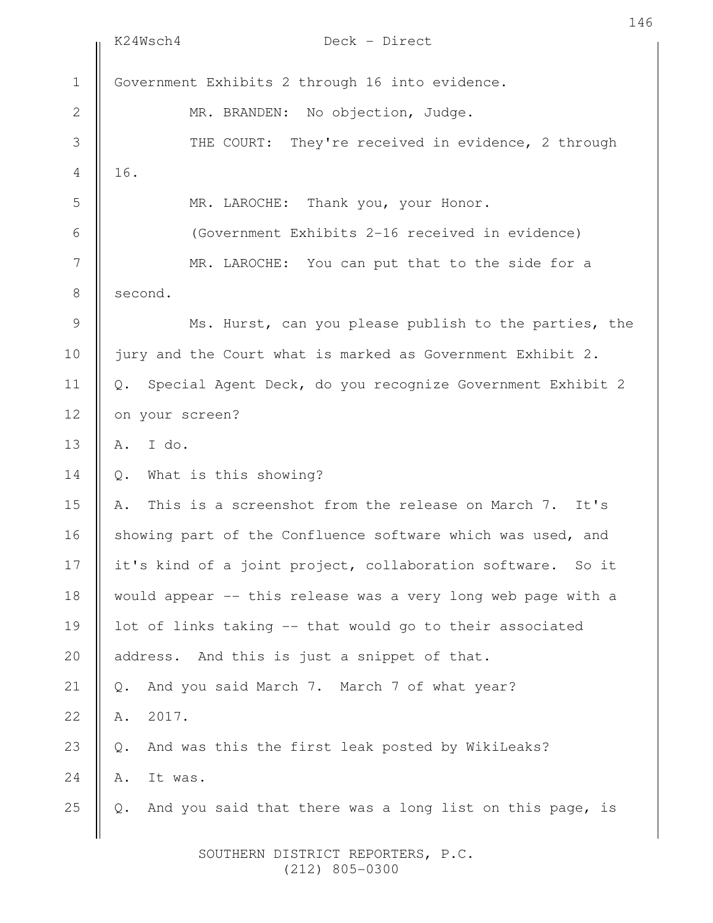|               | 146<br>K24Wsch4<br>Deck - Direct                                   |
|---------------|--------------------------------------------------------------------|
| $1\,$         | Government Exhibits 2 through 16 into evidence.                    |
| $\mathbf{2}$  | MR. BRANDEN: No objection, Judge.                                  |
| 3             | THE COURT: They're received in evidence, 2 through                 |
| 4             | 16.                                                                |
| 5             | MR. LAROCHE: Thank you, your Honor.                                |
| 6             | (Government Exhibits 2-16 received in evidence)                    |
| 7             | MR. LAROCHE: You can put that to the side for a                    |
| $\,8\,$       | second.                                                            |
| $\mathcal{G}$ | Ms. Hurst, can you please publish to the parties, the              |
| 10            | jury and the Court what is marked as Government Exhibit 2.         |
| 11            | Special Agent Deck, do you recognize Government Exhibit 2<br>$Q$ . |
| 12            | on your screen?                                                    |
| 13            | I do.<br>Α.                                                        |
| 14            | What is this showing?<br>$Q$ .                                     |
| 15            | This is a screenshot from the release on March 7. It's<br>Α.       |
| 16            | showing part of the Confluence software which was used, and        |
| 17            | it's kind of a joint project, collaboration software. So it        |
| 18            | would appear -- this release was a very long web page with a       |
| 19            | lot of links taking -- that would go to their associated           |
| 20            | address. And this is just a snippet of that.                       |
| 21            | And you said March 7. March 7 of what year?<br>Q.                  |
| 22            | 2017.<br>Α.                                                        |
| 23            | And was this the first leak posted by WikiLeaks?<br>$Q$ .          |
| 24            | It was.<br>Α.                                                      |
| 25            | And you said that there was a long list on this page, is<br>$Q$ .  |
|               | SOUTHERN DISTRICT REPORTERS, P.C.                                  |

(212) 805-0300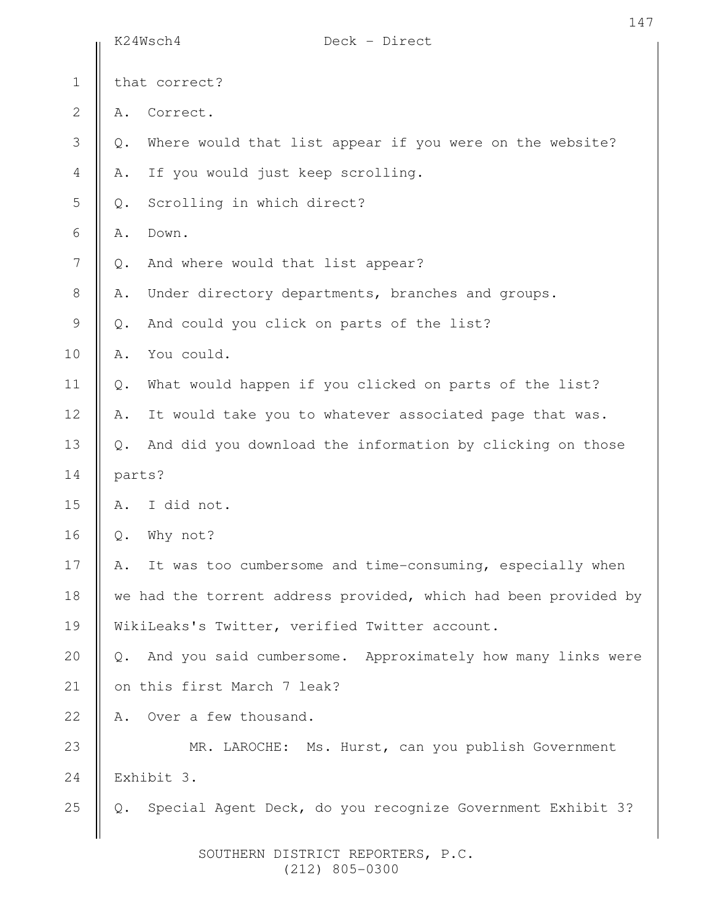|                | K24Wsch4      | Deck - Direct                                                   |
|----------------|---------------|-----------------------------------------------------------------|
| $1\,$          |               | that correct?                                                   |
| $\mathbf{2}$   | Α.            | Correct.                                                        |
| 3              | $\mathbb Q$ . | Where would that list appear if you were on the website?        |
| $\overline{4}$ | Α.            | If you would just keep scrolling.                               |
| 5              | $Q$ .         | Scrolling in which direct?                                      |
| $\sqrt{6}$     | Α.            | Down.                                                           |
| $\overline{7}$ | $\mathbb Q$ . | And where would that list appear?                               |
| $\,8\,$        | Α.            | Under directory departments, branches and groups.               |
| $\mathsf 9$    | $\mathbb Q$ . | And could you click on parts of the list?                       |
| 10             | Α.            | You could.                                                      |
| 11             | $Q$ .         | What would happen if you clicked on parts of the list?          |
| 12             | Α.            | It would take you to whatever associated page that was.         |
| 13             | $Q$ .         | And did you download the information by clicking on those       |
| 14             | parts?        |                                                                 |
| 15             | Α.            | I did not.                                                      |
| 16             | $\mathbb Q$ . | Why not?                                                        |
| 17             | Α.            | It was too cumbersome and time-consuming, especially when       |
| 18             |               | we had the torrent address provided, which had been provided by |
| 19             |               | WikiLeaks's Twitter, verified Twitter account.                  |
| 20             | $Q$ .         | And you said cumbersome. Approximately how many links were      |
| 21             |               | on this first March 7 leak?                                     |
| 22             | Α.            | Over a few thousand.                                            |
| 23             |               | MR. LAROCHE: Ms. Hurst, can you publish Government              |
| 24             |               | Exhibit 3.                                                      |
| 25             | Q.            | Special Agent Deck, do you recognize Government Exhibit 3?      |
|                |               |                                                                 |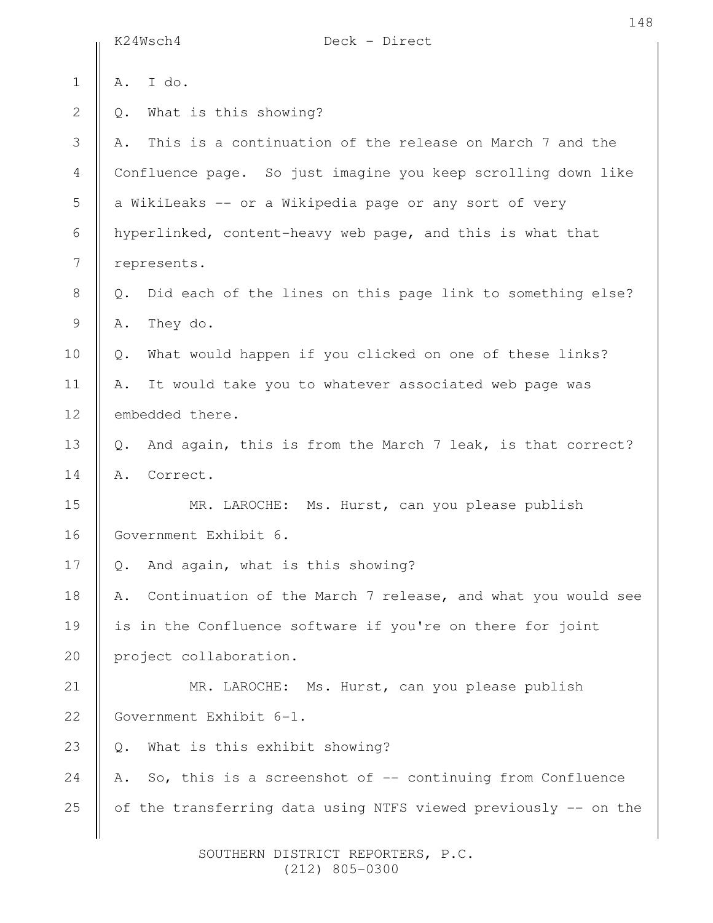|                | K24Wsch4<br>Deck - Direct                                         |
|----------------|-------------------------------------------------------------------|
| $\mathbf 1$    | I do.<br>Α.                                                       |
| $\overline{2}$ | What is this showing?<br>Q.                                       |
| 3              | This is a continuation of the release on March 7 and the<br>Α.    |
| 4              | Confluence page. So just imagine you keep scrolling down like     |
| 5              | a WikiLeaks -- or a Wikipedia page or any sort of very            |
| $\sqrt{6}$     | hyperlinked, content-heavy web page, and this is what that        |
| 7              | represents.                                                       |
| $\,8\,$        | Did each of the lines on this page link to something else?<br>Q.  |
| 9              | They do.<br>Α.                                                    |
| 10             | What would happen if you clicked on one of these links?<br>Q.     |
| 11             | It would take you to whatever associated web page was<br>Α.       |
| 12             | embedded there.                                                   |
| 13             | And again, this is from the March 7 leak, is that correct?<br>Q.  |
| 14             | Correct.<br>Α.                                                    |
| 15             | MR. LAROCHE: Ms. Hurst, can you please publish                    |
| 16             | Government Exhibit 6.                                             |
| 17             | And again, what is this showing?<br>Q.                            |
| 18             | Continuation of the March 7 release, and what you would see<br>Α. |
| 19             | is in the Confluence software if you're on there for joint        |
| 20             | project collaboration.                                            |
| 21             | MR. LAROCHE: Ms. Hurst, can you please publish                    |
| 22             | Government Exhibit 6-1.                                           |
| 23             | What is this exhibit showing?<br>Q.                               |
| 24             | So, this is a screenshot of $-$ continuing from Confluence<br>Α.  |
| 25             | of the transferring data using NTFS viewed previously -- on the   |
|                |                                                                   |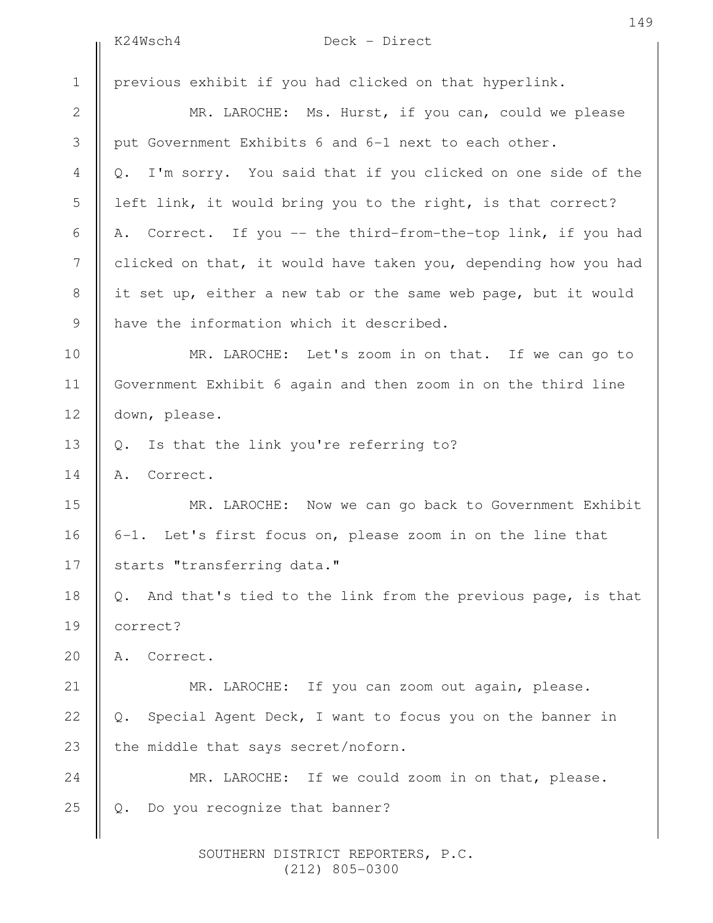K24Wsch4 Deck - Direct

previous exhibit if you had clicked on that hyperlink. MR. LAROCHE: Ms. Hurst, if you can, could we please put Government Exhibits 6 and 6-1 next to each other. Q. I'm sorry. You said that if you clicked on one side of the left link, it would bring you to the right, is that correct? A. Correct. If you -- the third-from-the-top link, if you had clicked on that, it would have taken you, depending how you had it set up, either a new tab or the same web page, but it would have the information which it described. MR. LAROCHE: Let's zoom in on that. If we can go to Government Exhibit 6 again and then zoom in on the third line down, please. Q. Is that the link you're referring to? A. Correct. MR. LAROCHE: Now we can go back to Government Exhibit 6-1. Let's first focus on, please zoom in on the line that starts "transferring data." Q. And that's tied to the link from the previous page, is that correct? A. Correct. MR. LAROCHE: If you can zoom out again, please. Q. Special Agent Deck, I want to focus you on the banner in the middle that says secret/noforn. MR. LAROCHE: If we could zoom in on that, please. Q. Do you recognize that banner? 1 2 3 4 5 6 7 8 9 10 11 12 13 14 15 16 17 18 19 20 21 22 23 24 25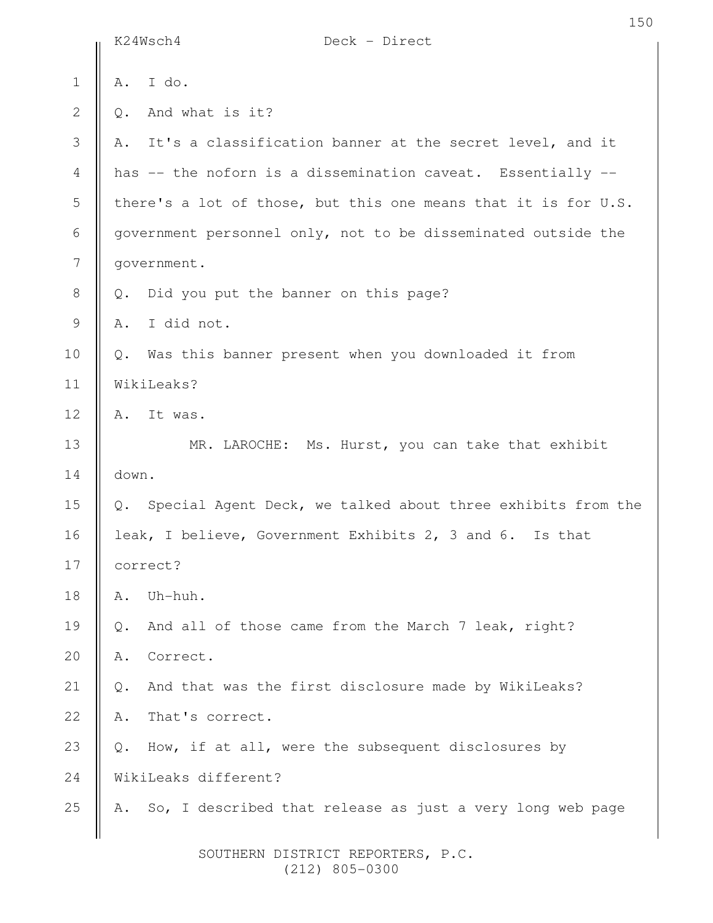|                  |               | K24Wsch4<br>Deck - Direct                                      |
|------------------|---------------|----------------------------------------------------------------|
| $1\,$            | Α.            | I do.                                                          |
| $\mathbf{2}$     | $Q$ .         | And what is it?                                                |
| 3                | Α.            | It's a classification banner at the secret level, and it       |
| 4                |               | has -- the noforn is a dissemination caveat. Essentially --    |
| 5                |               | there's a lot of those, but this one means that it is for U.S. |
| 6                |               | government personnel only, not to be disseminated outside the  |
| $\boldsymbol{7}$ |               | government.                                                    |
| $\,8\,$          | $Q$ .         | Did you put the banner on this page?                           |
| $\mathsf 9$      | Α.            | I did not.                                                     |
| 10               | $\mathbb Q$ . | Was this banner present when you downloaded it from            |
| 11               |               | WikiLeaks?                                                     |
| 12               | Α.            | It was.                                                        |
| 13               |               | MR. LAROCHE: Ms. Hurst, you can take that exhibit              |
| 14               | down.         |                                                                |
| 15               | Q.            | Special Agent Deck, we talked about three exhibits from the    |
| 16               |               | leak, I believe, Government Exhibits 2, 3 and 6. Is that       |
| 17               |               | correct?                                                       |
| 18               | Α.            | Uh-huh.                                                        |
| 19               | Q.            | And all of those came from the March 7 leak, right?            |
| 20               | Α.            | Correct.                                                       |
| 21               | $Q$ .         | And that was the first disclosure made by WikiLeaks?           |
| 22               | Α.            | That's correct.                                                |
| 23               | $Q$ .         | How, if at all, were the subsequent disclosures by             |
| 24               |               | WikiLeaks different?                                           |
| 25               | Α.            | So, I described that release as just a very long web page      |
|                  |               |                                                                |

150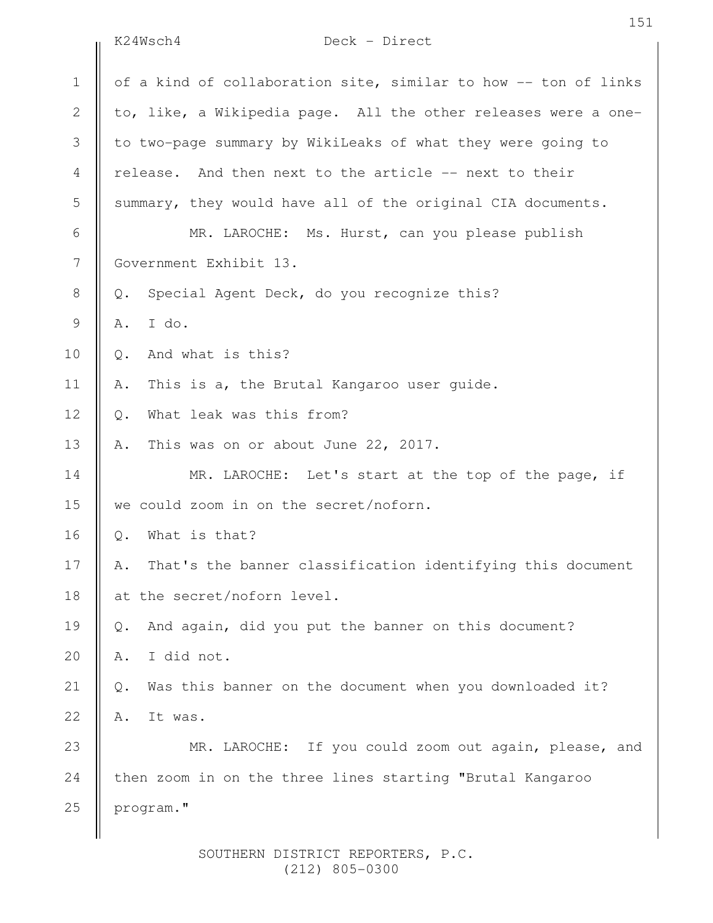|                | K24Wsch4<br>Deck - Direct                                                 |
|----------------|---------------------------------------------------------------------------|
| $\mathbf 1$    | of a kind of collaboration site, similar to how -- ton of links           |
| 2              | to, like, a Wikipedia page. All the other releases were a one-            |
| 3              | to two-page summary by WikiLeaks of what they were going to               |
| 4              | And then next to the article -- next to their<br>release.                 |
| 5              | summary, they would have all of the original CIA documents.               |
| 6              | MR. LAROCHE: Ms. Hurst, can you please publish                            |
| $\overline{7}$ | Government Exhibit 13.                                                    |
| 8              | Special Agent Deck, do you recognize this?<br>Q.                          |
| $\mathcal{G}$  | I do.<br>Α.                                                               |
| 10             | And what is this?<br>Q.                                                   |
| 11             | This is a, the Brutal Kangaroo user guide.<br>Α.                          |
| 12             | What leak was this from?<br>Q.                                            |
| 13             | This was on or about June 22, 2017.<br>Α.                                 |
| 14             | MR. LAROCHE: Let's start at the top of the page, if                       |
| 15             | we could zoom in on the secret/noforn.                                    |
| 16             | What is that?<br>Q.                                                       |
| 17             | That's the banner classification identifying this document<br>Α.          |
| 18             | at the secret/noforn level.                                               |
| 19             | And again, did you put the banner on this document?<br>Q.                 |
| 20             | I did not.<br>Α.                                                          |
| 21             | Was this banner on the document when you downloaded it?<br>$\mathsf{Q}$ . |
| 22             | It was.<br>Α.                                                             |
| 23             | MR. LAROCHE: If you could zoom out again, please, and                     |
| 24             | then zoom in on the three lines starting "Brutal Kangaroo                 |
| 25             | program."                                                                 |
|                |                                                                           |

151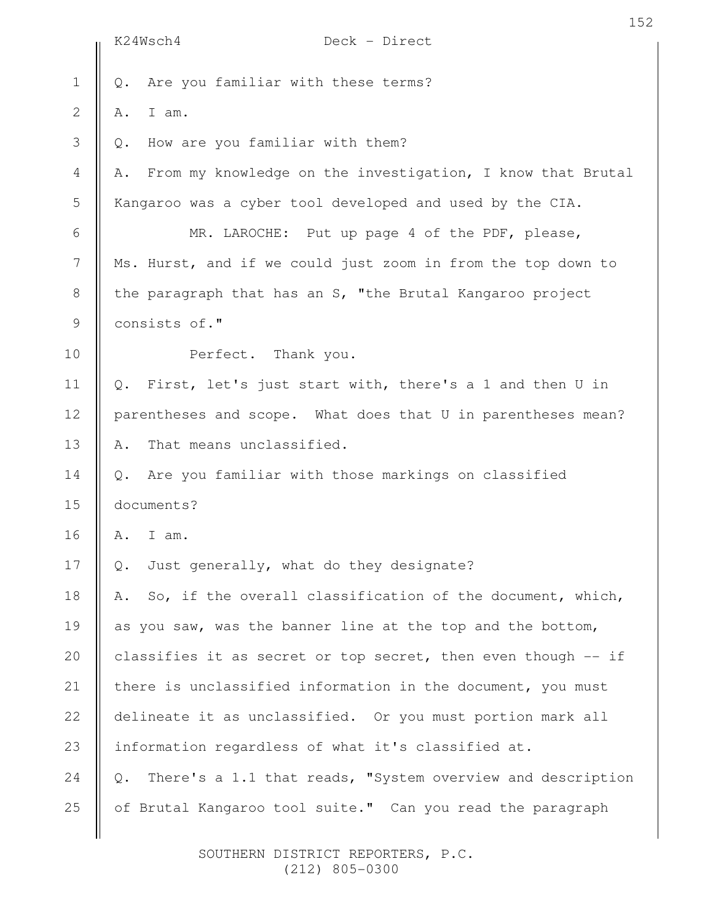|                  | 152                                                                 |
|------------------|---------------------------------------------------------------------|
|                  | K24Wsch4<br>Deck - Direct                                           |
| $\mathbf 1$      | Are you familiar with these terms?<br>Q.                            |
| $\mathbf 2$      | I am.<br>Α.                                                         |
| 3                | How are you familiar with them?<br>Q.                               |
| $\overline{4}$   | From my knowledge on the investigation, I know that Brutal<br>Α.    |
| 5                | Kangaroo was a cyber tool developed and used by the CIA.            |
| 6                | MR. LAROCHE: Put up page 4 of the PDF, please,                      |
| $\boldsymbol{7}$ | Ms. Hurst, and if we could just zoom in from the top down to        |
| 8                | the paragraph that has an S, "the Brutal Kangaroo project           |
| $\mathsf 9$      | consists of."                                                       |
| 10               | Perfect. Thank you.                                                 |
| 11               | First, let's just start with, there's a 1 and then U in<br>Q.       |
| 12               | parentheses and scope. What does that U in parentheses mean?        |
| 13               | That means unclassified.<br>Α.                                      |
| 14               | Are you familiar with those markings on classified<br>Q.            |
| 15               | documents?                                                          |
| 16               | Α.<br>I am.                                                         |
| 17               | Just generally, what do they designate?<br>Q.                       |
| 18               | So, if the overall classification of the document, which,<br>Α.     |
| 19               | as you saw, was the banner line at the top and the bottom,          |
| 20               | classifies it as secret or top secret, then even though -- if       |
| 21               | there is unclassified information in the document, you must         |
| 22               | delineate it as unclassified. Or you must portion mark all          |
| 23               | information regardless of what it's classified at.                  |
| 24               | There's a 1.1 that reads, "System overview and description<br>$Q$ . |
| 25               | of Brutal Kangaroo tool suite." Can you read the paragraph          |
|                  |                                                                     |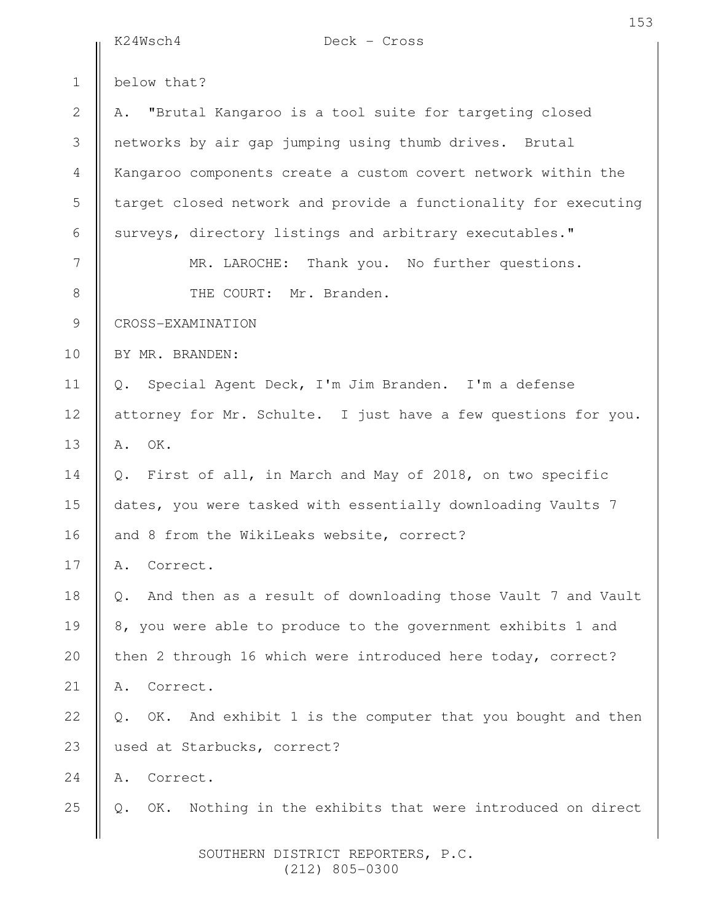|               | K24Wsch4<br>Deck - Cross                                                    |
|---------------|-----------------------------------------------------------------------------|
| $\mathbf 1$   | below that?                                                                 |
| $\mathbf{2}$  | "Brutal Kangaroo is a tool suite for targeting closed<br>Α.                 |
| 3             | networks by air gap jumping using thumb drives. Brutal                      |
| 4             | Kangaroo components create a custom covert network within the               |
| 5             | target closed network and provide a functionality for executing             |
| 6             | surveys, directory listings and arbitrary executables."                     |
| 7             | MR. LAROCHE: Thank you. No further questions.                               |
| $8\,$         | THE COURT: Mr. Branden.                                                     |
| $\mathcal{G}$ | CROSS-EXAMINATION                                                           |
| 10            | BY MR. BRANDEN:                                                             |
| 11            | Q. Special Agent Deck, I'm Jim Branden. I'm a defense                       |
| 12            | attorney for Mr. Schulte. I just have a few questions for you.              |
| 13            | OK.<br>Α.                                                                   |
| 14            | Q. First of all, in March and May of 2018, on two specific                  |
| 15            | dates, you were tasked with essentially downloading Vaults 7                |
| 16            | and 8 from the WikiLeaks website, correct?                                  |
| 17            | Correct.<br>Α.                                                              |
| 18            | And then as a result of downloading those Vault 7 and Vault<br>Q.           |
| 19            | 8, you were able to produce to the government exhibits 1 and                |
| 20            | then 2 through 16 which were introduced here today, correct?                |
| 21            | Correct.<br>Α.                                                              |
| 22            | OK. And exhibit 1 is the computer that you bought and then<br>$\mathbb Q$ . |
| 23            | used at Starbucks, correct?                                                 |
| 24            | Correct.<br>Α.                                                              |
| 25            | OK. Nothing in the exhibits that were introduced on direct<br>$\mathbb Q$ . |
|               |                                                                             |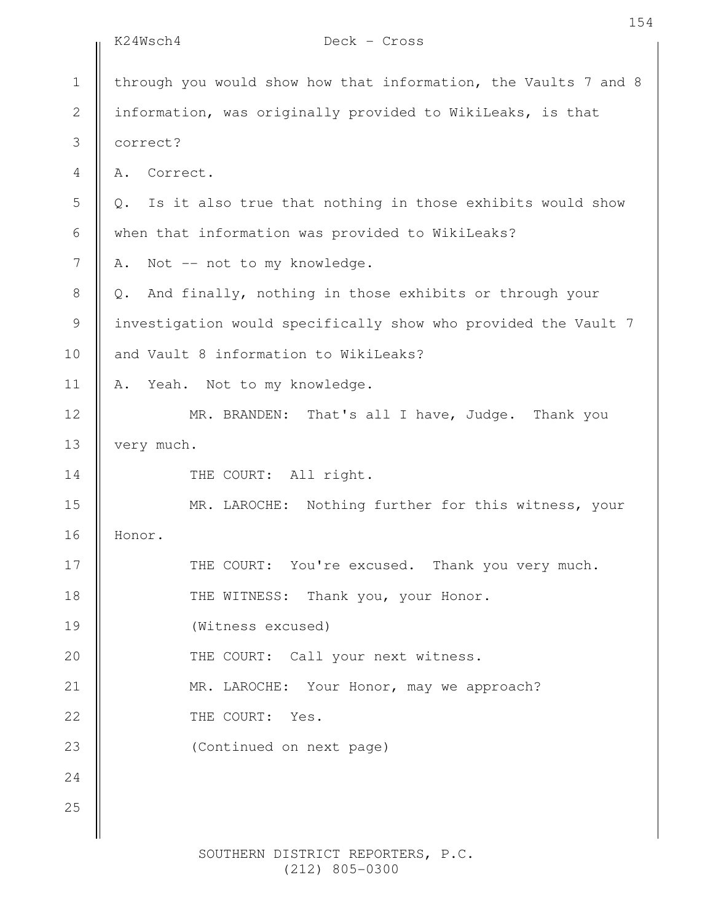|                  | K24Wsch4<br>Deck - Cross                                           |
|------------------|--------------------------------------------------------------------|
| $\mathbf 1$      | through you would show how that information, the Vaults 7 and 8    |
| $\mathbf{2}$     | information, was originally provided to WikiLeaks, is that         |
| 3                | correct?                                                           |
| $\overline{4}$   | Correct.<br>Α.                                                     |
| 5                | Is it also true that nothing in those exhibits would show<br>$Q$ . |
| 6                | when that information was provided to WikiLeaks?                   |
| $\boldsymbol{7}$ | Not -- not to my knowledge.<br>Α.                                  |
| 8                | And finally, nothing in those exhibits or through your<br>$Q$ .    |
| $\mathsf 9$      | investigation would specifically show who provided the Vault 7     |
| 10               | and Vault 8 information to WikiLeaks?                              |
| 11               | Yeah. Not to my knowledge.<br>Α.                                   |
| 12               | MR. BRANDEN: That's all I have, Judge. Thank you                   |
| 13               | very much.                                                         |
| 14               | THE COURT: All right.                                              |
| 15               | MR. LAROCHE: Nothing further for this witness, your                |
| 16               | Honor.                                                             |
| 17               | THE COURT: You're excused. Thank you very much.                    |
| 18               | THE WITNESS: Thank you, your Honor.                                |
| 19               | (Witness excused)                                                  |
| 20               | THE COURT: Call your next witness.                                 |
| 21               | MR. LAROCHE: Your Honor, may we approach?                          |
| 22               | THE COURT: Yes.                                                    |
| 23               | (Continued on next page)                                           |
| 24               |                                                                    |
| 25               |                                                                    |
|                  |                                                                    |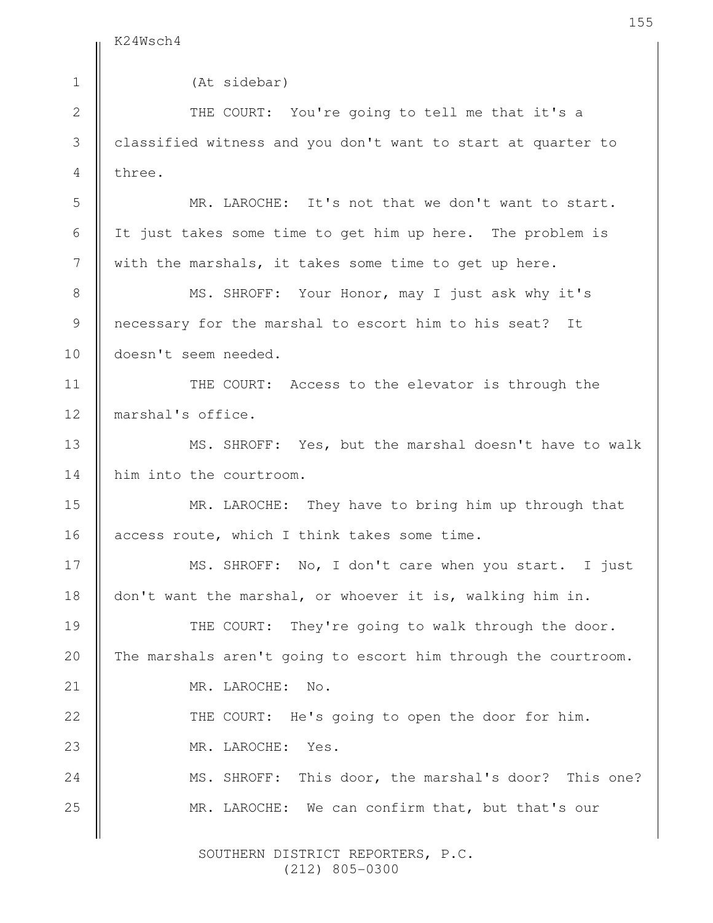K24Wsch4

| $\mathbf 1$   | (At sidebar)                                                   |
|---------------|----------------------------------------------------------------|
| $\mathbf{2}$  | THE COURT: You're going to tell me that it's a                 |
| $\mathcal{S}$ | classified witness and you don't want to start at quarter to   |
| 4             | three.                                                         |
| 5             | MR. LAROCHE: It's not that we don't want to start.             |
| 6             | It just takes some time to get him up here. The problem is     |
| 7             | with the marshals, it takes some time to get up here.          |
| $8\,$         | MS. SHROFF: Your Honor, may I just ask why it's                |
| 9             | necessary for the marshal to escort him to his seat? It        |
| 10            | doesn't seem needed.                                           |
| 11            | THE COURT: Access to the elevator is through the               |
| 12            | marshal's office.                                              |
| 13            | MS. SHROFF: Yes, but the marshal doesn't have to walk          |
| 14            | him into the courtroom.                                        |
| 15            | MR. LAROCHE: They have to bring him up through that            |
| 16            | access route, which I think takes some time.                   |
| 17            | MS. SHROFF: No, I don't care when you start. I just            |
| 18            | don't want the marshal, or whoever it is, walking him in.      |
| 19            | THE COURT: They're going to walk through the door.             |
| 20            | The marshals aren't going to escort him through the courtroom. |
| 21            | MR. LAROCHE:<br>No.                                            |
| 22            | THE COURT: He's going to open the door for him.                |
| 23            | MR. LAROCHE:<br>Yes.                                           |
| 24            | This door, the marshal's door? This one?<br>MS. SHROFF:        |
| 25            | MR. LAROCHE: We can confirm that, but that's our               |
|               |                                                                |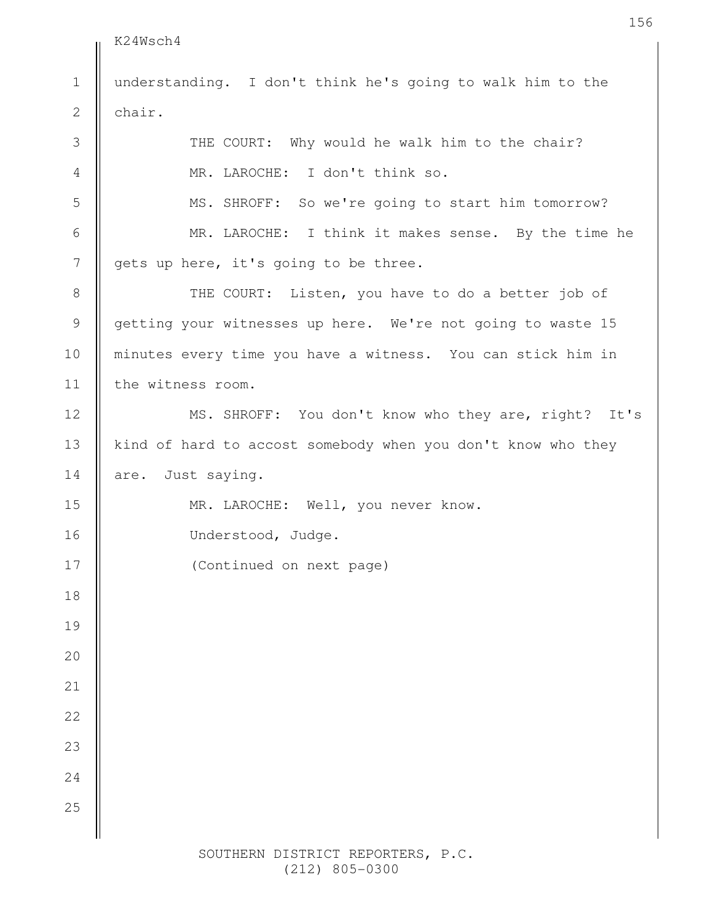K24Wsch4 understanding. I don't think he's going to walk him to the chair. THE COURT: Why would he walk him to the chair? MR. LAROCHE: I don't think so. MS. SHROFF: So we're going to start him tomorrow? MR. LAROCHE: I think it makes sense. By the time he gets up here, it's going to be three. THE COURT: Listen, you have to do a better job of getting your witnesses up here. We're not going to waste 15 minutes every time you have a witness. You can stick him in the witness room. MS. SHROFF: You don't know who they are, right? It's kind of hard to accost somebody when you don't know who they are. Just saying. MR. LAROCHE: Well, you never know. 1 2 3 4 5 6 7 8 9 10 11 12 13 14 15

Understood, Judge.

16

17

18

19

20

21

22

23

24

25

(Continued on next page)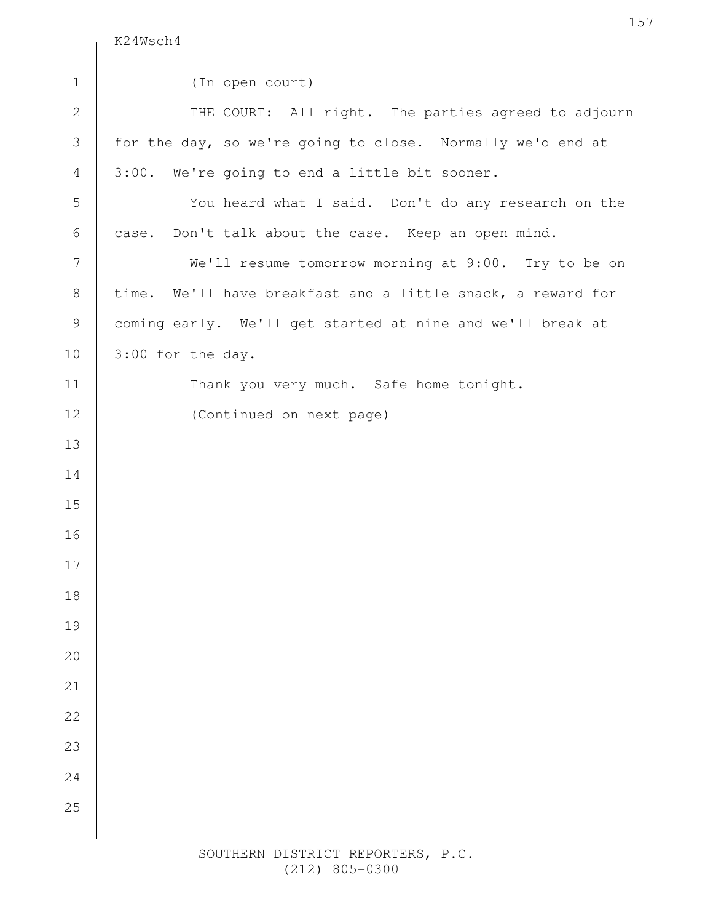$\parallel$  K24Wsch4

| $1\,$          | (In open court)                                             |
|----------------|-------------------------------------------------------------|
| $\overline{2}$ | THE COURT: All right. The parties agreed to adjourn         |
| 3              | for the day, so we're going to close. Normally we'd end at  |
| $\overline{4}$ | 3:00. We're going to end a little bit sooner.               |
| 5              | You heard what I said. Don't do any research on the         |
| 6              | case. Don't talk about the case. Keep an open mind.         |
| $\overline{7}$ | We'll resume tomorrow morning at 9:00. Try to be on         |
| $8\,$          | time. We'll have breakfast and a little snack, a reward for |
| $\mathsf 9$    | coming early. We'll get started at nine and we'll break at  |
| 10             | 3:00 for the day.                                           |
| 11             | Thank you very much. Safe home tonight.                     |
| 12             | (Continued on next page)                                    |
| 13             |                                                             |
| 14             |                                                             |
| 15             |                                                             |
| 16             |                                                             |
| 17             |                                                             |
| 18             |                                                             |
| 19             |                                                             |
| $20$           |                                                             |
| 21             |                                                             |
| 22             |                                                             |
| 23             |                                                             |
| 24             |                                                             |
| 25             |                                                             |
|                |                                                             |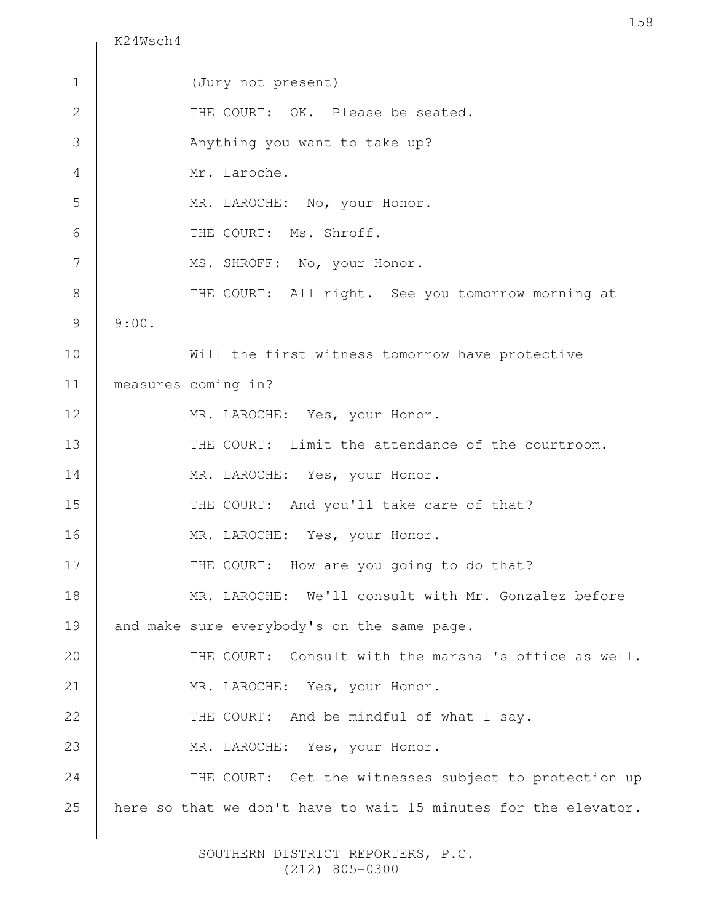K24Wsch4

(Jury not present) THE COURT: OK. Please be seated. Anything you want to take up? Mr. Laroche. MR. LAROCHE: No, your Honor. THE COURT: Ms. Shroff. MS. SHROFF: No, your Honor. THE COURT: All right. See you tomorrow morning at 9:00. Will the first witness tomorrow have protective measures coming in? MR. LAROCHE: Yes, your Honor. THE COURT: Limit the attendance of the courtroom. MR. LAROCHE: Yes, your Honor. THE COURT: And you'll take care of that? MR. LAROCHE: Yes, your Honor. THE COURT: How are you going to do that? MR. LAROCHE: We'll consult with Mr. Gonzalez before and make sure everybody's on the same page. THE COURT: Consult with the marshal's office as well. MR. LAROCHE: Yes, your Honor. THE COURT: And be mindful of what I say. MR. LAROCHE: Yes, your Honor. THE COURT: Get the witnesses subject to protection up here so that we don't have to wait 15 minutes for the elevator. 1 2 3 4 5 6 7 8 9 10 11 12 13 14 15 16 17 18 19 20 21 22 23 24 25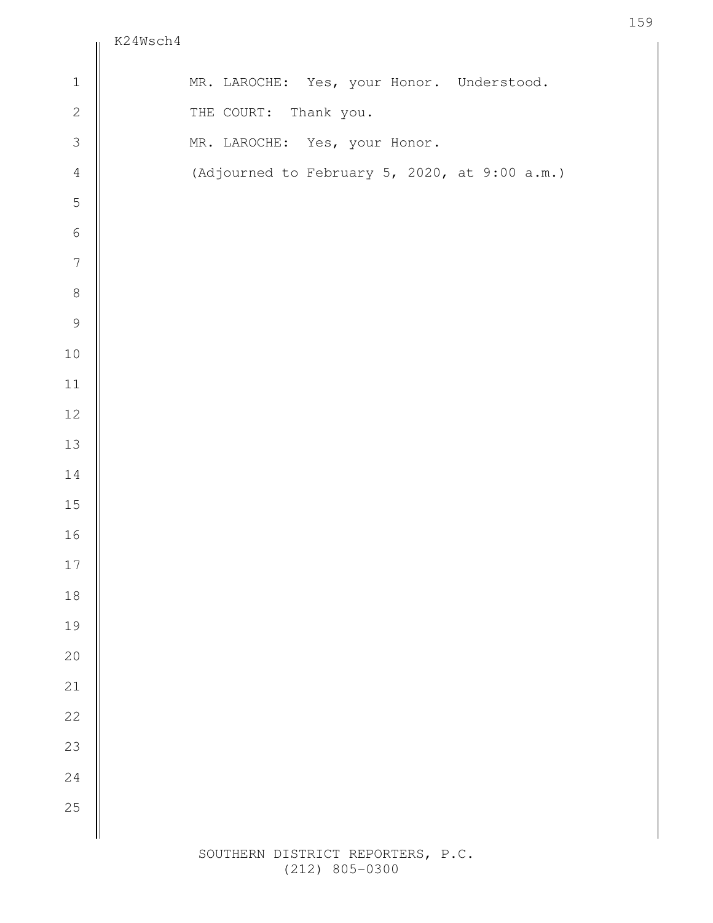|                                 | KZ4Wsch4                                      |
|---------------------------------|-----------------------------------------------|
| $\ensuremath{\mathbbm{1}}$      | MR. LAROCHE: Yes, your Honor. Understood.     |
| $\overline{c}$                  | THE COURT: Thank you.                         |
| $\mathfrak{Z}$                  | MR. LAROCHE: Yes, your Honor.                 |
| $\overline{4}$                  | (Adjourned to February 5, 2020, at 9:00 a.m.) |
| 5                               |                                               |
| $\,$ $\,$ $\,$                  |                                               |
| $\overline{7}$                  |                                               |
| $\begin{matrix} 8 \end{matrix}$ |                                               |
| 9                               |                                               |
| $1\,0$                          |                                               |
| $11\,$                          |                                               |
| $12\,$                          |                                               |
| $13\,$                          |                                               |
| $1\,4$                          |                                               |
| $15\,$                          |                                               |
| $16\,$                          |                                               |
| $17\,$                          |                                               |
| $18\,$                          |                                               |
| 19                              |                                               |
| $20$                            |                                               |
| $21\,$                          |                                               |
| 22                              |                                               |
| 23                              |                                               |
| 24                              |                                               |
| 25                              |                                               |
|                                 |                                               |